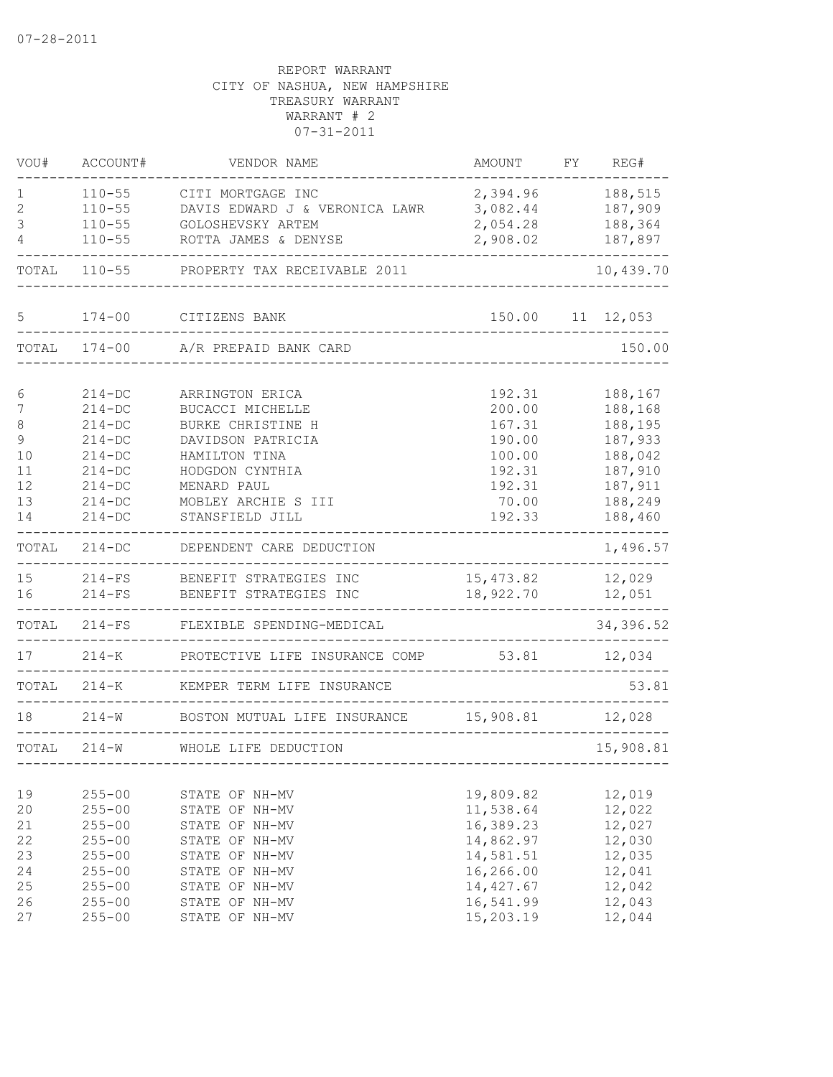| VOU#         | ACCOUNT#                 | VENDOR NAME                      | AMOUNT                  | FY | REG#               |
|--------------|--------------------------|----------------------------------|-------------------------|----|--------------------|
| 1            | $110 - 55$               | CITI MORTGAGE INC                | 2,394.96                |    | 188,515            |
| 2            | $110 - 55$               | DAVIS EDWARD J & VERONICA LAWR   | 3,082.44                |    | 187,909            |
| 3            | $110 - 55$               | GOLOSHEVSKY ARTEM                | 2,054.28                |    | 188,364            |
| 4            | $110 - 55$               | ROTTA JAMES & DENYSE             | 2,908.02                |    | 187,897            |
| TOTAL        | $110 - 55$               | PROPERTY TAX RECEIVABLE 2011     |                         |    | 10,439.70          |
| 5            | $174 - 00$               | CITIZENS BANK                    | 150.00                  |    | 11 12,053          |
| TOTAL        | $174 - 00$               | A/R PREPAID BANK CARD            |                         |    | 150.00             |
|              |                          |                                  |                         |    |                    |
| 6            | $214 - DC$               | ARRINGTON ERICA                  | 192.31                  |    | 188,167            |
| 7            | $214 - DC$               | BUCACCI MICHELLE                 | 200.00                  |    | 188,168            |
| 8            | $214 - DC$               | BURKE CHRISTINE H                | 167.31                  |    | 188,195            |
| $\mathsf 9$  | $214 - DC$               | DAVIDSON PATRICIA                | 190.00                  |    | 187,933<br>188,042 |
| 10           | $214 - DC$               | HAMILTON TINA                    | 100.00                  |    |                    |
| 11<br>12     | $214-DC$<br>$214 - DC$   | HODGDON CYNTHIA<br>MENARD PAUL   | 192.31<br>192.31        |    | 187,910<br>187,911 |
| 13           | $214 - DC$               | MOBLEY ARCHIE S III              | 70.00                   |    | 188,249            |
| 14           | $214 - DC$               | STANSFIELD JILL                  | 192.33                  |    | 188,460            |
| TOTAL        | $214 - DC$               | DEPENDENT CARE DEDUCTION         |                         |    | 1,496.57           |
| 15           | $214-FS$                 | BENEFIT STRATEGIES INC           | 15,473.82               |    | 12,029             |
| 16           | $214-FS$                 | BENEFIT STRATEGIES INC           | 18,922.70               |    | 12,051             |
| TOTAL        | $214-FS$                 | FLEXIBLE SPENDING-MEDICAL        |                         |    | 34,396.52          |
| 17           | $214 - K$                | PROTECTIVE LIFE INSURANCE COMP   | 53.81                   |    | 12,034             |
| TOTAL        | 214-К                    | KEMPER TERM LIFE INSURANCE       |                         |    | 53.81              |
| 18           | $214 - W$                | BOSTON MUTUAL LIFE INSURANCE     | 15,908.81               |    | 12,028             |
| TOTAL        | $214 - W$                | WHOLE LIFE DEDUCTION             |                         |    | 15,908.81          |
|              |                          |                                  |                         |    |                    |
| 19           | $255 - 00$               | STATE OF NH-MV                   | 19,809.82               |    | 12,019             |
| 20           | $255 - 00$               | STATE OF NH-MV                   | 11,538.64               |    | 12,022             |
| 21           | $255 - 00$               | STATE OF NH-MV                   | 16,389.23               |    | 12,027             |
| 22           | $255 - 00$               | STATE OF NH-MV                   | 14,862.97               |    | 12,030             |
| 23           | $255 - 00$               | STATE OF NH-MV                   | 14,581.51               |    | 12,035             |
| 24           | $255 - 00$               | STATE OF NH-MV                   | 16,266.00<br>14, 427.67 |    | 12,041             |
| $2\,5$<br>26 | $255 - 00$<br>$255 - 00$ | STATE OF NH-MV<br>STATE OF NH-MV | 16,541.99               |    | 12,042<br>12,043   |
| 27           | $255 - 00$               | STATE OF NH-MV                   | 15,203.19               |    | 12,044             |
|              |                          |                                  |                         |    |                    |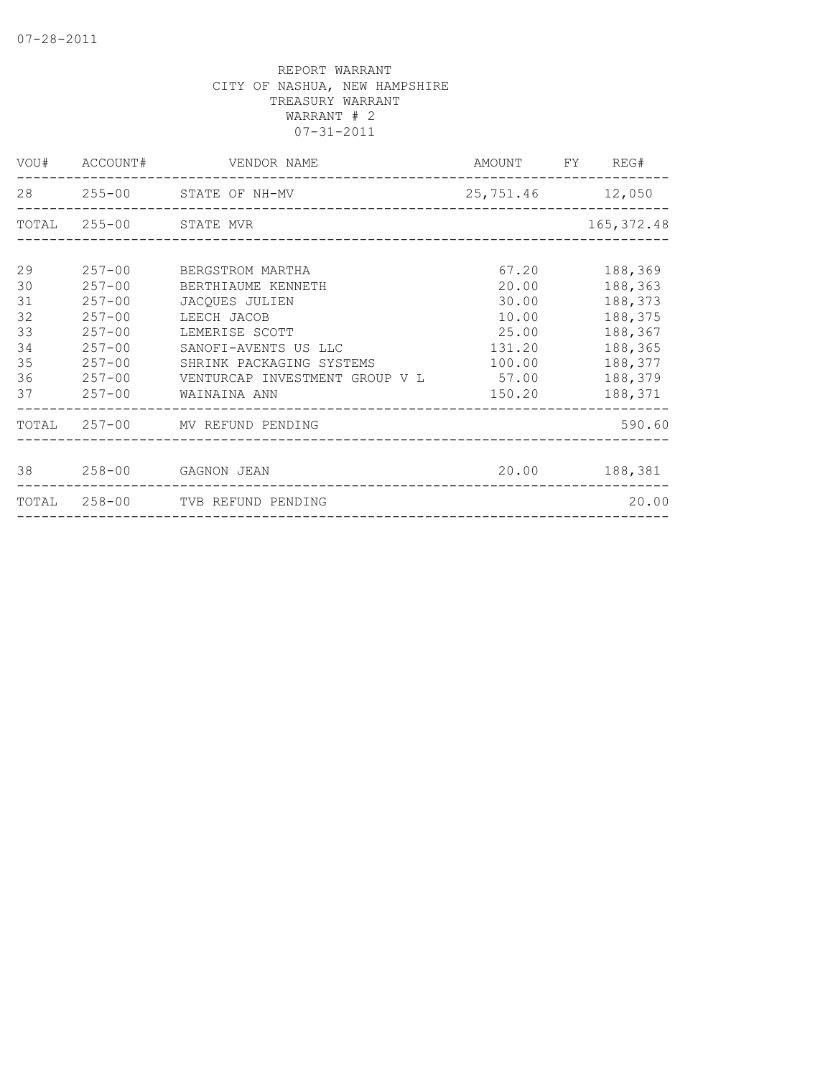|    |            | VOU# ACCOUNT# VENDOR NAME                              | AMOUNT FY REG#   |             |
|----|------------|--------------------------------------------------------|------------------|-------------|
|    |            | 28 255-00 STATE OF NH-MV                               | 25,751.46 12,050 |             |
|    |            | TOTAL 255-00 STATE MVR                                 |                  | 165, 372.48 |
|    |            |                                                        |                  |             |
| 29 |            | 257-00 BERGSTROM MARTHA                                | 67.20            | 188,369     |
| 30 |            | 257-00 BERTHIAUME KENNETH                              | 20.00            | 188,363     |
| 31 | $257 - 00$ | JACOUES JULIEN                                         | 30.00            | 188,373     |
| 32 | $257 - 00$ | LEECH JACOB                                            | 10.00            | 188,375     |
| 33 | $257 - 00$ | LEMERISE SCOTT                                         | 25.00            | 188,367     |
| 34 | $257 - 00$ | SANOFI-AVENTS US LLC                                   | 131.20           | 188,365     |
| 35 | $257 - 00$ | SHRINK PACKAGING SYSTEMS                               | 100.00           | 188,377     |
| 36 |            |                                                        |                  | 188,379     |
| 37 |            | 257-00 WAINAINA ANN<br>_______________________________ | 150.20           | 188,371     |
|    |            | TOTAL 257-00 MV REFUND PENDING                         |                  | 590.60      |
|    |            |                                                        |                  |             |
|    |            | 38 258-00 GAGNON JEAN                                  | 20.00 188,381    |             |
|    |            | TOTAL 258-00 TVB REFUND PENDING                        |                  | 20.00       |
|    |            |                                                        |                  |             |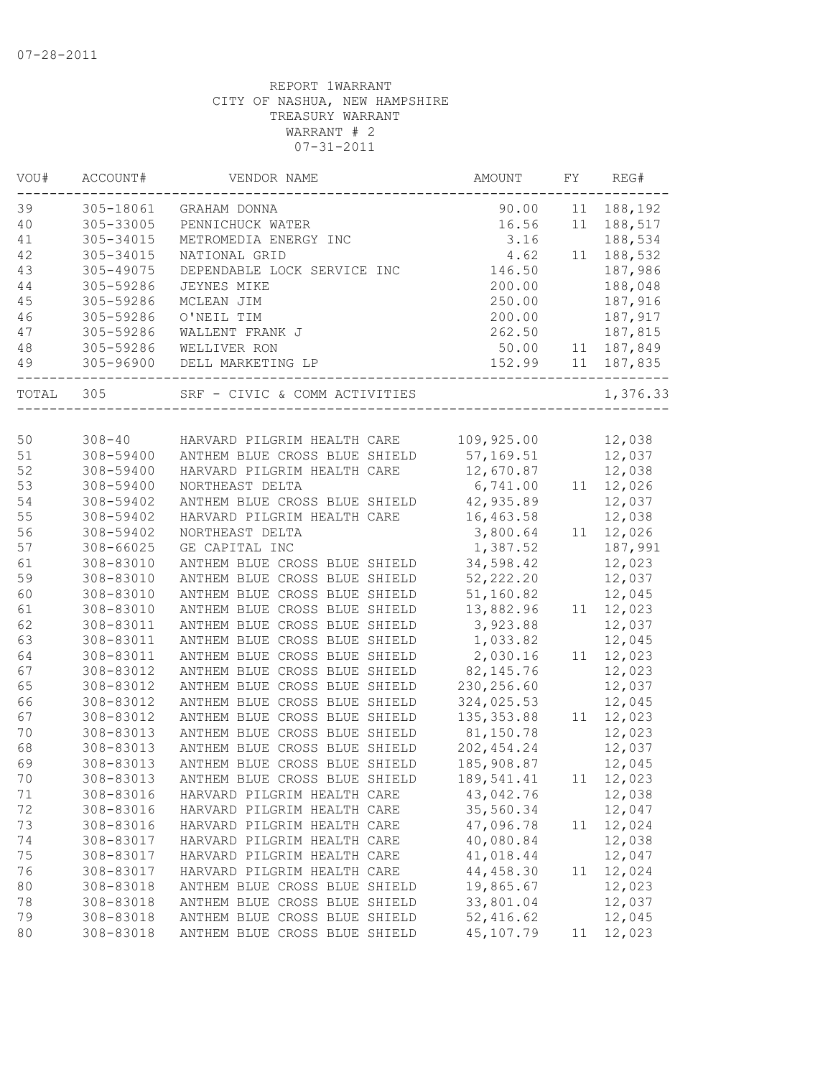| 39<br>305-18061<br>90.00<br>188,192<br>GRAHAM DONNA<br>11<br>40<br>305-33005<br>16.56<br>188,517<br>PENNICHUCK WATER<br>11<br>305-34015<br>3.16<br>188,534<br>41<br>METROMEDIA ENERGY INC<br>42<br>305-34015<br>4.62<br>188,532<br>NATIONAL GRID<br>11<br>43<br>187,986<br>305-49075<br>DEPENDABLE LOCK SERVICE INC<br>146.50<br>200.00<br>44<br>305-59286<br>188,048<br><b>JEYNES MIKE</b><br>250.00<br>187,916<br>45<br>305-59286<br>MCLEAN JIM<br>187,917<br>46<br>305-59286<br>O'NEIL TIM<br>200.00<br>47<br>305-59286<br>WALLENT FRANK J<br>262.50<br>187,815<br>48<br>305-59286<br>WELLIVER RON<br>50.00<br>187,849<br>11<br>152.99<br>49<br>305-96900<br>DELL MARKETING LP<br>11<br>187,835<br>1,376.33<br>TOTAL<br>305<br>SRF - CIVIC & COMM ACTIVITIES<br>50<br>$308 - 40$<br>109,925.00<br>12,038<br>HARVARD PILGRIM HEALTH CARE<br>51<br>308-59400<br>57,169.51<br>12,037<br>ANTHEM BLUE CROSS BLUE SHIELD<br>12,038<br>52<br>12,670.87<br>308-59400<br>HARVARD PILGRIM HEALTH CARE<br>53<br>11 12,026<br>308-59400<br>NORTHEAST DELTA<br>6,741.00<br>42,935.89<br>12,037<br>54<br>308-59402<br>ANTHEM BLUE CROSS BLUE SHIELD<br>55<br>308-59402<br>HARVARD PILGRIM HEALTH CARE<br>16,463.58<br>12,038<br>56<br>308-59402<br>NORTHEAST DELTA<br>3,800.64<br>12,026<br>11<br>57<br>$308 - 66025$<br>GE CAPITAL INC<br>1,387.52<br>187,991<br>34,598.42<br>12,023<br>61<br>308-83010<br>ANTHEM BLUE CROSS BLUE SHIELD<br>59<br>52, 222.20<br>308-83010<br>ANTHEM BLUE CROSS BLUE SHIELD<br>12,037<br>60<br>51,160.82<br>12,045<br>308-83010<br>ANTHEM BLUE CROSS BLUE SHIELD<br>12,023<br>61<br>308-83010<br>13,882.96<br>ANTHEM BLUE CROSS BLUE SHIELD<br>11<br>62<br>3,923.88<br>12,037<br>308-83011<br>ANTHEM BLUE CROSS BLUE SHIELD<br>63<br>1,033.82<br>12,045<br>308-83011<br>ANTHEM BLUE CROSS BLUE SHIELD<br>2,030.16<br>64<br>308-83011<br>ANTHEM BLUE CROSS BLUE SHIELD<br>12,023<br>11<br>67<br>308-83012<br>ANTHEM BLUE CROSS BLUE SHIELD<br>82, 145.76<br>12,023<br>65<br>308-83012<br>ANTHEM BLUE CROSS BLUE SHIELD<br>230, 256.60<br>12,037<br>66<br>324,025.53<br>12,045<br>308-83012<br>ANTHEM BLUE CROSS BLUE SHIELD<br>135, 353.88<br>12,023<br>67<br>308-83012<br>ANTHEM BLUE CROSS BLUE SHIELD<br>11<br>81,150.78<br>12,023<br>70<br>308-83013<br>ANTHEM BLUE CROSS BLUE SHIELD<br>202, 454.24<br>12,037<br>68<br>308-83013<br>ANTHEM BLUE CROSS BLUE SHIELD<br>69<br>ANTHEM BLUE CROSS BLUE SHIELD<br>308-83013<br>185,908.87<br>12,045<br>70<br>ANTHEM BLUE CROSS BLUE SHIELD<br>11 12,023<br>308-83013<br>189,541.41<br>308-83016<br>43,042.76<br>12,038<br>71<br>HARVARD PILGRIM HEALTH CARE<br>72<br>308-83016<br>35,560.34<br>12,047<br>HARVARD PILGRIM HEALTH CARE<br>47,096.78<br>73<br>308-83016<br>HARVARD PILGRIM HEALTH CARE<br>12,024<br>11<br>40,080.84<br>12,038<br>74<br>308-83017<br>HARVARD PILGRIM HEALTH CARE<br>75<br>308-83017<br>41,018.44<br>12,047<br>HARVARD PILGRIM HEALTH CARE<br>44, 458.30<br>76<br>12,024<br>308-83017<br>HARVARD PILGRIM HEALTH CARE<br>11<br>19,865.67<br>12,023<br>80<br>308-83018<br>ANTHEM BLUE CROSS BLUE SHIELD<br>33,801.04<br>12,037<br>78<br>308-83018<br>ANTHEM BLUE CROSS BLUE SHIELD<br>ANTHEM BLUE CROSS BLUE SHIELD<br>52,416.62<br>79<br>308-83018<br>12,045 | VOU# | ACCOUNT#  | VENDOR NAME                   | AMOUNT    | FY | REG#   |
|-----------------------------------------------------------------------------------------------------------------------------------------------------------------------------------------------------------------------------------------------------------------------------------------------------------------------------------------------------------------------------------------------------------------------------------------------------------------------------------------------------------------------------------------------------------------------------------------------------------------------------------------------------------------------------------------------------------------------------------------------------------------------------------------------------------------------------------------------------------------------------------------------------------------------------------------------------------------------------------------------------------------------------------------------------------------------------------------------------------------------------------------------------------------------------------------------------------------------------------------------------------------------------------------------------------------------------------------------------------------------------------------------------------------------------------------------------------------------------------------------------------------------------------------------------------------------------------------------------------------------------------------------------------------------------------------------------------------------------------------------------------------------------------------------------------------------------------------------------------------------------------------------------------------------------------------------------------------------------------------------------------------------------------------------------------------------------------------------------------------------------------------------------------------------------------------------------------------------------------------------------------------------------------------------------------------------------------------------------------------------------------------------------------------------------------------------------------------------------------------------------------------------------------------------------------------------------------------------------------------------------------------------------------------------------------------------------------------------------------------------------------------------------------------------------------------------------------------------------------------------------------------------------------------------------------------------------------------------------------------------------------------------------------------------------------------------------------------------------------------------------------------------------------------------------------------------------------------------------------------------------------|------|-----------|-------------------------------|-----------|----|--------|
|                                                                                                                                                                                                                                                                                                                                                                                                                                                                                                                                                                                                                                                                                                                                                                                                                                                                                                                                                                                                                                                                                                                                                                                                                                                                                                                                                                                                                                                                                                                                                                                                                                                                                                                                                                                                                                                                                                                                                                                                                                                                                                                                                                                                                                                                                                                                                                                                                                                                                                                                                                                                                                                                                                                                                                                                                                                                                                                                                                                                                                                                                                                                                                                                                                                           |      |           |                               |           |    |        |
|                                                                                                                                                                                                                                                                                                                                                                                                                                                                                                                                                                                                                                                                                                                                                                                                                                                                                                                                                                                                                                                                                                                                                                                                                                                                                                                                                                                                                                                                                                                                                                                                                                                                                                                                                                                                                                                                                                                                                                                                                                                                                                                                                                                                                                                                                                                                                                                                                                                                                                                                                                                                                                                                                                                                                                                                                                                                                                                                                                                                                                                                                                                                                                                                                                                           |      |           |                               |           |    |        |
|                                                                                                                                                                                                                                                                                                                                                                                                                                                                                                                                                                                                                                                                                                                                                                                                                                                                                                                                                                                                                                                                                                                                                                                                                                                                                                                                                                                                                                                                                                                                                                                                                                                                                                                                                                                                                                                                                                                                                                                                                                                                                                                                                                                                                                                                                                                                                                                                                                                                                                                                                                                                                                                                                                                                                                                                                                                                                                                                                                                                                                                                                                                                                                                                                                                           |      |           |                               |           |    |        |
|                                                                                                                                                                                                                                                                                                                                                                                                                                                                                                                                                                                                                                                                                                                                                                                                                                                                                                                                                                                                                                                                                                                                                                                                                                                                                                                                                                                                                                                                                                                                                                                                                                                                                                                                                                                                                                                                                                                                                                                                                                                                                                                                                                                                                                                                                                                                                                                                                                                                                                                                                                                                                                                                                                                                                                                                                                                                                                                                                                                                                                                                                                                                                                                                                                                           |      |           |                               |           |    |        |
|                                                                                                                                                                                                                                                                                                                                                                                                                                                                                                                                                                                                                                                                                                                                                                                                                                                                                                                                                                                                                                                                                                                                                                                                                                                                                                                                                                                                                                                                                                                                                                                                                                                                                                                                                                                                                                                                                                                                                                                                                                                                                                                                                                                                                                                                                                                                                                                                                                                                                                                                                                                                                                                                                                                                                                                                                                                                                                                                                                                                                                                                                                                                                                                                                                                           |      |           |                               |           |    |        |
|                                                                                                                                                                                                                                                                                                                                                                                                                                                                                                                                                                                                                                                                                                                                                                                                                                                                                                                                                                                                                                                                                                                                                                                                                                                                                                                                                                                                                                                                                                                                                                                                                                                                                                                                                                                                                                                                                                                                                                                                                                                                                                                                                                                                                                                                                                                                                                                                                                                                                                                                                                                                                                                                                                                                                                                                                                                                                                                                                                                                                                                                                                                                                                                                                                                           |      |           |                               |           |    |        |
|                                                                                                                                                                                                                                                                                                                                                                                                                                                                                                                                                                                                                                                                                                                                                                                                                                                                                                                                                                                                                                                                                                                                                                                                                                                                                                                                                                                                                                                                                                                                                                                                                                                                                                                                                                                                                                                                                                                                                                                                                                                                                                                                                                                                                                                                                                                                                                                                                                                                                                                                                                                                                                                                                                                                                                                                                                                                                                                                                                                                                                                                                                                                                                                                                                                           |      |           |                               |           |    |        |
|                                                                                                                                                                                                                                                                                                                                                                                                                                                                                                                                                                                                                                                                                                                                                                                                                                                                                                                                                                                                                                                                                                                                                                                                                                                                                                                                                                                                                                                                                                                                                                                                                                                                                                                                                                                                                                                                                                                                                                                                                                                                                                                                                                                                                                                                                                                                                                                                                                                                                                                                                                                                                                                                                                                                                                                                                                                                                                                                                                                                                                                                                                                                                                                                                                                           |      |           |                               |           |    |        |
|                                                                                                                                                                                                                                                                                                                                                                                                                                                                                                                                                                                                                                                                                                                                                                                                                                                                                                                                                                                                                                                                                                                                                                                                                                                                                                                                                                                                                                                                                                                                                                                                                                                                                                                                                                                                                                                                                                                                                                                                                                                                                                                                                                                                                                                                                                                                                                                                                                                                                                                                                                                                                                                                                                                                                                                                                                                                                                                                                                                                                                                                                                                                                                                                                                                           |      |           |                               |           |    |        |
|                                                                                                                                                                                                                                                                                                                                                                                                                                                                                                                                                                                                                                                                                                                                                                                                                                                                                                                                                                                                                                                                                                                                                                                                                                                                                                                                                                                                                                                                                                                                                                                                                                                                                                                                                                                                                                                                                                                                                                                                                                                                                                                                                                                                                                                                                                                                                                                                                                                                                                                                                                                                                                                                                                                                                                                                                                                                                                                                                                                                                                                                                                                                                                                                                                                           |      |           |                               |           |    |        |
|                                                                                                                                                                                                                                                                                                                                                                                                                                                                                                                                                                                                                                                                                                                                                                                                                                                                                                                                                                                                                                                                                                                                                                                                                                                                                                                                                                                                                                                                                                                                                                                                                                                                                                                                                                                                                                                                                                                                                                                                                                                                                                                                                                                                                                                                                                                                                                                                                                                                                                                                                                                                                                                                                                                                                                                                                                                                                                                                                                                                                                                                                                                                                                                                                                                           |      |           |                               |           |    |        |
|                                                                                                                                                                                                                                                                                                                                                                                                                                                                                                                                                                                                                                                                                                                                                                                                                                                                                                                                                                                                                                                                                                                                                                                                                                                                                                                                                                                                                                                                                                                                                                                                                                                                                                                                                                                                                                                                                                                                                                                                                                                                                                                                                                                                                                                                                                                                                                                                                                                                                                                                                                                                                                                                                                                                                                                                                                                                                                                                                                                                                                                                                                                                                                                                                                                           |      |           |                               |           |    |        |
|                                                                                                                                                                                                                                                                                                                                                                                                                                                                                                                                                                                                                                                                                                                                                                                                                                                                                                                                                                                                                                                                                                                                                                                                                                                                                                                                                                                                                                                                                                                                                                                                                                                                                                                                                                                                                                                                                                                                                                                                                                                                                                                                                                                                                                                                                                                                                                                                                                                                                                                                                                                                                                                                                                                                                                                                                                                                                                                                                                                                                                                                                                                                                                                                                                                           |      |           |                               |           |    |        |
|                                                                                                                                                                                                                                                                                                                                                                                                                                                                                                                                                                                                                                                                                                                                                                                                                                                                                                                                                                                                                                                                                                                                                                                                                                                                                                                                                                                                                                                                                                                                                                                                                                                                                                                                                                                                                                                                                                                                                                                                                                                                                                                                                                                                                                                                                                                                                                                                                                                                                                                                                                                                                                                                                                                                                                                                                                                                                                                                                                                                                                                                                                                                                                                                                                                           |      |           |                               |           |    |        |
|                                                                                                                                                                                                                                                                                                                                                                                                                                                                                                                                                                                                                                                                                                                                                                                                                                                                                                                                                                                                                                                                                                                                                                                                                                                                                                                                                                                                                                                                                                                                                                                                                                                                                                                                                                                                                                                                                                                                                                                                                                                                                                                                                                                                                                                                                                                                                                                                                                                                                                                                                                                                                                                                                                                                                                                                                                                                                                                                                                                                                                                                                                                                                                                                                                                           |      |           |                               |           |    |        |
|                                                                                                                                                                                                                                                                                                                                                                                                                                                                                                                                                                                                                                                                                                                                                                                                                                                                                                                                                                                                                                                                                                                                                                                                                                                                                                                                                                                                                                                                                                                                                                                                                                                                                                                                                                                                                                                                                                                                                                                                                                                                                                                                                                                                                                                                                                                                                                                                                                                                                                                                                                                                                                                                                                                                                                                                                                                                                                                                                                                                                                                                                                                                                                                                                                                           |      |           |                               |           |    |        |
|                                                                                                                                                                                                                                                                                                                                                                                                                                                                                                                                                                                                                                                                                                                                                                                                                                                                                                                                                                                                                                                                                                                                                                                                                                                                                                                                                                                                                                                                                                                                                                                                                                                                                                                                                                                                                                                                                                                                                                                                                                                                                                                                                                                                                                                                                                                                                                                                                                                                                                                                                                                                                                                                                                                                                                                                                                                                                                                                                                                                                                                                                                                                                                                                                                                           |      |           |                               |           |    |        |
|                                                                                                                                                                                                                                                                                                                                                                                                                                                                                                                                                                                                                                                                                                                                                                                                                                                                                                                                                                                                                                                                                                                                                                                                                                                                                                                                                                                                                                                                                                                                                                                                                                                                                                                                                                                                                                                                                                                                                                                                                                                                                                                                                                                                                                                                                                                                                                                                                                                                                                                                                                                                                                                                                                                                                                                                                                                                                                                                                                                                                                                                                                                                                                                                                                                           |      |           |                               |           |    |        |
|                                                                                                                                                                                                                                                                                                                                                                                                                                                                                                                                                                                                                                                                                                                                                                                                                                                                                                                                                                                                                                                                                                                                                                                                                                                                                                                                                                                                                                                                                                                                                                                                                                                                                                                                                                                                                                                                                                                                                                                                                                                                                                                                                                                                                                                                                                                                                                                                                                                                                                                                                                                                                                                                                                                                                                                                                                                                                                                                                                                                                                                                                                                                                                                                                                                           |      |           |                               |           |    |        |
|                                                                                                                                                                                                                                                                                                                                                                                                                                                                                                                                                                                                                                                                                                                                                                                                                                                                                                                                                                                                                                                                                                                                                                                                                                                                                                                                                                                                                                                                                                                                                                                                                                                                                                                                                                                                                                                                                                                                                                                                                                                                                                                                                                                                                                                                                                                                                                                                                                                                                                                                                                                                                                                                                                                                                                                                                                                                                                                                                                                                                                                                                                                                                                                                                                                           |      |           |                               |           |    |        |
|                                                                                                                                                                                                                                                                                                                                                                                                                                                                                                                                                                                                                                                                                                                                                                                                                                                                                                                                                                                                                                                                                                                                                                                                                                                                                                                                                                                                                                                                                                                                                                                                                                                                                                                                                                                                                                                                                                                                                                                                                                                                                                                                                                                                                                                                                                                                                                                                                                                                                                                                                                                                                                                                                                                                                                                                                                                                                                                                                                                                                                                                                                                                                                                                                                                           |      |           |                               |           |    |        |
|                                                                                                                                                                                                                                                                                                                                                                                                                                                                                                                                                                                                                                                                                                                                                                                                                                                                                                                                                                                                                                                                                                                                                                                                                                                                                                                                                                                                                                                                                                                                                                                                                                                                                                                                                                                                                                                                                                                                                                                                                                                                                                                                                                                                                                                                                                                                                                                                                                                                                                                                                                                                                                                                                                                                                                                                                                                                                                                                                                                                                                                                                                                                                                                                                                                           |      |           |                               |           |    |        |
|                                                                                                                                                                                                                                                                                                                                                                                                                                                                                                                                                                                                                                                                                                                                                                                                                                                                                                                                                                                                                                                                                                                                                                                                                                                                                                                                                                                                                                                                                                                                                                                                                                                                                                                                                                                                                                                                                                                                                                                                                                                                                                                                                                                                                                                                                                                                                                                                                                                                                                                                                                                                                                                                                                                                                                                                                                                                                                                                                                                                                                                                                                                                                                                                                                                           |      |           |                               |           |    |        |
|                                                                                                                                                                                                                                                                                                                                                                                                                                                                                                                                                                                                                                                                                                                                                                                                                                                                                                                                                                                                                                                                                                                                                                                                                                                                                                                                                                                                                                                                                                                                                                                                                                                                                                                                                                                                                                                                                                                                                                                                                                                                                                                                                                                                                                                                                                                                                                                                                                                                                                                                                                                                                                                                                                                                                                                                                                                                                                                                                                                                                                                                                                                                                                                                                                                           |      |           |                               |           |    |        |
|                                                                                                                                                                                                                                                                                                                                                                                                                                                                                                                                                                                                                                                                                                                                                                                                                                                                                                                                                                                                                                                                                                                                                                                                                                                                                                                                                                                                                                                                                                                                                                                                                                                                                                                                                                                                                                                                                                                                                                                                                                                                                                                                                                                                                                                                                                                                                                                                                                                                                                                                                                                                                                                                                                                                                                                                                                                                                                                                                                                                                                                                                                                                                                                                                                                           |      |           |                               |           |    |        |
|                                                                                                                                                                                                                                                                                                                                                                                                                                                                                                                                                                                                                                                                                                                                                                                                                                                                                                                                                                                                                                                                                                                                                                                                                                                                                                                                                                                                                                                                                                                                                                                                                                                                                                                                                                                                                                                                                                                                                                                                                                                                                                                                                                                                                                                                                                                                                                                                                                                                                                                                                                                                                                                                                                                                                                                                                                                                                                                                                                                                                                                                                                                                                                                                                                                           |      |           |                               |           |    |        |
|                                                                                                                                                                                                                                                                                                                                                                                                                                                                                                                                                                                                                                                                                                                                                                                                                                                                                                                                                                                                                                                                                                                                                                                                                                                                                                                                                                                                                                                                                                                                                                                                                                                                                                                                                                                                                                                                                                                                                                                                                                                                                                                                                                                                                                                                                                                                                                                                                                                                                                                                                                                                                                                                                                                                                                                                                                                                                                                                                                                                                                                                                                                                                                                                                                                           |      |           |                               |           |    |        |
|                                                                                                                                                                                                                                                                                                                                                                                                                                                                                                                                                                                                                                                                                                                                                                                                                                                                                                                                                                                                                                                                                                                                                                                                                                                                                                                                                                                                                                                                                                                                                                                                                                                                                                                                                                                                                                                                                                                                                                                                                                                                                                                                                                                                                                                                                                                                                                                                                                                                                                                                                                                                                                                                                                                                                                                                                                                                                                                                                                                                                                                                                                                                                                                                                                                           |      |           |                               |           |    |        |
|                                                                                                                                                                                                                                                                                                                                                                                                                                                                                                                                                                                                                                                                                                                                                                                                                                                                                                                                                                                                                                                                                                                                                                                                                                                                                                                                                                                                                                                                                                                                                                                                                                                                                                                                                                                                                                                                                                                                                                                                                                                                                                                                                                                                                                                                                                                                                                                                                                                                                                                                                                                                                                                                                                                                                                                                                                                                                                                                                                                                                                                                                                                                                                                                                                                           |      |           |                               |           |    |        |
|                                                                                                                                                                                                                                                                                                                                                                                                                                                                                                                                                                                                                                                                                                                                                                                                                                                                                                                                                                                                                                                                                                                                                                                                                                                                                                                                                                                                                                                                                                                                                                                                                                                                                                                                                                                                                                                                                                                                                                                                                                                                                                                                                                                                                                                                                                                                                                                                                                                                                                                                                                                                                                                                                                                                                                                                                                                                                                                                                                                                                                                                                                                                                                                                                                                           |      |           |                               |           |    |        |
|                                                                                                                                                                                                                                                                                                                                                                                                                                                                                                                                                                                                                                                                                                                                                                                                                                                                                                                                                                                                                                                                                                                                                                                                                                                                                                                                                                                                                                                                                                                                                                                                                                                                                                                                                                                                                                                                                                                                                                                                                                                                                                                                                                                                                                                                                                                                                                                                                                                                                                                                                                                                                                                                                                                                                                                                                                                                                                                                                                                                                                                                                                                                                                                                                                                           |      |           |                               |           |    |        |
|                                                                                                                                                                                                                                                                                                                                                                                                                                                                                                                                                                                                                                                                                                                                                                                                                                                                                                                                                                                                                                                                                                                                                                                                                                                                                                                                                                                                                                                                                                                                                                                                                                                                                                                                                                                                                                                                                                                                                                                                                                                                                                                                                                                                                                                                                                                                                                                                                                                                                                                                                                                                                                                                                                                                                                                                                                                                                                                                                                                                                                                                                                                                                                                                                                                           |      |           |                               |           |    |        |
|                                                                                                                                                                                                                                                                                                                                                                                                                                                                                                                                                                                                                                                                                                                                                                                                                                                                                                                                                                                                                                                                                                                                                                                                                                                                                                                                                                                                                                                                                                                                                                                                                                                                                                                                                                                                                                                                                                                                                                                                                                                                                                                                                                                                                                                                                                                                                                                                                                                                                                                                                                                                                                                                                                                                                                                                                                                                                                                                                                                                                                                                                                                                                                                                                                                           |      |           |                               |           |    |        |
|                                                                                                                                                                                                                                                                                                                                                                                                                                                                                                                                                                                                                                                                                                                                                                                                                                                                                                                                                                                                                                                                                                                                                                                                                                                                                                                                                                                                                                                                                                                                                                                                                                                                                                                                                                                                                                                                                                                                                                                                                                                                                                                                                                                                                                                                                                                                                                                                                                                                                                                                                                                                                                                                                                                                                                                                                                                                                                                                                                                                                                                                                                                                                                                                                                                           |      |           |                               |           |    |        |
|                                                                                                                                                                                                                                                                                                                                                                                                                                                                                                                                                                                                                                                                                                                                                                                                                                                                                                                                                                                                                                                                                                                                                                                                                                                                                                                                                                                                                                                                                                                                                                                                                                                                                                                                                                                                                                                                                                                                                                                                                                                                                                                                                                                                                                                                                                                                                                                                                                                                                                                                                                                                                                                                                                                                                                                                                                                                                                                                                                                                                                                                                                                                                                                                                                                           |      |           |                               |           |    |        |
|                                                                                                                                                                                                                                                                                                                                                                                                                                                                                                                                                                                                                                                                                                                                                                                                                                                                                                                                                                                                                                                                                                                                                                                                                                                                                                                                                                                                                                                                                                                                                                                                                                                                                                                                                                                                                                                                                                                                                                                                                                                                                                                                                                                                                                                                                                                                                                                                                                                                                                                                                                                                                                                                                                                                                                                                                                                                                                                                                                                                                                                                                                                                                                                                                                                           |      |           |                               |           |    |        |
|                                                                                                                                                                                                                                                                                                                                                                                                                                                                                                                                                                                                                                                                                                                                                                                                                                                                                                                                                                                                                                                                                                                                                                                                                                                                                                                                                                                                                                                                                                                                                                                                                                                                                                                                                                                                                                                                                                                                                                                                                                                                                                                                                                                                                                                                                                                                                                                                                                                                                                                                                                                                                                                                                                                                                                                                                                                                                                                                                                                                                                                                                                                                                                                                                                                           |      |           |                               |           |    |        |
|                                                                                                                                                                                                                                                                                                                                                                                                                                                                                                                                                                                                                                                                                                                                                                                                                                                                                                                                                                                                                                                                                                                                                                                                                                                                                                                                                                                                                                                                                                                                                                                                                                                                                                                                                                                                                                                                                                                                                                                                                                                                                                                                                                                                                                                                                                                                                                                                                                                                                                                                                                                                                                                                                                                                                                                                                                                                                                                                                                                                                                                                                                                                                                                                                                                           |      |           |                               |           |    |        |
|                                                                                                                                                                                                                                                                                                                                                                                                                                                                                                                                                                                                                                                                                                                                                                                                                                                                                                                                                                                                                                                                                                                                                                                                                                                                                                                                                                                                                                                                                                                                                                                                                                                                                                                                                                                                                                                                                                                                                                                                                                                                                                                                                                                                                                                                                                                                                                                                                                                                                                                                                                                                                                                                                                                                                                                                                                                                                                                                                                                                                                                                                                                                                                                                                                                           |      |           |                               |           |    |        |
|                                                                                                                                                                                                                                                                                                                                                                                                                                                                                                                                                                                                                                                                                                                                                                                                                                                                                                                                                                                                                                                                                                                                                                                                                                                                                                                                                                                                                                                                                                                                                                                                                                                                                                                                                                                                                                                                                                                                                                                                                                                                                                                                                                                                                                                                                                                                                                                                                                                                                                                                                                                                                                                                                                                                                                                                                                                                                                                                                                                                                                                                                                                                                                                                                                                           |      |           |                               |           |    |        |
|                                                                                                                                                                                                                                                                                                                                                                                                                                                                                                                                                                                                                                                                                                                                                                                                                                                                                                                                                                                                                                                                                                                                                                                                                                                                                                                                                                                                                                                                                                                                                                                                                                                                                                                                                                                                                                                                                                                                                                                                                                                                                                                                                                                                                                                                                                                                                                                                                                                                                                                                                                                                                                                                                                                                                                                                                                                                                                                                                                                                                                                                                                                                                                                                                                                           |      |           |                               |           |    |        |
|                                                                                                                                                                                                                                                                                                                                                                                                                                                                                                                                                                                                                                                                                                                                                                                                                                                                                                                                                                                                                                                                                                                                                                                                                                                                                                                                                                                                                                                                                                                                                                                                                                                                                                                                                                                                                                                                                                                                                                                                                                                                                                                                                                                                                                                                                                                                                                                                                                                                                                                                                                                                                                                                                                                                                                                                                                                                                                                                                                                                                                                                                                                                                                                                                                                           |      |           |                               |           |    |        |
|                                                                                                                                                                                                                                                                                                                                                                                                                                                                                                                                                                                                                                                                                                                                                                                                                                                                                                                                                                                                                                                                                                                                                                                                                                                                                                                                                                                                                                                                                                                                                                                                                                                                                                                                                                                                                                                                                                                                                                                                                                                                                                                                                                                                                                                                                                                                                                                                                                                                                                                                                                                                                                                                                                                                                                                                                                                                                                                                                                                                                                                                                                                                                                                                                                                           |      |           |                               |           |    |        |
|                                                                                                                                                                                                                                                                                                                                                                                                                                                                                                                                                                                                                                                                                                                                                                                                                                                                                                                                                                                                                                                                                                                                                                                                                                                                                                                                                                                                                                                                                                                                                                                                                                                                                                                                                                                                                                                                                                                                                                                                                                                                                                                                                                                                                                                                                                                                                                                                                                                                                                                                                                                                                                                                                                                                                                                                                                                                                                                                                                                                                                                                                                                                                                                                                                                           |      |           |                               |           |    |        |
|                                                                                                                                                                                                                                                                                                                                                                                                                                                                                                                                                                                                                                                                                                                                                                                                                                                                                                                                                                                                                                                                                                                                                                                                                                                                                                                                                                                                                                                                                                                                                                                                                                                                                                                                                                                                                                                                                                                                                                                                                                                                                                                                                                                                                                                                                                                                                                                                                                                                                                                                                                                                                                                                                                                                                                                                                                                                                                                                                                                                                                                                                                                                                                                                                                                           |      |           |                               |           |    |        |
|                                                                                                                                                                                                                                                                                                                                                                                                                                                                                                                                                                                                                                                                                                                                                                                                                                                                                                                                                                                                                                                                                                                                                                                                                                                                                                                                                                                                                                                                                                                                                                                                                                                                                                                                                                                                                                                                                                                                                                                                                                                                                                                                                                                                                                                                                                                                                                                                                                                                                                                                                                                                                                                                                                                                                                                                                                                                                                                                                                                                                                                                                                                                                                                                                                                           | 80   | 308-83018 | ANTHEM BLUE CROSS BLUE SHIELD | 45,107.79 | 11 | 12,023 |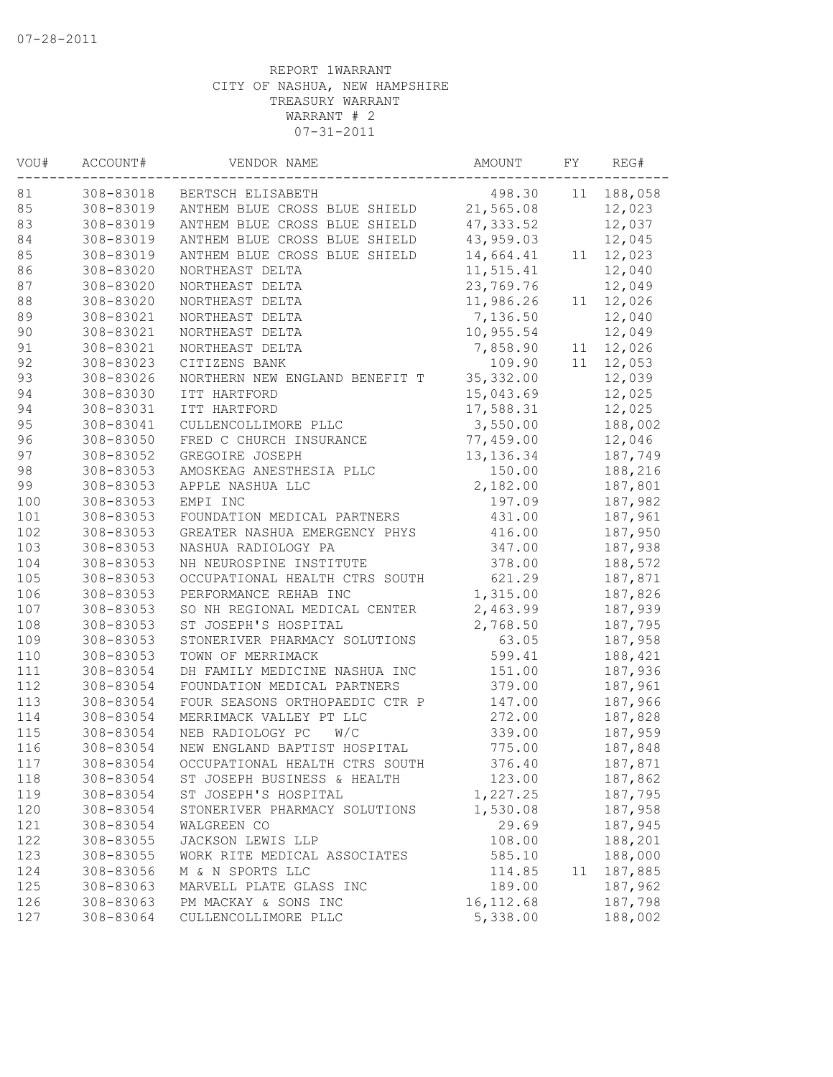| VOU#       | ACCOUNT#  | VENDOR NAME                    | AMOUNT            | FΥ | REG#    |
|------------|-----------|--------------------------------|-------------------|----|---------|
| 81         | 308-83018 | BERTSCH ELISABETH              | 498.30            | 11 | 188,058 |
| 85         | 308-83019 | ANTHEM BLUE CROSS BLUE SHIELD  | 21,565.08         |    | 12,023  |
| 83         | 308-83019 | ANTHEM BLUE CROSS BLUE SHIELD  | 47, 333.52        |    | 12,037  |
| 84         | 308-83019 | ANTHEM BLUE CROSS BLUE SHIELD  | 43,959.03         |    | 12,045  |
| 85         | 308-83019 | ANTHEM BLUE CROSS BLUE SHIELD  | 14,664.41         | 11 | 12,023  |
| 86         | 308-83020 | NORTHEAST DELTA                | 11,515.41         |    | 12,040  |
| 87         | 308-83020 | NORTHEAST DELTA                | 23,769.76         |    | 12,049  |
| $8\,8$     | 308-83020 | NORTHEAST DELTA                | 11,986.26         | 11 | 12,026  |
| 89         | 308-83021 | NORTHEAST DELTA                | 7,136.50          |    | 12,040  |
| $90$       | 308-83021 | NORTHEAST DELTA                | 10,955.54         |    | 12,049  |
| 91         | 308-83021 | NORTHEAST DELTA                | 7,858.90          | 11 | 12,026  |
| 92         | 308-83023 | CITIZENS BANK                  | 109.90            | 11 | 12,053  |
| 93         | 308-83026 | NORTHERN NEW ENGLAND BENEFIT T | 35, 332.00        |    | 12,039  |
| 94         | 308-83030 | ITT HARTFORD                   | 15,043.69         |    | 12,025  |
| 94         | 308-83031 | ITT HARTFORD                   | 17,588.31         |    | 12,025  |
| 95         | 308-83041 | CULLENCOLLIMORE PLLC           | 3,550.00          |    | 188,002 |
| 96         | 308-83050 | FRED C CHURCH INSURANCE        | 77,459.00         |    | 12,046  |
| 97         | 308-83052 | GREGOIRE JOSEPH                | 13, 136.34        |    | 187,749 |
| 98         | 308-83053 | AMOSKEAG ANESTHESIA PLLC       | 150.00            |    | 188,216 |
| 99         | 308-83053 | APPLE NASHUA LLC               | 2,182.00          |    | 187,801 |
| 100        | 308-83053 | EMPI INC                       | 197.09            |    | 187,982 |
| 101        | 308-83053 | FOUNDATION MEDICAL PARTNERS    | 431.00            |    | 187,961 |
| 102        | 308-83053 | GREATER NASHUA EMERGENCY PHYS  | 416.00            |    | 187,950 |
| 103        | 308-83053 | NASHUA RADIOLOGY PA            | 347.00            |    | 187,938 |
| 104        | 308-83053 | NH NEUROSPINE INSTITUTE        | 378.00            |    | 188,572 |
| 105        | 308-83053 | OCCUPATIONAL HEALTH CTRS SOUTH | 621.29            |    | 187,871 |
| 106        | 308-83053 | PERFORMANCE REHAB INC          | 1,315.00          |    | 187,826 |
| 107        | 308-83053 | SO NH REGIONAL MEDICAL CENTER  | 2,463.99          |    | 187,939 |
| 108        | 308-83053 | ST JOSEPH'S HOSPITAL           | 2,768.50          |    | 187,795 |
| 109        | 308-83053 | STONERIVER PHARMACY SOLUTIONS  | 63.05             |    | 187,958 |
| 110        | 308-83053 | TOWN OF MERRIMACK              | 599.41            |    | 188,421 |
| 111        | 308-83054 | DH FAMILY MEDICINE NASHUA INC  | 151.00            |    | 187,936 |
| 112        | 308-83054 | FOUNDATION MEDICAL PARTNERS    | 379.00            |    | 187,961 |
| 113        | 308-83054 | FOUR SEASONS ORTHOPAEDIC CTR P | 147.00            |    | 187,966 |
| 114        | 308-83054 | MERRIMACK VALLEY PT LLC        | 272.00            |    | 187,828 |
| 115        | 308-83054 | NEB RADIOLOGY PC<br>W/C        | 339.00            |    | 187,959 |
| 116        | 308-83054 | NEW ENGLAND BAPTIST HOSPITAL   | 775.00            |    | 187,848 |
| 117        | 308-83054 | OCCUPATIONAL HEALTH CTRS SOUTH | 376.40            |    | 187,871 |
|            | 308-83054 | ST JOSEPH BUSINESS & HEALTH    |                   |    |         |
| 118        |           | ST JOSEPH'S HOSPITAL           | 123.00            |    | 187,862 |
| 119<br>120 | 308-83054 |                                | 1,227.25          |    | 187,795 |
| 121        | 308-83054 | STONERIVER PHARMACY SOLUTIONS  | 1,530.08<br>29.69 |    | 187,958 |
|            | 308-83054 | WALGREEN CO                    |                   |    | 187,945 |
| 122        | 308-83055 | JACKSON LEWIS LLP              | 108.00            |    | 188,201 |
| 123        | 308-83055 | WORK RITE MEDICAL ASSOCIATES   | 585.10            |    | 188,000 |
| 124        | 308-83056 | M & N SPORTS LLC               | 114.85            | 11 | 187,885 |
| 125        | 308-83063 | MARVELL PLATE GLASS INC        | 189.00            |    | 187,962 |
| 126        | 308-83063 | PM MACKAY & SONS INC           | 16, 112.68        |    | 187,798 |
| 127        | 308-83064 | CULLENCOLLIMORE PLLC           | 5,338.00          |    | 188,002 |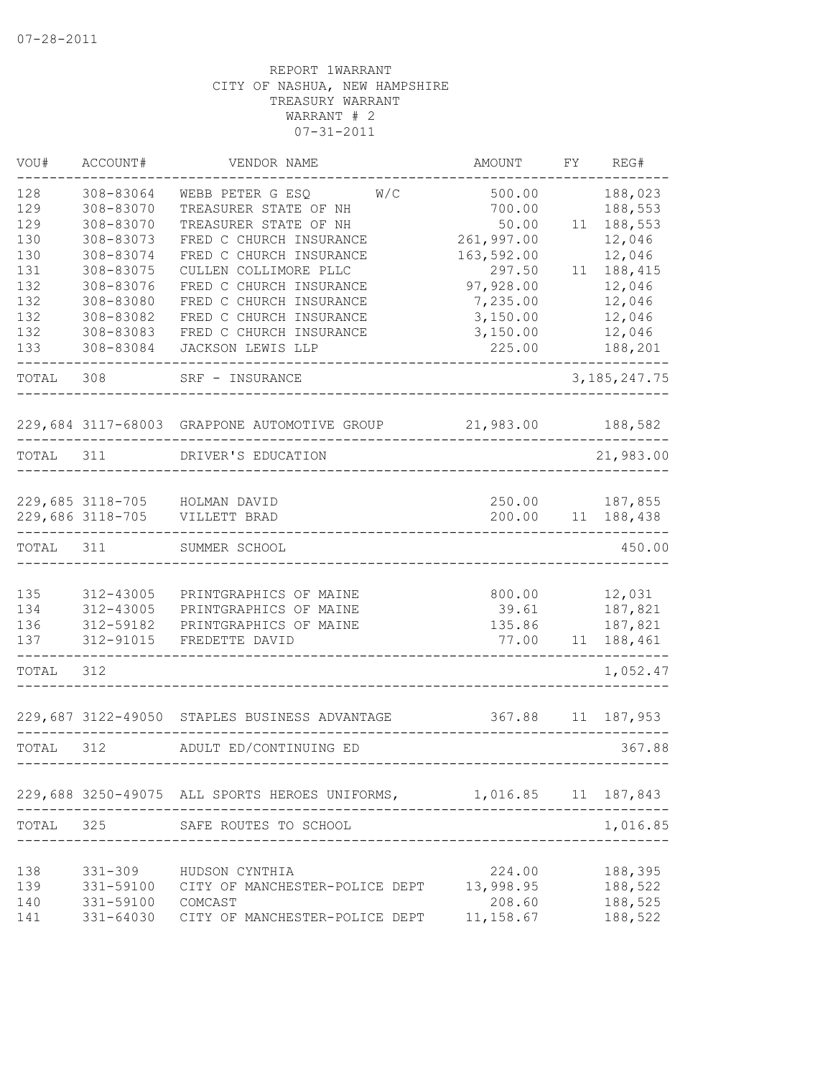| VOU#       | ACCOUNT#               | VENDOR NAME                                            | AMOUNT              | FΥ | REG#               |
|------------|------------------------|--------------------------------------------------------|---------------------|----|--------------------|
| 128        | 308-83064              | WEBB PETER G ESQ<br>W/C                                | 500.00              |    | 188,023            |
| 129        | 308-83070              | TREASURER STATE OF NH                                  | 700.00              |    | 188,553            |
| 129        | 308-83070              | TREASURER STATE OF NH                                  | 50.00               | 11 | 188,553            |
| 130        | 308-83073              | FRED C CHURCH INSURANCE                                | 261,997.00          |    | 12,046             |
| 130        | 308-83074              | FRED C CHURCH INSURANCE                                | 163,592.00          |    | 12,046             |
| 131        | 308-83075              | CULLEN COLLIMORE PLLC                                  | 297.50              | 11 | 188,415            |
| 132        | 308-83076              | FRED C CHURCH INSURANCE                                | 97,928.00           |    | 12,046             |
| 132        | 308-83080              | FRED C CHURCH INSURANCE                                | 7,235.00            |    | 12,046             |
| 132<br>132 | 308-83082<br>308-83083 | FRED C CHURCH INSURANCE<br>FRED C CHURCH INSURANCE     | 3,150.00            |    | 12,046             |
| 133        | 308-83084              | JACKSON LEWIS LLP                                      | 3,150.00<br>225.00  |    | 12,046<br>188,201  |
|            |                        |                                                        |                     |    |                    |
| TOTAL      | 308                    | SRF - INSURANCE                                        |                     |    | 3, 185, 247. 75    |
|            |                        | 229,684 3117-68003 GRAPPONE AUTOMOTIVE GROUP 21,983.00 |                     |    | 188,582            |
| TOTAL      | 311                    | DRIVER'S EDUCATION                                     |                     |    | 21,983.00          |
|            |                        |                                                        |                     |    |                    |
|            |                        | 229,685 3118-705 HOLMAN DAVID                          | 250.00              |    | 187,855            |
|            | 229,686 3118-705       | VILLETT BRAD                                           | 200.00              | 11 | 188,438            |
| TOTAL      | 311                    | SUMMER SCHOOL                                          |                     |    | 450.00             |
| 135        | 312-43005              | PRINTGRAPHICS OF MAINE                                 | 800.00              |    | 12,031             |
| 134        | 312-43005              | PRINTGRAPHICS OF MAINE                                 | 39.61               |    | 187,821            |
| 136        | 312-59182              | PRINTGRAPHICS OF MAINE                                 | 135.86              |    | 187,821            |
| 137        | 312-91015              | FREDETTE DAVID                                         | 77.00               | 11 | 188,461            |
| TOTAL      | 312                    |                                                        |                     |    | 1,052.47           |
|            |                        | 229,687 3122-49050 STAPLES BUSINESS ADVANTAGE          | 367.88              | 11 | 187,953            |
| TOTAL      | 312                    | ADULT ED/CONTINUING ED                                 |                     |    | 367.88             |
|            |                        |                                                        |                     |    |                    |
|            |                        | 229,688 3250-49075 ALL SPORTS HEROES UNIFORMS,         | 1,016.85 11 187,843 |    |                    |
| TOTAL      | 325                    | SAFE ROUTES TO SCHOOL                                  |                     |    | 1,016.85           |
|            |                        |                                                        |                     |    |                    |
| 138<br>139 | 331-309<br>331-59100   | HUDSON CYNTHIA<br>CITY OF MANCHESTER-POLICE DEPT       | 224.00<br>13,998.95 |    | 188,395<br>188,522 |
| 140        | 331-59100              | COMCAST                                                | 208.60              |    | 188,525            |
| 141        | 331-64030              | CITY OF MANCHESTER-POLICE DEPT                         | 11, 158.67          |    | 188,522            |
|            |                        |                                                        |                     |    |                    |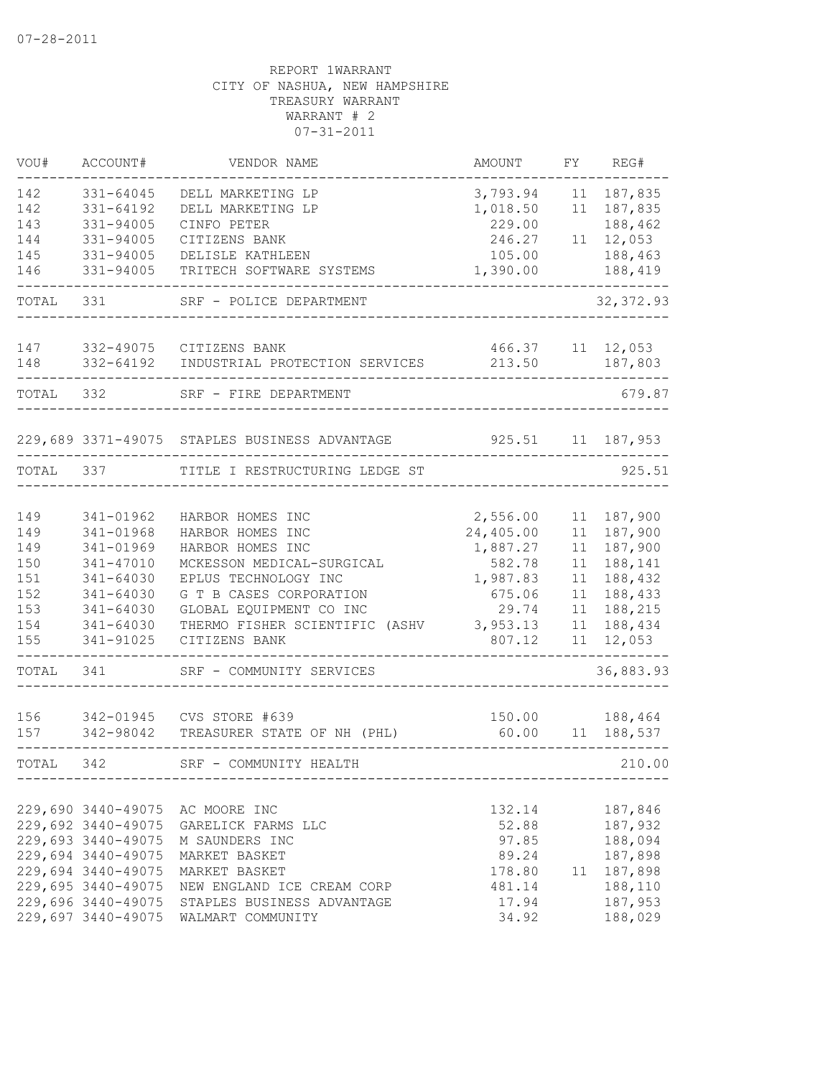| VOU#       | ACCOUNT#                                 | VENDOR NAME                                   | AMOUNT                | FY       | REG#                  |
|------------|------------------------------------------|-----------------------------------------------|-----------------------|----------|-----------------------|
| 142<br>142 | 331-64045<br>331-64192                   | DELL MARKETING LP<br>DELL MARKETING LP        | 3,793.94<br>1,018.50  | 11<br>11 | 187,835<br>187,835    |
| 143        | 331-94005                                | CINFO PETER                                   | 229.00                |          | 188,462               |
| 144<br>145 | 331-94005<br>331-94005                   | CITIZENS BANK<br>DELISLE KATHLEEN             | 246.27<br>105.00      | 11       | 12,053<br>188,463     |
| 146        | 331-94005                                | TRITECH SOFTWARE SYSTEMS                      | 1,390.00              |          | 188,419               |
|            |                                          |                                               |                       |          |                       |
| TOTAL      | 331                                      | SRF - POLICE DEPARTMENT                       |                       |          | 32, 372.93            |
| 147        | 332-49075                                | CITIZENS BANK                                 | 466.37                |          | 11 12,053             |
| 148        | 332-64192                                | INDUSTRIAL PROTECTION SERVICES                | 213.50                |          | 187,803               |
| TOTAL      | 332                                      | SRF - FIRE DEPARTMENT                         |                       |          | 679.87                |
|            |                                          | 229,689 3371-49075 STAPLES BUSINESS ADVANTAGE | 925.51                | 11       | 187,953               |
| TOTAL      | 337                                      | TITLE I RESTRUCTURING LEDGE ST                |                       |          | 925.51                |
|            |                                          |                                               |                       |          |                       |
| 149<br>149 | 341-01962<br>341-01968                   | HARBOR HOMES INC<br>HARBOR HOMES INC          | 2,556.00<br>24,405.00 | 11<br>11 | 187,900<br>187,900    |
| 149        | 341-01969                                | HARBOR HOMES INC                              | 1,887.27              | 11       | 187,900               |
| 150        | 341-47010                                | MCKESSON MEDICAL-SURGICAL                     | 582.78                | 11       | 188,141               |
| 151        | 341-64030                                | EPLUS TECHNOLOGY INC                          | 1,987.83              | 11       | 188,432               |
| 152        | 341-64030                                | G T B CASES CORPORATION                       | 675.06                | 11       | 188,433               |
| 153        | 341-64030                                | GLOBAL EQUIPMENT CO INC                       | 29.74                 | 11       | 188,215               |
| 154        | 341-64030                                | THERMO FISHER SCIENTIFIC (ASHV                | 3,953.13              | 11       | 188,434               |
| 155        | 341-91025                                | CITIZENS BANK                                 | 807.12                | 11       | 12,053                |
| TOTAL      | 341                                      | SRF - COMMUNITY SERVICES                      |                       |          | 36,883.93             |
| 156        | 342-01945                                | CVS STORE #639                                | 150.00                |          | 188,464               |
| 157        | 342-98042                                | TREASURER STATE OF NH (PHL)                   | 60.00                 | 11       | 188,537               |
| TOTAL      | 342                                      | SRF - COMMUNITY HEALTH                        |                       |          | 210.00                |
|            |                                          |                                               |                       |          |                       |
|            | 229,690 3440-49075                       | AC MOORE INC                                  | 132.14                |          | 187,846               |
|            | 229,692 3440-49075                       | GARELICK FARMS LLC                            | 52.88                 |          | 187,932               |
|            | 229,693 3440-49075<br>229,694 3440-49075 | M SAUNDERS INC                                | 97.85                 |          | 188,094               |
|            | 229,694 3440-49075                       | MARKET BASKET<br>MARKET BASKET                | 89.24                 |          | 187,898<br>11 187,898 |
|            | 229,695 3440-49075                       | NEW ENGLAND ICE CREAM CORP                    | 178.80<br>481.14      |          | 188,110               |
|            | 229,696 3440-49075                       | STAPLES BUSINESS ADVANTAGE                    | 17.94                 |          | 187,953               |
|            | 229,697 3440-49075                       | WALMART COMMUNITY                             | 34.92                 |          | 188,029               |
|            |                                          |                                               |                       |          |                       |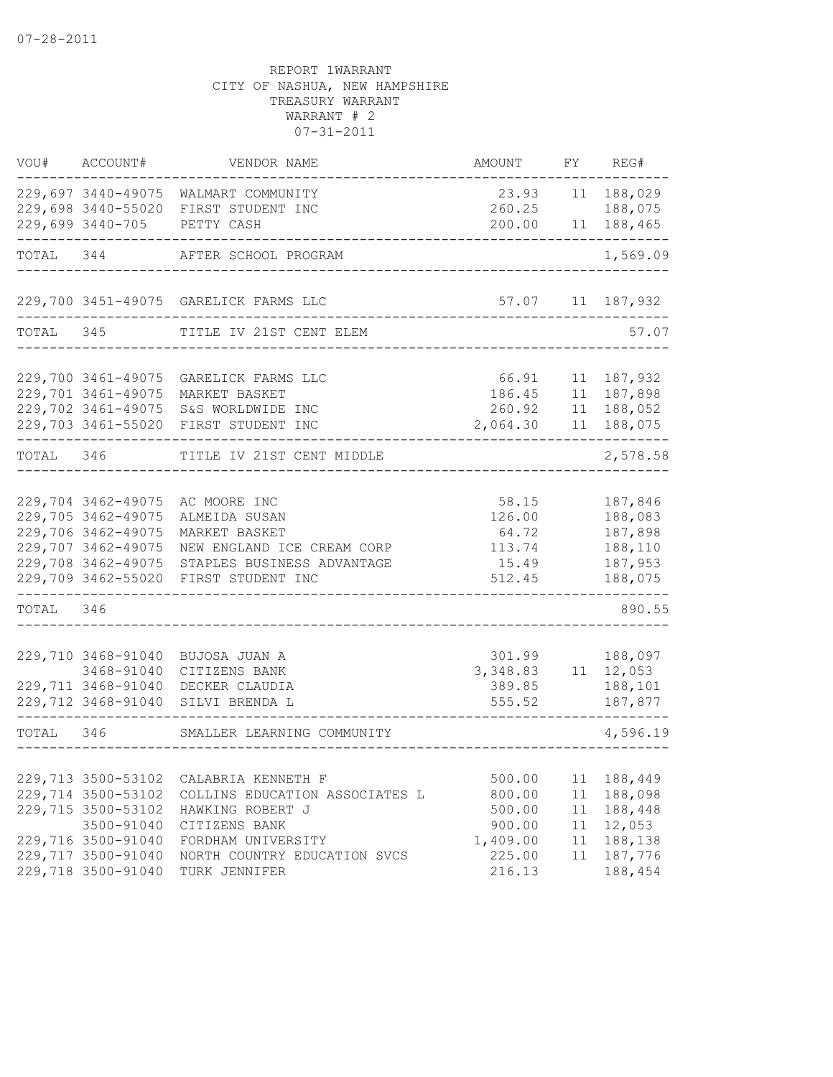| VOU#      | ACCOUNT#           | VENDOR NAME                           | AMOUNT        | FY | REG#                 |
|-----------|--------------------|---------------------------------------|---------------|----|----------------------|
|           |                    | 229,697 3440-49075 WALMART COMMUNITY  | 23.93         | 11 | 188,029              |
|           |                    | 229,698 3440-55020 FIRST STUDENT INC  | 260.25        |    | 188,075              |
|           | 229,699 3440-705   | PETTY CASH                            | 200.00        | 11 | 188,465              |
| TOTAL 344 |                    | AFTER SCHOOL PROGRAM                  |               |    | 1,569.09             |
|           |                    | 229,700 3451-49075 GARELICK FARMS LLC |               |    | 57.07   11   187,932 |
| TOTAL 345 |                    | TITLE IV 21ST CENT ELEM               | $- - - - - -$ |    | 57.07                |
|           |                    |                                       |               |    |                      |
|           | 229,700 3461-49075 | GARELICK FARMS LLC                    | 66.91         |    | 11 187,932           |
|           | 229,701 3461-49075 | MARKET BASKET                         | 186.45        |    | 11 187,898           |
|           | 229,702 3461-49075 | S&S WORLDWIDE INC                     | 260.92        |    | 11 188,052           |
|           |                    | 229,703 3461-55020 FIRST STUDENT INC  | 2,064.30      |    | 11 188,075           |
| TOTAL 346 |                    | TITLE IV 21ST CENT MIDDLE             |               |    | 2,578.58             |
|           |                    |                                       |               |    |                      |
|           | 229,704 3462-49075 | AC MOORE INC                          | 58.15         |    | 187,846              |
|           | 229,705 3462-49075 | ALMEIDA SUSAN                         | 126.00        |    | 188,083              |
|           | 229,706 3462-49075 | MARKET BASKET                         | 64.72         |    | 187,898              |
|           | 229,707 3462-49075 | NEW ENGLAND ICE CREAM CORP            | 113.74        |    | 188,110              |
|           | 229,708 3462-49075 | STAPLES BUSINESS ADVANTAGE            | 15.49         |    | 187,953              |
|           | 229,709 3462-55020 | FIRST STUDENT INC                     | 512.45        |    | 188,075              |
| TOTAL 346 |                    |                                       |               |    | 890.55               |
|           |                    |                                       |               |    |                      |
|           | 229,710 3468-91040 | BUJOSA JUAN A                         | 301.99        |    | 188,097              |
|           | 3468-91040         | CITIZENS BANK                         | 3,348.83      |    | 11 12,053            |
|           | 229,711 3468-91040 | DECKER CLAUDIA                        | 389.85        |    | 188,101              |
|           |                    | 229,712 3468-91040 SILVI BRENDA L     | 555.52        |    | 187,877              |
| TOTAL 346 |                    | SMALLER LEARNING COMMUNITY            |               |    | 4,596.19             |
|           |                    |                                       |               |    |                      |
|           | 229,713 3500-53102 | CALABRIA KENNETH F                    | 500.00        | 11 | 188,449              |
|           | 229,714 3500-53102 | COLLINS EDUCATION ASSOCIATES L        | 800.00        | 11 | 188,098              |
|           | 229,715 3500-53102 | HAWKING ROBERT J                      | 500.00        | 11 | 188,448              |
|           | 3500-91040         | CITIZENS BANK                         | 900.00        | 11 | 12,053               |
|           | 229,716 3500-91040 | FORDHAM UNIVERSITY                    | 1,409.00      | 11 | 188,138              |
|           | 229,717 3500-91040 | NORTH COUNTRY EDUCATION SVCS          | 225.00        | 11 | 187,776              |
|           | 229,718 3500-91040 | TURK JENNIFER                         | 216.13        |    | 188,454              |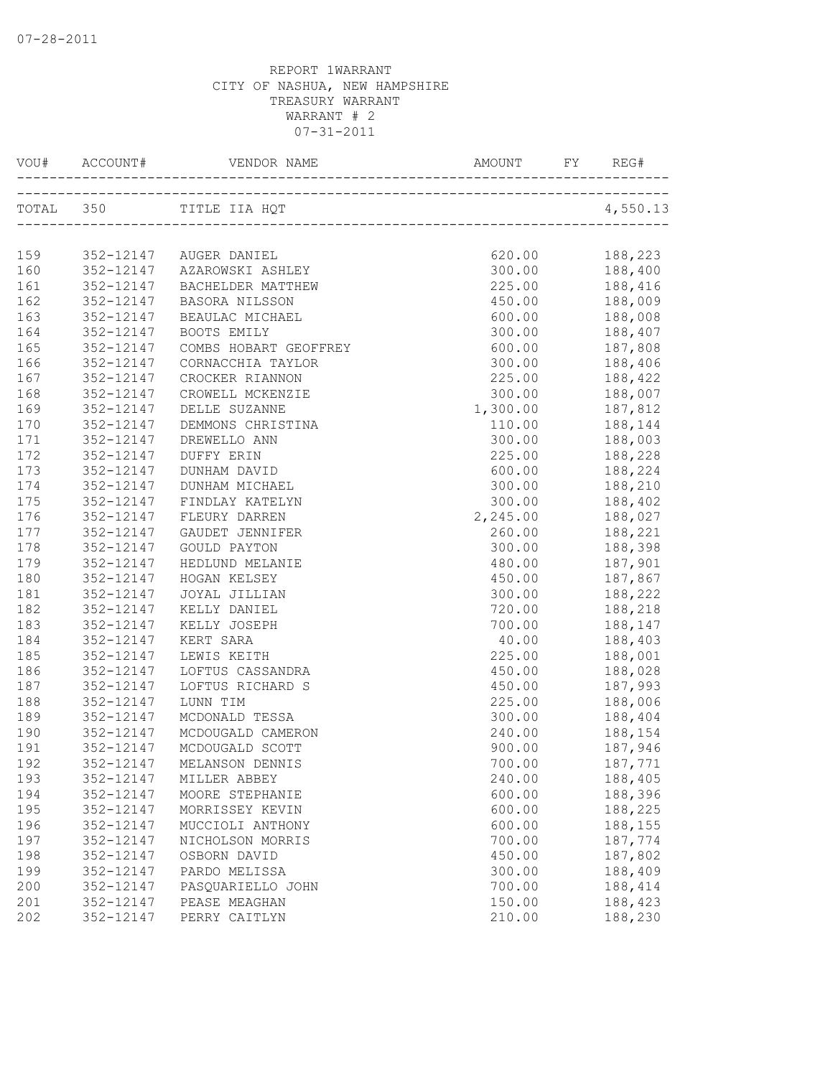| VOU#       |                        |                                |                  |                                                                                           |
|------------|------------------------|--------------------------------|------------------|-------------------------------------------------------------------------------------------|
|            |                        | TOTAL 350 TITLE IIA HQT        |                  | 4,550.13                                                                                  |
|            |                        |                                |                  |                                                                                           |
| 159        |                        | 352-12147 AUGER DANIEL         | 620.00           | 188,223                                                                                   |
| 160        |                        | 352-12147 AZAROWSKI ASHLEY     |                  |                                                                                           |
| 161        | 352-12147<br>352-12147 | BACHELDER MATTHEW              | 450.00           | $\begin{array}{ccc} 300.00 & 188,400 \\ 225.00 & 188,416 \\ 450.00 & 188,009 \end{array}$ |
| 162        | 352-12147              | BASORA NILSSON                 |                  | 600.00 188,008                                                                            |
| 163        | 352-12147              | BEAULAC MICHAEL<br>BOOTS EMILY |                  | 300.00 188,407                                                                            |
| 164<br>165 | 352-12147              | COMBS HOBART GEOFFREY          |                  | 600.00 187,808                                                                            |
| 166        | 352-12147              | CORNACCHIA TAYLOR              |                  |                                                                                           |
| 167        | 352-12147              | CROCKER RIANNON                | 225.00           | 300.00 188,406<br>188,422                                                                 |
| 168        | 352-12147              | CROWELL MCKENZIE               | 300.00           |                                                                                           |
| 169        | 352-12147              | DELLE SUZANNE                  | 1,300.00         | 188,007                                                                                   |
| 170        | 352-12147              | DEMMONS CHRISTINA              | 110.00           | 187,812<br>188,144<br>188,003                                                             |
| 171        | 352-12147              | DREWELLO ANN                   | 300.00           |                                                                                           |
| 172        | 352-12147              | DUFFY ERIN                     | 225.00           | 188,228                                                                                   |
| 173        | 352-12147              | DUNHAM DAVID                   |                  | 600.00 188,224                                                                            |
| 174        | 352-12147              | DUNHAM MICHAEL                 |                  | 300.00 188,210                                                                            |
| 175        | 352-12147              | FINDLAY KATELYN                |                  | 300.00 188,402                                                                            |
| 176        | 352-12147              | FLEURY DARREN                  | 2,245.00 188,027 |                                                                                           |
| 177        | 352-12147              | GAUDET JENNIFER                | 260.00           | 188,221                                                                                   |
| 178        | 352-12147              | <b>GOULD PAYTON</b>            | 300.00           |                                                                                           |
| 179        | 352-12147              | HEDLUND MELANIE                | 480.00           | 188,398<br>187,901<br>187,867                                                             |
| 180        | 352-12147              | HOGAN KELSEY                   | 450.00           |                                                                                           |
| 181        | 352-12147              | JOYAL JILLIAN                  |                  | 300.00 188,222                                                                            |
| 182        | 352-12147              | KELLY DANIEL                   |                  | 720.00 188,218                                                                            |
| 183        | 352-12147              | KELLY JOSEPH                   |                  | 700.00 188,147                                                                            |
| 184        | 352-12147              | KERT SARA                      |                  | 40.00 188,403                                                                             |
| 185        | 352-12147              | LEWIS KEITH                    | 225.00           | 188,001                                                                                   |
| 186        | 352-12147              | LOFTUS CASSANDRA               | 450.00           | 188,028                                                                                   |
| 187        | 352-12147              | LOFTUS RICHARD S               | 450.00           |                                                                                           |
| 188        | 352-12147              | LUNN TIM                       | 225.00           | 187,993<br>188,006<br>188,404                                                             |
| 189        | 352-12147              | MCDONALD TESSA                 | 300.00           |                                                                                           |
| 190        | 352-12147              | MCDOUGALD CAMERON              |                  | 240.00 188,154                                                                            |
| 191        | 352-12147              | MCDOUGALD SCOTT                |                  | 900.00 187,946                                                                            |
| 192        | 352-12147              | MELANSON DENNIS                | 700.00           | 187,771                                                                                   |
| 193        | 352-12147              | MILLER ABBEY                   | 240.00           | 188,405                                                                                   |
| 194        | 352-12147              | MOORE STEPHANIE                | 600.00           | 188,396                                                                                   |
| 195        | 352-12147              | MORRISSEY KEVIN                | 600.00           | 188,225                                                                                   |
| 196        | 352-12147              | MUCCIOLI ANTHONY               | 600.00           | 188,155                                                                                   |
| 197        | 352-12147              | NICHOLSON MORRIS               | 700.00           | 187,774                                                                                   |
| 198        | 352-12147              | OSBORN DAVID                   | 450.00           | 187,802                                                                                   |
| 199        | 352-12147              | PARDO MELISSA                  | 300.00           | 188,409                                                                                   |
| 200        | 352-12147              | PASQUARIELLO JOHN              | 700.00           | 188,414                                                                                   |
| 201        | 352-12147              | PEASE MEAGHAN                  | 150.00           | 188,423                                                                                   |
| 202        | 352-12147              | PERRY CAITLYN                  | 210.00           | 188,230                                                                                   |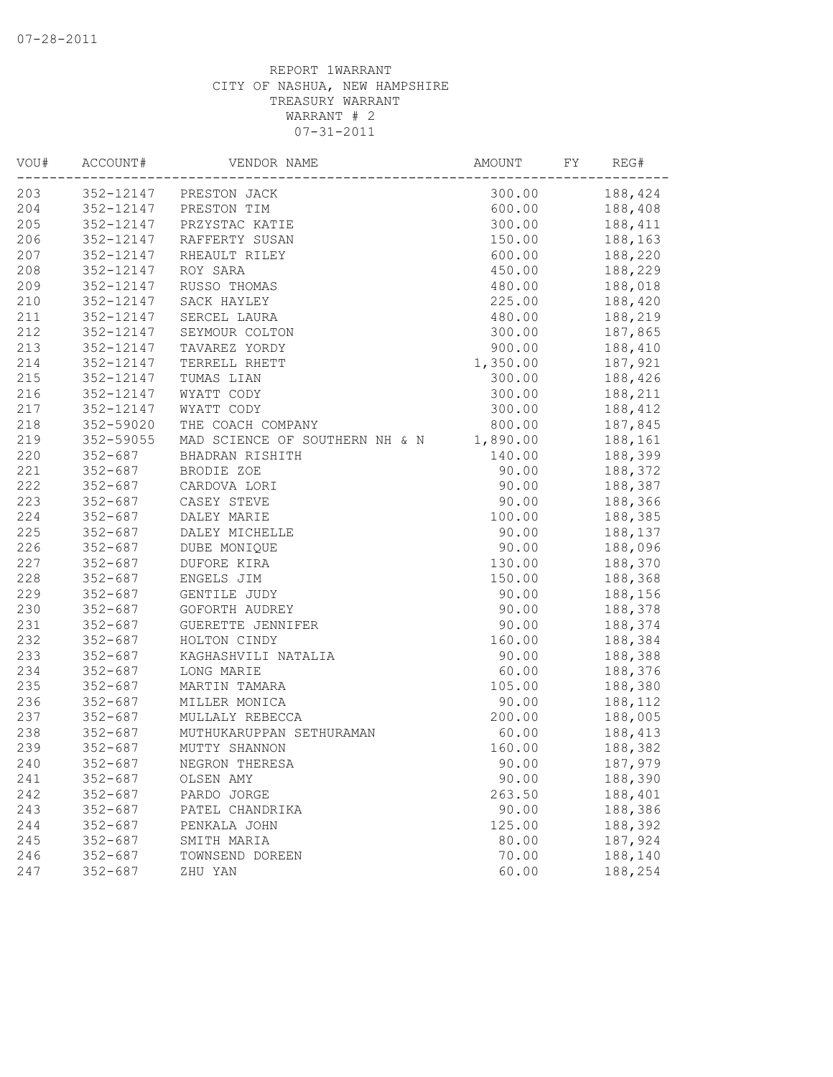| VOU# | ACCOUNT#    | VENDOR NAME                    | AMOUNT   | FY | REG#    |
|------|-------------|--------------------------------|----------|----|---------|
| 203  |             | 352-12147 PRESTON JACK         | 300.00   |    | 188,424 |
| 204  |             | 352-12147 PRESTON TIM          | 600.00   |    | 188,408 |
| 205  | 352-12147   | PRZYSTAC KATIE                 | 300.00   |    | 188,411 |
| 206  | 352-12147   | RAFFERTY SUSAN                 | 150.00   |    | 188,163 |
| 207  | 352-12147   | RHEAULT RILEY                  | 600.00   |    | 188,220 |
| 208  | 352-12147   | ROY SARA                       | 450.00   |    | 188,229 |
| 209  | 352-12147   | RUSSO THOMAS                   | 480.00   |    | 188,018 |
| 210  | 352-12147   | SACK HAYLEY                    | 225.00   |    | 188,420 |
| 211  | 352-12147   | SERCEL LAURA                   | 480.00   |    | 188,219 |
| 212  | 352-12147   | SEYMOUR COLTON                 | 300.00   |    | 187,865 |
| 213  | 352-12147   | TAVAREZ YORDY                  | 900.00   |    | 188,410 |
| 214  | 352-12147   | TERRELL RHETT                  | 1,350.00 |    | 187,921 |
| 215  | 352-12147   | TUMAS LIAN                     | 300.00   |    | 188,426 |
| 216  | 352-12147   | WYATT CODY                     | 300.00   |    | 188,211 |
| 217  | 352-12147   | WYATT CODY                     | 300.00   |    | 188,412 |
| 218  | 352-59020   | THE COACH COMPANY              | 800.00   |    | 187,845 |
| 219  | 352-59055   | MAD SCIENCE OF SOUTHERN NH & N | 1,890.00 |    | 188,161 |
| 220  | 352-687     | BHADRAN RISHITH                | 140.00   |    | 188,399 |
| 221  | $352 - 687$ | BRODIE ZOE                     | 90.00    |    | 188,372 |
| 222  | $352 - 687$ | CARDOVA LORI                   | 90.00    |    | 188,387 |
| 223  | $352 - 687$ | CASEY STEVE                    | 90.00    |    | 188,366 |
| 224  | $352 - 687$ | DALEY MARIE                    | 100.00   |    | 188,385 |
| 225  | $352 - 687$ | DALEY MICHELLE                 | 90.00    |    | 188,137 |
| 226  | $352 - 687$ | DUBE MONIQUE                   | 90.00    |    | 188,096 |
| 227  | $352 - 687$ | DUFORE KIRA                    | 130.00   |    | 188,370 |
| 228  | $352 - 687$ | ENGELS JIM                     | 150.00   |    | 188,368 |
| 229  | $352 - 687$ | GENTILE JUDY                   | 90.00    |    | 188,156 |
| 230  | $352 - 687$ | GOFORTH AUDREY                 | 90.00    |    | 188,378 |
| 231  | $352 - 687$ | GUERETTE JENNIFER              | 90.00    |    | 188,374 |
| 232  | $352 - 687$ | HOLTON CINDY                   | 160.00   |    | 188,384 |
| 233  | $352 - 687$ | KAGHASHVILI NATALIA            | 90.00    |    | 188,388 |
| 234  | $352 - 687$ | LONG MARIE                     | 60.00    |    | 188,376 |
| 235  | $352 - 687$ | MARTIN TAMARA                  | 105.00   |    | 188,380 |
| 236  | $352 - 687$ | MILLER MONICA                  | 90.00    |    | 188,112 |
| 237  | $352 - 687$ | MULLALY REBECCA                | 200.00   |    | 188,005 |
| 238  | $352 - 687$ | MUTHUKARUPPAN SETHURAMAN       | 60.00    |    | 188,413 |
| 239  | $352 - 687$ | MUTTY SHANNON                  | 160.00   |    | 188,382 |
| 240  | $352 - 687$ | NEGRON THERESA                 | 90.00    |    | 187,979 |
| 241  | $352 - 687$ | OLSEN AMY                      | 90.00    |    | 188,390 |
| 242  | $352 - 687$ | PARDO JORGE                    | 263.50   |    | 188,401 |
| 243  | $352 - 687$ | PATEL CHANDRIKA                | 90.00    |    | 188,386 |
| 244  | $352 - 687$ | PENKALA JOHN                   | 125.00   |    | 188,392 |
| 245  | $352 - 687$ | SMITH MARIA                    | 80.00    |    | 187,924 |
| 246  | $352 - 687$ | TOWNSEND DOREEN                | 70.00    |    | 188,140 |
| 247  | $352 - 687$ | ZHU YAN                        | 60.00    |    | 188,254 |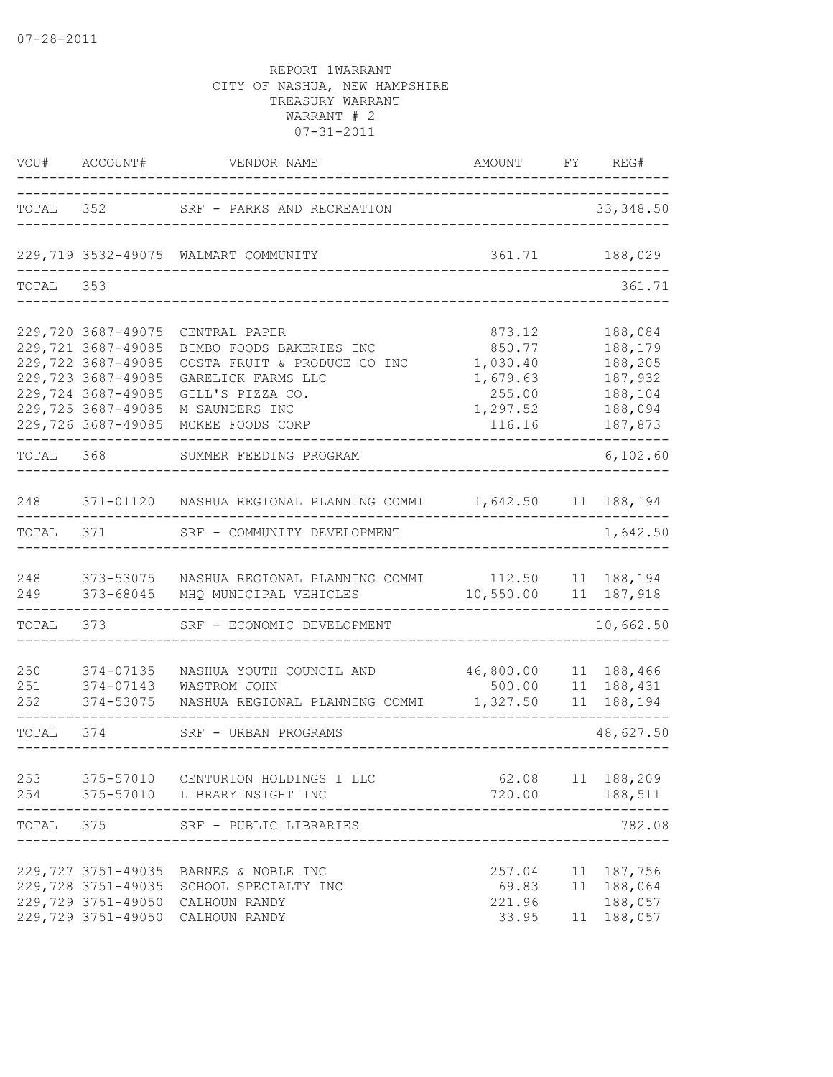| VOU#              | ACCOUNT#                                                                                                                                               | VENDOR NAME                                                                                                                                               | AMOUNT                                                                   | FY       | REG#                                                                      |
|-------------------|--------------------------------------------------------------------------------------------------------------------------------------------------------|-----------------------------------------------------------------------------------------------------------------------------------------------------------|--------------------------------------------------------------------------|----------|---------------------------------------------------------------------------|
| TOTAL             | 352                                                                                                                                                    | SRF - PARKS AND RECREATION                                                                                                                                |                                                                          |          | 33, 348.50                                                                |
|                   |                                                                                                                                                        | 229,719 3532-49075 WALMART COMMUNITY                                                                                                                      | 361.71                                                                   |          | 188,029                                                                   |
| TOTAL             | 353                                                                                                                                                    |                                                                                                                                                           |                                                                          |          | 361.71                                                                    |
|                   | 229,720 3687-49075<br>229,721 3687-49085<br>229,722 3687-49085<br>229,723 3687-49085<br>229,724 3687-49085<br>229,725 3687-49085<br>229,726 3687-49085 | CENTRAL PAPER<br>BIMBO FOODS BAKERIES INC<br>COSTA FRUIT & PRODUCE CO INC<br>GARELICK FARMS LLC<br>GILL'S PIZZA CO.<br>M SAUNDERS INC<br>MCKEE FOODS CORP | 873.12<br>850.77<br>1,030.40<br>1,679.63<br>255.00<br>1,297.52<br>116.16 |          | 188,084<br>188,179<br>188,205<br>187,932<br>188,104<br>188,094<br>187,873 |
| TOTAL             | 368                                                                                                                                                    | SUMMER FEEDING PROGRAM                                                                                                                                    |                                                                          |          | 6,102.60                                                                  |
| 248               |                                                                                                                                                        | 371-01120 NASHUA REGIONAL PLANNING COMMI                                                                                                                  | 1,642.50 11 188,194                                                      |          |                                                                           |
| TOTAL             | 371                                                                                                                                                    | SRF - COMMUNITY DEVELOPMENT                                                                                                                               |                                                                          |          | 1,642.50                                                                  |
| 248<br>249        | 373-53075<br>373-68045                                                                                                                                 | NASHUA REGIONAL PLANNING COMMI 112.50<br>MHQ MUNICIPAL VEHICLES                                                                                           | 10,550.00                                                                | 11       | 11 188,194<br>187,918                                                     |
| TOTAL             | 373                                                                                                                                                    | SRF - ECONOMIC DEVELOPMENT                                                                                                                                |                                                                          |          | 10,662.50                                                                 |
| 250<br>251<br>252 | 374-07135<br>374-07143<br>374-53075                                                                                                                    | NASHUA YOUTH COUNCIL AND<br>WASTROM JOHN<br>NASHUA REGIONAL PLANNING COMMI                                                                                | 46,800.00<br>500.00<br>1,327.50                                          | 11<br>11 | 11 188,466<br>188,431<br>188,194                                          |
| TOTAL             | 374                                                                                                                                                    | SRF - URBAN PROGRAMS                                                                                                                                      |                                                                          |          | 48,627.50                                                                 |
| 253<br>254        |                                                                                                                                                        | 375-57010 CENTURION HOLDINGS I LLC<br>375-57010 LIBRARYINSIGHT INC                                                                                        | 62.08<br>720.00                                                          |          | 11 188,209<br>188,511                                                     |
| TOTAL             | 375                                                                                                                                                    | SRF - PUBLIC LIBRARIES                                                                                                                                    |                                                                          |          | 782.08                                                                    |
|                   | 229,727 3751-49035<br>229,728 3751-49035<br>229,729 3751-49050                                                                                         | BARNES & NOBLE INC<br>SCHOOL SPECIALTY INC<br>CALHOUN RANDY                                                                                               | 257.04<br>69.83<br>221.96                                                | 11<br>11 | 187,756<br>188,064<br>188,057                                             |
|                   | 229,729 3751-49050                                                                                                                                     | CALHOUN RANDY                                                                                                                                             | 33.95                                                                    |          | 11 188,057                                                                |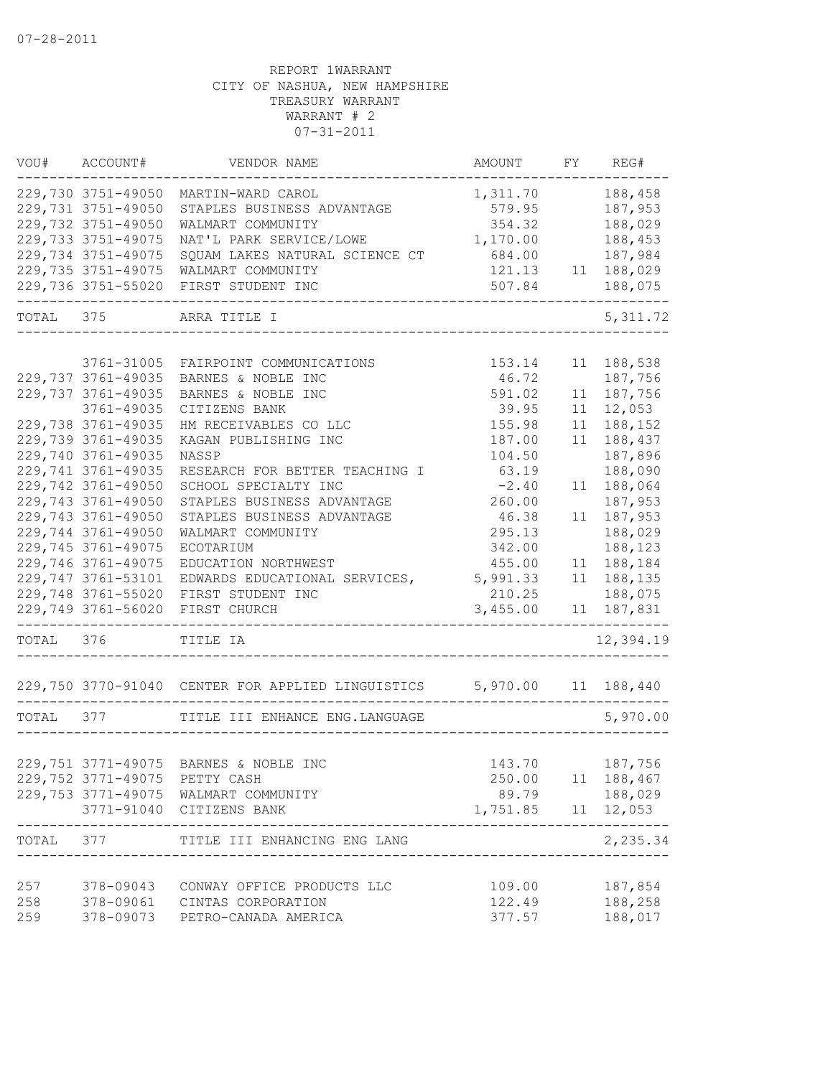|           | VOU# ACCOUNT#                 | VENDOR NAME                                                           | AMOUNT                      |    | FY REG#            |
|-----------|-------------------------------|-----------------------------------------------------------------------|-----------------------------|----|--------------------|
|           | 229,730 3751-49050            | MARTIN-WARD CAROL                                                     | 1,311.70                    |    | 188,458            |
|           | 229,731 3751-49050            | STAPLES BUSINESS ADVANTAGE                                            | 579.95                      |    | 187,953            |
|           | 229,732 3751-49050            | WALMART COMMUNITY                                                     | 354.32                      |    | 188,029            |
|           | 229,733 3751-49075            | NAT'L PARK SERVICE/LOWE                                               | 1,170.00                    |    | 188,453            |
|           | 229,734 3751-49075            | SQUAM LAKES NATURAL SCIENCE CT                                        | 684.00                      |    | 187,984            |
|           | 229,735 3751-49075            | WALMART COMMUNITY                                                     | 121.13                      |    | 11 188,029         |
|           | 229,736 3751-55020            | FIRST STUDENT INC                                                     | 507.84<br>----------------- |    | 188,075            |
|           | TOTAL 375                     | ARRA TITLE I                                                          |                             |    | 5, 311.72          |
|           |                               |                                                                       |                             |    |                    |
|           | 3761-31005                    | FAIRPOINT COMMUNICATIONS                                              | 153.14                      | 11 | 188,538            |
|           | 229,737 3761-49035            | BARNES & NOBLE INC                                                    | 46.72                       |    | 187,756            |
|           | 229,737 3761-49035            | BARNES & NOBLE INC                                                    | 591.02                      | 11 | 187,756            |
|           | 3761-49035                    | CITIZENS BANK                                                         | 39.95                       | 11 | 12,053             |
|           | 229,738 3761-49035            | HM RECEIVABLES CO LLC                                                 | 155.98                      | 11 | 188,152            |
|           | 229,739 3761-49035            | KAGAN PUBLISHING INC                                                  | 187.00                      | 11 | 188,437            |
|           | 229,740 3761-49035            | NASSP                                                                 | 104.50                      |    | 187,896            |
|           | 229,741 3761-49035            | RESEARCH FOR BETTER TEACHING I                                        | 63.19                       |    | 188,090            |
|           | 229,742 3761-49050            | SCHOOL SPECIALTY INC                                                  | $-2.40$                     | 11 | 188,064            |
|           | 229,743 3761-49050            | STAPLES BUSINESS ADVANTAGE                                            | 260.00                      |    | 187,953            |
|           | 229,743 3761-49050            | STAPLES BUSINESS ADVANTAGE                                            | 46.38                       | 11 | 187,953            |
|           | 229,744 3761-49050            | WALMART COMMUNITY                                                     | 295.13                      |    | 188,029            |
|           | 229,745 3761-49075            | ECOTARIUM                                                             | 342.00                      |    | 188,123            |
|           | 229,746 3761-49075            | EDUCATION NORTHWEST                                                   | 455.00                      | 11 | 188,184            |
|           | 229,747 3761-53101            | EDWARDS EDUCATIONAL SERVICES,                                         | 5,991.33                    |    | 11 188,135         |
|           | 229,748 3761-55020            | FIRST STUDENT INC                                                     | 210.25                      |    | 188,075            |
|           | 229,749 3761-56020            | FIRST CHURCH                                                          | 3,455.00                    | 11 | 187,831            |
| TOTAL 376 |                               | TITLE IA                                                              |                             |    | 12,394.19          |
|           |                               | 229,750 3770-91040 CENTER FOR APPLIED LINGUISTICS 5,970.00 11 188,440 |                             |    |                    |
| TOTAL 377 |                               | TITLE III ENHANCE ENG. LANGUAGE                                       |                             |    | 5,970.00           |
|           |                               |                                                                       |                             |    |                    |
|           |                               | 229,751 3771-49075 BARNES & NOBLE INC                                 |                             |    | 143.70 187,756     |
|           | 229,752 3771-49075 PETTY CASH |                                                                       |                             |    | 250.00 11 188,467  |
|           |                               | 229,753 3771-49075 WALMART COMMUNITY                                  |                             |    | 89.79 188,029      |
|           | 3771-91040                    | CITIZENS BANK<br>-----------------------                              | 1,751.85   11   12,053      |    |                    |
|           |                               | TOTAL 377 TITLE III ENHANCING ENG LANG                                |                             |    | ------<br>2,235.34 |
|           |                               |                                                                       |                             |    |                    |
| 257       |                               | 378-09043 CONWAY OFFICE PRODUCTS LLC                                  | 109.00                      |    | 187,854            |
| 258       |                               | 378-09061 CINTAS CORPORATION                                          | 122.49                      |    | 188,258            |
| 259       | 378-09073                     | PETRO-CANADA AMERICA                                                  | 377.57                      |    | 188,017            |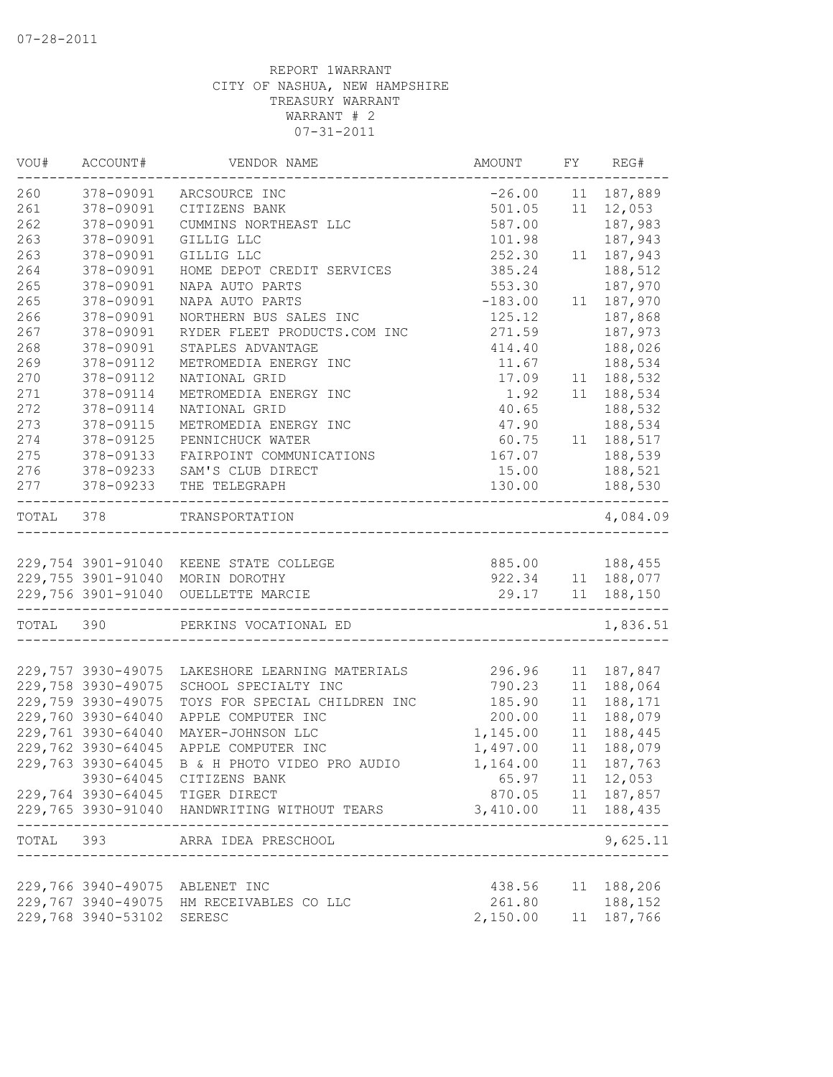| VOU#      | ACCOUNT#           | VENDOR NAME                                  | AMOUNT                        | FY | REG#                                |
|-----------|--------------------|----------------------------------------------|-------------------------------|----|-------------------------------------|
| 260       | 378-09091          | ARCSOURCE INC                                | $-26.00$                      |    | 11 187,889                          |
| 261       | 378-09091          | CITIZENS BANK                                | 501.05                        |    | 11 12,053                           |
| 262       | 378-09091          | CUMMINS NORTHEAST LLC                        | 587.00                        |    | 187,983                             |
| 263       | 378-09091          | GILLIG LLC                                   | 101.98                        |    | 187,943                             |
| 263       | 378-09091          | GILLIG LLC                                   | 252.30                        |    | 11 187,943                          |
| 264       | 378-09091          | HOME DEPOT CREDIT SERVICES                   | 385.24                        |    | 188,512                             |
| 265       | 378-09091          | NAPA AUTO PARTS                              | 553.30                        |    | 187,970                             |
| 265       | 378-09091          | NAPA AUTO PARTS                              | $-183.00$                     |    | 11 187,970                          |
| 266       | 378-09091          | NORTHERN BUS SALES INC                       | 125.12                        |    | 187,868                             |
| 267       | 378-09091          | RYDER FLEET PRODUCTS.COM INC                 | 271.59                        |    | 187,973                             |
| 268       | 378-09091          | STAPLES ADVANTAGE                            | 414.40                        |    | 188,026                             |
| 269       | 378-09112          | METROMEDIA ENERGY INC                        | 11.67                         |    | 188,534                             |
| 270       | 378-09112          | NATIONAL GRID                                | 17.09                         |    | 11 188,532                          |
| 271       | 378-09114          | METROMEDIA ENERGY INC                        | 1.92                          |    | 11 188,534                          |
| 272       | 378-09114          | NATIONAL GRID                                | 40.65                         |    | 188,532                             |
| 273       | 378-09115          | METROMEDIA ENERGY INC                        | 47.90                         |    | 188,534                             |
| 274       | 378-09125          | PENNICHUCK WATER                             | 60.75                         |    | 11 188,517                          |
| 275       | 378-09133          | FAIRPOINT COMMUNICATIONS                     | 167.07                        |    | 188,539                             |
| 276       | 378-09233          | SAM'S CLUB DIRECT                            | 15.00                         |    | 188,521                             |
| 277       | 378-09233          | THE TELEGRAPH                                | 130.00                        |    | 188,530                             |
| TOTAL 378 |                    | TRANSPORTATION                               |                               |    | 4,084.09                            |
|           |                    |                                              |                               |    |                                     |
|           |                    | 229,754 3901-91040 KEENE STATE COLLEGE       |                               |    | 885.00 188,455<br>922.34 11 188,077 |
|           | 229,755 3901-91040 | MORIN DOROTHY                                |                               |    |                                     |
|           | 229,756 3901-91040 | OUELLETTE MARCIE<br>--------------------     | ----------------------------- |    | 29.17 11 188,150                    |
| TOTAL 390 |                    | PERKINS VOCATIONAL ED                        |                               |    | 1,836.51                            |
|           | 229,757 3930-49075 | LAKESHORE LEARNING MATERIALS                 | 296.96                        |    | 11 187,847                          |
|           | 229,758 3930-49075 | SCHOOL SPECIALTY INC                         | 790.23                        | 11 | 188,064                             |
|           | 229,759 3930-49075 | TOYS FOR SPECIAL CHILDREN INC                | 185.90                        | 11 | 188,171                             |
|           | 229,760 3930-64040 | APPLE COMPUTER INC                           | 200.00                        | 11 | 188,079                             |
|           | 229,761 3930-64040 | MAYER-JOHNSON LLC                            | 1,145.00                      | 11 | 188,445                             |
|           | 229,762 3930-64045 | APPLE COMPUTER INC                           | 1,497.00                      | 11 | 188,079                             |
|           | 229,763 3930-64045 | B & H PHOTO VIDEO PRO AUDIO                  | 1,164.00                      |    | 11 187,763                          |
|           |                    | 3930-64045 CITIZENS BANK                     |                               |    | 65.97 11 12,053                     |
|           |                    | 229,764 3930-64045 TIGER DIRECT              |                               |    | 870.05 11 187,857                   |
|           |                    | 229,765 3930-91040 HANDWRITING WITHOUT TEARS | 3,410.00  11  188,435         |    |                                     |
|           |                    | TOTAL 393 ARRA IDEA PRESCHOOL                |                               |    | ------------<br>9,625.11            |
|           |                    | -----------------------                      |                               |    |                                     |
|           |                    | 229,766 3940-49075 ABLENET INC               | 438.56                        |    | 11 188,206                          |
|           |                    | 229,767 3940-49075 HM RECEIVABLES CO LLC     | 261.80                        |    | 188,152                             |
|           | 229,768 3940-53102 | SERESC                                       | 2,150.00 11 187,766           |    |                                     |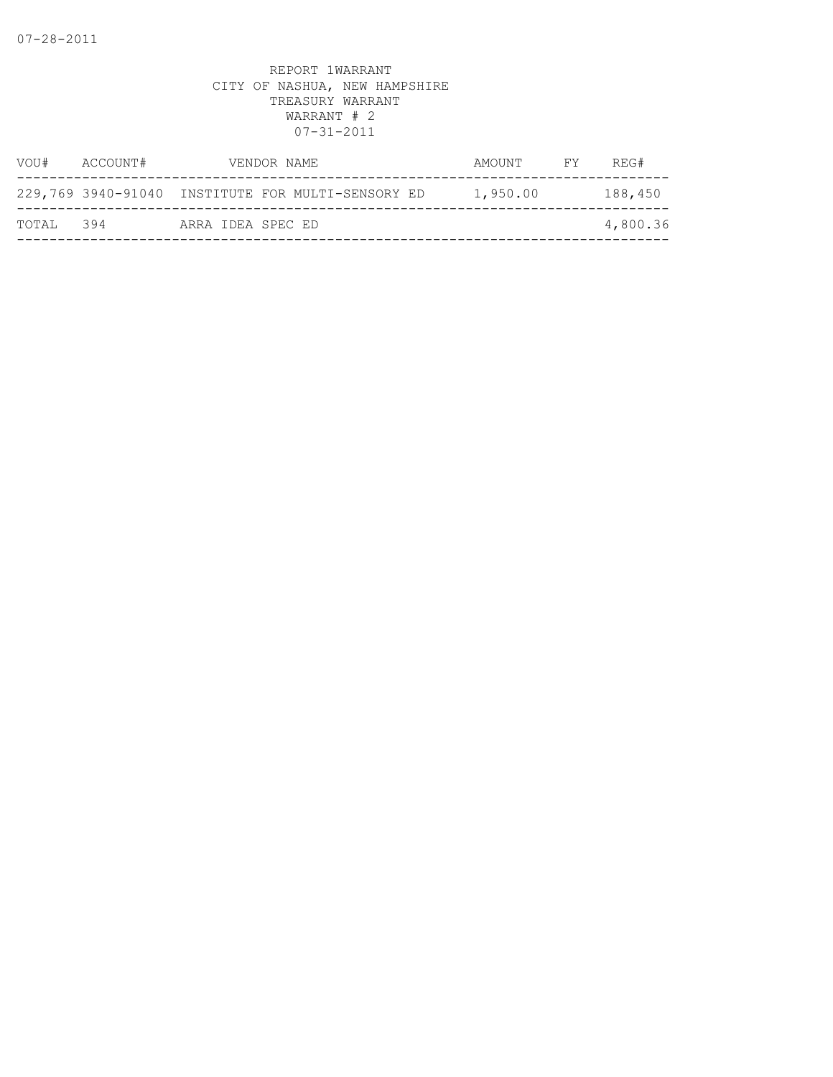| VOU#  | ACCOUNT# | VENDOR NAME                                       | AMOUNT   | FY | REG#     |
|-------|----------|---------------------------------------------------|----------|----|----------|
|       |          | 229,769 3940-91040 INSTITUTE FOR MULTI-SENSORY ED | 1,950.00 |    | 188,450  |
| TOTAL | 394      | ARRA IDEA SPEC ED                                 |          |    | 4,800.36 |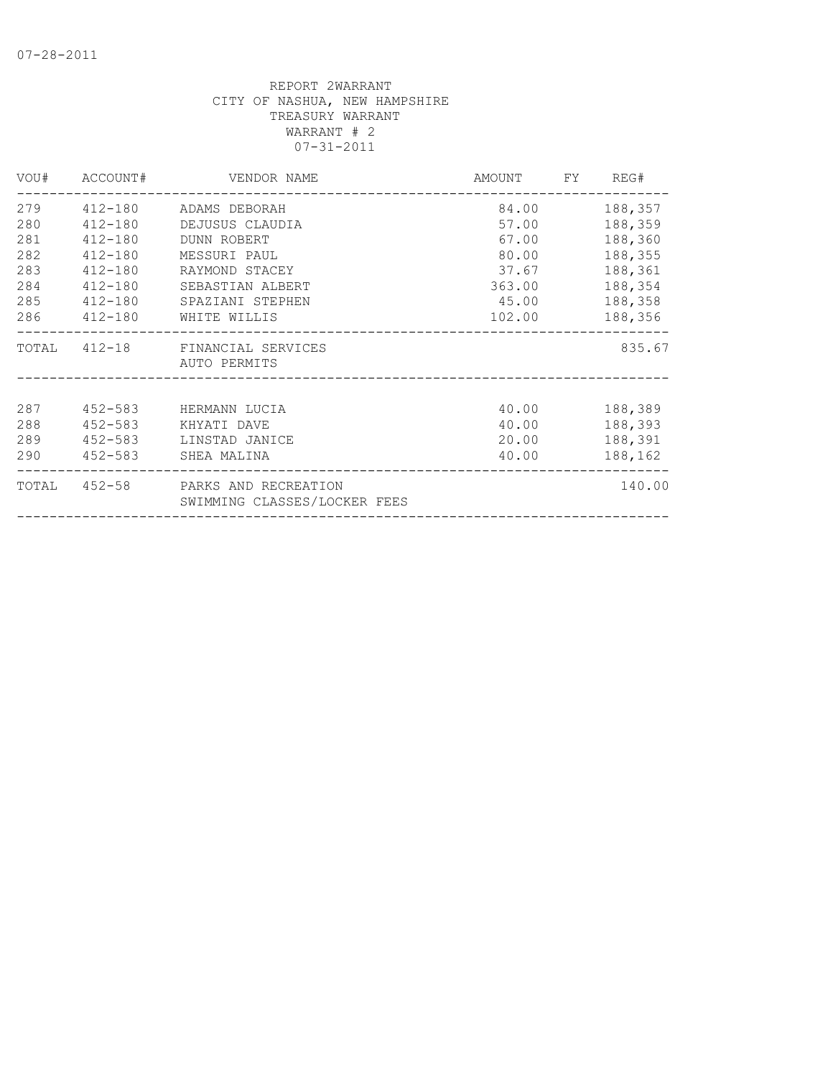|     |             | VOU# ACCOUNT# VENDOR NAME<br>_______________________              | AMOUNT FY REG# |               |
|-----|-------------|-------------------------------------------------------------------|----------------|---------------|
|     |             | 279 412-180 ADAMS DEBORAH                                         |                | 84.00 188,357 |
| 280 |             | 412-180 DEJUSUS CLAUDIA                                           |                | 57.00 188,359 |
| 281 | 412-180     | DUNN ROBERT                                                       | 67.00          | 188,360       |
| 282 | $412 - 180$ | MESSURI PAUL                                                      | 80.00          | 188,355       |
| 283 | 412-180     | RAYMOND STACEY                                                    | 37.67          | 188,361       |
| 284 | 412-180     | SEBASTIAN ALBERT                                                  | 363.00         | 188,354       |
| 285 |             | 412-180 SPAZIANI STEPHEN                                          | 45.00 188,358  |               |
|     |             | 286 412-180 WHITE WILLIS                                          | 102.00 188,356 |               |
|     |             | TOTAL 412-18 FINANCIAL SERVICES<br>AUTO PERMITS                   |                | 835.67        |
|     |             |                                                                   |                |               |
| 287 |             | 452-583 HERMANN LUCIA                                             |                | 40.00 188,389 |
| 288 |             | 452-583 KHYATI DAVE                                               |                | 40.00 188,393 |
|     |             | 289 452-583 LINSTAD JANICE                                        |                | 20.00 188,391 |
|     |             | 290 452-583 SHEA MALINA                                           | 40.00          | 188,162       |
|     |             | TOTAL 452-58 PARKS AND RECREATION<br>SWIMMING CLASSES/LOCKER FEES |                | 140.00        |
|     |             |                                                                   |                |               |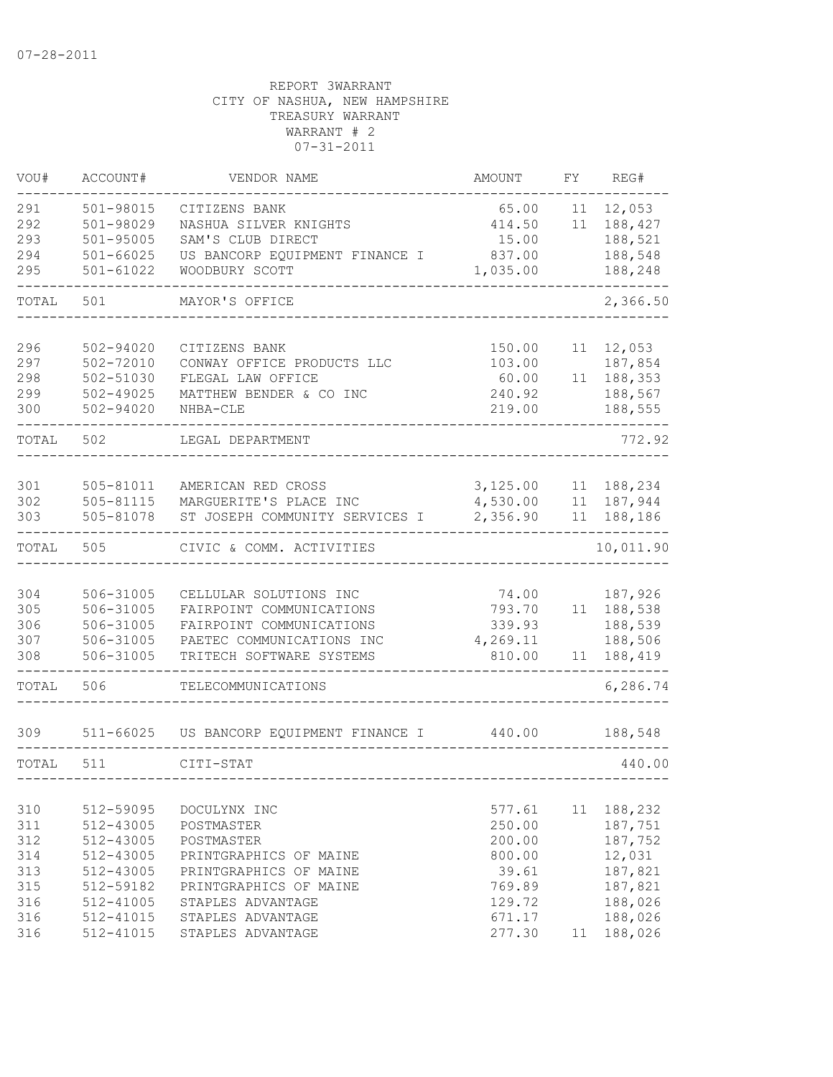| ACCOUNT#                                                                                | VENDOR NAME                                                                                                                                 | AMOUNT                                                            | FY                                                                                     | REG#                                                                     |
|-----------------------------------------------------------------------------------------|---------------------------------------------------------------------------------------------------------------------------------------------|-------------------------------------------------------------------|----------------------------------------------------------------------------------------|--------------------------------------------------------------------------|
| $501 - 98015$<br>501-98029<br>$501 - 95005$<br>$501 - 66025$<br>$501 - 61022$           | CITIZENS BANK<br>NASHUA SILVER KNIGHTS<br>SAM'S CLUB DIRECT<br>US BANCORP EQUIPMENT FINANCE I<br>WOODBURY SCOTT                             | 65.00<br>414.50<br>15.00<br>837.00                                | 11<br>11                                                                               | 12,053<br>188,427<br>188,521<br>188,548<br>188,248                       |
| 501                                                                                     | MAYOR'S OFFICE                                                                                                                              |                                                                   |                                                                                        | 2,366.50                                                                 |
| 502-94020<br>$502 - 72010$<br>502-51030<br>$502 - 49025$<br>502-94020                   | CITIZENS BANK<br>CONWAY OFFICE PRODUCTS LLC<br>FLEGAL LAW OFFICE<br>MATTHEW BENDER & CO INC<br>NHBA-CLE                                     | 150.00<br>103.00<br>60.00<br>240.92<br>219.00                     | 11<br>11                                                                               | 12,053<br>187,854<br>188,353<br>188,567<br>188,555                       |
| 502<br>TOTAL                                                                            | LEGAL DEPARTMENT                                                                                                                            |                                                                   |                                                                                        | 772.92                                                                   |
| 505-81011<br>505-81115<br>505-81078                                                     | AMERICAN RED CROSS<br>MARGUERITE'S PLACE INC                                                                                                | 4,530.00<br>2,356.90                                              | 11<br>11<br>11                                                                         | 188,234<br>187,944<br>188,186                                            |
| 505                                                                                     | CIVIC & COMM. ACTIVITIES                                                                                                                    |                                                                   |                                                                                        | 10,011.90                                                                |
| 506-31005<br>506-31005<br>506-31005<br>506-31005<br>506-31005                           | CELLULAR SOLUTIONS INC<br>FAIRPOINT COMMUNICATIONS<br>FAIRPOINT COMMUNICATIONS<br>PAETEC COMMUNICATIONS INC<br>TRITECH SOFTWARE SYSTEMS     | 74.00<br>793.70<br>339.93<br>4,269.11<br>810.00                   | 11                                                                                     | 187,926<br>11 188,538<br>188,539<br>188,506<br>188,419                   |
| 506                                                                                     | TELECOMMUNICATIONS                                                                                                                          |                                                                   |                                                                                        | 6,286.74                                                                 |
| 511                                                                                     |                                                                                                                                             | 440.00                                                            |                                                                                        | 188,548<br>440.00                                                        |
| 512-59095<br>512-43005<br>512-43005<br>512-43005<br>512-43005<br>512-59182<br>512-41005 | DOCULYNX INC<br>POSTMASTER<br>POSTMASTER<br>PRINTGRAPHICS OF MAINE<br>PRINTGRAPHICS OF MAINE<br>PRINTGRAPHICS OF MAINE<br>STAPLES ADVANTAGE | 577.61<br>250.00<br>200.00<br>800.00<br>39.61<br>769.89<br>129.72 | 11                                                                                     | 188,232<br>187,751<br>187,752<br>12,031<br>187,821<br>187,821<br>188,026 |
|                                                                                         |                                                                                                                                             | CITI-STAT                                                         | 1,035.00<br>ST JOSEPH COMMUNITY SERVICES I<br>511-66025 US BANCORP EQUIPMENT FINANCE I | 3,125.00                                                                 |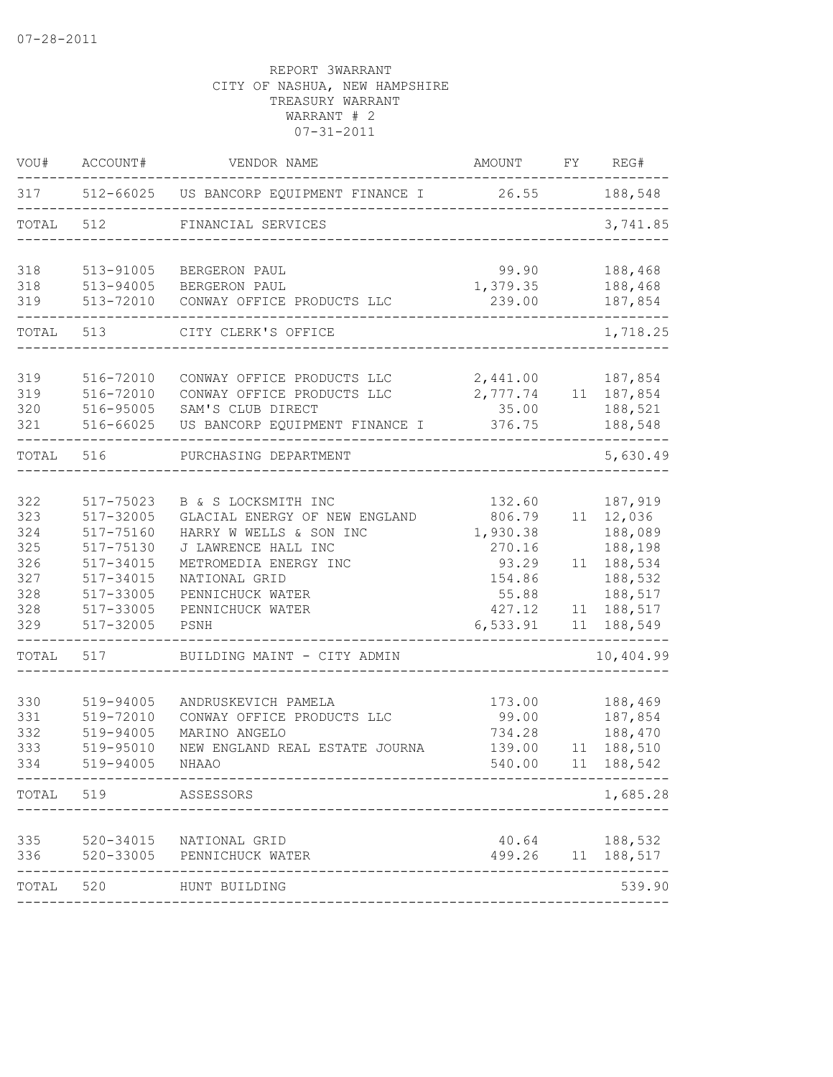| VOU#                                                        | ACCOUNT#                                                                                                          | VENDOR NAME                                                                                                                                                                                      | <b>AMOUNT</b>                                                                            | FY             | REG#                                                                                              |
|-------------------------------------------------------------|-------------------------------------------------------------------------------------------------------------------|--------------------------------------------------------------------------------------------------------------------------------------------------------------------------------------------------|------------------------------------------------------------------------------------------|----------------|---------------------------------------------------------------------------------------------------|
| 317                                                         |                                                                                                                   | 512-66025 US BANCORP EQUIPMENT FINANCE I                                                                                                                                                         | 26.55                                                                                    |                | 188,548                                                                                           |
| TOTAL                                                       | 512                                                                                                               | FINANCIAL SERVICES                                                                                                                                                                               |                                                                                          |                | 3,741.85                                                                                          |
| 318<br>318                                                  | 513-91005<br>513-94005                                                                                            | BERGERON PAUL<br>BERGERON PAUL                                                                                                                                                                   | 99.90<br>1,379.35                                                                        |                | 188,468<br>188,468                                                                                |
| 319                                                         | 513-72010                                                                                                         | CONWAY OFFICE PRODUCTS LLC                                                                                                                                                                       | 239.00                                                                                   |                | 187,854                                                                                           |
| TOTAL                                                       | 513                                                                                                               | CITY CLERK'S OFFICE                                                                                                                                                                              |                                                                                          |                | 1,718.25                                                                                          |
| 319<br>319<br>320<br>321                                    | 516-72010<br>516-72010<br>516-95005<br>516-66025                                                                  | CONWAY OFFICE PRODUCTS LLC<br>CONWAY OFFICE PRODUCTS LLC<br>SAM'S CLUB DIRECT<br>US BANCORP EQUIPMENT FINANCE I                                                                                  | 2,441.00<br>2,777.74<br>35.00<br>376.75                                                  |                | 187,854<br>11 187,854<br>188,521<br>188,548                                                       |
| TOTAL                                                       | 516                                                                                                               | PURCHASING DEPARTMENT                                                                                                                                                                            |                                                                                          |                | 5,630.49                                                                                          |
| 322<br>323<br>324<br>325<br>326<br>327<br>328<br>328<br>329 | 517-75023<br>517-32005<br>517-75160<br>517-75130<br>517-34015<br>517-34015<br>517-33005<br>517-33005<br>517-32005 | B & S LOCKSMITH INC<br>GLACIAL ENERGY OF NEW ENGLAND<br>HARRY W WELLS & SON INC<br>J LAWRENCE HALL INC<br>METROMEDIA ENERGY INC<br>NATIONAL GRID<br>PENNICHUCK WATER<br>PENNICHUCK WATER<br>PSNH | 132.60<br>806.79<br>1,930.38<br>270.16<br>93.29<br>154.86<br>55.88<br>427.12<br>6,533.91 | 11<br>11<br>11 | 187,919<br>11 12,036<br>188,089<br>188,198<br>188,534<br>188,532<br>188,517<br>188,517<br>188,549 |
| TOTAL                                                       | 517                                                                                                               | BUILDING MAINT - CITY ADMIN                                                                                                                                                                      |                                                                                          |                | 10,404.99                                                                                         |
| 330<br>331<br>332<br>333<br>334                             | 519-94005<br>519-72010<br>519-94005<br>519-95010<br>519-94005                                                     | ANDRUSKEVICH PAMELA<br>CONWAY OFFICE PRODUCTS LLC<br>MARINO ANGELO<br>NEW ENGLAND REAL ESTATE JOURNA<br>NHAAO                                                                                    | 173.00<br>99.00<br>734.28<br>139.00<br>540.00                                            | 11             | 188,469<br>187,854<br>188,470<br>188,510<br>11 188,542                                            |
| TOTAL 519                                                   |                                                                                                                   | ASSESSORS                                                                                                                                                                                        |                                                                                          |                | 1,685.28                                                                                          |
| 335<br>336                                                  | 520-33005                                                                                                         | 520-34015 NATIONAL GRID<br>PENNICHUCK WATER                                                                                                                                                      | 40.64<br>499.26                                                                          |                | 188,532<br>11 188,517                                                                             |
| TOTAL                                                       | 520                                                                                                               | HUNT BUILDING                                                                                                                                                                                    |                                                                                          |                | 539.90                                                                                            |
|                                                             |                                                                                                                   |                                                                                                                                                                                                  |                                                                                          |                |                                                                                                   |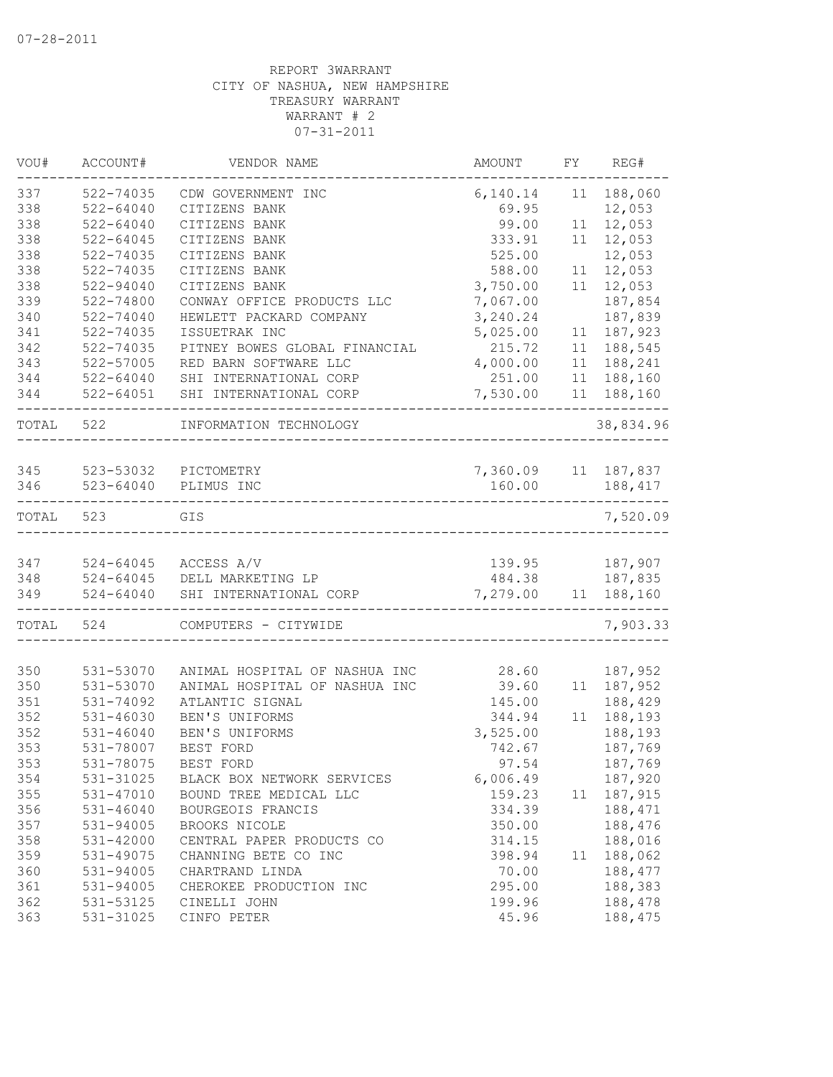| VOU#  | ACCOUNT#      | VENDOR NAME                   | AMOUNT              | FY | REG#       |
|-------|---------------|-------------------------------|---------------------|----|------------|
| 337   | 522-74035     | CDW GOVERNMENT INC            | 6,140.14            | 11 | 188,060    |
| 338   | $522 - 64040$ | CITIZENS BANK                 | 69.95               |    | 12,053     |
| 338   | $522 - 64040$ | CITIZENS BANK                 | 99.00               | 11 | 12,053     |
| 338   | $522 - 64045$ | CITIZENS BANK                 | 333.91              | 11 | 12,053     |
| 338   | 522-74035     | CITIZENS BANK                 | 525.00              |    | 12,053     |
| 338   | 522-74035     | CITIZENS BANK                 | 588.00              | 11 | 12,053     |
| 338   | $522 - 94040$ | CITIZENS BANK                 | 3,750.00            | 11 | 12,053     |
| 339   | 522-74800     | CONWAY OFFICE PRODUCTS LLC    | 7,067.00            |    | 187,854    |
| 340   | $522 - 74040$ | HEWLETT PACKARD COMPANY       | 3,240.24            |    | 187,839    |
| 341   | 522-74035     | ISSUETRAK INC                 | 5,025.00            | 11 | 187,923    |
| 342   | 522-74035     | PITNEY BOWES GLOBAL FINANCIAL | 215.72              | 11 | 188,545    |
| 343   | 522-57005     | RED BARN SOFTWARE LLC         | 4,000.00            | 11 | 188,241    |
| 344   | 522-64040     | SHI INTERNATIONAL CORP        | 251.00              | 11 | 188,160    |
| 344   | $522 - 64051$ | SHI INTERNATIONAL CORP        | 7,530.00            | 11 | 188,160    |
| TOTAL | 522           | INFORMATION TECHNOLOGY        |                     |    | 38,834.96  |
|       |               |                               |                     |    |            |
| 345   | 523-53032     | PICTOMETRY                    | 7,360.09 11 187,837 |    |            |
| 346   | 523-64040     | PLIMUS INC                    | 160.00              |    | 188,417    |
| TOTAL | 523           | GIS                           |                     |    | 7,520.09   |
| 347   |               | 524-64045 ACCESS A/V          | 139.95              |    | 187,907    |
| 348   |               | 524-64045 DELL MARKETING LP   | 484.38              |    | 187,835    |
| 349   | $524 - 64040$ | SHI INTERNATIONAL CORP        | 7,279.00 11 188,160 |    |            |
|       |               |                               |                     |    |            |
| TOTAL | 524           | COMPUTERS - CITYWIDE          |                     |    | 7,903.33   |
| 350   | 531-53070     | ANIMAL HOSPITAL OF NASHUA INC | 28.60               |    | 187,952    |
| 350   | 531-53070     | ANIMAL HOSPITAL OF NASHUA INC | 39.60               |    | 11 187,952 |
| 351   | 531-74092     | ATLANTIC SIGNAL               | 145.00              |    | 188,429    |
| 352   | 531-46030     | BEN'S UNIFORMS                | 344.94              | 11 | 188,193    |
| 352   | $531 - 46040$ | BEN'S UNIFORMS                | 3,525.00            |    | 188,193    |
| 353   | 531-78007     | BEST FORD                     | 742.67              |    | 187,769    |
| 353   | 531-78075     | BEST FORD                     | 97.54               |    | 187,769    |
| 354   | 531-31025     | BLACK BOX NETWORK SERVICES    | 6,006.49            |    | 187,920    |
| 355   | 531-47010     | BOUND TREE MEDICAL LLC        | 159.23              | 11 | 187,915    |
| 356   | $531 - 46040$ | BOURGEOIS FRANCIS             | 334.39              |    | 188,471    |
| 357   | 531-94005     | BROOKS NICOLE                 | 350.00              |    | 188,476    |
| 358   | 531-42000     | CENTRAL PAPER PRODUCTS CO     | 314.15              |    | 188,016    |
| 359   | 531-49075     | CHANNING BETE CO INC          | 398.94              | 11 | 188,062    |
| 360   | 531-94005     | CHARTRAND LINDA               | 70.00               |    | 188,477    |
| 361   | 531-94005     | CHEROKEE PRODUCTION INC       | 295.00              |    | 188,383    |
| 362   | 531-53125     | CINELLI JOHN                  | 199.96              |    | 188,478    |
| 363   | 531-31025     | CINFO PETER                   | 45.96               |    | 188,475    |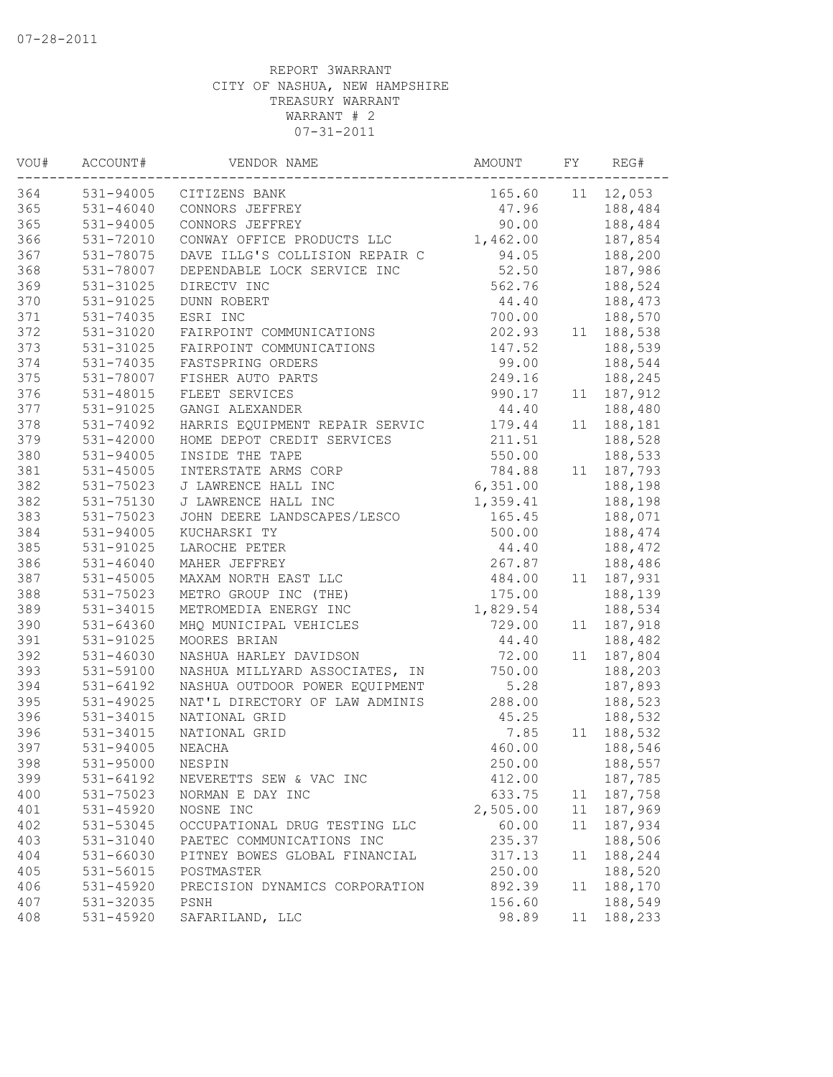| VOU# | ACCOUNT#      | VENDOR NAME                    | AMOUNT   | FΥ | REG#    |
|------|---------------|--------------------------------|----------|----|---------|
| 364  | 531-94005     | CITIZENS BANK                  | 165.60   | 11 | 12,053  |
| 365  | $531 - 46040$ | CONNORS JEFFREY                | 47.96    |    | 188,484 |
| 365  | $531 - 94005$ | CONNORS JEFFREY                | 90.00    |    | 188,484 |
| 366  | 531-72010     | CONWAY OFFICE PRODUCTS LLC     | 1,462.00 |    | 187,854 |
| 367  | 531-78075     | DAVE ILLG'S COLLISION REPAIR C | 94.05    |    | 188,200 |
| 368  | 531-78007     | DEPENDABLE LOCK SERVICE INC    | 52.50    |    | 187,986 |
| 369  | 531-31025     | DIRECTV INC                    | 562.76   |    | 188,524 |
| 370  | $531 - 91025$ | <b>DUNN ROBERT</b>             | 44.40    |    | 188,473 |
| 371  | $531 - 74035$ | ESRI INC                       | 700.00   |    | 188,570 |
| 372  | 531-31020     | FAIRPOINT COMMUNICATIONS       | 202.93   | 11 | 188,538 |
| 373  | 531-31025     | FAIRPOINT COMMUNICATIONS       | 147.52   |    | 188,539 |
| 374  | 531-74035     | FASTSPRING ORDERS              | 99.00    |    | 188,544 |
| 375  | 531-78007     | FISHER AUTO PARTS              | 249.16   |    | 188,245 |
| 376  | 531-48015     | FLEET SERVICES                 | 990.17   | 11 | 187,912 |
| 377  | 531-91025     | GANGI ALEXANDER                | 44.40    |    | 188,480 |
| 378  | 531-74092     | HARRIS EQUIPMENT REPAIR SERVIC | 179.44   | 11 | 188,181 |
| 379  | $531 - 42000$ | HOME DEPOT CREDIT SERVICES     | 211.51   |    | 188,528 |
| 380  | $531 - 94005$ | INSIDE THE TAPE                | 550.00   |    | 188,533 |
| 381  | 531-45005     | INTERSTATE ARMS CORP           | 784.88   | 11 | 187,793 |
| 382  | 531-75023     | J LAWRENCE HALL INC            | 6,351.00 |    | 188,198 |
| 382  | 531-75130     | J LAWRENCE HALL INC            | 1,359.41 |    | 188,198 |
| 383  | 531-75023     | JOHN DEERE LANDSCAPES/LESCO    | 165.45   |    | 188,071 |
| 384  | 531-94005     | KUCHARSKI TY                   | 500.00   |    | 188,474 |
| 385  | 531-91025     | LAROCHE PETER                  | 44.40    |    | 188,472 |
| 386  | $531 - 46040$ | MAHER JEFFREY                  | 267.87   |    | 188,486 |
| 387  | 531-45005     | MAXAM NORTH EAST LLC           | 484.00   | 11 | 187,931 |
| 388  | 531-75023     | METRO GROUP INC (THE)          | 175.00   |    | 188,139 |
| 389  | 531-34015     | METROMEDIA ENERGY INC          | 1,829.54 |    | 188,534 |
| 390  | 531-64360     | MHQ MUNICIPAL VEHICLES         | 729.00   | 11 | 187,918 |
| 391  | 531-91025     | MOORES BRIAN                   | 44.40    |    | 188,482 |
| 392  | $531 - 46030$ | NASHUA HARLEY DAVIDSON         | 72.00    | 11 | 187,804 |
| 393  | 531-59100     | NASHUA MILLYARD ASSOCIATES, IN | 750.00   |    | 188,203 |
| 394  | $531 - 64192$ | NASHUA OUTDOOR POWER EQUIPMENT | 5.28     |    | 187,893 |
| 395  | 531-49025     | NAT'L DIRECTORY OF LAW ADMINIS | 288.00   |    | 188,523 |
| 396  | 531-34015     | NATIONAL GRID                  | 45.25    |    | 188,532 |
| 396  | 531-34015     | NATIONAL GRID                  | 7.85     | 11 | 188,532 |
| 397  | 531-94005     | NEACHA                         | 460.00   |    | 188,546 |
| 398  | 531-95000     | NESPIN                         | 250.00   |    | 188,557 |
| 399  | 531-64192     | NEVERETTS SEW & VAC INC        | 412.00   |    | 187,785 |
| 400  | 531-75023     | NORMAN E DAY INC               | 633.75   | 11 | 187,758 |
| 401  | 531-45920     | NOSNE INC                      | 2,505.00 | 11 | 187,969 |
| 402  | 531-53045     | OCCUPATIONAL DRUG TESTING LLC  | 60.00    | 11 | 187,934 |
| 403  | 531-31040     | PAETEC COMMUNICATIONS INC      | 235.37   |    | 188,506 |
| 404  | 531-66030     | PITNEY BOWES GLOBAL FINANCIAL  | 317.13   | 11 | 188,244 |
| 405  | 531-56015     | POSTMASTER                     | 250.00   |    | 188,520 |
| 406  | 531-45920     | PRECISION DYNAMICS CORPORATION | 892.39   | 11 | 188,170 |
| 407  | 531-32035     | PSNH                           | 156.60   |    | 188,549 |
| 408  | 531-45920     | SAFARILAND, LLC                | 98.89    | 11 | 188,233 |
|      |               |                                |          |    |         |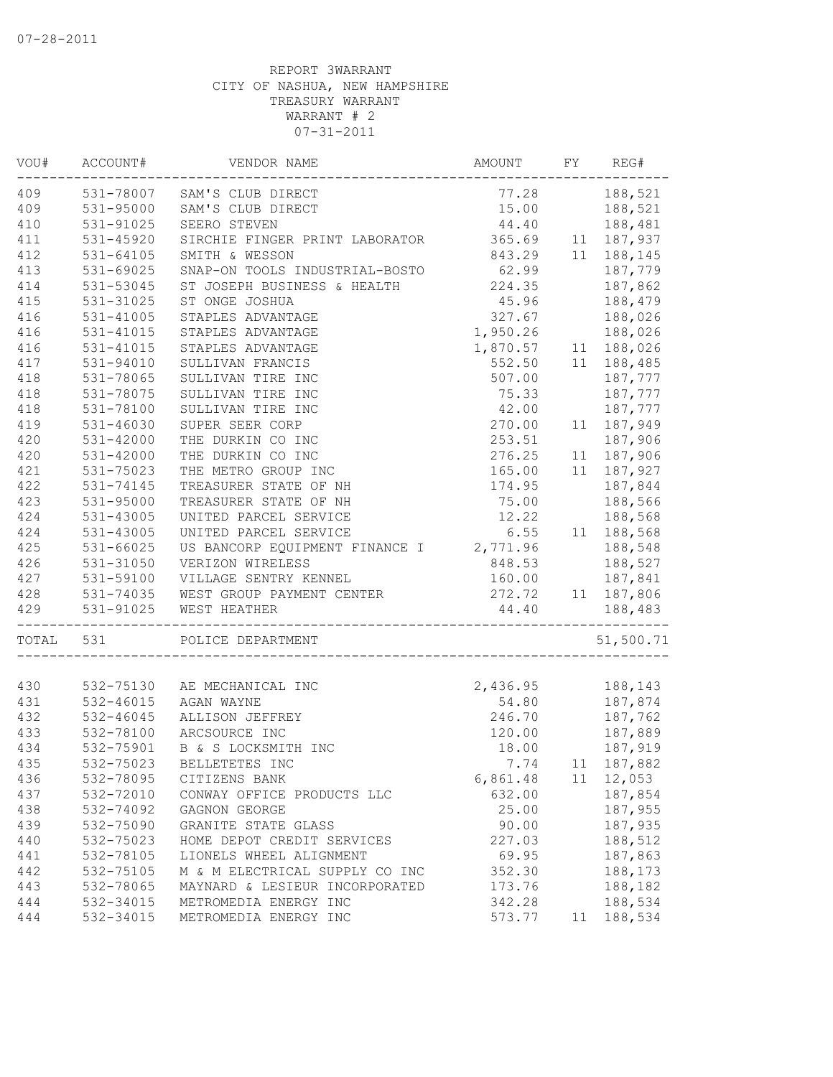| VOU#  | ACCOUNT#      | VENDOR NAME                             | AMOUNT   | FY | REG#       |
|-------|---------------|-----------------------------------------|----------|----|------------|
| 409   | 531-78007     | SAM'S CLUB DIRECT                       | 77.28    |    | 188,521    |
| 409   | 531-95000     | SAM'S CLUB DIRECT                       | 15.00    |    | 188,521    |
| 410   | 531-91025     | SEERO STEVEN                            | 44.40    |    | 188,481    |
| 411   | 531-45920     | SIRCHIE FINGER PRINT LABORATOR          | 365.69   |    | 11 187,937 |
| 412   | 531-64105     | SMITH & WESSON                          | 843.29   |    | 11 188,145 |
| 413   | 531-69025     | SNAP-ON TOOLS INDUSTRIAL-BOSTO          | 62.99    |    | 187,779    |
| 414   | 531-53045     | ST JOSEPH BUSINESS & HEALTH             | 224.35   |    | 187,862    |
| 415   | 531-31025     | ST ONGE JOSHUA                          | 45.96    |    | 188,479    |
| 416   | 531-41005     | STAPLES ADVANTAGE                       | 327.67   |    | 188,026    |
| 416   | 531-41015     | STAPLES ADVANTAGE                       | 1,950.26 |    | 188,026    |
| 416   | 531-41015     | STAPLES ADVANTAGE                       | 1,870.57 |    | 11 188,026 |
| 417   | 531-94010     | SULLIVAN FRANCIS                        | 552.50   |    | 11 188,485 |
| 418   | 531-78065     | SULLIVAN TIRE INC                       | 507.00   |    | 187,777    |
| 418   | 531-78075     | SULLIVAN TIRE INC                       | 75.33    |    | 187,777    |
| 418   | 531-78100     | SULLIVAN TIRE INC                       | 42.00    |    | 187,777    |
| 419   | $531 - 46030$ | SUPER SEER CORP                         | 270.00   | 11 | 187,949    |
| 420   | 531-42000     | THE DURKIN CO INC                       | 253.51   |    | 187,906    |
| 420   | 531-42000     | THE DURKIN CO INC                       | 276.25   |    | 11 187,906 |
| 421   | 531-75023     | THE METRO GROUP INC                     | 165.00   | 11 | 187,927    |
| 422   | 531-74145     | TREASURER STATE OF NH                   | 174.95   |    | 187,844    |
| 423   | 531-95000     | TREASURER STATE OF NH                   | 75.00    |    | 188,566    |
| 424   | 531-43005     | UNITED PARCEL SERVICE                   | 12.22    |    | 188,568    |
| 424   | 531-43005     | UNITED PARCEL SERVICE                   | 6.55     |    | 11 188,568 |
| 425   | 531-66025     | US BANCORP EQUIPMENT FINANCE I 2,771.96 |          |    | 188,548    |
| 426   | 531-31050     | VERIZON WIRELESS                        | 848.53   |    | 188,527    |
| 427   | 531-59100     | VILLAGE SENTRY KENNEL                   | 160.00   |    | 187,841    |
| 428   |               | 531-74035 WEST GROUP PAYMENT CENTER     | 272.72   |    | 11 187,806 |
| 429   | 531-91025     | WEST HEATHER                            | 44.40    |    | 188,483    |
| TOTAL | 531           | POLICE DEPARTMENT                       |          |    | 51,500.71  |
|       |               |                                         |          |    |            |
| 430   |               | 532-75130 AE MECHANICAL INC             | 2,436.95 |    | 188,143    |
| 431   | $532 - 46015$ | AGAN WAYNE                              | 54.80    |    | 187,874    |
| 432   | 532-46045     | ALLISON JEFFREY                         | 246.70   |    | 187,762    |
| 433   | 532-78100     | ARCSOURCE INC                           | 120.00   |    | 187,889    |
| 434   | 532-75901     | B & S LOCKSMITH INC                     | 18.00    |    | 187,919    |
| 435   | 532-75023     | BELLETETES INC                          | 7.74     |    | 11 187,882 |
| 436   | 532-78095     | CITIZENS BANK                           | 6,861.48 | 11 | 12,053     |
| 437   | 532-72010     | CONWAY OFFICE PRODUCTS LLC              | 632.00   |    | 187,854    |
| 438   | 532-74092     | GAGNON GEORGE                           | 25.00    |    | 187,955    |
| 439   | 532-75090     | GRANITE STATE GLASS                     | 90.00    |    | 187,935    |
| 440   | 532-75023     | HOME DEPOT CREDIT SERVICES              | 227.03   |    | 188,512    |
| 441   | 532-78105     | LIONELS WHEEL ALIGNMENT                 | 69.95    |    | 187,863    |
| 442   | 532-75105     | M & M ELECTRICAL SUPPLY CO INC          | 352.30   |    | 188,173    |
| 443   | 532-78065     | MAYNARD & LESIEUR INCORPORATED          | 173.76   |    | 188,182    |
| 444   | 532-34015     | METROMEDIA ENERGY INC                   | 342.28   |    | 188,534    |
| 444   | 532-34015     | METROMEDIA ENERGY INC                   | 573.77   | 11 | 188,534    |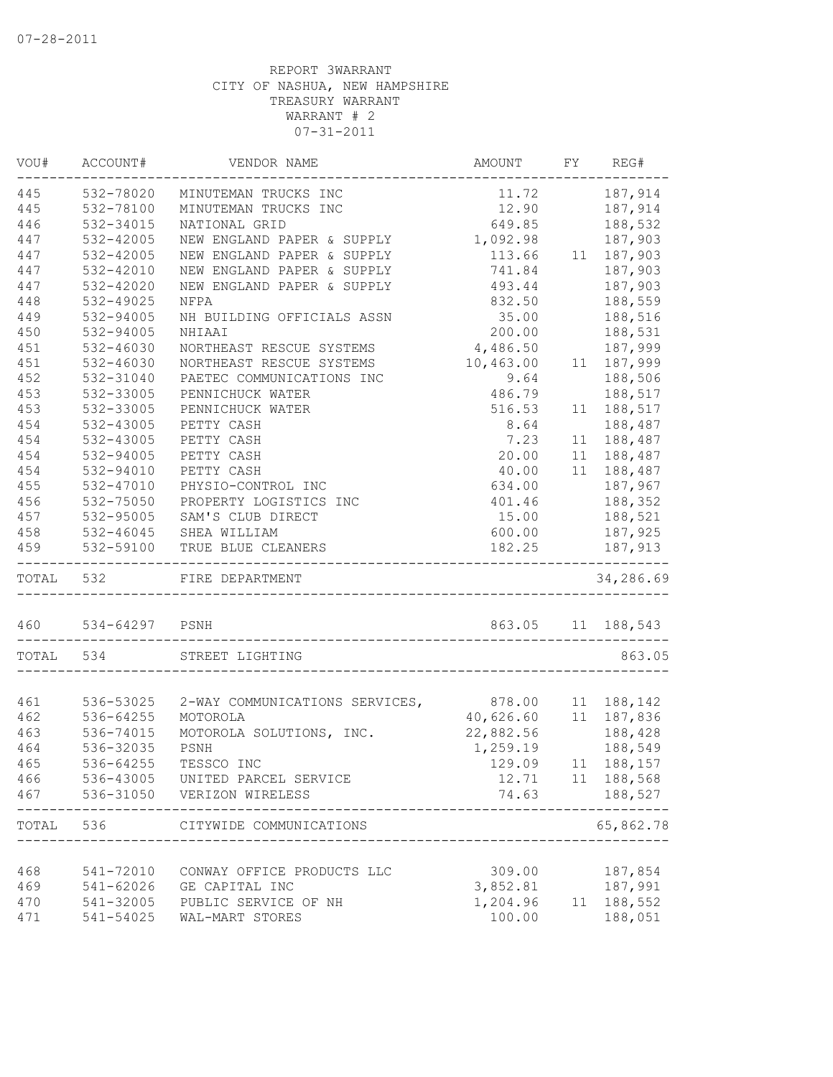| VOU#      | ACCOUNT#       | VENDOR NAME                                 | AMOUNT    | FY | REG#               |
|-----------|----------------|---------------------------------------------|-----------|----|--------------------|
| 445       | 532-78020      | MINUTEMAN TRUCKS INC                        | 11.72     |    | 187,914            |
| 445       | 532-78100      | MINUTEMAN TRUCKS INC                        | 12.90     |    | 187,914            |
| 446       | 532-34015      | NATIONAL GRID                               | 649.85    |    | 188,532            |
| 447       | 532-42005      | NEW ENGLAND PAPER & SUPPLY                  | 1,092.98  |    | 187,903            |
| 447       | 532-42005      | NEW ENGLAND PAPER & SUPPLY                  | 113.66    |    | 11 187,903         |
| 447       | 532-42010      | NEW ENGLAND PAPER & SUPPLY                  | 741.84    |    | 187,903            |
| 447       | 532-42020      | NEW ENGLAND PAPER & SUPPLY                  | 493.44    |    | 187,903            |
| 448       | 532-49025      | NFPA                                        | 832.50    |    | 188,559            |
| 449       | 532-94005      | NH BUILDING OFFICIALS ASSN                  | 35.00     |    | 188,516            |
| 450       | 532-94005      | NHIAAI                                      | 200.00    |    | 188,531            |
| 451       | 532-46030      | NORTHEAST RESCUE SYSTEMS                    | 4,486.50  |    | 187,999            |
| 451       | 532-46030      | NORTHEAST RESCUE SYSTEMS                    | 10,463.00 | 11 | 187,999            |
| 452       | 532-31040      | PAETEC COMMUNICATIONS INC                   | 9.64      |    | 188,506            |
| 453       | 532-33005      | PENNICHUCK WATER                            | 486.79    |    | 188,517            |
| 453       | 532-33005      | PENNICHUCK WATER                            | 516.53    | 11 | 188,517            |
| 454       | 532-43005      | PETTY CASH                                  | 8.64      |    | 188,487            |
| 454       | 532-43005      | PETTY CASH                                  | 7.23      |    | 11 188,487         |
| 454       | 532-94005      | PETTY CASH                                  | 20.00     | 11 | 188,487            |
| 454       | 532-94010      | PETTY CASH                                  | 40.00     | 11 | 188,487            |
| 455       | 532-47010      | PHYSIO-CONTROL INC                          | 634.00    |    | 187,967            |
| 456       | 532-75050      | PROPERTY LOGISTICS INC                      | 401.46    |    | 188,352            |
| 457       | 532-95005      | SAM'S CLUB DIRECT                           | 15.00     |    | 188,521            |
| 458       | 532-46045      | SHEA WILLIAM                                | 600.00    |    | 187,925            |
| 459       | 532-59100      | TRUE BLUE CLEANERS                          | 182.25    |    | 187,913            |
| TOTAL 532 |                | ---------------------<br>FIRE DEPARTMENT    |           |    | 34,286.69          |
| 460       | 534-64297 PSNH |                                             |           |    | 863.05 11 188,543  |
| TOTAL 534 |                | STREET LIGHTING                             |           |    | 863.05             |
|           |                |                                             |           |    |                    |
| 461       | 536-53025      | 2-WAY COMMUNICATIONS SERVICES, 878.00       |           |    | 11 188,142         |
| 462       | 536-64255      | MOTOROLA                                    | 40,626.60 |    | 11 187,836         |
| 463       | 536-74015      | MOTOROLA SOLUTIONS, INC.                    | 22,882.56 |    | 188,428            |
| 464       | 536-32035      | PSNH                                        | 1,259.19  |    | 188,549            |
| 465       | 536-64255      | TESSCO INC                                  | 129.09    |    | 11 188, 157        |
| 466       | 536-43005      | UNITED PARCEL SERVICE                       | 12.71     |    | 11 188,568         |
| 467       | 536-31050      | VERIZON WIRELESS                            | 74.63     |    | 188,527            |
| TOTAL     | 536            | CITYWIDE COMMUNICATIONS<br>________________ |           |    | -----<br>65,862.78 |
|           |                |                                             |           |    |                    |
| 468       | 541-72010      | CONWAY OFFICE PRODUCTS LLC                  | 309.00    |    | 187,854            |
| 469       | 541-62026      | GE CAPITAL INC                              | 3,852.81  |    | 187,991            |
| 470       | 541-32005      | PUBLIC SERVICE OF NH                        | 1,204.96  | 11 | 188,552            |
| 471       | 541-54025      | WAL-MART STORES                             | 100.00    |    | 188,051            |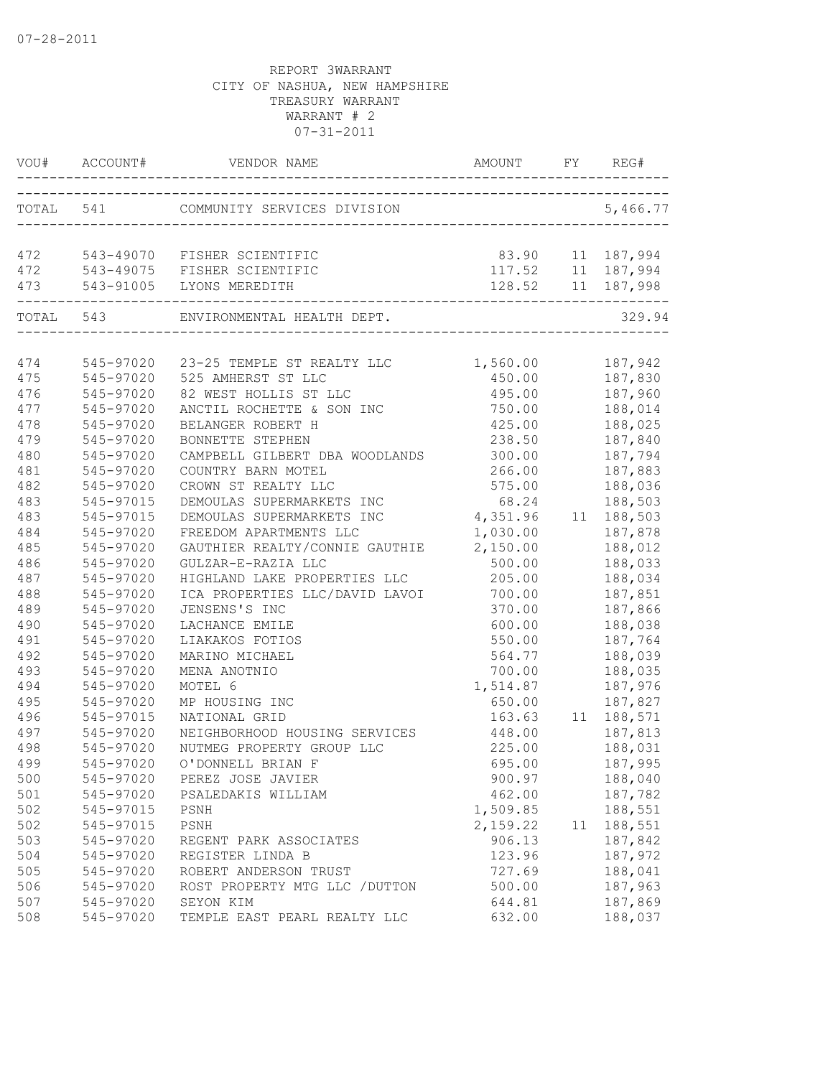|           | VOU# ACCOUNT# |                                             |                |    | REG#             |
|-----------|---------------|---------------------------------------------|----------------|----|------------------|
| TOTAL 541 |               |                                             |                |    |                  |
|           |               | 472 543-49070 FISHER SCIENTIFIC             |                |    | 83.90 11 187,994 |
|           |               | 472 543-49075 FISHER SCIENTIFIC             |                |    |                  |
| 473       |               |                                             |                |    |                  |
|           |               | TOTAL 543 ENVIRONMENTAL HEALTH DEPT.        |                |    | 329.94           |
|           |               |                                             |                |    |                  |
| 474       | 545-97020     | 23-25 TEMPLE ST REALTY LLC 1,560.00 187,942 |                |    |                  |
| 475       | 545-97020     | 525 AMHERST ST LLC                          | 450.00 187,830 |    |                  |
| 476       | 545-97020     | 82 WEST HOLLIS ST LLC                       | 495.00         |    | 187,960          |
| 477       | 545-97020     | ANCTIL ROCHETTE & SON INC                   | 750.00         |    | 188,014          |
| 478       | 545-97020     | BELANGER ROBERT H                           | 425.00         |    | 188,025          |
| 479       | 545-97020     | BONNETTE STEPHEN                            | 238.50         |    | 187,840          |
| 480       | 545-97020     | CAMPBELL GILBERT DBA WOODLANDS              | 300.00         |    | 187,794          |
| 481       | $545 - 97020$ | COUNTRY BARN MOTEL                          | 266.00         |    | 187,883          |
| 482       | 545-97020     | CROWN ST REALTY LLC                         | 575.00         |    | 188,036          |
| 483       | 545-97015     | DEMOULAS SUPERMARKETS INC                   | 68.24          |    | 188,503          |
| 483       | 545-97015     | DEMOULAS SUPERMARKETS INC                   | 4,351.96       |    | 11 188,503       |
| 484       | 545-97020     | FREEDOM APARTMENTS LLC                      | 1,030.00       |    | 187,878          |
| 485       | 545-97020     | GAUTHIER REALTY/CONNIE GAUTHIE              | 2,150.00       |    | 188,012          |
| 486       | 545-97020     | GULZAR-E-RAZIA LLC                          | 500.00         |    | 188,033          |
| 487       | 545-97020     | HIGHLAND LAKE PROPERTIES LLC                | 205.00         |    | 188,034          |
| 488       | 545-97020     | ICA PROPERTIES LLC/DAVID LAVOI              | 700.00         |    | 187,851          |
| 489       | 545-97020     | JENSENS'S INC                               | 370.00         |    | 187,866          |
| 490       | 545-97020     | LACHANCE EMILE                              | 600.00         |    | 188,038          |
| 491       | 545-97020     | LIAKAKOS FOTIOS                             | 550.00         |    | 187,764          |
| 492       | 545-97020     | MARINO MICHAEL                              | 564.77         |    | 188,039          |
| 493       | 545-97020     | MENA ANOTNIO                                | 700.00         |    | 188,035          |
| 494       | 545-97020     | MOTEL 6                                     | 1,514.87       |    | 187,976          |
| 495       | 545-97020     | MP HOUSING INC                              | 650.00         |    | 187,827          |
| 496       | 545-97015     | NATIONAL GRID                               | 163.63         |    | 11 188,571       |
| 497       | 545-97020     | NEIGHBORHOOD HOUSING SERVICES               | 448.00         |    | 187,813          |
| 498       | $545 - 97020$ | NUTMEG PROPERTY GROUP LLC                   | 225.00         |    | 188,031          |
| 499       | 545-97020     | O'DONNELL BRIAN F                           | 695.00         |    | 187,995          |
| 500       | 545-97020     | PEREZ JOSE JAVIER                           | 900.97         |    | 188,040          |
| 501       | 545-97020     | PSALEDAKIS WILLIAM                          | 462.00         |    | 187,782          |
| 502       | 545-97015     | PSNH                                        | 1,509.85       |    | 188,551          |
| 502       | 545-97015     | PSNH                                        | 2,159.22       | 11 | 188,551          |
| 503       | 545-97020     | REGENT PARK ASSOCIATES                      | 906.13         |    | 187,842          |
| 504       | 545-97020     | REGISTER LINDA B                            | 123.96         |    | 187,972          |
| 505       | 545-97020     | ROBERT ANDERSON TRUST                       | 727.69         |    | 188,041          |
| 506       | 545-97020     | ROST PROPERTY MTG LLC / DUTTON              | 500.00         |    | 187,963          |
| 507       | 545-97020     | SEYON KIM                                   | 644.81         |    | 187,869          |
| 508       | 545-97020     | TEMPLE EAST PEARL REALTY LLC                | 632.00         |    | 188,037          |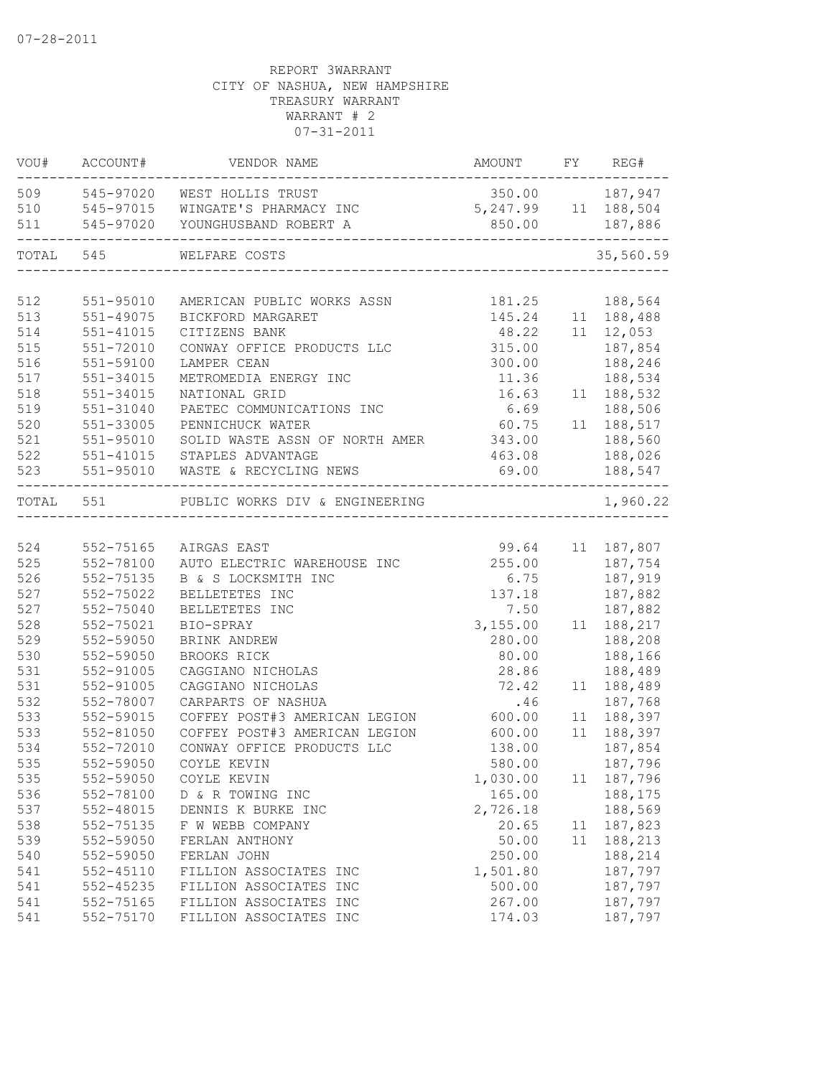| VOU#      | ACCOUNT#      | VENDOR NAME                                                | AMOUNT                | FY REG#                       |
|-----------|---------------|------------------------------------------------------------|-----------------------|-------------------------------|
|           |               | 509 545-97020 WEST HOLLIS TRUST                            | 350.00 187,947        |                               |
| 510       |               | 545-97015 WINGATE'S PHARMACY INC                           | 5, 247.99 11 188, 504 |                               |
| 511       | 545-97020     | YOUNGHUSBAND ROBERT A                                      | 850.00                | 187,886<br>------------------ |
| TOTAL 545 |               | WELFARE COSTS                                              |                       | 35,560.59                     |
|           |               |                                                            |                       |                               |
| 512       | 551-95010     | AMERICAN PUBLIC WORKS ASSN                                 | 181.25                | 188,564                       |
| 513       | $551 - 49075$ | BICKFORD MARGARET                                          | 145.24                | 11 188,488                    |
| 514       | $551 - 41015$ | CITIZENS BANK                                              | 48.22                 | $11 \quad 12,053$             |
| 515       | 551-72010     | CONWAY OFFICE PRODUCTS LLC                                 | 315.00                | 187,854                       |
| 516       | 551-59100     | LAMPER CEAN                                                | 300.00                | 188,246                       |
| 517       | $551 - 34015$ | METROMEDIA ENERGY INC                                      | 11.36                 | 188,534                       |
| 518       | $551 - 34015$ | NATIONAL GRID                                              | 16.63                 | 11 188,532                    |
| 519       | 551-31040     | PAETEC COMMUNICATIONS INC                                  | 6.69                  | 188,506                       |
| 520       | 551-33005     | PENNICHUCK WATER                                           | 60.75                 | 11 188,517                    |
| 521       | $551 - 95010$ | SOLID WASTE ASSN OF NORTH AMER                             | 343.00                | 188,560                       |
| 522       | 551-41015     | STAPLES ADVANTAGE                                          | 463.08                | 188,026                       |
| 523       | 551-95010     | WASTE & RECYCLING NEWS<br>-------------------------------- |                       | 69.00 188,547                 |
| TOTAL 551 |               | PUBLIC WORKS DIV & ENGINEERING                             |                       | 1,960.22                      |
|           |               |                                                            |                       |                               |
| 524       | 552-75165     | AIRGAS EAST                                                | 99.64                 | 11 187,807                    |
| 525       | 552-78100     | AUTO ELECTRIC WAREHOUSE INC                                | 255.00                | 187,754                       |
| 526       | 552-75135     | B & S LOCKSMITH INC                                        | 6.75                  | 187,919                       |
| 527       | 552-75022     | BELLETETES INC                                             | 137.18                | 187,882                       |
| 527       | 552-75040     | BELLETETES INC                                             | 7.50                  | 187,882                       |
| 528       | 552-75021     | BIO-SPRAY                                                  | 3,155.00              | 11 188, 217                   |
| 529       | 552-59050     | BRINK ANDREW                                               | 280.00                | 188,208                       |
| 530       | 552-59050     | BROOKS RICK                                                | 80.00                 | 188,166                       |
| 531       | 552-91005     | CAGGIANO NICHOLAS                                          | 28.86                 | 188,489                       |
| 531       | 552-91005     | CAGGIANO NICHOLAS                                          | 72.42                 | 11 188,489                    |
| 532       | 552-78007     | CARPARTS OF NASHUA                                         | .46                   | 187,768                       |
| 533       | 552-59015     | COFFEY POST#3 AMERICAN LEGION                              | 600.00                | 11 188,397                    |
| 533       | 552-81050     | COFFEY POST#3 AMERICAN LEGION                              | 600.00                | 11 188,397                    |
| 534       | 552-72010     | CONWAY OFFICE PRODUCTS LLC                                 | 138.00                | 187,854                       |
| 535       | 552-59050     | COYLE KEVIN                                                | 580.00                | 187,796                       |
| 535       | 552-59050     | COYLE KEVIN                                                | 1,030.00              | 11 187,796                    |
| 536       | 552-78100     | D & R TOWING INC                                           | 165.00                | 188,175                       |
| 537       | 552-48015     | DENNIS K BURKE INC                                         | 2,726.18              | 188,569                       |
| 538       | 552-75135     | F W WEBB COMPANY                                           | 20.65                 | 11 187,823                    |
| 539       | 552-59050     | FERLAN ANTHONY                                             | 50.00                 | 11 188,213                    |
| 540       | 552-59050     | FERLAN JOHN                                                | 250.00                | 188,214                       |
| 541       | $552 - 45110$ | FILLION ASSOCIATES INC                                     | 1,501.80              | 187,797                       |
| 541       | 552-45235     | FILLION ASSOCIATES INC                                     | 500.00                | 187,797                       |
| 541       | 552-75165     | FILLION ASSOCIATES INC                                     | 267.00                | 187,797                       |
| 541       | 552-75170     | FILLION ASSOCIATES INC                                     | 174.03                | 187,797                       |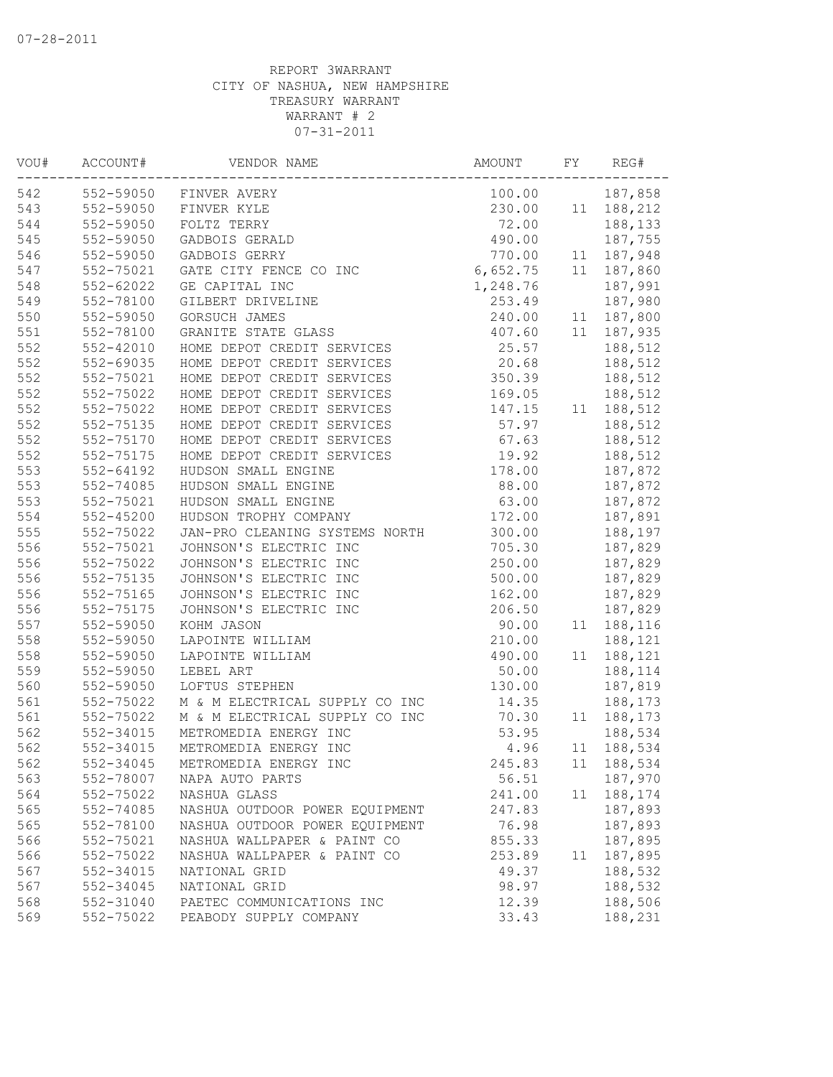| VOU# | ACCOUNT#               | VENDOR NAME                    | AMOUNT   | FY | REG#    |
|------|------------------------|--------------------------------|----------|----|---------|
| 542  | 552-59050              | FINVER AVERY                   | 100.00   |    | 187,858 |
| 543  | 552-59050              | FINVER KYLE                    | 230.00   | 11 | 188,212 |
| 544  | 552-59050              | FOLTZ TERRY                    | 72.00    |    | 188,133 |
| 545  | 552-59050              | GADBOIS GERALD                 | 490.00   |    | 187,755 |
| 546  | 552-59050              | GADBOIS GERRY                  | 770.00   | 11 | 187,948 |
| 547  | 552-75021              | GATE CITY FENCE CO INC         | 6,652.75 | 11 | 187,860 |
| 548  | 552-62022              | GE CAPITAL INC                 | 1,248.76 |    | 187,991 |
| 549  | 552-78100              | GILBERT DRIVELINE              | 253.49   |    | 187,980 |
| 550  | 552-59050              | GORSUCH JAMES                  | 240.00   | 11 | 187,800 |
| 551  | 552-78100              | GRANITE STATE GLASS            | 407.60   | 11 | 187,935 |
| 552  | $552 - 42010$          | HOME DEPOT CREDIT SERVICES     | 25.57    |    | 188,512 |
| 552  | 552-69035              | HOME DEPOT CREDIT SERVICES     | 20.68    |    | 188,512 |
| 552  | 552-75021              | HOME DEPOT CREDIT SERVICES     | 350.39   |    | 188,512 |
| 552  | 552-75022              | HOME DEPOT CREDIT SERVICES     | 169.05   |    | 188,512 |
| 552  | 552-75022              | HOME DEPOT CREDIT SERVICES     | 147.15   | 11 | 188,512 |
| 552  | 552-75135              | HOME DEPOT CREDIT SERVICES     | 57.97    |    | 188,512 |
| 552  | 552-75170              | HOME DEPOT CREDIT SERVICES     | 67.63    |    | 188,512 |
| 552  | 552-75175              | HOME DEPOT CREDIT SERVICES     | 19.92    |    | 188,512 |
| 553  | $552 - 64192$          | HUDSON SMALL ENGINE            | 178.00   |    | 187,872 |
| 553  | 552-74085              | HUDSON SMALL ENGINE            | 88.00    |    | 187,872 |
| 553  | 552-75021              | HUDSON SMALL ENGINE            | 63.00    |    | 187,872 |
| 554  | $552 - 45200$          | HUDSON TROPHY COMPANY          | 172.00   |    | 187,891 |
| 555  | 552-75022              | JAN-PRO CLEANING SYSTEMS NORTH | 300.00   |    | 188,197 |
| 556  | 552-75021              | JOHNSON'S ELECTRIC INC         | 705.30   |    | 187,829 |
| 556  | 552-75022              | JOHNSON'S ELECTRIC INC         | 250.00   |    | 187,829 |
| 556  | 552-75135              | JOHNSON'S ELECTRIC INC         | 500.00   |    | 187,829 |
| 556  | 552-75165              | JOHNSON'S ELECTRIC INC         | 162.00   |    | 187,829 |
| 556  | 552-75175              | JOHNSON'S ELECTRIC INC         | 206.50   |    | 187,829 |
| 557  | 552-59050              | KOHM JASON                     | 90.00    | 11 | 188,116 |
| 558  | 552-59050              | LAPOINTE WILLIAM               | 210.00   |    | 188,121 |
| 558  | 552-59050              | LAPOINTE WILLIAM               | 490.00   | 11 | 188,121 |
| 559  |                        | LEBEL ART                      | 50.00    |    |         |
|      | 552-59050<br>552-59050 | LOFTUS STEPHEN                 | 130.00   |    | 188,114 |
| 560  |                        |                                |          |    | 187,819 |
| 561  | 552-75022              | M & M ELECTRICAL SUPPLY CO INC | 14.35    |    | 188,173 |
| 561  | 552-75022              | M & M ELECTRICAL SUPPLY CO INC | 70.30    | 11 | 188,173 |
| 562  | 552-34015              | METROMEDIA ENERGY INC          | 53.95    |    | 188,534 |
| 562  | 552-34015              | METROMEDIA ENERGY INC          | 4.96     | 11 | 188,534 |
| 562  | 552-34045              | METROMEDIA ENERGY INC          | 245.83   | 11 | 188,534 |
| 563  | 552-78007              | NAPA AUTO PARTS                | 56.51    |    | 187,970 |
| 564  | 552-75022              | NASHUA GLASS                   | 241.00   | 11 | 188,174 |
| 565  | 552-74085              | NASHUA OUTDOOR POWER EQUIPMENT | 247.83   |    | 187,893 |
| 565  | 552-78100              | NASHUA OUTDOOR POWER EQUIPMENT | 76.98    |    | 187,893 |
| 566  | 552-75021              | NASHUA WALLPAPER & PAINT CO    | 855.33   |    | 187,895 |
| 566  | 552-75022              | NASHUA WALLPAPER & PAINT CO    | 253.89   | 11 | 187,895 |
| 567  | 552-34015              | NATIONAL GRID                  | 49.37    |    | 188,532 |
| 567  | 552-34045              | NATIONAL GRID                  | 98.97    |    | 188,532 |
| 568  | 552-31040              | PAETEC COMMUNICATIONS INC      | 12.39    |    | 188,506 |
| 569  | 552-75022              | PEABODY SUPPLY COMPANY         | 33.43    |    | 188,231 |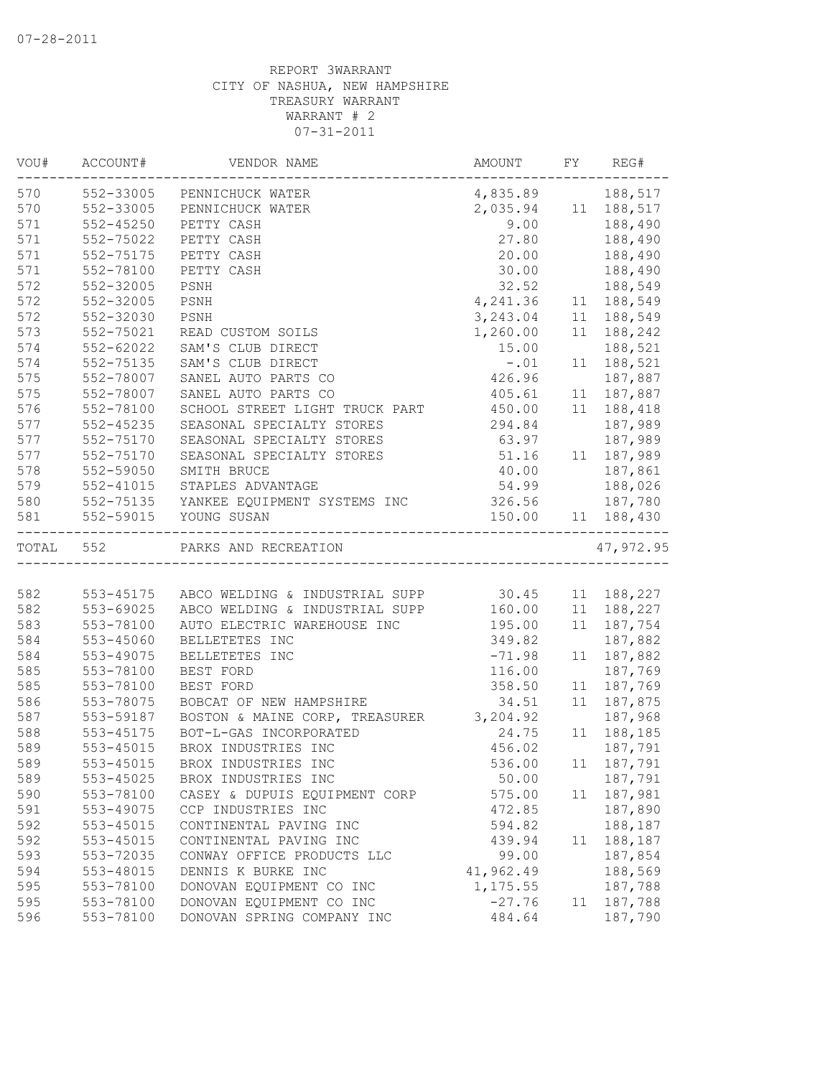| VOU#      | ACCOUNT#  | VENDOR NAME                                      | AMOUNT              | FY | REG#       |
|-----------|-----------|--------------------------------------------------|---------------------|----|------------|
| 570       |           | 552-33005 PENNICHUCK WATER                       | 4,835.89 188,517    |    |            |
| 570       | 552-33005 | PENNICHUCK WATER                                 | 2,035.94 11 188,517 |    |            |
| 571       | 552-45250 | PETTY CASH                                       | 9.00                |    | 188,490    |
| 571       | 552-75022 | PETTY CASH                                       | 27.80               |    | 188,490    |
| 571       | 552-75175 | PETTY CASH                                       | 20.00               |    | 188,490    |
| 571       | 552-78100 | PETTY CASH                                       | 30.00               |    | 188,490    |
| 572       | 552-32005 | PSNH                                             | 32.52               |    | 188,549    |
| 572       | 552-32005 | PSNH                                             | 4,241.36            |    | 11 188,549 |
| 572       | 552-32030 | PSNH                                             | 3,243.04            | 11 | 188,549    |
| 573       | 552-75021 | READ CUSTOM SOILS                                | 1,260.00            | 11 | 188,242    |
| 574       | 552-62022 | SAM'S CLUB DIRECT                                | 15.00               |    | 188,521    |
| 574       | 552-75135 | SAM'S CLUB DIRECT                                | $-.01$              |    | 11 188,521 |
| 575       | 552-78007 | SANEL AUTO PARTS CO                              | 426.96              |    | 187,887    |
| 575       | 552-78007 | SANEL AUTO PARTS CO                              | 405.61              |    | 11 187,887 |
| 576       | 552-78100 | SCHOOL STREET LIGHT TRUCK PART                   | 450.00              |    | 11 188,418 |
| 577       | 552-45235 | SEASONAL SPECIALTY STORES                        | 294.84              |    | 187,989    |
| 577       | 552-75170 | SEASONAL SPECIALTY STORES                        | 63.97               |    | 187,989    |
| 577       | 552-75170 | SEASONAL SPECIALTY STORES                        | 51.16               |    | 11 187,989 |
| 578       | 552-59050 | SMITH BRUCE                                      | 40.00               |    | 187,861    |
| 579       | 552-41015 | STAPLES ADVANTAGE                                | 54.99               |    | 188,026    |
| 580       |           | 552-75135 YANKEE EQUIPMENT SYSTEMS INC           | 326.56 187,780      |    |            |
| 581       | 552-59015 | YOUNG SUSAN                                      | 150.00              |    | 11 188,430 |
|           |           |                                                  |                     |    |            |
| TOTAL 552 |           | PARKS AND RECREATION                             |                     |    | 47,972.95  |
|           |           |                                                  |                     |    |            |
| 582       | 553-45175 | ABCO WELDING & INDUSTRIAL SUPP 30.45 11 188,227  |                     |    |            |
| 582       | 553-69025 | ABCO WELDING & INDUSTRIAL SUPP 160.00 11 188,227 |                     |    |            |
| 583       | 553-78100 | AUTO ELECTRIC WAREHOUSE INC                      | 195.00              |    | 11 187,754 |
| 584       | 553-45060 | BELLETETES INC                                   | 349.82              |    | 187,882    |
| 584       | 553-49075 | BELLETETES INC                                   | $-71.98$            |    | 11 187,882 |
| 585       | 553-78100 | BEST FORD                                        | 116.00              |    | 187,769    |
| 585       | 553-78100 | BEST FORD                                        | 358.50              | 11 | 187,769    |
| 586       | 553-78075 | BOBCAT OF NEW HAMPSHIRE                          | 34.51               |    | 11 187,875 |
| 587       | 553-59187 | BOSTON & MAINE CORP, TREASURER 3,204.92          |                     |    | 187,968    |
| 588       | 553-45175 | BOT-L-GAS INCORPORATED                           | 24.75               |    | 11 188,185 |
| 589       | 553-45015 | BROX INDUSTRIES INC                              | 456.02              |    | 187,791    |
| 589       | 553-45015 | BROX INDUSTRIES INC                              | 536.00              |    | 11 187,791 |
| 589       | 553-45025 | BROX INDUSTRIES INC                              | 50.00               |    | 187,791    |
| 590       | 553-78100 | CASEY & DUPUIS EQUIPMENT CORP                    | 575.00              | 11 | 187,981    |
| 591       | 553-49075 | CCP INDUSTRIES INC                               | 472.85              |    | 187,890    |
| 592       | 553-45015 | CONTINENTAL PAVING INC                           | 594.82              |    | 188,187    |
| 592       | 553-45015 | CONTINENTAL PAVING INC                           | 439.94              | 11 | 188,187    |
| 593       | 553-72035 | CONWAY OFFICE PRODUCTS LLC                       | 99.00               |    | 187,854    |
| 594       | 553-48015 | DENNIS K BURKE INC                               | 41,962.49           |    | 188,569    |
| 595       | 553-78100 | DONOVAN EQUIPMENT CO INC                         | 1,175.55            |    | 187,788    |
| 595       | 553-78100 | DONOVAN EQUIPMENT CO INC                         | $-27.76$            | 11 | 187,788    |
| 596       | 553-78100 | DONOVAN SPRING COMPANY INC                       | 484.64              |    | 187,790    |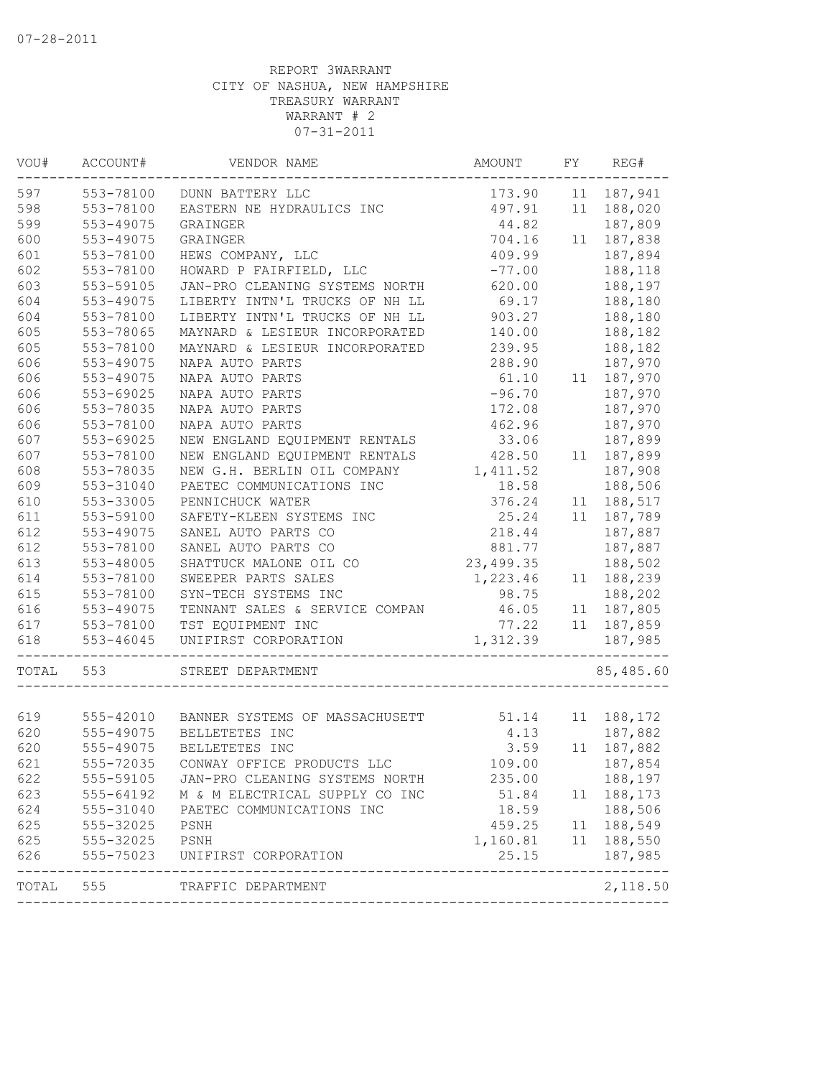| VOU#       | ACCOUNT#               | VENDOR NAME                              | AMOUNT          | FY | REG#                  |
|------------|------------------------|------------------------------------------|-----------------|----|-----------------------|
| 597        | 553-78100              | DUNN BATTERY LLC                         | 173.90          | 11 | 187,941               |
| 598        | 553-78100              | EASTERN NE HYDRAULICS INC                | 497.91          | 11 | 188,020               |
| 599        | 553-49075              | GRAINGER                                 | 44.82           |    | 187,809               |
| 600        | 553-49075              | GRAINGER                                 | 704.16          | 11 | 187,838               |
| 601        | 553-78100              | HEWS COMPANY, LLC                        | 409.99          |    | 187,894               |
| 602        | 553-78100              | HOWARD P FAIRFIELD, LLC                  | $-77.00$        |    | 188,118               |
| 603        | 553-59105              | JAN-PRO CLEANING SYSTEMS NORTH           | 620.00          |    | 188,197               |
| 604        | 553-49075              | LIBERTY INTN'L TRUCKS OF NH LL           | 69.17           |    | 188,180               |
| 604        | 553-78100              | LIBERTY INTN'L TRUCKS OF NH LL           | 903.27          |    | 188,180               |
| 605        | 553-78065              | MAYNARD & LESIEUR INCORPORATED           | 140.00          |    | 188,182               |
| 605        | 553-78100              | MAYNARD & LESIEUR INCORPORATED           | 239.95          |    | 188,182               |
| 606        | 553-49075              | NAPA AUTO PARTS                          | 288.90          |    | 187,970               |
| 606        | 553-49075              | NAPA AUTO PARTS                          | 61.10           |    | 11 187,970            |
| 606        | 553-69025              | NAPA AUTO PARTS                          | $-96.70$        |    | 187,970               |
| 606        | 553-78035              | NAPA AUTO PARTS                          | 172.08          |    | 187,970               |
| 606        | 553-78100              | NAPA AUTO PARTS                          | 462.96          |    | 187,970               |
| 607        | 553-69025              | NEW ENGLAND EQUIPMENT RENTALS            | 33.06           |    | 187,899               |
| 607        | 553-78100              | NEW ENGLAND EQUIPMENT RENTALS            | 428.50          | 11 | 187,899               |
| 608        | 553-78035              | NEW G.H. BERLIN OIL COMPANY              | 1,411.52        |    | 187,908               |
| 609        | 553-31040              | PAETEC COMMUNICATIONS INC                | 18.58           |    | 188,506               |
| 610        | 553-33005              | PENNICHUCK WATER                         | 376.24          | 11 | 188,517               |
| 611        | 553-59100              | SAFETY-KLEEN SYSTEMS INC                 | 25.24           | 11 | 187,789               |
| 612        | 553-49075              | SANEL AUTO PARTS CO                      | 218.44          |    | 187,887               |
| 612        | 553-78100              | SANEL AUTO PARTS CO                      | 881.77          |    | 187,887               |
| 613        | 553-48005              | SHATTUCK MALONE OIL CO                   | 23,499.35       |    | 188,502               |
| 614        | 553-78100              | SWEEPER PARTS SALES                      | 1,223.46        | 11 | 188,239               |
| 615        | 553-78100              | SYN-TECH SYSTEMS INC                     | 98.75           |    | 188,202               |
| 616        | 553-49075              | TENNANT SALES & SERVICE COMPAN           | 46.05           | 11 | 187,805               |
| 617        | 553-78100              | TST EQUIPMENT INC                        | 77.22           | 11 | 187,859               |
| 618        | 553-46045              | UNIFIRST CORPORATION                     | 1,312.39        |    | 187,985               |
| TOTAL      | 553                    | STREET DEPARTMENT                        |                 |    | 85,485.60             |
|            |                        |                                          |                 |    |                       |
| 619<br>620 | 555-49075              | 555-42010 BANNER SYSTEMS OF MASSACHUSETT | 51.14           |    | 11 188,172            |
| 620        | 555-49075              | BELLETETES INC<br>BELLETETES INC         | 4.13<br>3.59    | 11 | 187,882<br>187,882    |
| 621        |                        |                                          | 109.00          |    | 187,854               |
|            | 555-72035              | CONWAY OFFICE PRODUCTS LLC               |                 |    |                       |
| 622        | 555-59105              | JAN-PRO CLEANING SYSTEMS NORTH           | 235.00          |    | 188,197               |
| 623        | 555-64192              | M & M ELECTRICAL SUPPLY CO INC           | 51.84           |    | 11 188, 173           |
| 624<br>625 | 555-31040<br>555-32025 | PAETEC COMMUNICATIONS INC<br>PSNH        | 18.59<br>459.25 |    | 188,506<br>11 188,549 |
|            |                        |                                          | 1, 160.81       |    |                       |
| 625        | 555-32025              | PSNH                                     |                 |    | 11 188,550            |
| 626        | 555-75023              | UNIFIRST CORPORATION                     | 25.15           |    | 187,985               |
| TOTAL      | 555                    | TRAFFIC DEPARTMENT                       |                 |    | 2,118.50              |
|            |                        |                                          |                 |    |                       |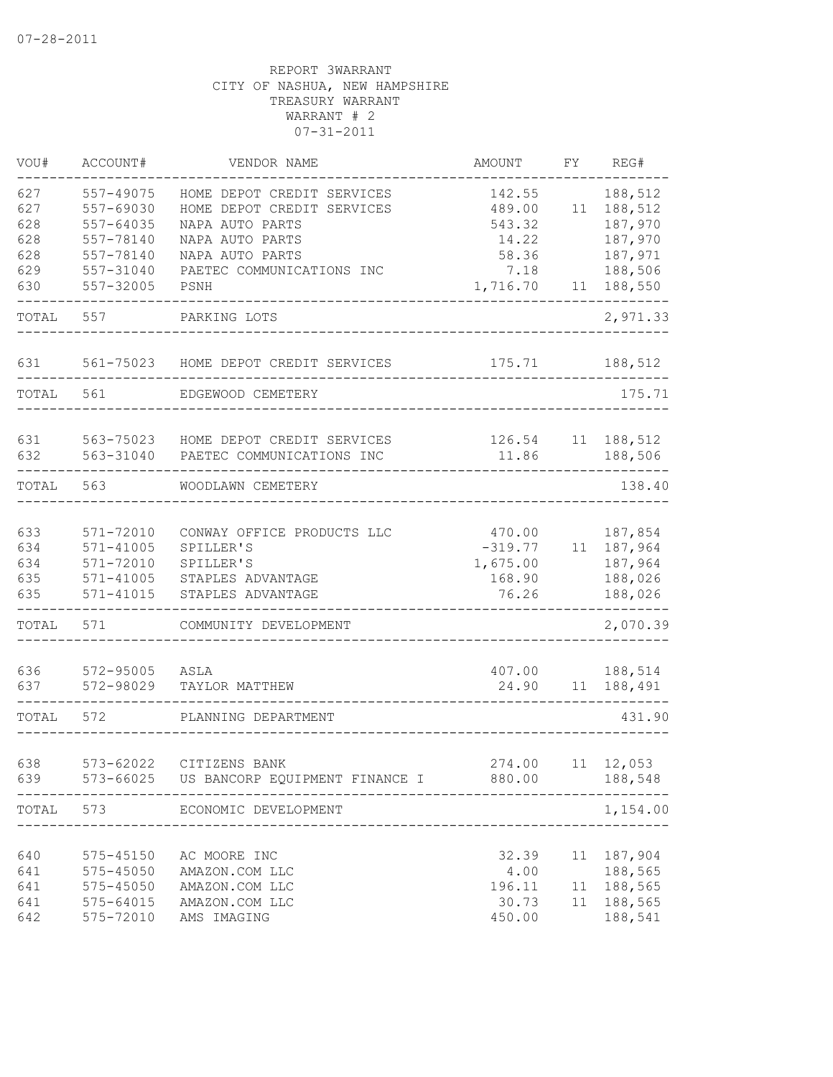| VOU#                            | ACCOUNT#                                                                  | VENDOR NAME                                                                                    | <b>AMOUNT</b>                                      | FY | REG#                                                         |
|---------------------------------|---------------------------------------------------------------------------|------------------------------------------------------------------------------------------------|----------------------------------------------------|----|--------------------------------------------------------------|
| 627<br>627<br>628<br>628        | 557-49075<br>557-69030<br>557-64035<br>557-78140                          | HOME DEPOT CREDIT SERVICES<br>HOME DEPOT CREDIT SERVICES<br>NAPA AUTO PARTS<br>NAPA AUTO PARTS | 142.55<br>489.00<br>543.32<br>14.22                | 11 | 188,512<br>188,512<br>187,970<br>187,970                     |
| 628                             | 557-78140                                                                 | NAPA AUTO PARTS                                                                                | 58.36                                              |    | 187,971                                                      |
| 629<br>630                      | 557-31040<br>557-32005                                                    | PAETEC COMMUNICATIONS INC<br>PSNH                                                              | 7.18<br>1,716.70                                   | 11 | 188,506<br>188,550                                           |
| TOTAL                           | 557                                                                       | PARKING LOTS                                                                                   |                                                    |    | 2,971.33                                                     |
| 631                             | 561-75023                                                                 | HOME DEPOT CREDIT SERVICES                                                                     | 175.71                                             |    | 188,512                                                      |
| TOTAL                           | 561                                                                       | EDGEWOOD CEMETERY                                                                              |                                                    |    | 175.71                                                       |
| 631<br>632                      | 563-75023<br>563-31040                                                    | HOME DEPOT CREDIT SERVICES<br>PAETEC COMMUNICATIONS INC                                        | 126.54<br>11.86                                    | 11 | 188,512<br>188,506                                           |
| TOTAL                           | 563                                                                       | WOODLAWN CEMETERY                                                                              |                                                    |    | 138.40                                                       |
| 633<br>634<br>634<br>635<br>635 | 571-72010<br>$571 - 41005$<br>571-72010<br>$571 - 41005$<br>$571 - 41015$ | CONWAY OFFICE PRODUCTS LLC<br>SPILLER'S<br>SPILLER'S<br>STAPLES ADVANTAGE<br>STAPLES ADVANTAGE | 470.00<br>$-319.77$<br>1,675.00<br>168.90<br>76.26 | 11 | 187,854<br>187,964<br>187,964<br>188,026<br>188,026          |
| TOTAL                           | 571                                                                       | COMMUNITY DEVELOPMENT                                                                          |                                                    |    | 2,070.39                                                     |
| 636<br>637                      | 572-95005<br>572-98029                                                    | ASLA<br>TAYLOR MATTHEW                                                                         | 407.00<br>24.90                                    | 11 | 188,514<br>188,491                                           |
| TOTAL                           | 572                                                                       | PLANNING DEPARTMENT                                                                            |                                                    |    | 431.90                                                       |
| 638<br>639                      | 573-62022                                                                 | CITIZENS BANK<br>573-66025 US BANCORP EQUIPMENT FINANCE I 880.00                               | 274.00<br>-----------------                        |    | $11 \quad 12,053$<br>188,548                                 |
| TOTAL                           | 573                                                                       | ECONOMIC DEVELOPMENT<br>-----------------------                                                |                                                    |    | 1,154.00                                                     |
| 640<br>641<br>641<br>641<br>642 | 575-45150<br>575-45050<br>575-45050<br>575-64015<br>575-72010             | AC MOORE INC<br>AMAZON.COM LLC<br>AMAZON.COM LLC<br>AMAZON.COM LLC<br>AMS IMAGING              | 32.39<br>4.00<br>196.11<br>30.73<br>450.00         |    | 11 187,904<br>188,565<br>11 188,565<br>11 188,565<br>188,541 |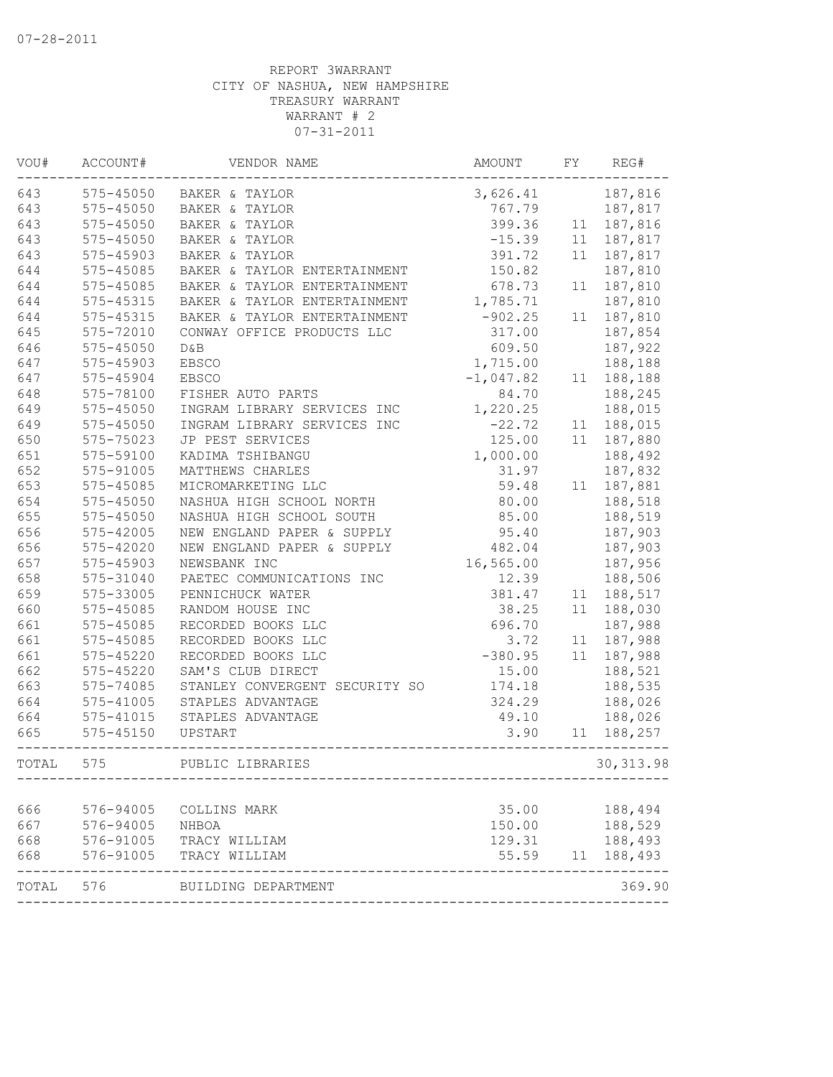| VOU#  | ACCOUNT#      | VENDOR NAME                    | AMOUNT      | ${\rm FY}$ | REG#       |
|-------|---------------|--------------------------------|-------------|------------|------------|
| 643   | 575-45050     | BAKER & TAYLOR                 | 3,626.41    |            | 187,816    |
| 643   | $575 - 45050$ | BAKER & TAYLOR                 | 767.79      |            | 187,817    |
| 643   | 575-45050     | BAKER & TAYLOR                 | 399.36      | 11         | 187,816    |
| 643   | 575-45050     | BAKER & TAYLOR                 | $-15.39$    | 11         | 187,817    |
| 643   | 575-45903     | BAKER & TAYLOR                 | 391.72      | 11         | 187,817    |
| 644   | 575-45085     | BAKER & TAYLOR ENTERTAINMENT   | 150.82      |            | 187,810    |
| 644   | 575-45085     | BAKER & TAYLOR ENTERTAINMENT   | 678.73      | 11         | 187,810    |
| 644   | 575-45315     | BAKER & TAYLOR ENTERTAINMENT   | 1,785.71    |            | 187,810    |
| 644   | 575-45315     | BAKER & TAYLOR ENTERTAINMENT   | $-902.25$   | 11         | 187,810    |
| 645   | 575-72010     | CONWAY OFFICE PRODUCTS LLC     | 317.00      |            | 187,854    |
| 646   | 575-45050     | D&B                            | 609.50      |            | 187,922    |
| 647   | 575-45903     | <b>EBSCO</b>                   | 1,715.00    |            | 188,188    |
| 647   | 575-45904     | <b>EBSCO</b>                   | $-1,047.82$ | 11         | 188,188    |
| 648   | 575-78100     | FISHER AUTO PARTS              | 84.70       |            | 188,245    |
| 649   | $575 - 45050$ | INGRAM LIBRARY SERVICES INC    | 1,220.25    |            | 188,015    |
| 649   | 575-45050     | INGRAM LIBRARY SERVICES INC    | $-22.72$    | 11         | 188,015    |
| 650   | 575-75023     | JP PEST SERVICES               | 125.00      | 11         | 187,880    |
| 651   | 575-59100     | KADIMA TSHIBANGU               | 1,000.00    |            | 188,492    |
| 652   | 575-91005     | MATTHEWS CHARLES               | 31.97       |            | 187,832    |
| 653   | 575-45085     | MICROMARKETING LLC             | 59.48       | 11         | 187,881    |
| 654   | 575-45050     | NASHUA HIGH SCHOOL NORTH       | 80.00       |            | 188,518    |
| 655   | 575-45050     | NASHUA HIGH SCHOOL SOUTH       | 85.00       |            | 188,519    |
| 656   | 575-42005     | NEW ENGLAND PAPER & SUPPLY     | 95.40       |            | 187,903    |
| 656   | $575 - 42020$ | NEW ENGLAND PAPER & SUPPLY     | 482.04      |            | 187,903    |
| 657   | 575-45903     | NEWSBANK INC                   | 16,565.00   |            | 187,956    |
| 658   | 575-31040     | PAETEC COMMUNICATIONS INC      | 12.39       |            | 188,506    |
| 659   | 575-33005     | PENNICHUCK WATER               | 381.47      | 11         | 188,517    |
| 660   | 575-45085     | RANDOM HOUSE INC               | 38.25       | 11         | 188,030    |
| 661   | 575-45085     | RECORDED BOOKS LLC             | 696.70      |            | 187,988    |
| 661   | 575-45085     | RECORDED BOOKS LLC             | 3.72        | 11         | 187,988    |
| 661   | 575-45220     | RECORDED BOOKS LLC             | $-380.95$   | 11         | 187,988    |
| 662   | 575-45220     | SAM'S CLUB DIRECT              | 15.00       |            | 188,521    |
| 663   | 575-74085     | STANLEY CONVERGENT SECURITY SO | 174.18      |            | 188,535    |
| 664   | 575-41005     | STAPLES ADVANTAGE              | 324.29      |            | 188,026    |
| 664   | $575 - 41015$ | STAPLES ADVANTAGE              | 49.10       |            | 188,026    |
| 665   | $575 - 45150$ | UPSTART                        | 3.90        | 11         | 188,257    |
| TOTAL | 575           | PUBLIC LIBRARIES               |             |            | 30, 313.98 |
|       |               |                                |             |            |            |
| 666   | 576-94005     | COLLINS MARK                   | 35.00       |            | 188,494    |
| 667   | 576-94005     | NHBOA                          | 150.00      |            | 188,529    |
| 668   | 576-91005     | TRACY WILLIAM                  | 129.31      |            | 188,493    |
| 668   | 576-91005     | TRACY WILLIAM                  | 55.59       |            | 11 188,493 |
| TOTAL | 576           | BUILDING DEPARTMENT            |             |            | 369.90     |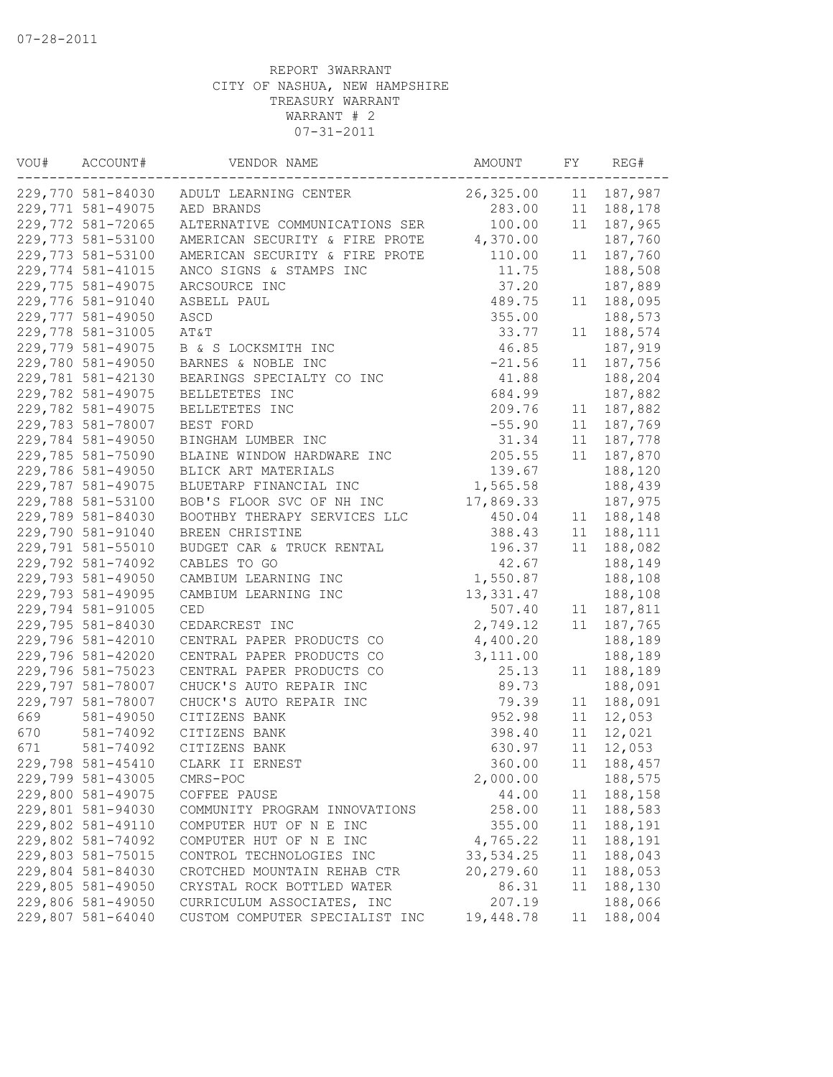| VOU# | ACCOUNT#          | VENDOR NAME                      | AMOUNT     | FY | REG#        |
|------|-------------------|----------------------------------|------------|----|-------------|
|      | 229,770 581-84030 | ADULT LEARNING CENTER            | 26,325.00  |    | 11 187,987  |
|      | 229,771 581-49075 | AED BRANDS                       | 283.00     |    | 11 188,178  |
|      | 229,772 581-72065 | ALTERNATIVE COMMUNICATIONS SER   | 100.00     | 11 | 187,965     |
|      | 229,773 581-53100 | AMERICAN SECURITY & FIRE PROTE   | 4,370.00   |    | 187,760     |
|      | 229,773 581-53100 | AMERICAN SECURITY & FIRE PROTE   | 110.00     | 11 | 187,760     |
|      | 229,774 581-41015 | ANCO SIGNS & STAMPS INC          | 11.75      |    | 188,508     |
|      | 229,775 581-49075 | ARCSOURCE INC                    | 37.20      |    | 187,889     |
|      | 229,776 581-91040 | ASBELL PAUL                      | 489.75     | 11 | 188,095     |
|      | 229,777 581-49050 | ASCD                             | 355.00     |    | 188,573     |
|      | 229,778 581-31005 | AT&T                             | 33.77      | 11 | 188,574     |
|      | 229,779 581-49075 | B & S LOCKSMITH INC              | 46.85      |    | 187,919     |
|      | 229,780 581-49050 | BARNES & NOBLE INC               | $-21.56$   | 11 | 187,756     |
|      | 229,781 581-42130 | BEARINGS SPECIALTY CO INC        | 41.88      |    | 188,204     |
|      | 229,782 581-49075 | BELLETETES INC                   | 684.99     |    | 187,882     |
|      | 229,782 581-49075 | BELLETETES INC                   | 209.76     | 11 | 187,882     |
|      | 229,783 581-78007 | BEST FORD                        | $-55.90$   | 11 | 187,769     |
|      | 229,784 581-49050 | BINGHAM LUMBER INC               | 31.34      |    | 11 187,778  |
|      | 229,785 581-75090 | BLAINE WINDOW HARDWARE INC       | 205.55     | 11 | 187,870     |
|      | 229,786 581-49050 | BLICK ART MATERIALS              | 139.67     |    | 188,120     |
|      | 229,787 581-49075 | BLUETARP FINANCIAL INC           | 1,565.58   |    | 188,439     |
|      | 229,788 581-53100 | BOB'S FLOOR SVC OF NH INC        | 17,869.33  |    | 187,975     |
|      | 229,789 581-84030 | BOOTHBY THERAPY SERVICES LLC     | 450.04     | 11 | 188,148     |
|      | 229,790 581-91040 | BREEN CHRISTINE                  | 388.43     |    | 11 188, 111 |
|      | 229,791 581-55010 | BUDGET CAR & TRUCK RENTAL        | 196.37     | 11 | 188,082     |
|      | 229,792 581-74092 | CABLES TO GO                     | 42.67      |    | 188,149     |
|      | 229,793 581-49050 | CAMBIUM LEARNING INC             | 1,550.87   |    | 188,108     |
|      | 229,793 581-49095 | CAMBIUM LEARNING INC             | 13, 331.47 |    | 188,108     |
|      | 229,794 581-91005 | $\mathbb{C}\mathbf{E}\mathbf{D}$ | 507.40     | 11 | 187,811     |
|      | 229,795 581-84030 | CEDARCREST INC                   | 2,749.12   | 11 | 187,765     |
|      | 229,796 581-42010 | CENTRAL PAPER PRODUCTS CO        | 4,400.20   |    | 188,189     |
|      | 229,796 581-42020 | CENTRAL PAPER PRODUCTS CO        | 3,111.00   |    | 188,189     |
|      | 229,796 581-75023 | CENTRAL PAPER PRODUCTS CO        | 25.13      | 11 | 188,189     |
|      | 229,797 581-78007 | CHUCK'S AUTO REPAIR INC          | 89.73      |    | 188,091     |
|      | 229,797 581-78007 | CHUCK'S AUTO REPAIR INC          | 79.39      | 11 | 188,091     |
| 669  | 581-49050         | CITIZENS BANK                    | 952.98     | 11 | 12,053      |
| 670  | 581-74092         | CITIZENS BANK                    | 398.40     | 11 | 12,021      |
| 671  | 581-74092         | CITIZENS BANK                    | 630.97     | 11 | 12,053      |
|      | 229,798 581-45410 | CLARK II ERNEST                  | 360.00     | 11 | 188,457     |
|      | 229,799 581-43005 | CMRS-POC                         | 2,000.00   |    | 188,575     |
|      | 229,800 581-49075 | COFFEE PAUSE                     | 44.00      | 11 | 188,158     |
|      | 229,801 581-94030 | COMMUNITY PROGRAM INNOVATIONS    | 258.00     | 11 | 188,583     |
|      | 229,802 581-49110 | COMPUTER HUT OF N E INC          | 355.00     | 11 | 188,191     |
|      | 229,802 581-74092 | COMPUTER HUT OF N E INC          | 4,765.22   | 11 | 188,191     |
|      | 229,803 581-75015 | CONTROL TECHNOLOGIES INC         | 33,534.25  | 11 | 188,043     |
|      | 229,804 581-84030 | CROTCHED MOUNTAIN REHAB CTR      | 20,279.60  | 11 | 188,053     |
|      | 229,805 581-49050 | CRYSTAL ROCK BOTTLED WATER       | 86.31      | 11 | 188,130     |
|      | 229,806 581-49050 | CURRICULUM ASSOCIATES, INC       | 207.19     |    | 188,066     |
|      | 229,807 581-64040 | CUSTOM COMPUTER SPECIALIST INC   | 19,448.78  | 11 | 188,004     |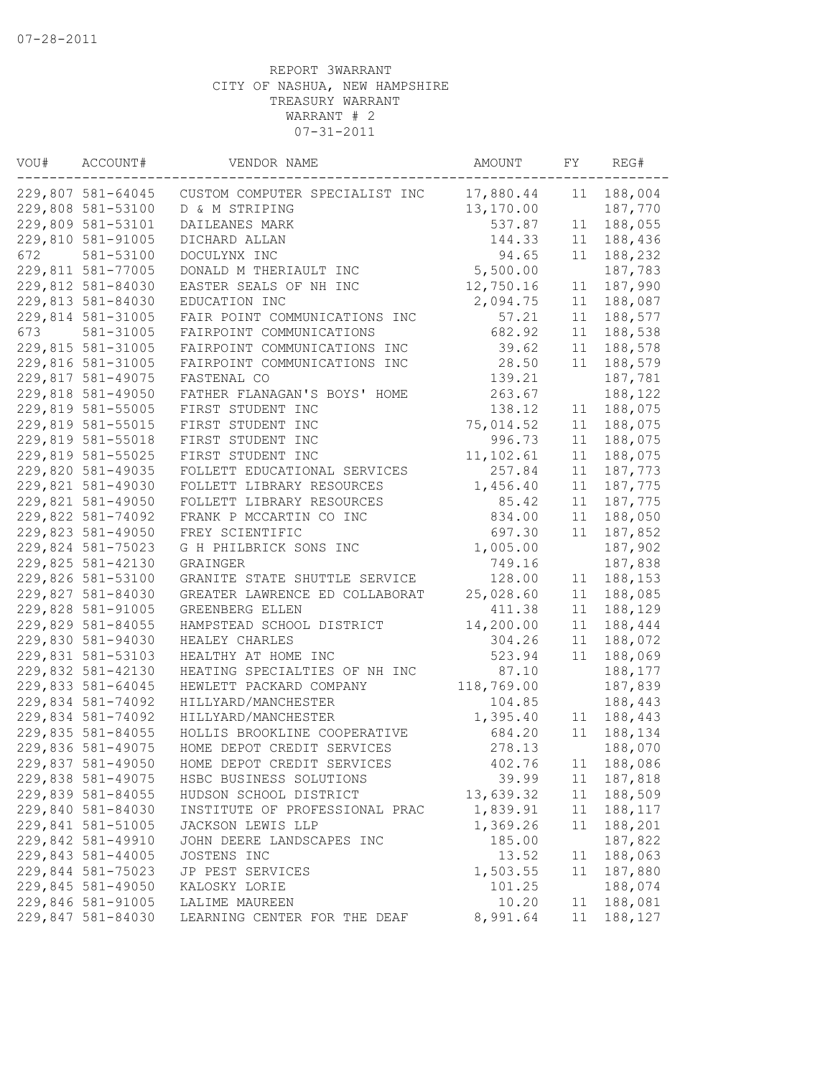| VOU# | ACCOUNT#          | VENDOR NAME                    | AMOUNT     | FY | REG#       |
|------|-------------------|--------------------------------|------------|----|------------|
|      | 229,807 581-64045 | CUSTOM COMPUTER SPECIALIST INC | 17,880.44  | 11 | 188,004    |
|      | 229,808 581-53100 | D & M STRIPING                 | 13,170.00  |    | 187,770    |
|      | 229,809 581-53101 | DAILEANES MARK                 | 537.87     | 11 | 188,055    |
|      | 229,810 581-91005 | DICHARD ALLAN                  | 144.33     | 11 | 188,436    |
| 672  | 581-53100         | DOCULYNX INC                   | 94.65      | 11 | 188,232    |
|      | 229,811 581-77005 | DONALD M THERIAULT INC         | 5,500.00   |    | 187,783    |
|      | 229,812 581-84030 | EASTER SEALS OF NH INC         | 12,750.16  | 11 | 187,990    |
|      | 229,813 581-84030 | EDUCATION INC                  | 2,094.75   | 11 | 188,087    |
|      | 229,814 581-31005 | FAIR POINT COMMUNICATIONS INC  | 57.21      | 11 | 188,577    |
| 673  | 581-31005         | FAIRPOINT COMMUNICATIONS       | 682.92     | 11 | 188,538    |
|      | 229,815 581-31005 | FAIRPOINT COMMUNICATIONS INC   | 39.62      | 11 | 188,578    |
|      | 229,816 581-31005 | FAIRPOINT COMMUNICATIONS INC   | 28.50      | 11 | 188,579    |
|      | 229,817 581-49075 | FASTENAL CO                    | 139.21     |    | 187,781    |
|      | 229,818 581-49050 | FATHER FLANAGAN'S BOYS' HOME   | 263.67     |    | 188,122    |
|      | 229,819 581-55005 | FIRST STUDENT INC              | 138.12     | 11 | 188,075    |
|      | 229,819 581-55015 | FIRST STUDENT INC              | 75,014.52  | 11 | 188,075    |
|      | 229,819 581-55018 | FIRST STUDENT INC              | 996.73     | 11 | 188,075    |
|      | 229,819 581-55025 | FIRST STUDENT INC              | 11,102.61  | 11 | 188,075    |
|      | 229,820 581-49035 | FOLLETT EDUCATIONAL SERVICES   | 257.84     | 11 | 187,773    |
|      | 229,821 581-49030 | FOLLETT LIBRARY RESOURCES      | 1,456.40   | 11 | 187,775    |
|      | 229,821 581-49050 | FOLLETT LIBRARY RESOURCES      | 85.42      | 11 | 187,775    |
|      | 229,822 581-74092 | FRANK P MCCARTIN CO INC        | 834.00     | 11 | 188,050    |
|      | 229,823 581-49050 | FREY SCIENTIFIC                | 697.30     | 11 | 187,852    |
|      | 229,824 581-75023 | G H PHILBRICK SONS INC         | 1,005.00   |    | 187,902    |
|      | 229,825 581-42130 | GRAINGER                       | 749.16     |    | 187,838    |
|      | 229,826 581-53100 | GRANITE STATE SHUTTLE SERVICE  | 128.00     | 11 | 188,153    |
|      | 229,827 581-84030 | GREATER LAWRENCE ED COLLABORAT | 25,028.60  | 11 | 188,085    |
|      | 229,828 581-91005 | GREENBERG ELLEN                | 411.38     | 11 | 188,129    |
|      | 229,829 581-84055 | HAMPSTEAD SCHOOL DISTRICT      | 14,200.00  | 11 | 188,444    |
|      | 229,830 581-94030 | HEALEY CHARLES                 | 304.26     | 11 | 188,072    |
|      | 229,831 581-53103 | HEALTHY AT HOME INC            | 523.94     | 11 | 188,069    |
|      | 229,832 581-42130 | HEATING SPECIALTIES OF NH INC  | 87.10      |    | 188,177    |
|      | 229,833 581-64045 | HEWLETT PACKARD COMPANY        | 118,769.00 |    | 187,839    |
|      | 229,834 581-74092 | HILLYARD/MANCHESTER            | 104.85     |    | 188,443    |
|      | 229,834 581-74092 | HILLYARD/MANCHESTER            | 1,395.40   | 11 | 188,443    |
|      | 229,835 581-84055 | HOLLIS BROOKLINE COOPERATIVE   | 684.20     | 11 | 188,134    |
|      | 229,836 581-49075 | HOME DEPOT CREDIT SERVICES     | 278.13     |    | 188,070    |
|      | 229,837 581-49050 | HOME DEPOT CREDIT SERVICES     | 402.76     |    | 11 188,086 |
|      | 229,838 581-49075 | HSBC BUSINESS SOLUTIONS        | 39.99      | 11 | 187,818    |
|      | 229,839 581-84055 | HUDSON SCHOOL DISTRICT         | 13,639.32  | 11 | 188,509    |
|      | 229,840 581-84030 | INSTITUTE OF PROFESSIONAL PRAC | 1,839.91   | 11 | 188,117    |
|      | 229,841 581-51005 | JACKSON LEWIS LLP              | 1,369.26   | 11 | 188,201    |
|      | 229,842 581-49910 | JOHN DEERE LANDSCAPES INC      | 185.00     |    | 187,822    |
|      | 229,843 581-44005 | JOSTENS INC                    | 13.52      | 11 | 188,063    |
|      | 229,844 581-75023 | JP PEST SERVICES               | 1,503.55   | 11 | 187,880    |
|      | 229,845 581-49050 | KALOSKY LORIE                  | 101.25     |    | 188,074    |
|      | 229,846 581-91005 |                                |            |    | 188,081    |
|      | 229,847 581-84030 | LALIME MAUREEN                 | 10.20      | 11 |            |
|      |                   | LEARNING CENTER FOR THE DEAF   | 8,991.64   | 11 | 188,127    |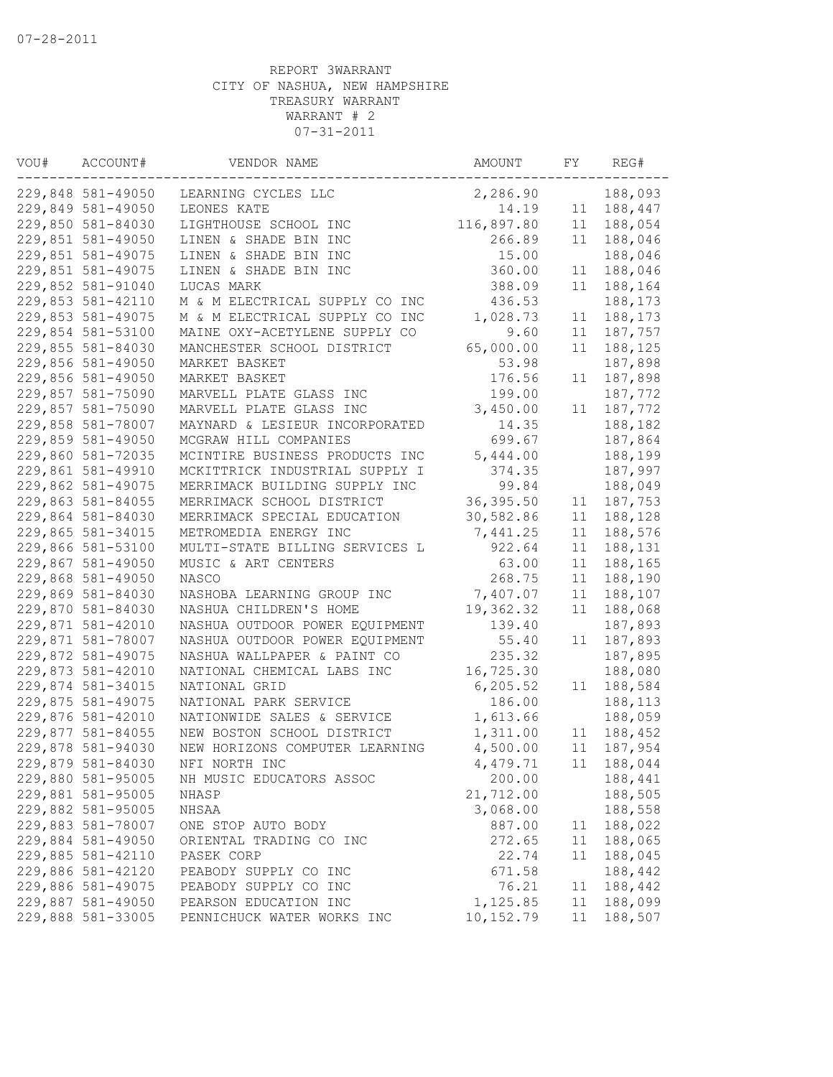| VOU# | ACCOUNT#          | VENDOR NAME                    | AMOUNT     | FY | REG#    |
|------|-------------------|--------------------------------|------------|----|---------|
|      | 229,848 581-49050 | LEARNING CYCLES LLC            | 2,286.90   |    | 188,093 |
|      | 229,849 581-49050 | LEONES KATE                    | 14.19      | 11 | 188,447 |
|      | 229,850 581-84030 | LIGHTHOUSE SCHOOL INC          | 116,897.80 | 11 | 188,054 |
|      | 229,851 581-49050 | LINEN & SHADE BIN INC          | 266.89     | 11 | 188,046 |
|      | 229,851 581-49075 | LINEN & SHADE BIN INC          | 15.00      |    | 188,046 |
|      | 229,851 581-49075 | LINEN & SHADE BIN INC          | 360.00     | 11 | 188,046 |
|      | 229,852 581-91040 | LUCAS MARK                     | 388.09     | 11 | 188,164 |
|      | 229,853 581-42110 | M & M ELECTRICAL SUPPLY CO INC | 436.53     |    | 188,173 |
|      | 229,853 581-49075 | M & M ELECTRICAL SUPPLY CO INC | 1,028.73   | 11 | 188,173 |
|      | 229,854 581-53100 | MAINE OXY-ACETYLENE SUPPLY CO  | 9.60       | 11 | 187,757 |
|      | 229,855 581-84030 | MANCHESTER SCHOOL DISTRICT     | 65,000.00  | 11 | 188,125 |
|      | 229,856 581-49050 | MARKET BASKET                  | 53.98      |    | 187,898 |
|      | 229,856 581-49050 | MARKET BASKET                  | 176.56     | 11 | 187,898 |
|      | 229,857 581-75090 | MARVELL PLATE GLASS INC        | 199.00     |    | 187,772 |
|      | 229,857 581-75090 | MARVELL PLATE GLASS INC        | 3,450.00   | 11 | 187,772 |
|      | 229,858 581-78007 | MAYNARD & LESIEUR INCORPORATED | 14.35      |    | 188,182 |
|      | 229,859 581-49050 | MCGRAW HILL COMPANIES          | 699.67     |    | 187,864 |
|      | 229,860 581-72035 | MCINTIRE BUSINESS PRODUCTS INC | 5,444.00   |    | 188,199 |
|      | 229,861 581-49910 | MCKITTRICK INDUSTRIAL SUPPLY I | 374.35     |    | 187,997 |
|      | 229,862 581-49075 | MERRIMACK BUILDING SUPPLY INC  | 99.84      |    | 188,049 |
|      | 229,863 581-84055 | MERRIMACK SCHOOL DISTRICT      | 36,395.50  | 11 | 187,753 |
|      | 229,864 581-84030 | MERRIMACK SPECIAL EDUCATION    | 30,582.86  | 11 | 188,128 |
|      | 229,865 581-34015 | METROMEDIA ENERGY INC          | 7,441.25   | 11 | 188,576 |
|      | 229,866 581-53100 | MULTI-STATE BILLING SERVICES L | 922.64     | 11 | 188,131 |
|      | 229,867 581-49050 | MUSIC & ART CENTERS            | 63.00      | 11 | 188,165 |
|      | 229,868 581-49050 | NASCO                          | 268.75     | 11 | 188,190 |
|      | 229,869 581-84030 | NASHOBA LEARNING GROUP INC     | 7,407.07   | 11 | 188,107 |
|      | 229,870 581-84030 | NASHUA CHILDREN'S HOME         | 19,362.32  | 11 | 188,068 |
|      | 229,871 581-42010 | NASHUA OUTDOOR POWER EQUIPMENT | 139.40     |    | 187,893 |
|      | 229,871 581-78007 | NASHUA OUTDOOR POWER EQUIPMENT | 55.40      | 11 | 187,893 |
|      | 229,872 581-49075 | NASHUA WALLPAPER & PAINT CO    | 235.32     |    | 187,895 |
|      | 229,873 581-42010 | NATIONAL CHEMICAL LABS INC     | 16,725.30  |    | 188,080 |
|      | 229,874 581-34015 | NATIONAL GRID                  | 6, 205.52  | 11 | 188,584 |
|      | 229,875 581-49075 | NATIONAL PARK SERVICE          | 186.00     |    | 188,113 |
|      | 229,876 581-42010 | NATIONWIDE SALES & SERVICE     | 1,613.66   |    | 188,059 |
|      | 229,877 581-84055 | NEW BOSTON SCHOOL DISTRICT     | 1,311.00   | 11 | 188,452 |
|      | 229,878 581-94030 | NEW HORIZONS COMPUTER LEARNING | 4,500.00   | 11 | 187,954 |
|      | 229,879 581-84030 | NFI NORTH INC                  | 4,479.71   | 11 | 188,044 |
|      | 229,880 581-95005 | NH MUSIC EDUCATORS ASSOC       | 200.00     |    | 188,441 |
|      | 229,881 581-95005 | NHASP                          | 21,712.00  |    | 188,505 |
|      | 229,882 581-95005 | NHSAA                          | 3,068.00   |    | 188,558 |
|      | 229,883 581-78007 | ONE STOP AUTO BODY             | 887.00     | 11 | 188,022 |
|      | 229,884 581-49050 | ORIENTAL TRADING CO INC        | 272.65     | 11 | 188,065 |
|      | 229,885 581-42110 | PASEK CORP                     | 22.74      | 11 | 188,045 |
|      | 229,886 581-42120 | PEABODY SUPPLY CO INC          | 671.58     |    | 188,442 |
|      | 229,886 581-49075 | PEABODY SUPPLY CO INC          | 76.21      | 11 | 188,442 |
|      | 229,887 581-49050 | PEARSON EDUCATION INC          | 1,125.85   | 11 | 188,099 |
|      | 229,888 581-33005 | PENNICHUCK WATER WORKS INC     | 10, 152.79 | 11 | 188,507 |
|      |                   |                                |            |    |         |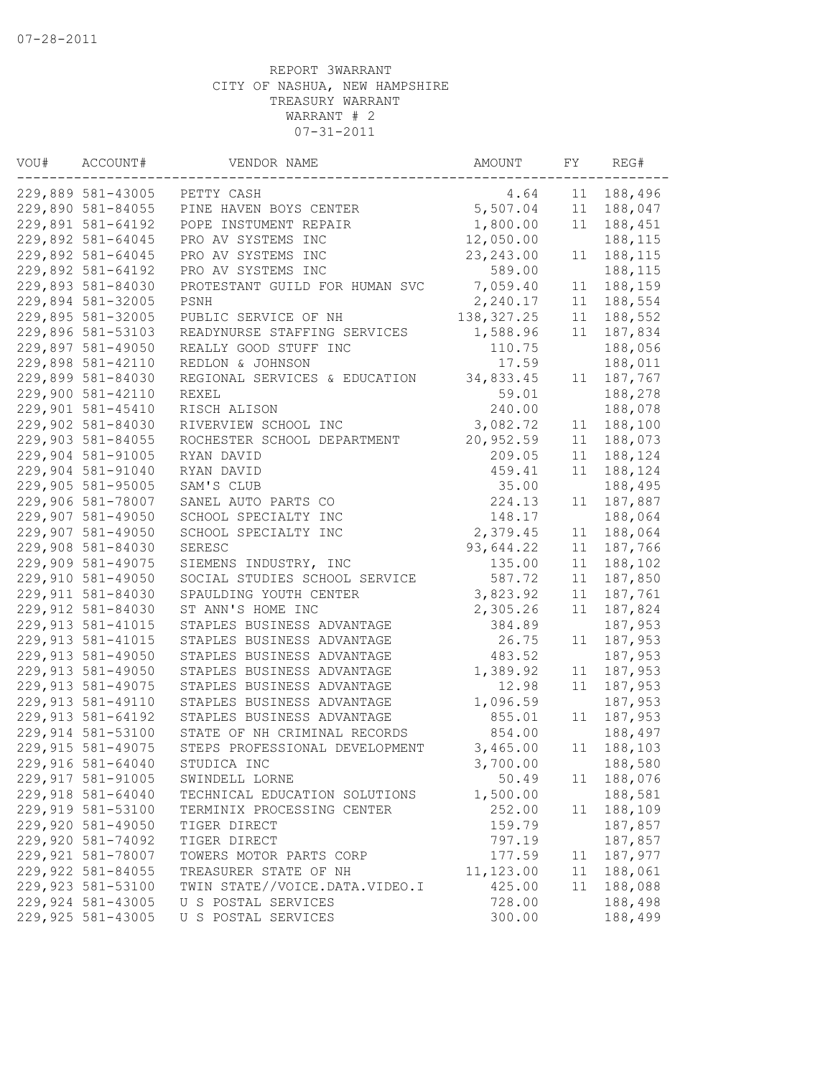| VOU# | ACCOUNT#                                | VENDOR NAME                                              | AMOUNT      | FY       | REG#    |
|------|-----------------------------------------|----------------------------------------------------------|-------------|----------|---------|
|      | 229,889 581-43005                       | PETTY CASH                                               | 4.64        | 11       | 188,496 |
|      | 229,890 581-84055                       | PINE HAVEN BOYS CENTER                                   | 5,507.04    | 11       | 188,047 |
|      | 229,891 581-64192                       | POPE INSTUMENT REPAIR                                    | 1,800.00    | 11       | 188,451 |
|      | 229,892 581-64045                       | PRO AV SYSTEMS INC                                       | 12,050.00   |          | 188,115 |
|      | 229,892 581-64045                       | PRO AV SYSTEMS INC                                       | 23, 243.00  | 11       | 188,115 |
|      | 229,892 581-64192                       | PRO AV SYSTEMS INC                                       | 589.00      |          | 188,115 |
|      | 229,893 581-84030                       | PROTESTANT GUILD FOR HUMAN SVC                           | 7,059.40    | 11       | 188,159 |
|      | 229,894 581-32005                       | PSNH                                                     | 2,240.17    | 11       | 188,554 |
|      | 229,895 581-32005                       | PUBLIC SERVICE OF NH                                     | 138, 327.25 | 11       | 188,552 |
|      | 229,896 581-53103                       | READYNURSE STAFFING SERVICES                             | 1,588.96    | 11       | 187,834 |
|      | 229,897 581-49050                       | REALLY GOOD STUFF INC                                    | 110.75      |          | 188,056 |
|      | 229,898 581-42110                       | REDLON & JOHNSON                                         | 17.59       |          | 188,011 |
|      | 229,899 581-84030                       | REGIONAL SERVICES & EDUCATION                            | 34,833.45   | 11       | 187,767 |
|      | 229,900 581-42110                       | <b>REXEL</b>                                             | 59.01       |          | 188,278 |
|      | 229,901 581-45410                       | RISCH ALISON                                             | 240.00      |          | 188,078 |
|      | 229,902 581-84030                       | RIVERVIEW SCHOOL INC                                     | 3,082.72    | 11       | 188,100 |
|      | 229,903 581-84055                       | ROCHESTER SCHOOL DEPARTMENT                              | 20,952.59   | 11       | 188,073 |
|      | 229,904 581-91005                       | RYAN DAVID                                               | 209.05      | 11       | 188,124 |
|      | 229,904 581-91040                       | RYAN DAVID                                               | 459.41      | 11       | 188,124 |
|      | 229,905 581-95005                       | SAM'S CLUB                                               | 35.00       |          | 188,495 |
|      | 229,906 581-78007                       | SANEL AUTO PARTS CO                                      | 224.13      | 11       | 187,887 |
|      | 229,907 581-49050                       | SCHOOL SPECIALTY INC                                     | 148.17      |          | 188,064 |
|      | 229,907 581-49050                       | SCHOOL SPECIALTY INC                                     | 2,379.45    | 11       | 188,064 |
|      | 229,908 581-84030                       | SERESC                                                   | 93,644.22   | 11       | 187,766 |
|      | 229,909 581-49075                       | SIEMENS INDUSTRY, INC                                    | 135.00      | 11       | 188,102 |
|      | 229,910 581-49050                       | SOCIAL STUDIES SCHOOL SERVICE                            | 587.72      | 11       | 187,850 |
|      | 229,911 581-84030                       | SPAULDING YOUTH CENTER                                   | 3,823.92    | 11       | 187,761 |
|      | 229,912 581-84030                       | ST ANN'S HOME INC                                        | 2,305.26    | 11       | 187,824 |
|      | 229, 913 581-41015                      | STAPLES BUSINESS ADVANTAGE                               | 384.89      |          | 187,953 |
|      | 229, 913 581-41015                      | STAPLES BUSINESS ADVANTAGE                               | 26.75       | 11       | 187,953 |
|      | 229,913 581-49050                       | STAPLES BUSINESS ADVANTAGE                               | 483.52      |          | 187,953 |
|      | 229, 913 581-49050                      |                                                          | 1,389.92    |          | 187,953 |
|      |                                         | STAPLES BUSINESS ADVANTAGE<br>STAPLES BUSINESS ADVANTAGE | 12.98       | 11<br>11 |         |
|      | 229, 913 581-49075<br>229,913 581-49110 |                                                          |             |          | 187,953 |
|      | 229, 913 581-64192                      | STAPLES BUSINESS ADVANTAGE                               | 1,096.59    |          | 187,953 |
|      |                                         | STAPLES BUSINESS ADVANTAGE                               | 855.01      | 11       | 187,953 |
|      | 229,914 581-53100                       | STATE OF NH CRIMINAL RECORDS                             | 854.00      |          | 188,497 |
|      | 229, 915 581-49075                      | STEPS PROFESSIONAL DEVELOPMENT                           | 3,465.00    | 11       | 188,103 |
|      | 229,916 581-64040                       | STUDICA INC                                              | 3,700.00    |          | 188,580 |
|      | 229, 917 581-91005                      | SWINDELL LORNE                                           | 50.49       | 11       | 188,076 |
|      | 229,918 581-64040                       | TECHNICAL EDUCATION SOLUTIONS                            | 1,500.00    |          | 188,581 |
|      | 229,919 581-53100                       | TERMINIX PROCESSING CENTER                               | 252.00      | 11       | 188,109 |
|      | 229,920 581-49050                       | TIGER DIRECT                                             | 159.79      |          | 187,857 |
|      | 229,920 581-74092                       | TIGER DIRECT                                             | 797.19      |          | 187,857 |
|      | 229,921 581-78007                       | TOWERS MOTOR PARTS CORP                                  | 177.59      | 11       | 187,977 |
|      | 229,922 581-84055                       | TREASURER STATE OF NH                                    | 11, 123.00  | 11       | 188,061 |
|      | 229,923 581-53100                       | TWIN STATE//VOICE.DATA.VIDEO.I                           | 425.00      | 11       | 188,088 |
|      | 229,924 581-43005                       | U S POSTAL SERVICES                                      | 728.00      |          | 188,498 |
|      | 229,925 581-43005                       | U S POSTAL SERVICES                                      | 300.00      |          | 188,499 |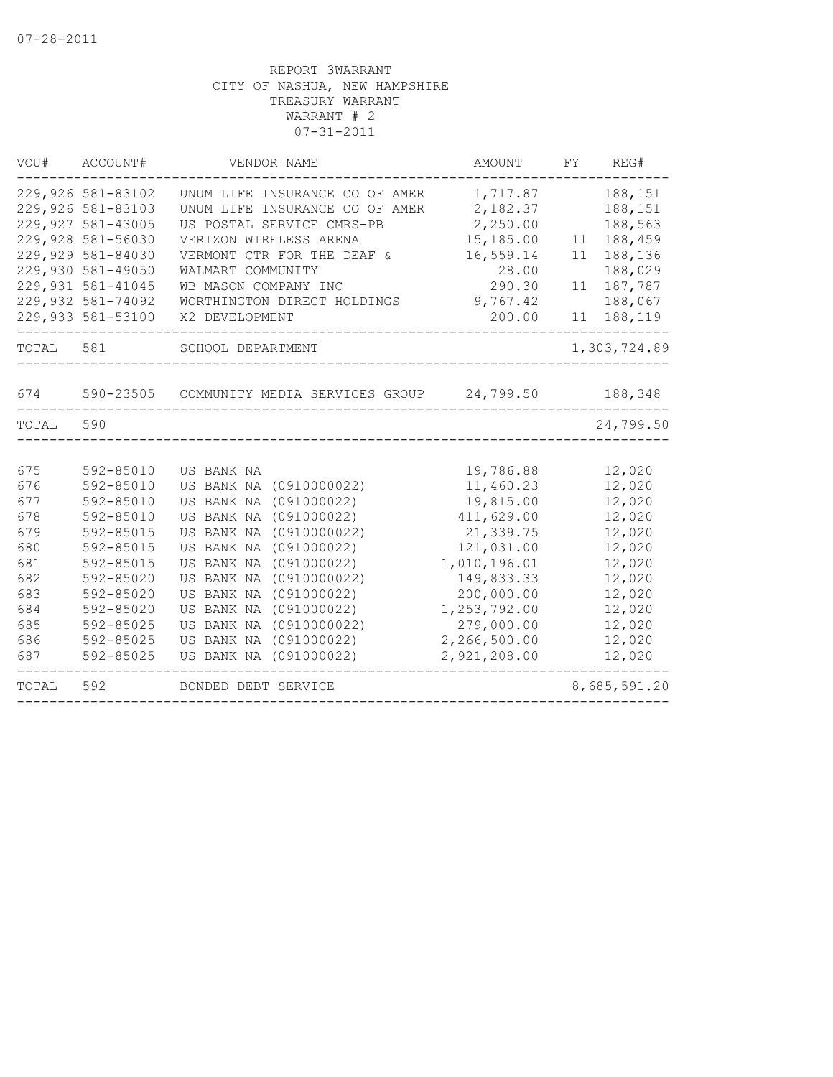| TOTAL      | 592                                    | BONDED DEBT SERVICE                                         |                         |    | 8,685,591.20       |
|------------|----------------------------------------|-------------------------------------------------------------|-------------------------|----|--------------------|
| 687        | 592-85025                              | US BANK NA (091000022)                                      | 2,921,208.00            |    | 12,020             |
| 686        | 592-85025                              | US BANK NA<br>(091000022)                                   | 2,266,500.00            |    | 12,020             |
| 685        | 592-85025                              | (0910000022)<br>US BANK NA                                  | 279,000.00              |    | 12,020             |
| 684        | 592-85020                              | US BANK NA<br>(091000022)                                   | 1,253,792.00            |    | 12,020             |
| 683        | 592-85020                              | US BANK NA<br>(091000022)                                   | 200,000.00              |    | 12,020             |
| 682        | 592-85020                              | US BANK NA<br>(0910000022)                                  | 149,833.33              |    | 12,020             |
| 681        | 592-85015                              | US BANK NA<br>(091000022)                                   | 1,010,196.01            |    | 12,020             |
| 680        | 592-85015                              | US BANK NA<br>(091000022)                                   | 121,031.00              |    | 12,020             |
| 679        | 592-85015                              | US BANK NA<br>(0910000022)                                  | 21,339.75               |    | 12,020             |
| 677<br>678 | 592-85010<br>592-85010                 | US BANK NA<br>(091000022)<br>US BANK NA<br>(091000022)      | 19,815.00<br>411,629.00 |    | 12,020<br>12,020   |
| 676        | 592-85010                              | US BANK NA<br>(0910000022)                                  | 11,460.23               |    | 12,020             |
| 675        | 592-85010                              | US BANK NA                                                  | 19,786.88               |    | 12,020             |
|            |                                        |                                                             |                         |    |                    |
| TOTAL      | 590                                    |                                                             |                         |    | 24,799.50          |
| 674        | 590-23505                              | COMMUNITY MEDIA SERVICES GROUP                              | 24,799.50               |    | 188,348            |
| TOTAL      | 581                                    | SCHOOL DEPARTMENT                                           |                         |    | 1,303,724.89       |
|            | 229,933 581-53100                      | X2 DEVELOPMENT                                              | 200.00                  | 11 | 188,119            |
|            | 229,932 581-74092                      | WORTHINGTON DIRECT HOLDINGS                                 | 9,767.42                |    | 188,067            |
|            | 229,931 581-41045                      | WB MASON COMPANY INC                                        | 290.30                  | 11 | 187,787            |
|            | 229,930 581-49050                      | WALMART COMMUNITY                                           | 28.00                   |    | 188,029            |
|            | 229,929 581-84030                      | VERMONT CTR FOR THE DEAF &                                  | 16,559.14               | 11 | 188,136            |
|            | 229,928 581-56030                      | VERIZON WIRELESS ARENA                                      | 15,185.00               | 11 | 188,459            |
|            | 229,927 581-43005                      | UNUM LIFE INSURANCE CO OF AMER<br>US POSTAL SERVICE CMRS-PB | 2,182.37<br>2,250.00    |    | 188,151<br>188,563 |
|            | 229,926 581-83102<br>229,926 581-83103 | UNUM LIFE INSURANCE CO OF AMER                              | 1,717.87                |    | 188,151            |
|            |                                        |                                                             |                         |    |                    |
| VOU#       | ACCOUNT#                               | VENDOR NAME                                                 | AMOUNT                  | FY | REG#               |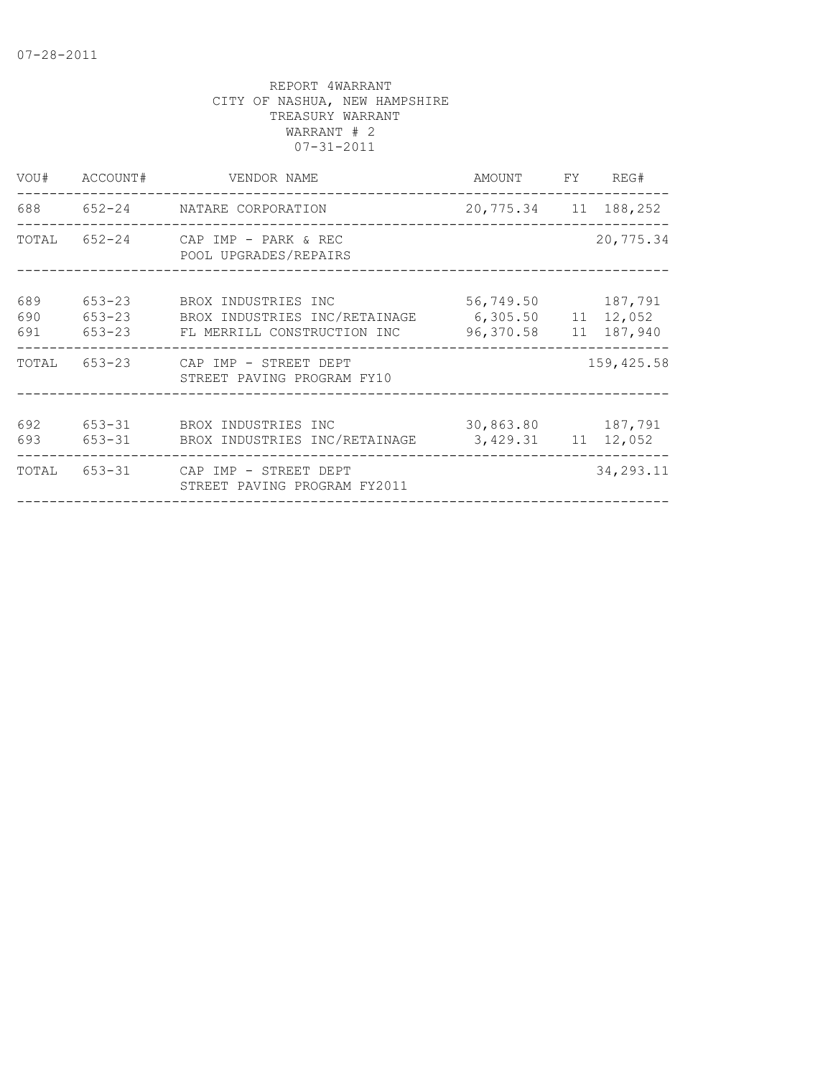| VOU#              | ACCOUNT#                               | VENDOR NAME                                                                         | AMOUNT                                       | FY | REG#                  |
|-------------------|----------------------------------------|-------------------------------------------------------------------------------------|----------------------------------------------|----|-----------------------|
|                   |                                        | 688 652-24 NATARE CORPORATION                                                       | 20,775.34 11 188,252                         |    |                       |
| TOTAL             |                                        | 652-24 CAP IMP - PARK & REC<br>POOL UPGRADES/REPAIRS                                |                                              |    | 20,775.34             |
| 689<br>690<br>691 | $653 - 23$<br>$653 - 23$<br>$653 - 23$ | BROX INDUSTRIES INC<br>BROX INDUSTRIES INC/RETAINAGE<br>FL MERRILL CONSTRUCTION INC | 56,749.50<br>6,305.50 11 12,052<br>96,370.58 |    | 187,791<br>11 187,940 |
| TOTAL             |                                        | 653-23 CAP IMP - STREET DEPT<br>STREET PAVING PROGRAM FY10                          |                                              |    | 159,425.58            |
| 692<br>693        | 653-31                                 | 653-31 BROX INDUSTRIES INC<br>BROX INDUSTRIES INC/RETAINAGE                         | 30,863.80 187,791<br>3,429.31 11 12,052      |    |                       |
| TOTAL             | 653-31                                 | CAP IMP - STREET DEPT<br>STREET PAVING PROGRAM FY2011                               |                                              |    | 34, 293. 11           |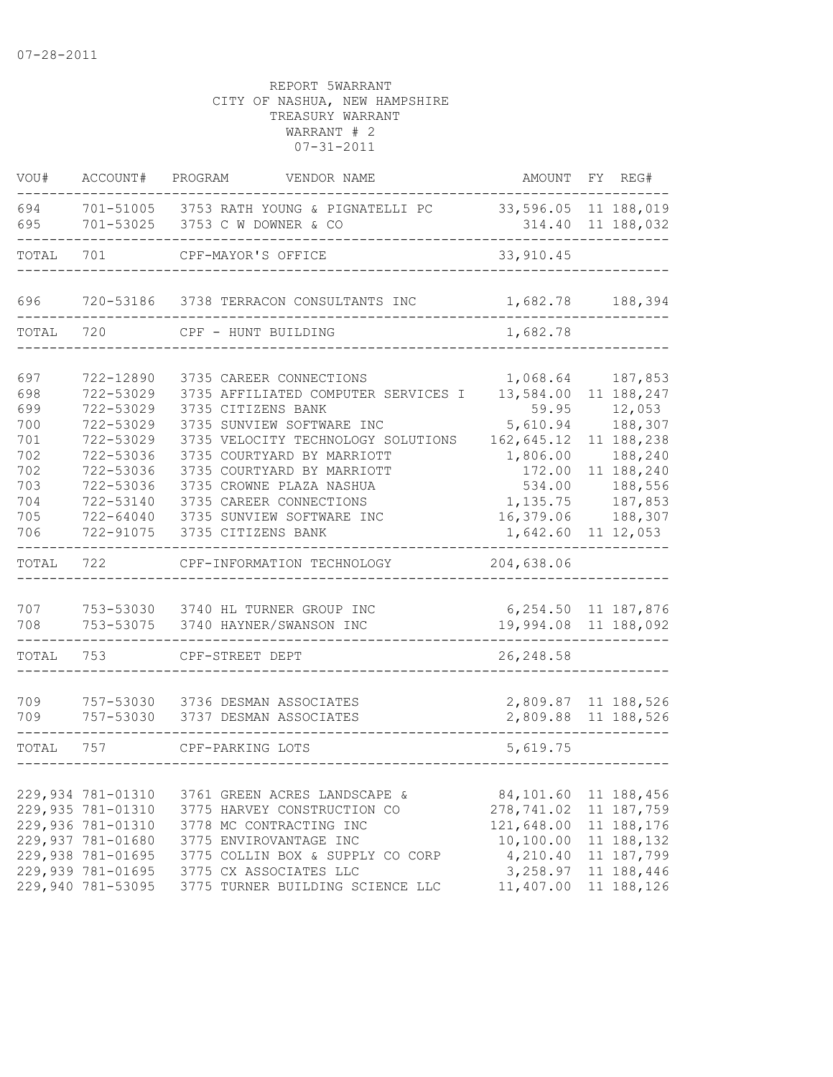| VOU#                                                                      | ACCOUNT#                                                                                                                                        | PROGRAM<br>VENDOR NAME                                                                                                                                                                                                                                                                                                        | AMOUNT                                                                                                                        | FY REG#                                                                                                                                |
|---------------------------------------------------------------------------|-------------------------------------------------------------------------------------------------------------------------------------------------|-------------------------------------------------------------------------------------------------------------------------------------------------------------------------------------------------------------------------------------------------------------------------------------------------------------------------------|-------------------------------------------------------------------------------------------------------------------------------|----------------------------------------------------------------------------------------------------------------------------------------|
| 694<br>695                                                                |                                                                                                                                                 | 701-51005 3753 RATH YOUNG & PIGNATELLI PC<br>701-53025 3753 C W DOWNER & CO                                                                                                                                                                                                                                                   | 33,596.05 11 188,019                                                                                                          | 314.40 11 188,032                                                                                                                      |
| TOTAL                                                                     | 701                                                                                                                                             | CPF-MAYOR'S OFFICE                                                                                                                                                                                                                                                                                                            | 33, 910.45                                                                                                                    |                                                                                                                                        |
| 696                                                                       |                                                                                                                                                 | 720-53186 3738 TERRACON CONSULTANTS INC                                                                                                                                                                                                                                                                                       | 1,682.78                                                                                                                      | 188,394                                                                                                                                |
| TOTAL                                                                     | 720                                                                                                                                             | CPF - HUNT BUILDING                                                                                                                                                                                                                                                                                                           | 1,682.78                                                                                                                      |                                                                                                                                        |
| 697<br>698<br>699<br>700<br>701<br>702<br>702<br>703<br>704<br>705<br>706 | 722-12890<br>722-53029<br>722-53029<br>722-53029<br>722-53029<br>722-53036<br>722-53036<br>722-53036<br>722-53140<br>722-64040<br>722-91075     | 3735 CAREER CONNECTIONS<br>3735 AFFILIATED COMPUTER SERVICES I<br>3735 CITIZENS BANK<br>3735 SUNVIEW SOFTWARE INC<br>3735 VELOCITY TECHNOLOGY SOLUTIONS<br>3735 COURTYARD BY MARRIOTT<br>3735 COURTYARD BY MARRIOTT<br>3735 CROWNE PLAZA NASHUA<br>3735 CAREER CONNECTIONS<br>3735 SUNVIEW SOFTWARE INC<br>3735 CITIZENS BANK | 1,068.64<br>13,584.00<br>59.95<br>5,610.94<br>162,645.12<br>1,806.00<br>172.00<br>534.00<br>1,135.75<br>16,379.06<br>1,642.60 | 187,853<br>11 188,247<br>12,053<br>188,307<br>11 188,238<br>188,240<br>11 188,240<br>188,556<br>187,853<br>188,307<br>$11\;\;12$ , 053 |
| TOTAL                                                                     | 722                                                                                                                                             | CPF-INFORMATION TECHNOLOGY                                                                                                                                                                                                                                                                                                    | 204,638.06                                                                                                                    |                                                                                                                                        |
| 707<br>708<br>TOTAL                                                       | 753-53075<br>753                                                                                                                                | 753-53030 3740 HL TURNER GROUP INC<br>3740 HAYNER/SWANSON INC<br>CPF-STREET DEPT                                                                                                                                                                                                                                              | 6, 254.50 11 187, 876<br>19,994.08 11 188,092<br>26, 248.58                                                                   |                                                                                                                                        |
| 709<br>709<br>TOTAL                                                       | 757-53030<br>757-53030<br>757                                                                                                                   | 3736 DESMAN ASSOCIATES<br>3737 DESMAN ASSOCIATES<br>CPF-PARKING LOTS                                                                                                                                                                                                                                                          | 2,809.87 11 188,526<br>2,809.88 11 188,526<br>5,619.75                                                                        |                                                                                                                                        |
|                                                                           | 229,934 781-01310<br>229,935 781-01310<br>229,936 781-01310<br>229,937 781-01680<br>229,938 781-01695<br>229,939 781-01695<br>229,940 781-53095 | 3761 GREEN ACRES LANDSCAPE &<br>3775 HARVEY CONSTRUCTION CO<br>3778 MC CONTRACTING INC<br>3775 ENVIROVANTAGE INC<br>3775 COLLIN BOX & SUPPLY CO CORP<br>3775 CX ASSOCIATES LLC<br>3775 TURNER BUILDING SCIENCE LLC                                                                                                            | 84,101.60<br>278,741.02<br>121,648.00<br>10,100.00<br>4,210.40<br>3,258.97<br>11,407.00                                       | 11 188,456<br>11 187,759<br>11 188,176<br>11 188,132<br>11 187,799<br>11 188,446<br>11 188,126                                         |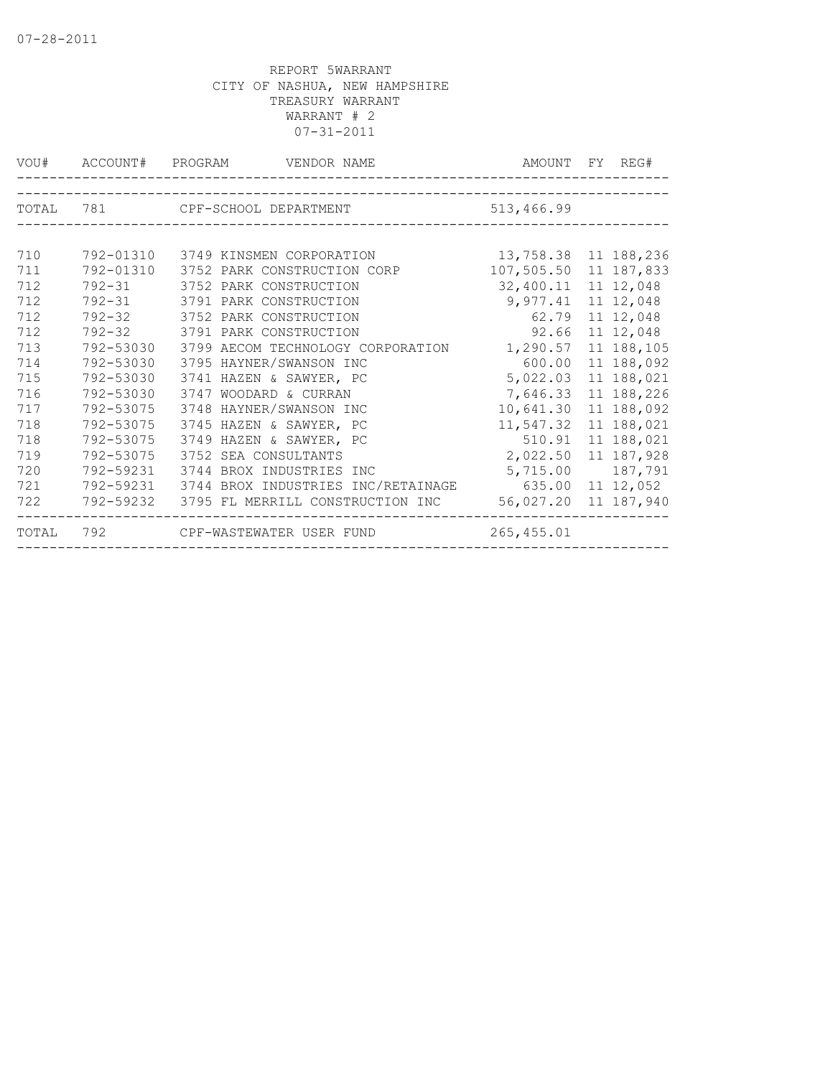|       |           | VOU# ACCOUNT# PROGRAM VENDOR NAME  | AMOUNT FY REG#        |                   |
|-------|-----------|------------------------------------|-----------------------|-------------------|
|       |           |                                    |                       |                   |
| TOTAL |           | 781 CPF-SCHOOL DEPARTMENT          | 513,466.99            |                   |
|       |           |                                    |                       |                   |
| 710   | 792-01310 | 3749 KINSMEN CORPORATION           | 13,758.38 11 188,236  |                   |
| 711   | 792-01310 | 3752 PARK CONSTRUCTION CORP        | 107,505.50 11 187,833 |                   |
| 712   |           | 792-31 3752 PARK CONSTRUCTION      | 32,400.11 11 12,048   |                   |
| 712   |           | 792-31 3791 PARK CONSTRUCTION      | 9,977.41 11 12,048    |                   |
| 712   | 792-32    | 3752 PARK CONSTRUCTION             | 62.79                 | 11 12,048         |
| 712   |           | 792-32 3791 PARK CONSTRUCTION      | 92.66                 | 11 12,048         |
| 713   | 792-53030 | 3799 AECOM TECHNOLOGY CORPORATION  | 1,290.57              | 11 188,105        |
| 714   | 792-53030 | 3795 HAYNER/SWANSON INC            |                       | 600.00 11 188,092 |
| 715   | 792-53030 | 3741 HAZEN & SAWYER, PC            | 5,022.03 11 188,021   |                   |
| 716   | 792-53030 | 3747 WOODARD & CURRAN              | 7,646.33 11 188,226   |                   |
| 717   | 792-53075 | 3748 HAYNER/SWANSON INC            | 10,641.30 11 188,092  |                   |
| 718   | 792-53075 | 3745 HAZEN & SAWYER, PC            | 11,547.32 11 188,021  |                   |
| 718   | 792-53075 | 3749 HAZEN & SAWYER, PC            | 510.91                | 11 188,021        |
| 719   | 792-53075 | 3752 SEA CONSULTANTS               | 2,022.50 11 187,928   |                   |
| 720   | 792-59231 | 3744 BROX INDUSTRIES INC           | 5,715.00              | 187,791           |
| 721   | 792-59231 | 3744 BROX INDUSTRIES INC/RETAINAGE | 635.00 11 12,052      |                   |
| 722   | 792-59232 | 3795 FL MERRILL CONSTRUCTION INC   | 56,027.20 11 187,940  |                   |
| TOTAL |           | 792 CPF-WASTEWATER USER FUND       | 265,455.01            |                   |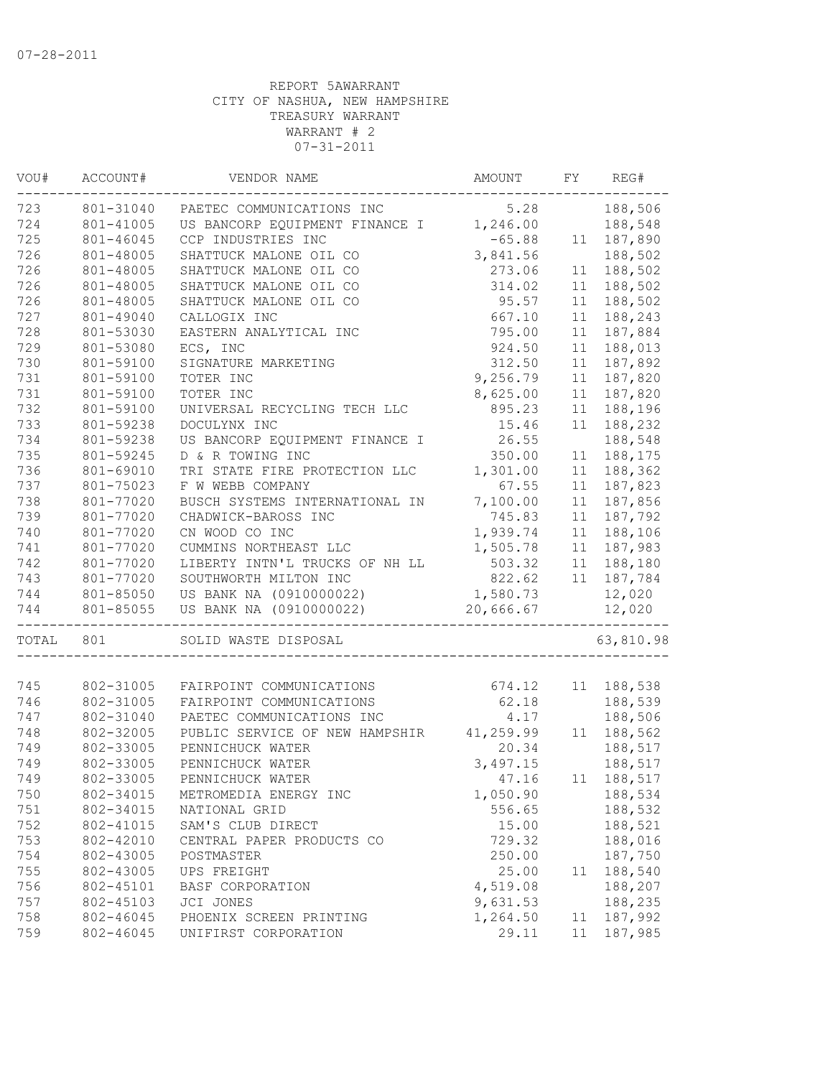| VOU#       | ACCOUNT#  | VENDOR NAME                              | AMOUNT    | FY | REG#             |
|------------|-----------|------------------------------------------|-----------|----|------------------|
| 723        | 801-31040 | PAETEC COMMUNICATIONS INC                | 5.28      |    | 188,506          |
| 724        | 801-41005 | US BANCORP EQUIPMENT FINANCE I 1,246.00  |           |    | 188,548          |
| 725        | 801-46045 | CCP INDUSTRIES INC                       | $-65.88$  | 11 | 187,890          |
| 726        | 801-48005 | SHATTUCK MALONE OIL CO                   | 3,841.56  |    | 188,502          |
| 726        | 801-48005 | SHATTUCK MALONE OIL CO                   | 273.06    | 11 | 188,502          |
| 726        | 801-48005 | SHATTUCK MALONE OIL CO                   | 314.02    | 11 | 188,502          |
| 726        | 801-48005 | SHATTUCK MALONE OIL CO                   | 95.57     | 11 | 188,502          |
| 727        | 801-49040 | CALLOGIX INC                             | 667.10    | 11 | 188,243          |
| 728        | 801-53030 | EASTERN ANALYTICAL INC                   | 795.00    | 11 | 187,884          |
| 729        | 801-53080 | ECS, INC                                 | 924.50    | 11 | 188,013          |
| 730        | 801-59100 | SIGNATURE MARKETING                      | 312.50    | 11 | 187,892          |
| 731        | 801-59100 | TOTER INC                                | 9,256.79  | 11 | 187,820          |
| 731        | 801-59100 | TOTER INC                                | 8,625.00  | 11 | 187,820          |
| 732        | 801-59100 | UNIVERSAL RECYCLING TECH LLC             | 895.23    | 11 | 188,196          |
| 733        | 801-59238 | DOCULYNX INC                             | 15.46     | 11 | 188,232          |
| 734        | 801-59238 | US BANCORP EQUIPMENT FINANCE I           | 26.55     |    | 188,548          |
| 735        | 801-59245 | D & R TOWING INC                         | 350.00    | 11 | 188,175          |
| 736        | 801-69010 | TRI STATE FIRE PROTECTION LLC            | 1,301.00  | 11 | 188,362          |
| 737        | 801-75023 | F W WEBB COMPANY                         | 67.55     | 11 | 187,823          |
| 738        | 801-77020 | BUSCH SYSTEMS INTERNATIONAL IN           | 7,100.00  | 11 | 187,856          |
| 739        | 801-77020 | CHADWICK-BAROSS INC                      | 745.83    | 11 | 187,792          |
| 740        | 801-77020 | CN WOOD CO INC                           | 1,939.74  | 11 | 188,106          |
| 741        | 801-77020 | CUMMINS NORTHEAST LLC                    | 1,505.78  |    | 11 187,983       |
| 742        | 801-77020 | LIBERTY INTN'L TRUCKS OF NH LL           | 503.32    |    | 11 188,180       |
| 743        | 801-77020 |                                          | 822.62    |    | 11 187,784       |
| 744        | 801-85050 | US BANK NA (0910000022)                  | 1,580.73  |    | 12,020           |
| 744        | 801-85055 | US BANK NA (0910000022)                  | 20,666.67 |    | 12,020           |
| TOTAL      | 801       | SOLID WASTE DISPOSAL                     |           |    | 63,810.98        |
|            |           |                                          |           |    |                  |
| 745        | 802-31005 | FAIRPOINT COMMUNICATIONS                 | 674.12    |    | 11 188,538       |
| 746        | 802-31005 | FAIRPOINT COMMUNICATIONS                 | 62.18     |    | 188,539          |
| 747<br>748 | 802-31040 | PAETEC COMMUNICATIONS INC                | 4.17      |    | 188,506          |
|            | 802-32005 | PUBLIC SERVICE OF NEW HAMPSHIR 41,259.99 |           |    | 11 188,562       |
| 749        | 802-33005 | PENNICHUCK WATER                         | 20.34     |    | 188,517          |
| 749        | 802-33005 | PENNICHUCK WATER                         | 3,497.15  |    | 188,517          |
| 749        | 802-33005 | PENNICHUCK WATER                         |           |    | 47.16 11 188,517 |
| 750        | 802-34015 | METROMEDIA ENERGY INC                    | 1,050.90  |    | 188,534          |
| 751        | 802-34015 | NATIONAL GRID                            | 556.65    |    | 188,532          |
| 752        | 802-41015 | SAM'S CLUB DIRECT                        | 15.00     |    | 188,521          |
| 753        | 802-42010 | CENTRAL PAPER PRODUCTS CO                | 729.32    |    | 188,016          |
| 754        | 802-43005 | POSTMASTER                               | 250.00    |    | 187,750          |
| 755        | 802-43005 | UPS FREIGHT                              | 25.00     | 11 | 188,540          |
| 756        | 802-45101 | BASF CORPORATION                         | 4,519.08  |    | 188,207          |
| 757        | 802-45103 | JCI JONES                                | 9,631.53  |    | 188,235          |
| 758        | 802-46045 | PHOENIX SCREEN PRINTING                  | 1,264.50  | 11 | 187,992          |
| 759        | 802-46045 | UNIFIRST CORPORATION                     | 29.11     | 11 | 187,985          |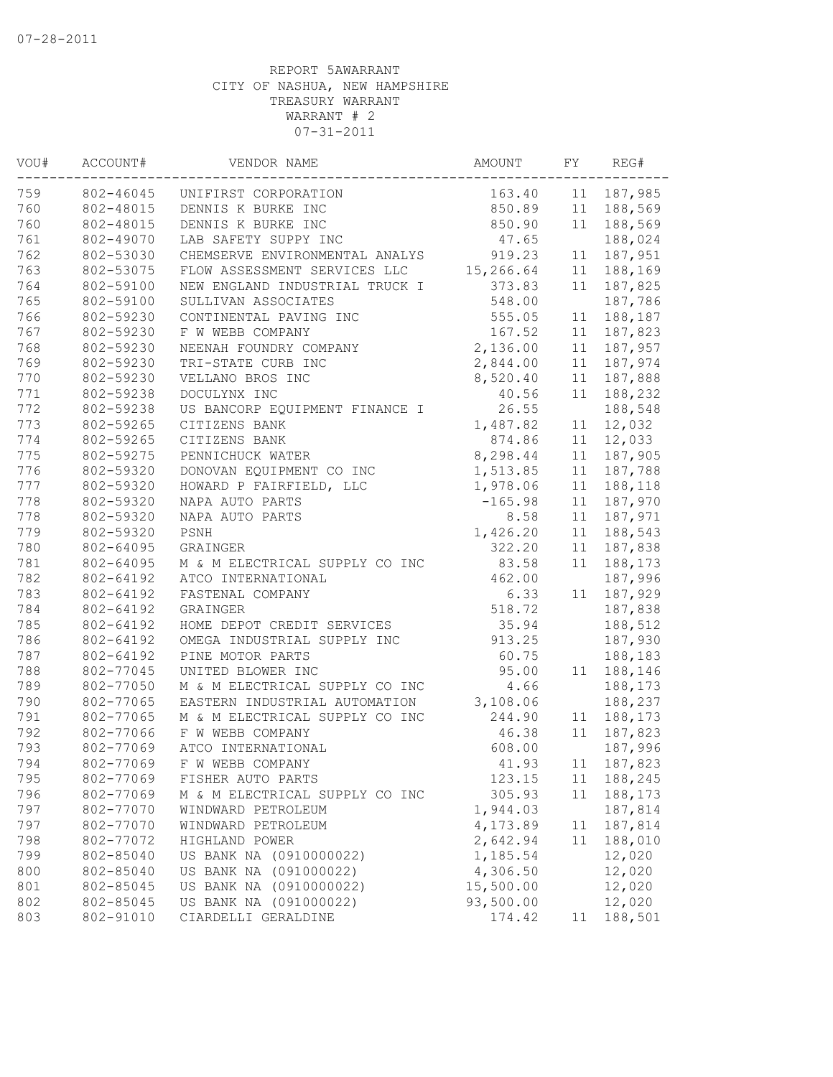| VOU#<br>ACCOUNT# |                        | VENDOR NAME                    |           | FY | REG#       |
|------------------|------------------------|--------------------------------|-----------|----|------------|
| 759              | 802-46045              | UNIFIRST CORPORATION           | 163.40    |    | 11 187,985 |
| 760              | 802-48015              | DENNIS K BURKE INC             | 850.89    |    | 11 188,569 |
| 760              | 802-48015              | DENNIS K BURKE INC             | 850.90    |    | 11 188,569 |
| 761              | 802-49070              | LAB SAFETY SUPPY INC           | 47.65     |    | 188,024    |
| 762              | 802-53030              | CHEMSERVE ENVIRONMENTAL ANALYS | 919.23    | 11 | 187,951    |
| 763              | 802-53075              | FLOW ASSESSMENT SERVICES LLC   | 15,266.64 | 11 | 188,169    |
| 764              | 802-59100              | NEW ENGLAND INDUSTRIAL TRUCK I | 373.83    | 11 | 187,825    |
| 765              | 802-59100              | SULLIVAN ASSOCIATES            | 548.00    |    | 187,786    |
| 766              | 802-59230              | CONTINENTAL PAVING INC         | 555.05    | 11 | 188,187    |
| 767              | 802-59230              | F W WEBB COMPANY               | 167.52    | 11 | 187,823    |
| 768              | 802-59230              | NEENAH FOUNDRY COMPANY         | 2,136.00  | 11 | 187,957    |
| 769              | 802-59230              | TRI-STATE CURB INC             | 2,844.00  | 11 | 187,974    |
| 770              | 802-59230              | VELLANO BROS INC               | 8,520.40  | 11 | 187,888    |
| 771              | 802-59238              | DOCULYNX INC                   | 40.56     | 11 | 188,232    |
| 772              | 802-59238              | US BANCORP EQUIPMENT FINANCE I | 26.55     |    | 188,548    |
| 773              | 802-59265              | CITIZENS BANK                  | 1,487.82  | 11 | 12,032     |
| 774              | 802-59265              | CITIZENS BANK                  | 874.86    | 11 | 12,033     |
| 775              | 802-59275              | PENNICHUCK WATER               | 8,298.44  | 11 | 187,905    |
| 776              | 802-59320              | DONOVAN EQUIPMENT CO INC       | 1,513.85  | 11 | 187,788    |
| 777              | 802-59320              | HOWARD P FAIRFIELD, LLC        | 1,978.06  | 11 | 188,118    |
| 778              | 802-59320              | NAPA AUTO PARTS                | $-165.98$ | 11 | 187,970    |
| 778              | 802-59320              | NAPA AUTO PARTS                | 8.58      | 11 | 187,971    |
| 779              | 802-59320              | PSNH                           | 1,426.20  | 11 | 188,543    |
| 780              | 802-64095              | GRAINGER                       | 322.20    | 11 | 187,838    |
| 781              | 802-64095              | M & M ELECTRICAL SUPPLY CO INC | 83.58     | 11 | 188,173    |
| 782              | 802-64192              | ATCO INTERNATIONAL             | 462.00    |    | 187,996    |
| 783              | 802-64192              | FASTENAL COMPANY               | 6.33      | 11 | 187,929    |
| 784              | 802-64192              | GRAINGER                       | 518.72    |    | 187,838    |
| 785              | 802-64192              | HOME DEPOT CREDIT SERVICES     | 35.94     |    | 188,512    |
| 786              | 802-64192              | OMEGA INDUSTRIAL SUPPLY INC    | 913.25    |    | 187,930    |
| 787              | 802-64192              | PINE MOTOR PARTS               | 60.75     |    | 188,183    |
| 788              | 802-77045              | UNITED BLOWER INC              | 95.00     |    | 11 188,146 |
| 789              | 802-77050              | M & M ELECTRICAL SUPPLY CO INC | 4.66      |    | 188,173    |
| 790              | 802-77065              | EASTERN INDUSTRIAL AUTOMATION  | 3,108.06  |    | 188,237    |
| 791              | 802-77065              | M & M ELECTRICAL SUPPLY CO INC | 244.90    |    | 11 188,173 |
| 792              | 802-77066              | F W WEBB COMPANY               | 46.38     | 11 | 187,823    |
| 793              | 802-77069              | ATCO INTERNATIONAL             | 608.00    |    | 187,996    |
| 794              | 802-77069              | F W WEBB COMPANY               | 41.93     |    | 11 187,823 |
| 795              | 802-77069              | FISHER AUTO PARTS              | 123.15    | 11 | 188,245    |
| 796              | 802-77069              | M & M ELECTRICAL SUPPLY CO INC | 305.93    | 11 | 188,173    |
| 797              | 802-77070              | WINDWARD PETROLEUM             | 1,944.03  |    | 187,814    |
| 797              | 802-77070              | WINDWARD PETROLEUM             | 4,173.89  | 11 | 187,814    |
| 798              | 802-77072              | HIGHLAND POWER                 | 2,642.94  | 11 | 188,010    |
| 799              |                        | US BANK NA (0910000022)        | 1,185.54  |    |            |
|                  | 802-85040<br>802-85040 | US BANK NA (091000022)         | 4,306.50  |    | 12,020     |
| 800              |                        |                                | 15,500.00 |    | 12,020     |
| 801              | 802-85045              | US BANK NA (0910000022)        |           |    | 12,020     |
| 802              | 802-85045              | US BANK NA (091000022)         | 93,500.00 |    | 12,020     |
| 803              | 802-91010              | CIARDELLI GERALDINE            | 174.42    | 11 | 188,501    |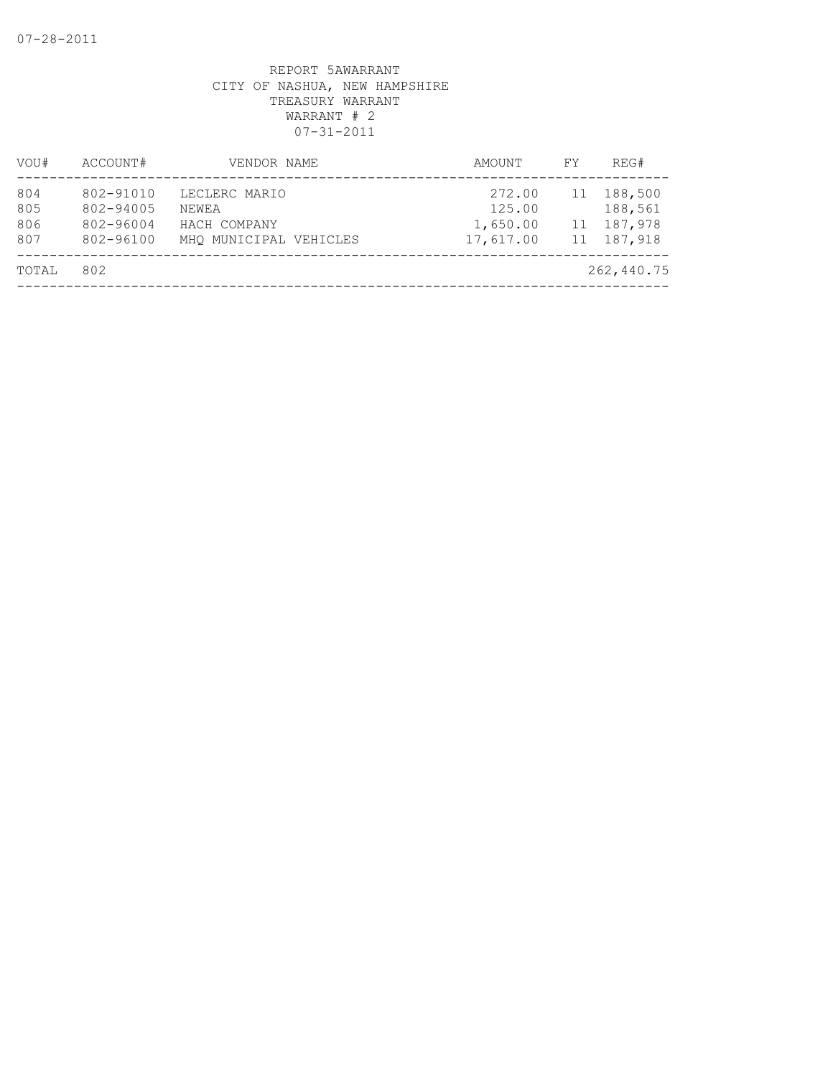| VOU#                     | ACCOUNT#                                         | VENDOR NAME                                                      | AMOUNT                                    | FY       | REG#                                        |
|--------------------------|--------------------------------------------------|------------------------------------------------------------------|-------------------------------------------|----------|---------------------------------------------|
| 804<br>805<br>806<br>807 | 802-91010<br>802-94005<br>802-96004<br>802-96100 | LECLERC MARIO<br>NEWEA<br>HACH COMPANY<br>MHO MUNICIPAL VEHICLES | 272.00<br>125.00<br>1,650.00<br>17,617.00 | 11<br>11 | 188,500<br>188,561<br>187,978<br>11 187,918 |
| TOTAL                    | 802                                              |                                                                  |                                           |          | 262,440.75                                  |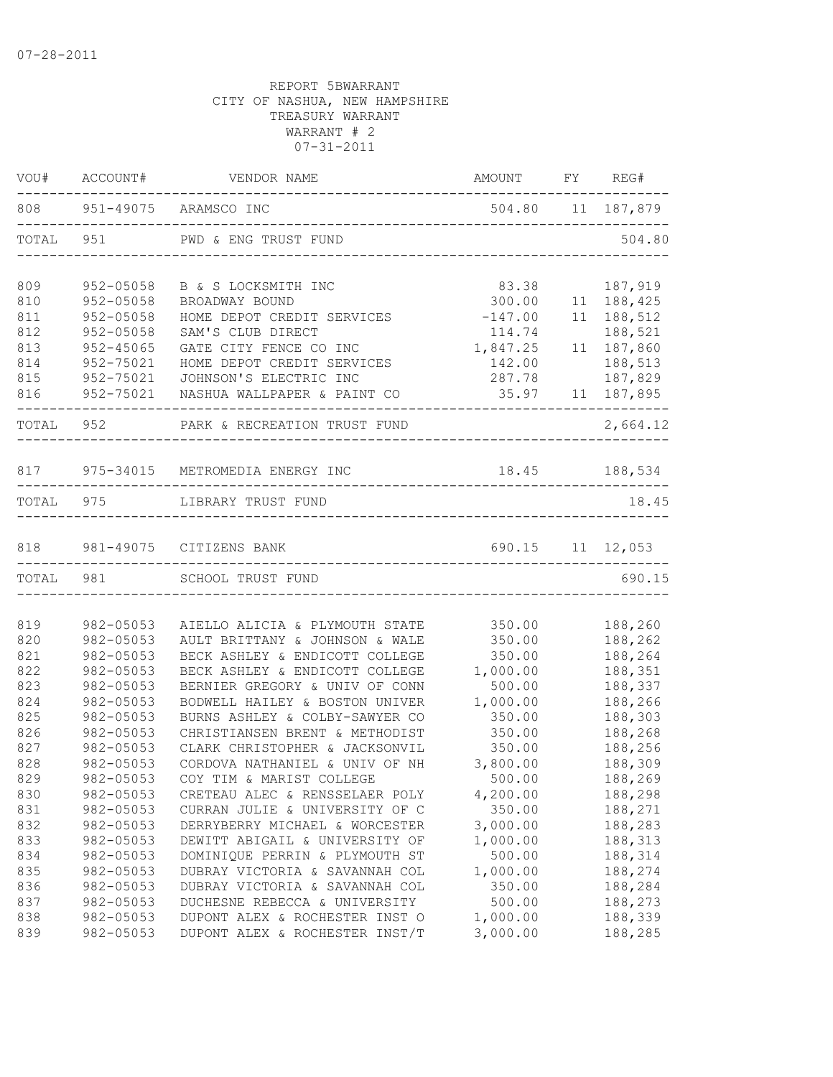| VOU#       |                           | ACCOUNT# VENDOR NAME                                             | AMOUNT                 |    | FY REG#                  |
|------------|---------------------------|------------------------------------------------------------------|------------------------|----|--------------------------|
|            | 808 951-49075 ARAMSCO INC |                                                                  | 504.80  11  187,879    |    |                          |
| TOTAL      | 951                       | PWD & ENG TRUST FUND                                             |                        |    | 504.80                   |
| 809        | 952-05058                 | B & S LOCKSMITH INC                                              | 83.38                  |    | 187,919                  |
| 810        | $952 - 05058$             | BROADWAY BOUND                                                   | 300.00                 |    | 11 188,425               |
| 811        | $952 - 05058$             | HOME DEPOT CREDIT SERVICES                                       | $-147.00$              |    | 11 188,512               |
| 812        | $952 - 05058$             | SAM'S CLUB DIRECT                                                | 114.74                 |    | 188,521                  |
| 813        | 952-45065                 | GATE CITY FENCE CO INC                                           | 1,847.25               | 11 | 187,860                  |
| 814        | 952-75021                 | HOME DEPOT CREDIT SERVICES                                       | 142.00                 |    | 188,513                  |
| 815        | 952-75021                 | JOHNSON'S ELECTRIC INC                                           | 287.78                 |    | 187,829                  |
| 816        | 952-75021                 | NASHUA WALLPAPER & PAINT CO                                      | 35.97    11    187,895 |    |                          |
| TOTAL 952  |                           | PARK & RECREATION TRUST FUND                                     |                        |    | 2,664.12                 |
|            |                           | 817 975-34015 METROMEDIA ENERGY INC                              | 18.45 188,534          |    |                          |
| TOTAL      |                           | 975 LIBRARY TRUST FUND                                           |                        |    | ---------------<br>18.45 |
|            |                           |                                                                  |                        |    |                          |
| 818        |                           | 981-49075 CITIZENS BANK                                          | 690.15 11 12,053       |    |                          |
|            |                           | TOTAL 981 SCHOOL TRUST FUND                                      |                        |    | 690.15                   |
|            |                           |                                                                  |                        |    |                          |
| 819<br>820 | 982-05053<br>982-05053    | AIELLO ALICIA & PLYMOUTH STATE<br>AULT BRITTANY & JOHNSON & WALE | 350.00<br>350.00       |    | 188,260<br>188,262       |
| 821        | 982-05053                 | BECK ASHLEY & ENDICOTT COLLEGE                                   | 350.00                 |    | 188,264                  |
| 822        | 982-05053                 | BECK ASHLEY & ENDICOTT COLLEGE                                   | 1,000.00               |    | 188,351                  |
| 823        | 982-05053                 | BERNIER GREGORY & UNIV OF CONN                                   | 500.00                 |    | 188,337                  |
| 824        | 982-05053                 | BODWELL HAILEY & BOSTON UNIVER                                   | 1,000.00               |    | 188,266                  |
| 825        | 982-05053                 | BURNS ASHLEY & COLBY-SAWYER CO                                   | 350.00                 |    | 188,303                  |
| 826        | 982-05053                 | CHRISTIANSEN BRENT & METHODIST                                   | 350.00                 |    | 188,268                  |
| 827        | 982-05053                 | CLARK CHRISTOPHER & JACKSONVIL                                   | 350.00                 |    | 188,256                  |
| 828        | 982-05053                 | CORDOVA NATHANIEL & UNIV OF NH                                   | 3,800.00               |    | 188,309                  |
| 829        | 982-05053                 | COY TIM & MARIST COLLEGE                                         | 500.00                 |    | 188,269                  |
| 830        | 982-05053                 | CRETEAU ALEC & RENSSELAER POLY                                   | 4,200.00               |    | 188,298                  |
| 831        | 982-05053                 | CURRAN JULIE & UNIVERSITY OF C                                   | 350.00                 |    | 188,271                  |
| 832        | 982-05053                 | DERRYBERRY MICHAEL & WORCESTER                                   | 3,000.00               |    | 188,283                  |
| 833        | 982-05053                 | DEWITT ABIGAIL & UNIVERSITY OF                                   | 1,000.00               |    | 188,313                  |
| 834        | 982-05053                 | DOMINIQUE PERRIN & PLYMOUTH ST                                   | 500.00                 |    | 188,314                  |
| 835        | 982-05053                 | DUBRAY VICTORIA & SAVANNAH COL                                   | 1,000.00               |    | 188,274                  |
| 836        | 982-05053                 | DUBRAY VICTORIA & SAVANNAH COL                                   | 350.00                 |    | 188,284                  |
| 837        | 982-05053                 | DUCHESNE REBECCA & UNIVERSITY                                    | 500.00                 |    | 188,273                  |
| 838        | 982-05053                 | DUPONT ALEX & ROCHESTER INST O                                   | 1,000.00               |    | 188,339                  |
| 839        | 982-05053                 | DUPONT ALEX & ROCHESTER INST/T                                   | 3,000.00               |    | 188,285                  |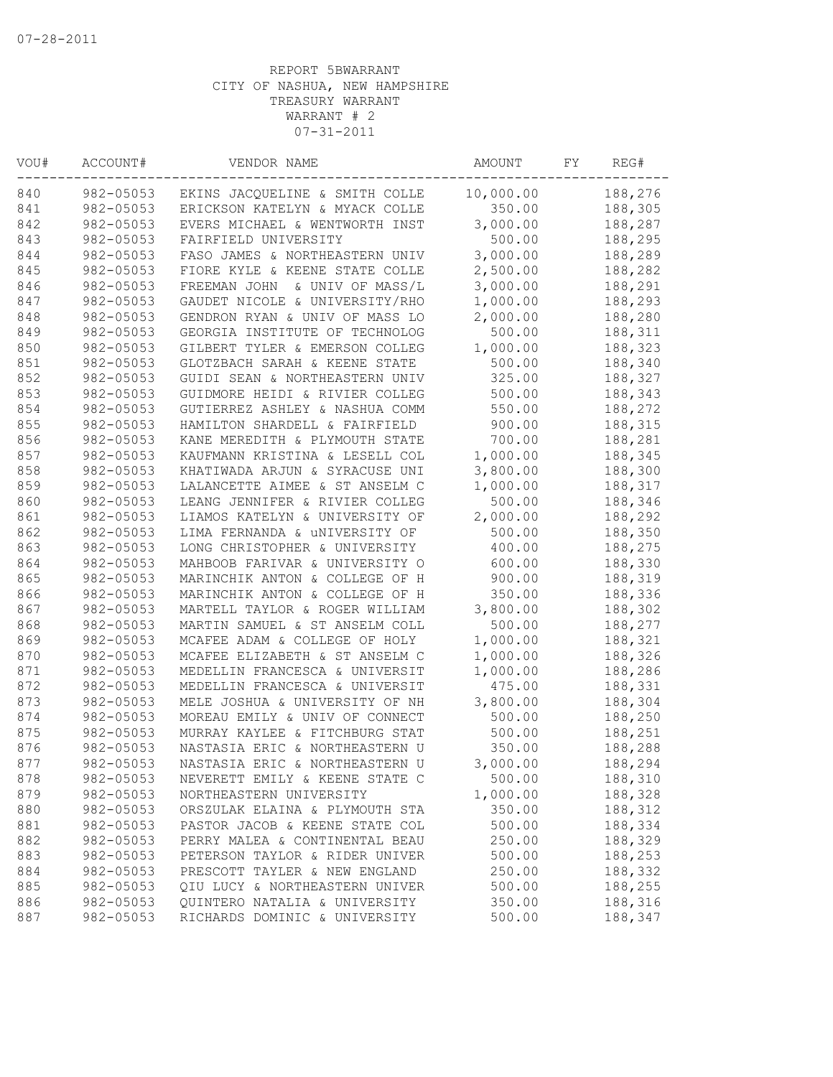| VOU#<br>ACCOUNT# |                        | VENDOR NAME                                               | AMOUNT             | FΥ | REG#               |
|------------------|------------------------|-----------------------------------------------------------|--------------------|----|--------------------|
| 840              | 982-05053              | EKINS JACQUELINE & SMITH COLLE                            | 10,000.00          |    | 188,276            |
| 841              | 982-05053              | ERICKSON KATELYN & MYACK COLLE                            | 350.00             |    | 188,305            |
| 842              | 982-05053              | EVERS MICHAEL & WENTWORTH INST                            | 3,000.00           |    | 188,287            |
| 843              | 982-05053              | FAIRFIELD UNIVERSITY                                      | 500.00             |    | 188,295            |
| 844              | 982-05053              | FASO JAMES & NORTHEASTERN UNIV                            | 3,000.00           |    | 188,289            |
| 845              | 982-05053              | FIORE KYLE & KEENE STATE COLLE                            | 2,500.00           |    | 188,282            |
| 846              | 982-05053              | FREEMAN JOHN<br>& UNIV OF MASS/L                          | 3,000.00           |    | 188,291            |
| 847              | 982-05053              | GAUDET NICOLE & UNIVERSITY/RHO                            | 1,000.00           |    | 188,293            |
| 848              | 982-05053              | GENDRON RYAN & UNIV OF MASS LO                            | 2,000.00           |    | 188,280            |
| 849              | 982-05053              | GEORGIA INSTITUTE OF TECHNOLOG                            | 500.00             |    | 188,311            |
| 850              | 982-05053              | GILBERT TYLER & EMERSON COLLEG                            | 1,000.00           |    | 188,323            |
| 851              | 982-05053              | GLOTZBACH SARAH & KEENE STATE                             | 500.00             |    | 188,340            |
| 852              | 982-05053              | GUIDI SEAN & NORTHEASTERN UNIV                            | 325.00             |    | 188,327            |
| 853              | 982-05053              | GUIDMORE HEIDI & RIVIER COLLEG                            | 500.00             |    | 188,343            |
| 854              | 982-05053              | GUTIERREZ ASHLEY & NASHUA COMM                            | 550.00             |    | 188,272            |
| 855              | 982-05053              | HAMILTON SHARDELL & FAIRFIELD                             | 900.00             |    | 188,315            |
| 856              | 982-05053              | KANE MEREDITH & PLYMOUTH STATE                            | 700.00             |    | 188,281            |
| 857              | 982-05053              | KAUFMANN KRISTINA & LESELL COL                            | 1,000.00           |    | 188,345            |
| 858              | 982-05053              | KHATIWADA ARJUN & SYRACUSE UNI                            | 3,800.00           |    | 188,300            |
| 859              | 982-05053              | LALANCETTE AIMEE & ST ANSELM C                            | 1,000.00           |    | 188,317            |
| 860              | 982-05053              | LEANG JENNIFER & RIVIER COLLEG                            | 500.00             |    | 188,346            |
| 861              | 982-05053              | LIAMOS KATELYN & UNIVERSITY OF                            | 2,000.00           |    | 188,292            |
| 862              | 982-05053              | LIMA FERNANDA & UNIVERSITY OF                             | 500.00             |    | 188,350            |
| 863              | 982-05053              | LONG CHRISTOPHER & UNIVERSITY                             | 400.00             |    | 188,275            |
| 864              | 982-05053              | MAHBOOB FARIVAR & UNIVERSITY O                            | 600.00             |    | 188,330            |
| 865              | 982-05053              | MARINCHIK ANTON & COLLEGE OF H                            | 900.00             |    | 188,319            |
| 866              | 982-05053              | MARINCHIK ANTON & COLLEGE OF H                            | 350.00             |    | 188,336            |
| 867              | 982-05053              | MARTELL TAYLOR & ROGER WILLIAM                            | 3,800.00           |    | 188,302            |
| 868              | 982-05053              | MARTIN SAMUEL & ST ANSELM COLL                            | 500.00             |    | 188,277            |
| 869              | 982-05053              | MCAFEE ADAM & COLLEGE OF HOLY                             | 1,000.00           |    | 188,321            |
| 870              | 982-05053              | MCAFEE ELIZABETH & ST ANSELM C                            | 1,000.00           |    | 188,326            |
| 871              | 982-05053              | MEDELLIN FRANCESCA & UNIVERSIT                            | 1,000.00           |    | 188,286            |
| 872              | 982-05053              | MEDELLIN FRANCESCA & UNIVERSIT                            | 475.00             |    | 188,331            |
| 873              | 982-05053              | MELE JOSHUA & UNIVERSITY OF NH                            | 3,800.00           |    | 188,304            |
| 874              | 982-05053              | MOREAU EMILY & UNIV OF CONNECT                            | 500.00             |    | 188,250            |
| 875              | 982-05053              | MURRAY KAYLEE & FITCHBURG STAT                            | 500.00             |    | 188,251            |
| 876              | 982-05053              | NASTASIA ERIC & NORTHEASTERN U                            | 350.00             |    | 188,288            |
| 877              | 982-05053              | NASTASIA ERIC & NORTHEASTERN U                            | 3,000.00           |    | 188,294            |
|                  |                        |                                                           |                    |    |                    |
| 878<br>879       | 982-05053              | NEVERETT EMILY & KEENE STATE C                            | 500.00             |    | 188,310            |
| 880              | 982-05053<br>982-05053 | NORTHEASTERN UNIVERSITY<br>ORSZULAK ELAINA & PLYMOUTH STA | 1,000.00<br>350.00 |    | 188,328<br>188,312 |
| 881              | 982-05053              | PASTOR JACOB & KEENE STATE COL                            | 500.00             |    | 188,334            |
| 882              |                        |                                                           |                    |    | 188,329            |
|                  | 982-05053              | PERRY MALEA & CONTINENTAL BEAU                            | 250.00             |    |                    |
| 883              | 982-05053              | PETERSON TAYLOR & RIDER UNIVER                            | 500.00             |    | 188,253            |
| 884              | 982-05053              | PRESCOTT TAYLER & NEW ENGLAND                             | 250.00             |    | 188,332            |
| 885              | 982-05053              | QIU LUCY & NORTHEASTERN UNIVER                            | 500.00             |    | 188,255            |
| 886              | 982-05053              | QUINTERO NATALIA & UNIVERSITY                             | 350.00             |    | 188,316            |
| 887              | 982-05053              | RICHARDS DOMINIC & UNIVERSITY                             | 500.00             |    | 188,347            |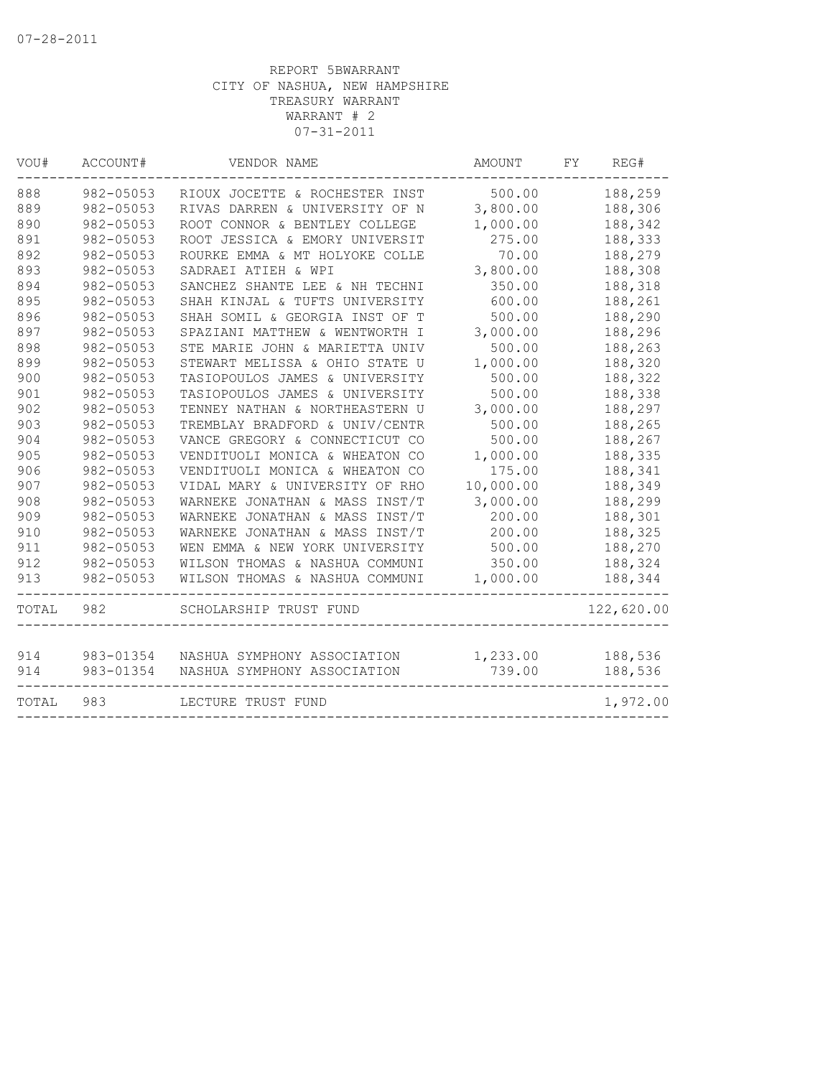| VOU#  | ACCOUNT#  | VENDOR NAME                    | AMOUNT    | FY.<br>REG# |
|-------|-----------|--------------------------------|-----------|-------------|
| 888   | 982-05053 | RIOUX JOCETTE & ROCHESTER INST | 500.00    | 188,259     |
| 889   | 982-05053 | RIVAS DARREN & UNIVERSITY OF N | 3,800.00  | 188,306     |
| 890   | 982-05053 | ROOT CONNOR & BENTLEY COLLEGE  | 1,000.00  | 188,342     |
| 891   | 982-05053 | ROOT JESSICA & EMORY UNIVERSIT | 275.00    | 188,333     |
| 892   | 982-05053 | ROURKE EMMA & MT HOLYOKE COLLE | 70.00     | 188,279     |
| 893   | 982-05053 | SADRAEI ATIEH & WPI            | 3,800.00  | 188,308     |
| 894   | 982-05053 | SANCHEZ SHANTE LEE & NH TECHNI | 350.00    | 188,318     |
| 895   | 982-05053 | SHAH KINJAL & TUFTS UNIVERSITY | 600.00    | 188,261     |
| 896   | 982-05053 | SHAH SOMIL & GEORGIA INST OF T | 500.00    | 188,290     |
| 897   | 982-05053 | SPAZIANI MATTHEW & WENTWORTH I | 3,000.00  | 188,296     |
| 898   | 982-05053 | STE MARIE JOHN & MARIETTA UNIV | 500.00    | 188,263     |
| 899   | 982-05053 | STEWART MELISSA & OHIO STATE U | 1,000.00  | 188,320     |
| 900   | 982-05053 | TASIOPOULOS JAMES & UNIVERSITY | 500.00    | 188,322     |
| 901   | 982-05053 | TASIOPOULOS JAMES & UNIVERSITY | 500.00    | 188,338     |
| 902   | 982-05053 | TENNEY NATHAN & NORTHEASTERN U | 3,000.00  | 188,297     |
| 903   | 982-05053 | TREMBLAY BRADFORD & UNIV/CENTR | 500.00    | 188,265     |
| 904   | 982-05053 | VANCE GREGORY & CONNECTICUT CO | 500.00    | 188,267     |
| 905   | 982-05053 | VENDITUOLI MONICA & WHEATON CO | 1,000.00  | 188,335     |
| 906   | 982-05053 | VENDITUOLI MONICA & WHEATON CO | 175.00    | 188,341     |
| 907   | 982-05053 | VIDAL MARY & UNIVERSITY OF RHO | 10,000.00 | 188,349     |
| 908   | 982-05053 | WARNEKE JONATHAN & MASS INST/T | 3,000.00  | 188,299     |
| 909   | 982-05053 | WARNEKE JONATHAN & MASS INST/T | 200.00    | 188,301     |
| 910   | 982-05053 | WARNEKE JONATHAN & MASS INST/T | 200.00    | 188,325     |
| 911   | 982-05053 | WEN EMMA & NEW YORK UNIVERSITY | 500.00    | 188,270     |
| 912   | 982-05053 | WILSON THOMAS & NASHUA COMMUNI | 350.00    | 188,324     |
| 913   | 982-05053 | WILSON THOMAS & NASHUA COMMUNI | 1,000.00  | 188,344     |
| TOTAL | 982       | SCHOLARSHIP TRUST FUND         |           | 122,620.00  |
|       |           |                                |           |             |
| 914   | 983-01354 | NASHUA SYMPHONY ASSOCIATION    | 1,233.00  | 188,536     |
| 914   | 983-01354 | NASHUA SYMPHONY ASSOCIATION    | 739.00    | 188,536     |
| TOTAL | 983       | LECTURE TRUST FUND             |           | 1,972.00    |
|       |           |                                |           |             |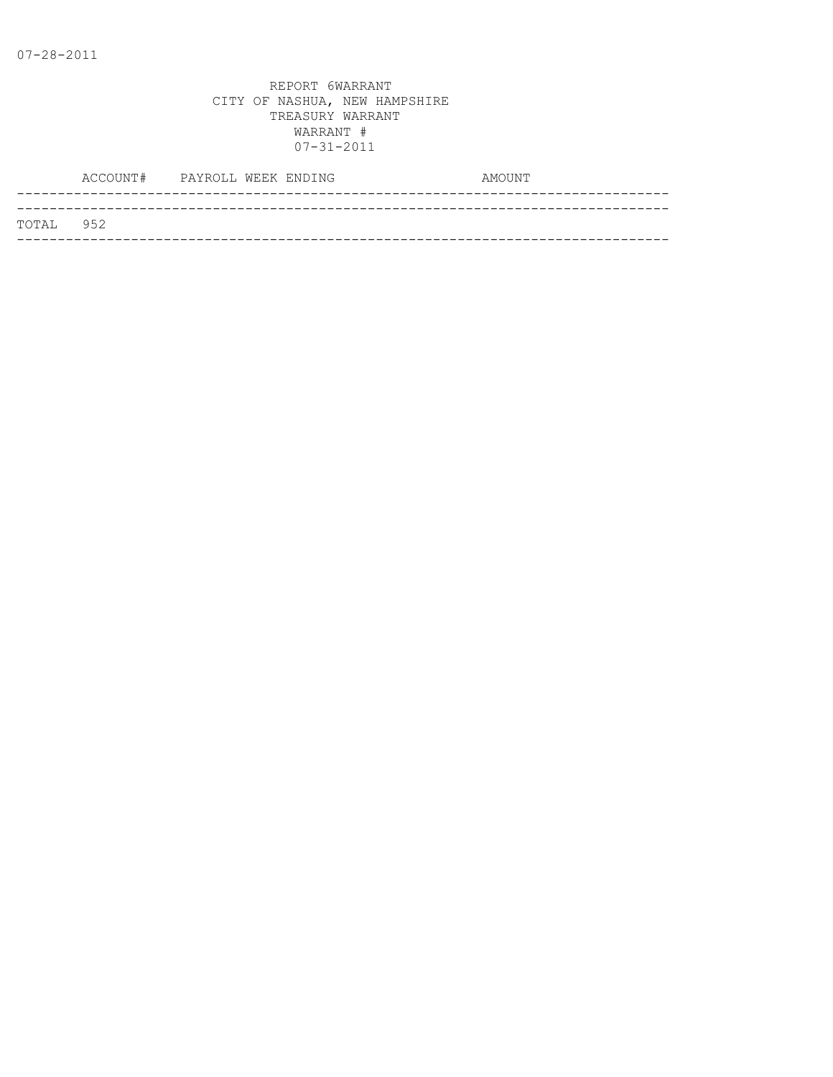|           | ACCOUNT# PAYROLL WEEK ENDING |  |  | AMOUNT |
|-----------|------------------------------|--|--|--------|
|           |                              |  |  |        |
| TOTAL 952 |                              |  |  |        |
|           |                              |  |  |        |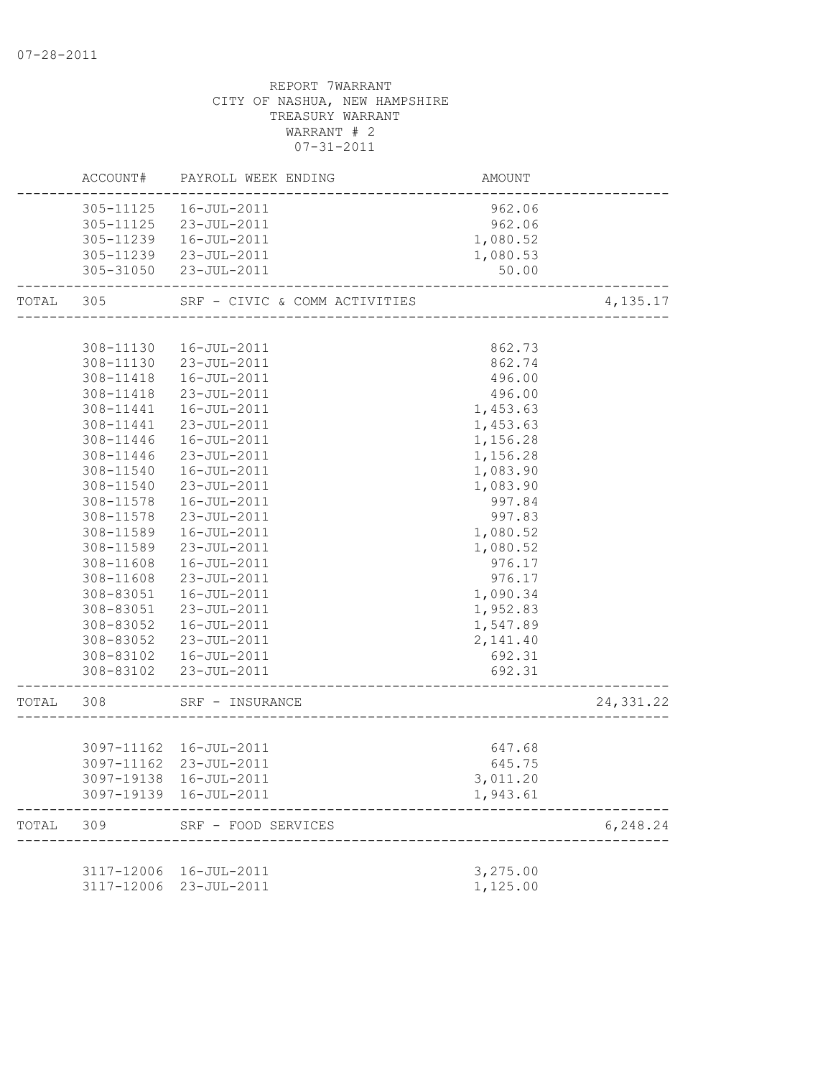|           |                        | ACCOUNT# PAYROLL WEEK ENDING                                         | <b>AMOUNT</b>        |           |
|-----------|------------------------|----------------------------------------------------------------------|----------------------|-----------|
|           |                        | 305-11125  16-JUL-2011                                               | 962.06               |           |
|           |                        | 305-11125 23-JUL-2011                                                | 962.06               |           |
|           |                        | 305-11239  16-JUL-2011                                               | 1,080.52             |           |
|           |                        | 305-11239 23-JUL-2011                                                | 1,080.53             |           |
|           |                        | 305-31050 23-JUL-2011                                                | 50.00                |           |
| TOTAL 305 |                        | SRF - CIVIC & COMM ACTIVITIES<br>----------------<br>--------------- |                      | 4,135.17  |
|           |                        |                                                                      |                      |           |
|           | 308-11130              | 16-JUL-2011                                                          | 862.73               |           |
|           |                        | 308-11130 23-JUL-2011                                                | 862.74               |           |
|           |                        | 308-11418  16-JUL-2011                                               | 496.00               |           |
|           | 308-11418              | 23-JUL-2011                                                          | 496.00               |           |
|           | 308-11441              | 16-JUL-2011                                                          | 1,453.63             |           |
|           | 308-11441              | 23-JUL-2011                                                          | 1,453.63             |           |
|           | 308-11446              | 16-JUL-2011                                                          | 1,156.28             |           |
|           | 308-11446              | 23-JUL-2011                                                          | 1,156.28             |           |
|           | 308-11540              | 16-JUL-2011<br>23-JUL-2011                                           | 1,083.90<br>1,083.90 |           |
|           | 308-11540<br>308-11578 | 16-JUL-2011                                                          |                      |           |
|           | 308-11578              | 23-JUL-2011                                                          | 997.84<br>997.83     |           |
|           | 308-11589              | 16-JUL-2011                                                          | 1,080.52             |           |
|           | 308-11589              | 23-JUL-2011                                                          | 1,080.52             |           |
|           | 308-11608              | 16-JUL-2011                                                          | 976.17               |           |
|           | 308-11608              | 23-JUL-2011                                                          | 976.17               |           |
|           | 308-83051              | 16-JUL-2011                                                          | 1,090.34             |           |
|           | 308-83051              | 23-JUL-2011                                                          | 1,952.83             |           |
|           | 308-83052              | 16-JUL-2011                                                          | 1,547.89             |           |
|           | 308-83052              | 23-JUL-2011                                                          | 2,141.40             |           |
|           |                        | 308-83102  16-JUL-2011                                               | 692.31               |           |
|           |                        | 308-83102 23-JUL-2011                                                | 692.31               |           |
| TOTAL     | 308                    | SRF - INSURANCE                                                      |                      | 24,331.22 |
|           |                        |                                                                      |                      |           |
|           |                        | 3097-11162  16-JUL-2011                                              | 647.68               |           |
|           |                        | 3097-11162 23-JUL-2011                                               | 645.75               |           |
|           |                        | 3097-19138 16-JUL-2011                                               | 3,011.20             |           |
|           |                        | 3097-19139 16-JUL-2011                                               | 1,943.61             |           |
| TOTAL     | 309                    | SRF - FOOD SERVICES                                                  |                      | 6,248.24  |
|           |                        |                                                                      |                      |           |
|           |                        | 3117-12006 16-JUL-2011                                               | 3,275.00             |           |
|           | 3117-12006             | 23-JUL-2011                                                          | 1,125.00             |           |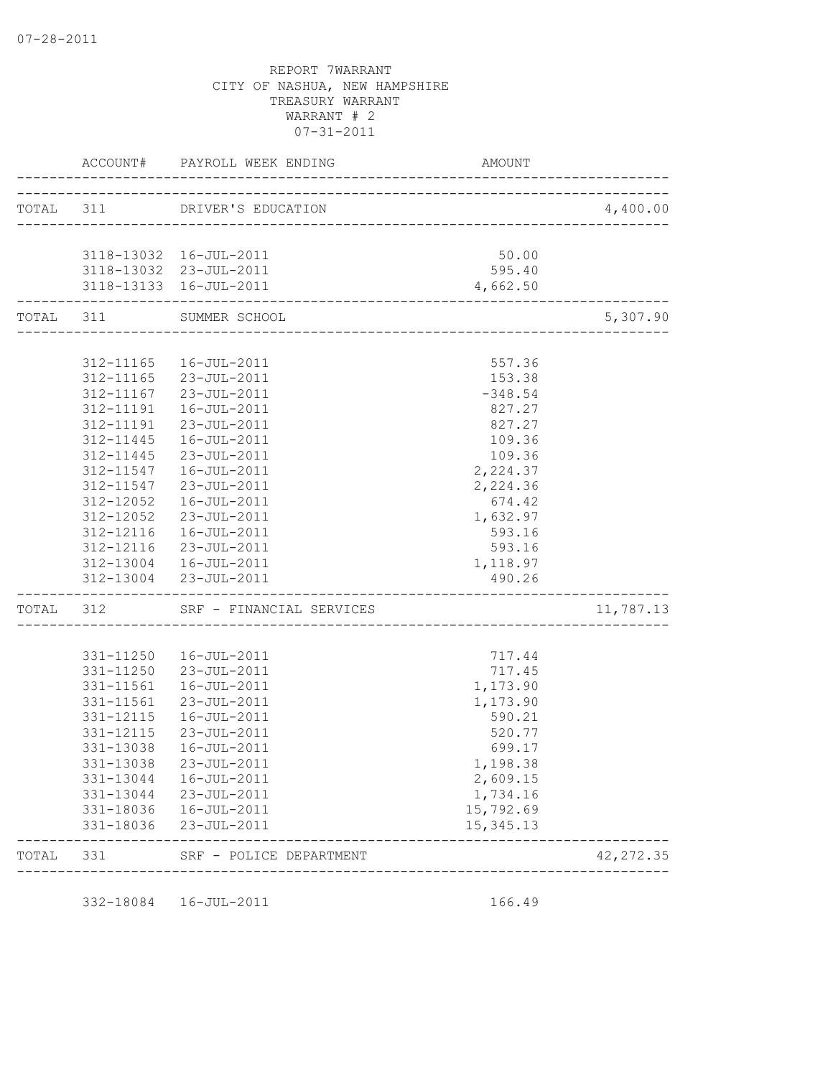|           |                    | ACCOUNT# PAYROLL WEEK ENDING                                   | AMOUNT                                |            |
|-----------|--------------------|----------------------------------------------------------------|---------------------------------------|------------|
| TOTAL 311 |                    | DRIVER'S EDUCATION                                             | ----------------------------------    | 4,400.00   |
|           |                    |                                                                |                                       |            |
|           |                    | 3118-13032 16-JUL-2011                                         | 50.00                                 |            |
|           |                    | 3118-13032 23-JUL-2011                                         | 595.40                                |            |
|           |                    | 3118-13133  16-JUL-2011<br>.__________________________________ | 4,662.50                              |            |
|           |                    | TOTAL 311 SUMMER SCHOOL                                        | ------------------------------------- | 5,307.90   |
|           |                    | 312-11165  16-JUL-2011                                         | 557.36                                |            |
|           |                    | 312-11165 23-JUL-2011                                          | 153.38                                |            |
|           |                    | 312-11167 23-JUL-2011                                          | $-348.54$                             |            |
|           | 312-11191          | 16-JUL-2011                                                    | 827.27                                |            |
|           | 312-11191          | 23-JUL-2011                                                    | 827.27                                |            |
|           | 312-11445          | 16-JUL-2011                                                    | 109.36                                |            |
|           | 312-11445          | 23-JUL-2011                                                    | 109.36                                |            |
|           | 312-11547          | 16-JUL-2011                                                    | 2,224.37                              |            |
|           | $312 - 11547$      | 23-JUL-2011                                                    | 2,224.36                              |            |
|           | 312-12052          | 16-JUL-2011                                                    | 674.42                                |            |
|           | 312-12052          | 23-JUL-2011                                                    | 1,632.97                              |            |
|           | 312-12116          | 16-JUL-2011                                                    | 593.16                                |            |
|           |                    | 312-12116 23-JUL-2011                                          | 593.16                                |            |
|           |                    | 312-13004  16-JUL-2011                                         | 1,118.97                              |            |
|           | ------------------ | 312-13004 23-JUL-2011                                          | 490.26                                |            |
|           |                    | TOTAL 312 SRF - FINANCIAL SERVICES                             |                                       | 11,787.13  |
|           | 331-11250          | 16-JUL-2011                                                    | 717.44                                |            |
|           |                    | 331-11250 23-JUL-2011                                          | 717.45                                |            |
|           | 331-11561          | 16-JUL-2011                                                    | 1,173.90                              |            |
|           | 331-11561          | 23-JUL-2011                                                    | 1,173.90                              |            |
|           | 331-12115          | 16-JUL-2011                                                    | 590.21                                |            |
|           | 331-12115          | 23-JUL-2011                                                    | 520.77                                |            |
|           | 331-13038          | 16-JUL-2011                                                    | 699.17                                |            |
|           | 331-13038          | 23-JUL-2011                                                    | 1,198.38                              |            |
|           |                    | 331-13044  16-JUL-2011                                         | 2,609.15                              |            |
|           |                    | 331-13044 23-JUL-2011                                          | 1,734.16                              |            |
|           |                    | 331-18036  16-JUL-2011                                         | 15,792.69                             |            |
|           | 331-18036          | 23-JUL-2011                                                    | 15, 345. 13                           |            |
| TOTAL     | 331                | SRF - POLICE DEPARTMENT                                        |                                       | 42, 272.35 |

332-18084 16-JUL-2011 166.49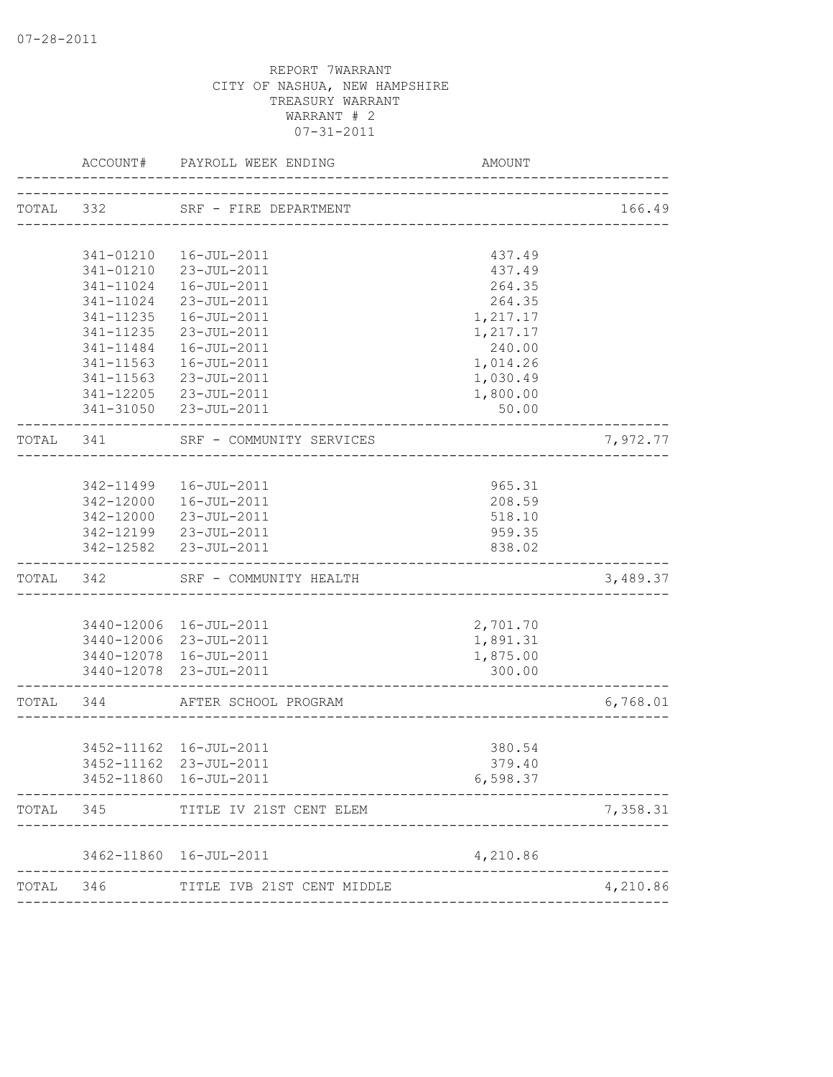|           | ACCOUNT#               | PAYROLL WEEK ENDING                                                      | AMOUNT               |          |
|-----------|------------------------|--------------------------------------------------------------------------|----------------------|----------|
| TOTAL 332 |                        | SRF - FIRE DEPARTMENT                                                    |                      | 166.49   |
|           |                        |                                                                          |                      |          |
|           | 341-01210              | 16-JUL-2011                                                              | 437.49               |          |
|           |                        | 341-01210 23-JUL-2011                                                    | 437.49               |          |
|           | 341-11024              | 16-JUL-2011                                                              | 264.35               |          |
|           | 341-11024              | 23-JUL-2011                                                              | 264.35               |          |
|           | 341-11235              | 16-JUL-2011                                                              | 1,217.17             |          |
|           | 341-11235              | 23-JUL-2011                                                              | 1,217.17             |          |
|           | 341-11484              | 16-JUL-2011                                                              | 240.00               |          |
|           | 341-11563              | 16-JUL-2011                                                              | 1,014.26             |          |
|           | 341-11563<br>341-12205 | 23-JUL-2011<br>23-JUL-2011                                               | 1,030.49<br>1,800.00 |          |
|           |                        | 341-31050 23-JUL-2011                                                    | 50.00                |          |
|           |                        | TOTAL 341 SRF - COMMUNITY SERVICES<br>__________________________________ |                      | 7,972.77 |
|           |                        |                                                                          |                      |          |
|           |                        | 342-11499  16-JUL-2011                                                   | 965.31               |          |
|           |                        | 342-12000  16-JUL-2011                                                   | 208.59               |          |
|           |                        | 342-12000 23-JUL-2011                                                    | 518.10               |          |
|           |                        | 342-12199 23-JUL-2011                                                    | 959.35               |          |
|           |                        | 342-12582 23-JUL-2011                                                    | 838.02               |          |
|           | TOTAL 342              | SRF - COMMUNITY HEALTH                                                   |                      | 3,489.37 |
|           |                        |                                                                          |                      |          |
|           |                        | 3440-12006 16-JUL-2011                                                   | 2,701.70             |          |
|           |                        | 3440-12006 23-JUL-2011                                                   | 1,891.31             |          |
|           |                        | 3440-12078 16-JUL-2011<br>3440-12078 23-JUL-2011                         | 1,875.00<br>300.00   |          |
| TOTAL 344 |                        | AFTER SCHOOL PROGRAM                                                     |                      | 6,768.01 |
|           |                        | ---------------------                                                    |                      |          |
|           |                        | 3452-11162  16-JUL-2011                                                  | 380.54               |          |
|           |                        | 3452-11162 23-JUL-2011                                                   | 379.40               |          |
|           |                        | 3452-11860 16-JUL-2011                                                   | 6,598.37             |          |
| TOTAL     | 345                    | TITLE IV 21ST CENT ELEM                                                  |                      | 7,358.31 |
|           |                        | 3462-11860 16-JUL-2011                                                   | 4,210.86             |          |
|           |                        |                                                                          |                      |          |
| TOTAL     | 346                    | TITLE IVB 21ST CENT MIDDLE                                               |                      | 4,210.86 |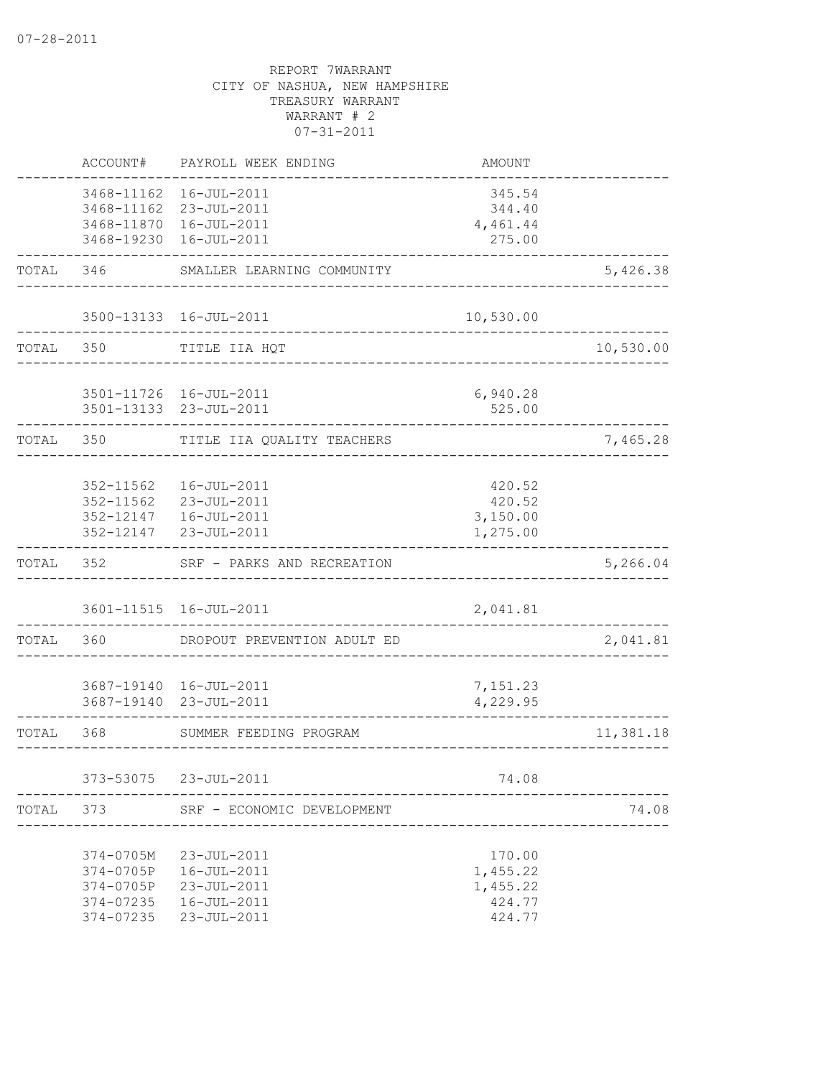|       | ACCOUNT#                                                      | PAYROLL WEEK ENDING                                                             | <b>AMOUNT</b>                                      |           |
|-------|---------------------------------------------------------------|---------------------------------------------------------------------------------|----------------------------------------------------|-----------|
|       | 3468-11162<br>3468-19230                                      | 16-JUL-2011<br>3468-11162 23-JUL-2011<br>3468-11870  16-JUL-2011<br>16-JUL-2011 | 345.54<br>344.40<br>4,461.44<br>275.00             |           |
| TOTAL | 346                                                           | SMALLER LEARNING COMMUNITY                                                      |                                                    | 5,426.38  |
|       |                                                               | 3500-13133 16-JUL-2011                                                          | 10,530.00                                          |           |
| TOTAL | 350                                                           | TITLE IIA HQT                                                                   |                                                    | 10,530.00 |
|       |                                                               | 3501-11726 16-JUL-2011<br>3501-13133 23-JUL-2011                                | 6,940.28<br>525.00                                 |           |
| TOTAL | 350                                                           | TITLE IIA QUALITY TEACHERS                                                      |                                                    | 7,465.28  |
|       | 352-11562<br>352-11562<br>352-12147<br>352-12147              | 16-JUL-2011<br>23-JUL-2011<br>16-JUL-2011<br>23-JUL-2011                        | 420.52<br>420.52<br>3,150.00<br>1,275.00           |           |
| TOTAL | 352                                                           | SRF - PARKS AND RECREATION                                                      |                                                    | 5,266.04  |
|       | 3601-11515                                                    | 16-JUL-2011                                                                     | 2,041.81                                           |           |
| TOTAL | 360                                                           | DROPOUT PREVENTION ADULT ED                                                     |                                                    | 2,041.81  |
|       | 3687-19140                                                    | 3687-19140  16-JUL-2011<br>23-JUL-2011                                          | 7,151.23<br>4,229.95                               |           |
| TOTAL | 368                                                           | SUMMER FEEDING PROGRAM                                                          | -----------------                                  | 11,381.18 |
|       | 373-53075                                                     | 23-JUL-2011                                                                     | 74.08                                              |           |
| TOTAL | 373                                                           | SRF - ECONOMIC DEVELOPMENT                                                      |                                                    | 74.08     |
|       | 374-0705M<br>374-0705P<br>374-0705P<br>374-07235<br>374-07235 | 23-JUL-2011<br>16-JUL-2011<br>23-JUL-2011<br>16-JUL-2011<br>23-JUL-2011         | 170.00<br>1,455.22<br>1,455.22<br>424.77<br>424.77 |           |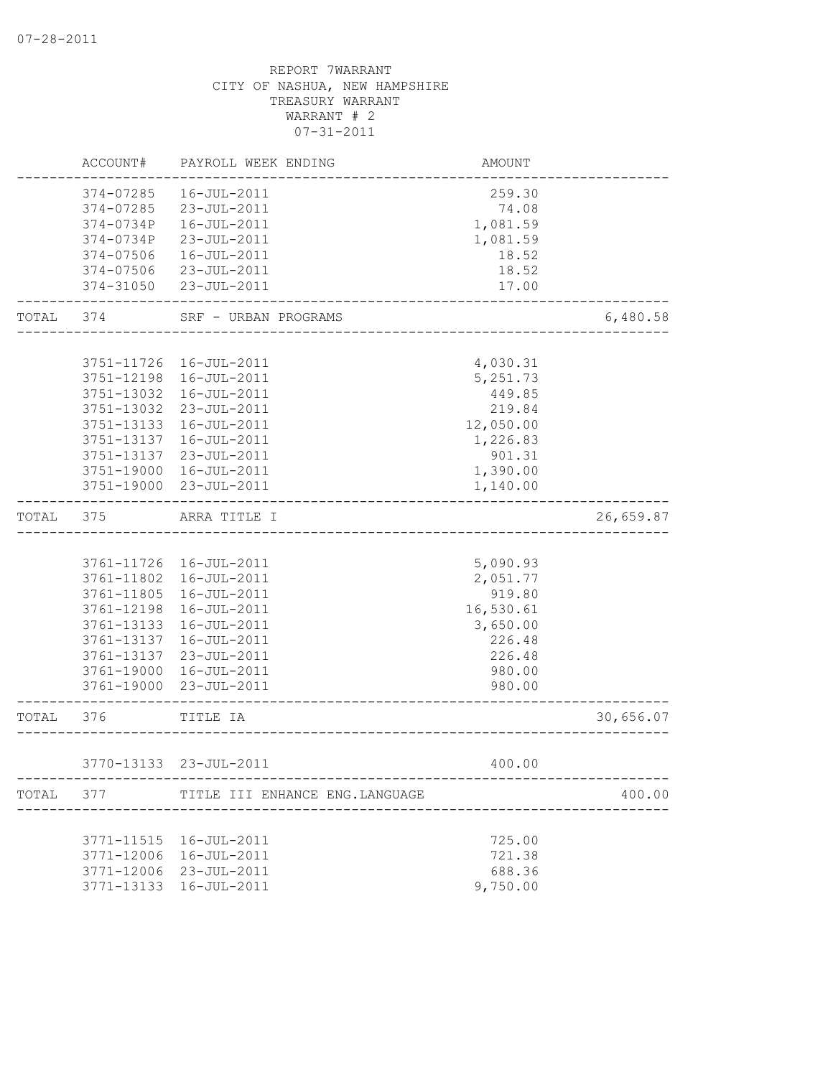|           | ACCOUNT#   | PAYROLL WEEK ENDING             | AMOUNT    |           |
|-----------|------------|---------------------------------|-----------|-----------|
|           | 374-07285  | 16-JUL-2011                     | 259.30    |           |
|           | 374-07285  | 23-JUL-2011                     | 74.08     |           |
|           | 374-0734P  | 16-JUL-2011                     | 1,081.59  |           |
|           | 374-0734P  | 23-JUL-2011                     | 1,081.59  |           |
|           | 374-07506  | 16-JUL-2011                     | 18.52     |           |
|           | 374-07506  | 23-JUL-2011                     | 18.52     |           |
|           | 374-31050  | 23-JUL-2011                     | 17.00     |           |
| TOTAL     | 374        | SRF - URBAN PROGRAMS            |           | 6,480.58  |
|           |            |                                 |           |           |
|           | 3751-11726 | 16-JUL-2011                     | 4,030.31  |           |
|           | 3751-12198 | 16-JUL-2011                     | 5,251.73  |           |
|           | 3751-13032 | 16-JUL-2011                     | 449.85    |           |
|           | 3751-13032 | 23-JUL-2011                     | 219.84    |           |
|           | 3751-13133 | 16-JUL-2011                     | 12,050.00 |           |
|           | 3751-13137 | 16-JUL-2011                     | 1,226.83  |           |
|           | 3751-13137 | 23-JUL-2011                     | 901.31    |           |
|           | 3751-19000 | 16-JUL-2011                     | 1,390.00  |           |
|           | 3751-19000 | 23-JUL-2011                     | 1,140.00  |           |
| TOTAL     | 375        | ARRA TITLE I                    |           | 26,659.87 |
|           |            |                                 |           |           |
|           |            | 3761-11726 16-JUL-2011          | 5,090.93  |           |
|           | 3761-11802 | 16-JUL-2011                     | 2,051.77  |           |
|           | 3761-11805 | 16-JUL-2011                     | 919.80    |           |
|           | 3761-12198 | 16-JUL-2011                     | 16,530.61 |           |
|           | 3761-13133 | 16-JUL-2011                     | 3,650.00  |           |
|           | 3761-13137 | 16-JUL-2011                     | 226.48    |           |
|           | 3761-13137 | 23-JUL-2011                     | 226.48    |           |
|           | 3761-19000 | 16-JUL-2011                     | 980.00    |           |
|           | 3761-19000 | 23-JUL-2011                     | 980.00    |           |
| TOTAL     | 376        | TITLE IA                        |           | 30,656.07 |
|           |            | 3770-13133 23-JUL-2011          | 400.00    |           |
| TOTAL 377 |            | TITLE III ENHANCE ENG. LANGUAGE |           | 400.00    |
|           |            |                                 |           |           |
|           |            | 3771-11515  16-JUL-2011         | 725.00    |           |
|           | 3771-12006 | 16-JUL-2011                     | 721.38    |           |
|           | 3771-12006 | 23-JUL-2011                     | 688.36    |           |
|           |            | 3771-13133  16-JUL-2011         | 9,750.00  |           |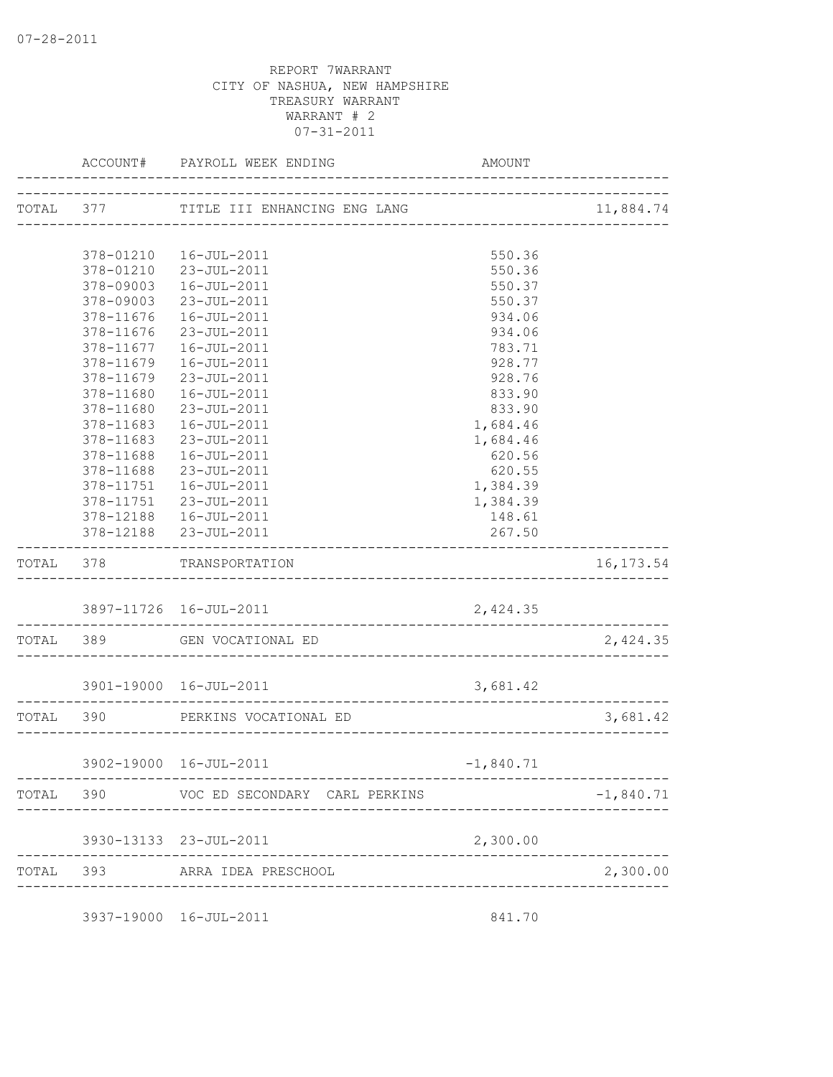|           | ACCOUNT#               | PAYROLL WEEK ENDING                                     | AMOUNT           |             |
|-----------|------------------------|---------------------------------------------------------|------------------|-------------|
|           |                        | TOTAL 377 TITLE III ENHANCING ENG LANG                  |                  | 11,884.74   |
|           |                        |                                                         |                  |             |
|           | 378-01210              | 16-JUL-2011                                             | 550.36           |             |
|           |                        | 378-01210 23-JUL-2011                                   | 550.36           |             |
|           | 378-09003              | 16-JUL-2011                                             | 550.37           |             |
|           | 378-09003              | 23-JUL-2011                                             | 550.37           |             |
|           | 378-11676              | 16-JUL-2011                                             | 934.06           |             |
|           | 378-11676<br>378-11677 | 23-JUL-2011                                             | 934.06           |             |
|           | 378-11679              | 16-JUL-2011<br>16-JUL-2011                              | 783.71<br>928.77 |             |
|           | 378-11679              | 23-JUL-2011                                             | 928.76           |             |
|           | 378-11680              | 16-JUL-2011                                             | 833.90           |             |
|           | 378-11680              | 23-JUL-2011                                             | 833.90           |             |
|           | 378-11683              | 16-JUL-2011                                             | 1,684.46         |             |
|           | 378-11683              | 23-JUL-2011                                             | 1,684.46         |             |
|           | 378-11688              | 16-JUL-2011                                             | 620.56           |             |
|           | 378-11688              | 23-JUL-2011                                             | 620.55           |             |
|           | 378-11751              | 16-JUL-2011                                             | 1,384.39         |             |
|           | 378-11751              | 23-JUL-2011                                             | 1,384.39         |             |
|           |                        | 378-12188  16-JUL-2011                                  | 148.61           |             |
|           |                        | 378-12188 23-JUL-2011                                   | 267.50           |             |
| TOTAL 378 |                        | TRANSPORTATION                                          |                  | 16, 173.54  |
|           |                        | 3897-11726 16-JUL-2011                                  | 2,424.35         |             |
|           |                        | ________________________<br>TOTAL 389 GEN VOCATIONAL ED |                  | 2,424.35    |
|           |                        | 3901-19000 16-JUL-2011                                  | 3,681.42         |             |
| TOTAL 390 |                        | PERKINS VOCATIONAL ED                                   |                  | 3,681.42    |
|           |                        | -----------------------                                 |                  |             |
|           |                        | 3902-19000 16-JUL-2011                                  | $-1,840.71$      |             |
|           |                        | TOTAL 390 VOC ED SECONDARY CARL PERKINS                 |                  | $-1,840.71$ |
|           |                        | 3930-13133 23-JUL-2011                                  | 2,300.00         |             |
|           |                        | TOTAL 393 ARRA IDEA PRESCHOOL                           |                  | 2,300.00    |
|           |                        | ________________                                        |                  |             |
|           |                        | 3937-19000 16-JUL-2011                                  | 841.70           |             |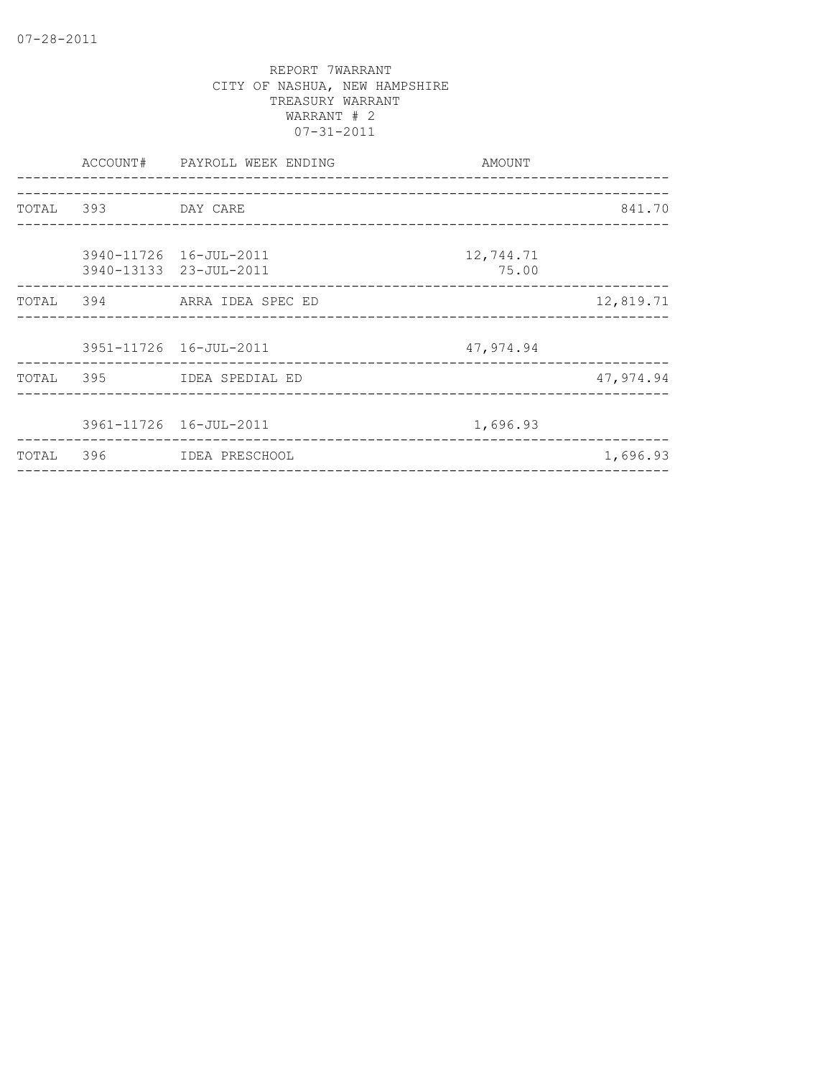|       |                    | ACCOUNT# PAYROLL WEEK ENDING | AMOUNT    |           |
|-------|--------------------|------------------------------|-----------|-----------|
|       |                    |                              |           |           |
|       | TOTAL 393 DAY CARE |                              |           | 841.70    |
|       |                    |                              |           |           |
|       |                    | 3940-11726 16-JUL-2011       | 12,744.71 |           |
|       |                    | 3940-13133 23-JUL-2011       | 75.00     |           |
|       |                    | TOTAL 394 ARRA IDEA SPEC ED  |           | 12,819.71 |
|       |                    |                              |           |           |
|       |                    | 3951-11726 16-JUL-2011       | 47,974.94 |           |
|       |                    | TOTAL 395 IDEA SPEDIAL ED    |           | 47,974.94 |
|       |                    |                              |           |           |
|       |                    | 3961-11726 16-JUL-2011       | 1,696.93  |           |
| TOTAL | 396                | IDEA PRESCHOOL               |           | 1,696.93  |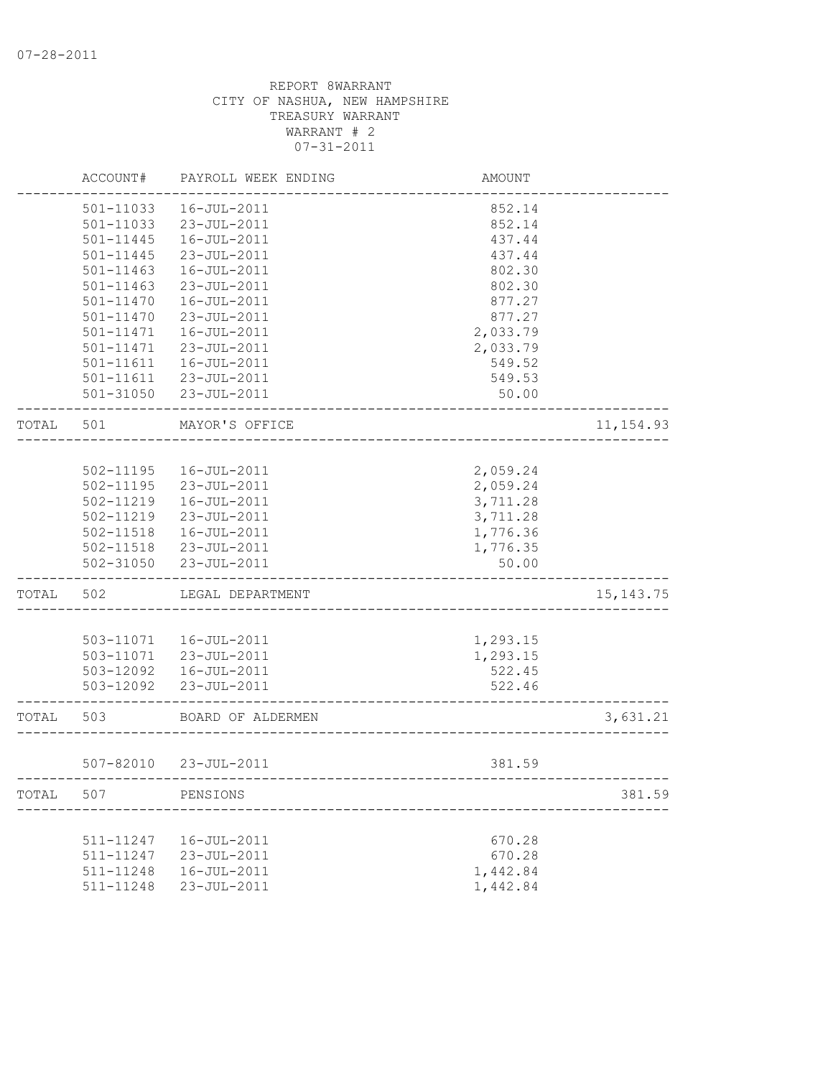|       | ACCOUNT#      | PAYROLL WEEK ENDING   | <b>AMOUNT</b> |             |
|-------|---------------|-----------------------|---------------|-------------|
|       | 501-11033     | 16-JUL-2011           | 852.14        |             |
|       | 501-11033     | 23-JUL-2011           | 852.14        |             |
|       | $501 - 11445$ | 16-JUL-2011           | 437.44        |             |
|       | $501 - 11445$ | 23-JUL-2011           | 437.44        |             |
|       | 501-11463     | 16-JUL-2011           | 802.30        |             |
|       | $501 - 11463$ | 23-JUL-2011           | 802.30        |             |
|       | $501 - 11470$ | $16 - JUL - 2011$     | 877.27        |             |
|       | $501 - 11470$ | 23-JUL-2011           | 877.27        |             |
|       | $501 - 11471$ | 16-JUL-2011           | 2,033.79      |             |
|       | 501-11471     | 23-JUL-2011           | 2,033.79      |             |
|       | $501 - 11611$ | 16-JUL-2011           | 549.52        |             |
|       | 501-11611     | 23-JUL-2011           | 549.53        |             |
|       |               | 501-31050 23-JUL-2011 | 50.00         |             |
| TOTAL | 501           | MAYOR'S OFFICE        |               | 11, 154.93  |
|       |               |                       |               |             |
|       | 502-11195     | 16-JUL-2011           | 2,059.24      |             |
|       | $502 - 11195$ | 23-JUL-2011           | 2,059.24      |             |
|       | 502-11219     | 16-JUL-2011           | 3,711.28      |             |
|       | 502-11219     | 23-JUL-2011           | 3,711.28      |             |
|       | 502-11518     | 16-JUL-2011           | 1,776.36      |             |
|       | 502-11518     | 23-JUL-2011           | 1,776.35      |             |
|       | 502-31050     | 23-JUL-2011           | 50.00         |             |
| TOTAL | 502           | LEGAL DEPARTMENT      |               | 15, 143. 75 |
|       |               |                       |               |             |
|       | 503-11071     | 16-JUL-2011           | 1,293.15      |             |
|       | 503-11071     | 23-JUL-2011           | 1,293.15      |             |
|       | 503-12092     | 16-JUL-2011           | 522.45        |             |
|       | 503-12092     | 23-JUL-2011           | 522.46        |             |
| TOTAL | 503           | BOARD OF ALDERMEN     |               | 3,631.21    |
|       |               | 507-82010 23-JUL-2011 | 381.59        |             |
| TOTAL | 507           | PENSIONS              |               | 381.59      |
|       |               |                       |               |             |
|       | 511-11247     | 16-JUL-2011           | 670.28        |             |
|       | 511-11247     | 23-JUL-2011           | 670.28        |             |
|       | 511-11248     | 16-JUL-2011           | 1,442.84      |             |
|       | 511-11248     | 23-JUL-2011           | 1,442.84      |             |
|       |               |                       |               |             |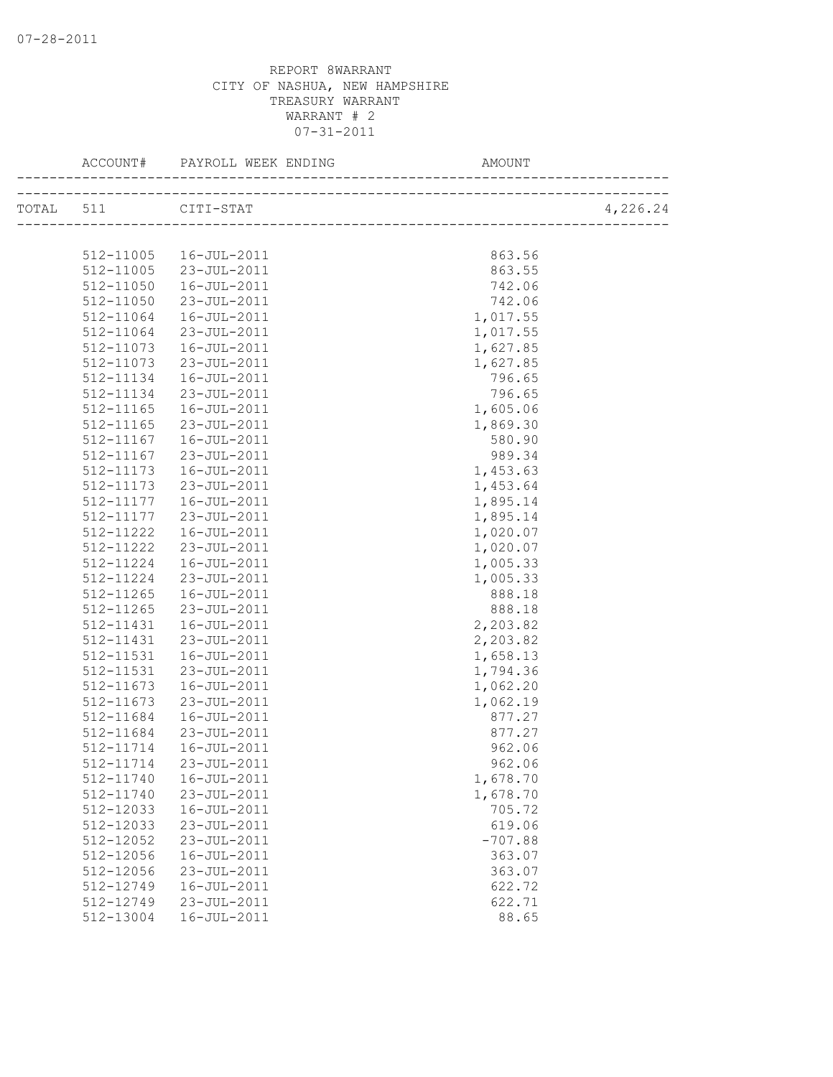| TOTAL 511 CITI-STAT |             |           | 4,226.24 |
|---------------------|-------------|-----------|----------|
|                     |             |           |          |
| 512-11005           | 16-JUL-2011 | 863.56    |          |
| 512-11005           | 23-JUL-2011 | 863.55    |          |
| 512-11050           | 16-JUL-2011 | 742.06    |          |
| 512-11050           | 23-JUL-2011 | 742.06    |          |
| 512-11064           | 16-JUL-2011 | 1,017.55  |          |
| 512-11064           | 23-JUL-2011 | 1,017.55  |          |
| 512-11073           | 16-JUL-2011 | 1,627.85  |          |
| 512-11073           | 23-JUL-2011 | 1,627.85  |          |
| 512-11134           | 16-JUL-2011 | 796.65    |          |
| 512-11134           | 23-JUL-2011 | 796.65    |          |
| 512-11165           | 16-JUL-2011 | 1,605.06  |          |
| 512-11165           | 23-JUL-2011 | 1,869.30  |          |
| 512-11167           | 16-JUL-2011 | 580.90    |          |
| 512-11167           | 23-JUL-2011 | 989.34    |          |
| 512-11173           | 16-JUL-2011 | 1,453.63  |          |
| 512-11173           | 23-JUL-2011 | 1,453.64  |          |
| 512-11177           | 16-JUL-2011 | 1,895.14  |          |
| 512-11177           | 23-JUL-2011 | 1,895.14  |          |
| 512-11222           | 16-JUL-2011 | 1,020.07  |          |
| 512-11222           | 23-JUL-2011 | 1,020.07  |          |
| 512-11224           | 16-JUL-2011 | 1,005.33  |          |
| 512-11224           | 23-JUL-2011 | 1,005.33  |          |
| 512-11265           | 16-JUL-2011 | 888.18    |          |
| 512-11265           | 23-JUL-2011 | 888.18    |          |
| 512-11431           | 16-JUL-2011 | 2,203.82  |          |
| 512-11431           | 23-JUL-2011 | 2,203.82  |          |
| 512-11531           | 16-JUL-2011 | 1,658.13  |          |
| 512-11531           | 23-JUL-2011 | 1,794.36  |          |
| 512-11673           | 16-JUL-2011 | 1,062.20  |          |
| 512-11673           | 23-JUL-2011 | 1,062.19  |          |
| 512-11684           | 16-JUL-2011 | 877.27    |          |
| 512-11684           | 23-JUL-2011 | 877.27    |          |
| 512-11714           | 16-JUL-2011 | 962.06    |          |
| 512-11714           | 23-JUL-2011 | 962.06    |          |
| 512-11740           | 16-JUL-2011 | 1,678.70  |          |
| 512-11740           | 23-JUL-2011 | 1,678.70  |          |
| 512-12033           | 16-JUL-2011 | 705.72    |          |
| 512-12033           | 23-JUL-2011 | 619.06    |          |
| 512-12052           | 23-JUL-2011 | $-707.88$ |          |
| 512-12056           | 16-JUL-2011 | 363.07    |          |
| 512-12056           | 23-JUL-2011 | 363.07    |          |
| 512-12749           | 16-JUL-2011 | 622.72    |          |
| 512-12749           | 23-JUL-2011 | 622.71    |          |
| 512-13004           | 16-JUL-2011 | 88.65     |          |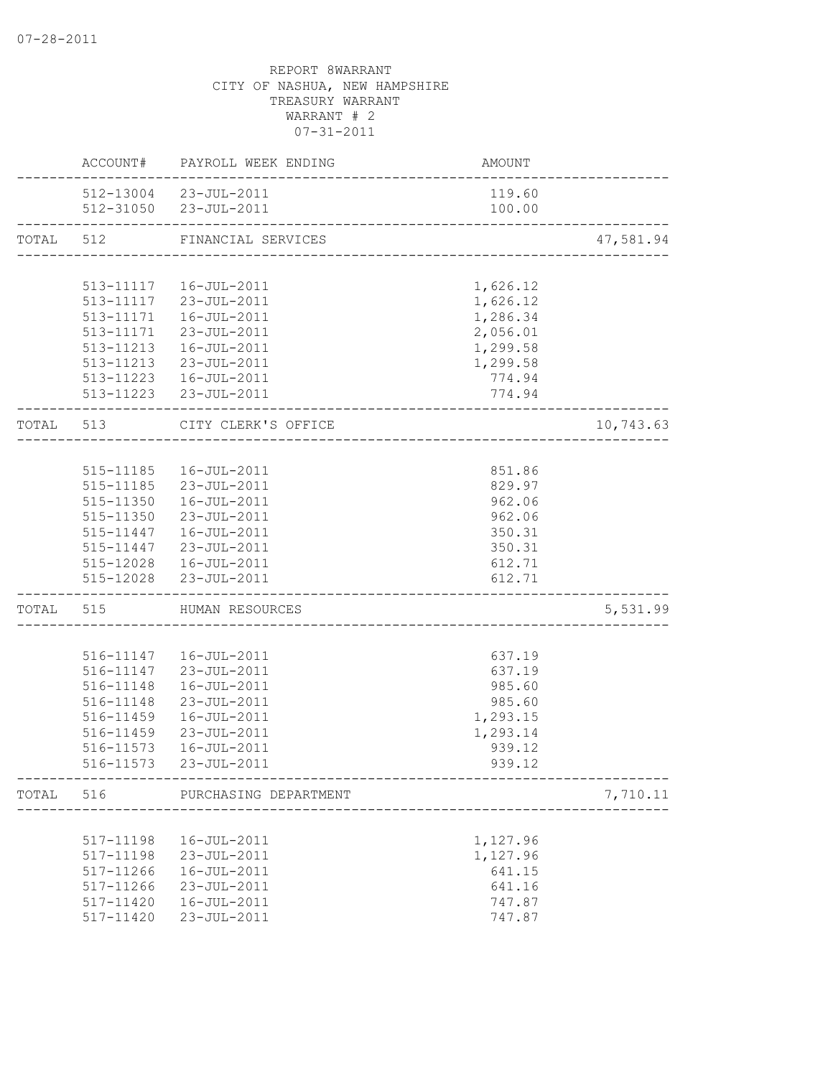|           |           | ACCOUNT# PAYROLL WEEK ENDING                    | AMOUNT                              |           |
|-----------|-----------|-------------------------------------------------|-------------------------------------|-----------|
|           |           | 512-13004 23-JUL-2011<br>512-31050 23-JUL-2011  | 119.60<br>100.00                    |           |
|           |           |                                                 |                                     |           |
| TOTAL 512 |           | FINANCIAL SERVICES                              | ___________________________________ | 47,581.94 |
|           |           |                                                 |                                     |           |
|           |           | 513-11117  16-JUL-2011<br>513-11117 23-JUL-2011 | 1,626.12                            |           |
|           |           |                                                 | 1,626.12                            |           |
|           |           | 513-11171  16-JUL-2011                          | 1,286.34                            |           |
|           |           | 513-11171 23-JUL-2011                           | 2,056.01                            |           |
|           |           | 513-11213  16-JUL-2011                          | 1,299.58                            |           |
|           |           | 513-11213 23-JUL-2011                           | 1,299.58                            |           |
|           |           | 513-11223  16-JUL-2011                          | 774.94                              |           |
|           |           | 513-11223 23-JUL-2011                           | 774.94<br>_____________________     |           |
|           | TOTAL 513 | CITY CLERK'S OFFICE<br>____________________     |                                     | 10,743.63 |
|           |           |                                                 |                                     |           |
|           |           | 515-11185  16-JUL-2011                          | 851.86                              |           |
|           |           | 515-11185 23-JUL-2011                           | 829.97                              |           |
|           |           | 515-11350  16-JUL-2011                          | 962.06                              |           |
|           |           | 515-11350 23-JUL-2011                           | 962.06                              |           |
|           |           | 515-11447  16-JUL-2011                          | 350.31                              |           |
|           |           | 515-11447 23-JUL-2011                           | 350.31                              |           |
|           |           | 515-12028  16-JUL-2011                          | 612.71                              |           |
|           |           | 515-12028 23-JUL-2011                           | 612.71                              |           |
|           |           | TOTAL 515 HUMAN RESOURCES                       | ____________________________        | 5,531.99  |
|           |           |                                                 |                                     |           |
|           |           | 516-11147  16-JUL-2011                          | 637.19                              |           |
|           |           | 516-11147 23-JUL-2011                           | 637.19                              |           |
|           |           | 516-11148  16-JUL-2011                          | 985.60                              |           |
|           | 516-11148 | 23-JUL-2011                                     | 985.60                              |           |
|           | 516-11459 | 16-JUL-2011                                     | 1,293.15                            |           |
|           | 516-11459 | 23-JUL-2011                                     | 1,293.14                            |           |
|           | 516-11573 | 16-JUL-2011                                     | 939.12                              |           |
|           | 516-11573 | 23-JUL-2011                                     | 939.12                              |           |
|           |           | TOTAL 516 PURCHASING DEPARTMENT                 |                                     | 7,710.11  |
|           |           |                                                 | -------------------                 |           |
|           | 517-11198 | 16-JUL-2011                                     | 1,127.96                            |           |
|           | 517-11198 | 23-JUL-2011                                     | 1,127.96                            |           |
|           | 517-11266 | 16-JUL-2011                                     | 641.15                              |           |
|           | 517-11266 | 23-JUL-2011                                     | 641.16                              |           |
|           | 517-11420 | 16-JUL-2011                                     | 747.87                              |           |
|           | 517-11420 | 23-JUL-2011                                     | 747.87                              |           |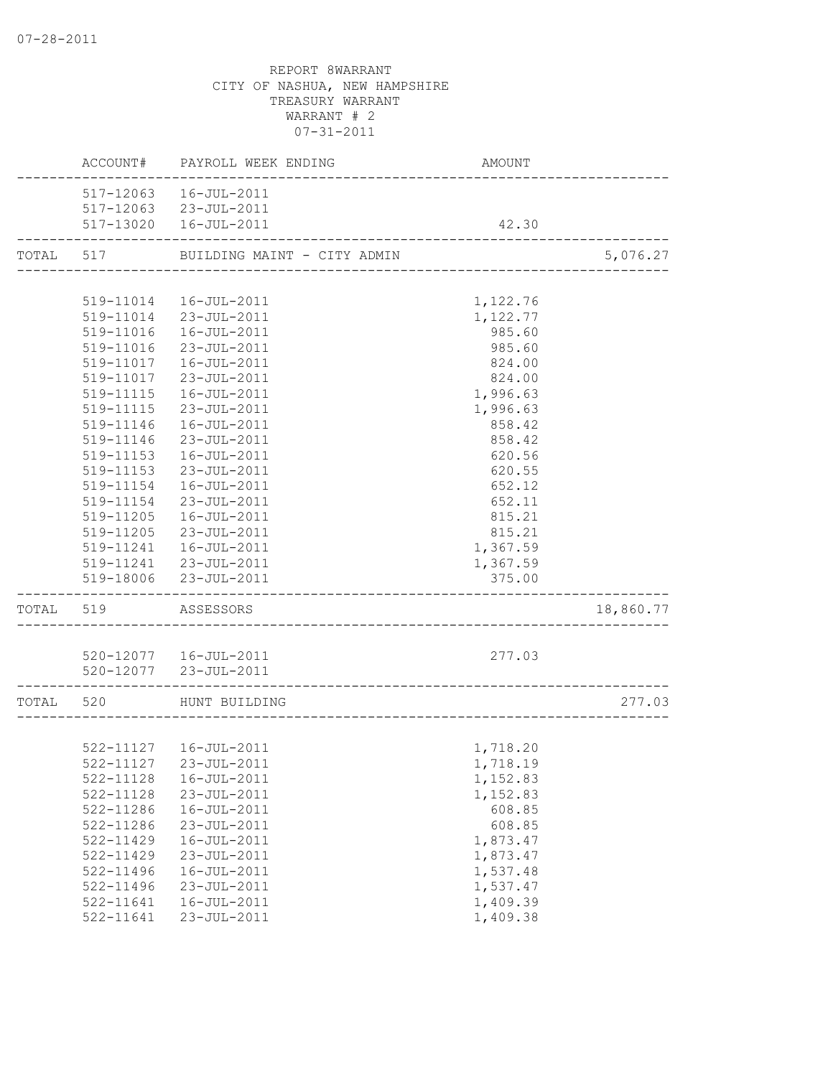|           |                    | ACCOUNT# PAYROLL WEEK ENDING | AMOUNT   |           |
|-----------|--------------------|------------------------------|----------|-----------|
|           |                    | 517-12063  16-JUL-2011       |          |           |
|           |                    | 517-12063 23-JUL-2011        |          |           |
|           |                    | 517-13020  16-JUL-2011       | 42.30    |           |
| TOTAL 517 |                    | BUILDING MAINT - CITY ADMIN  |          | 5,076.27  |
|           |                    |                              |          |           |
|           |                    | 519-11014  16-JUL-2011       | 1,122.76 |           |
|           |                    | 519-11014 23-JUL-2011        | 1,122.77 |           |
|           |                    | 519-11016  16-JUL-2011       | 985.60   |           |
|           | 519-11016          | 23-JUL-2011                  | 985.60   |           |
|           | 519-11017          | 16-JUL-2011                  | 824.00   |           |
|           |                    | 519-11017 23-JUL-2011        | 824.00   |           |
|           |                    | 519-11115  16-JUL-2011       | 1,996.63 |           |
|           |                    | 519-11115 23-JUL-2011        | 1,996.63 |           |
|           | 519-11146          | 16-JUL-2011                  | 858.42   |           |
|           | 519-11146          | 23-JUL-2011                  | 858.42   |           |
|           | 519-11153          | 16-JUL-2011                  | 620.56   |           |
|           | 519-11153          | 23-JUL-2011                  | 620.55   |           |
|           | 519-11154          | 16-JUL-2011                  | 652.12   |           |
|           | 519-11154          | 23-JUL-2011                  | 652.11   |           |
|           | 519-11205          | 16-JUL-2011                  | 815.21   |           |
|           |                    | 519-11205 23-JUL-2011        | 815.21   |           |
|           |                    | 519-11241  16-JUL-2011       | 1,367.59 |           |
|           |                    | 519-11241 23-JUL-2011        | 1,367.59 |           |
|           |                    | 519-18006 23-JUL-2011        | 375.00   |           |
| TOTAL 519 |                    | ASSESSORS                    |          | 18,860.77 |
|           |                    |                              |          |           |
|           |                    | 520-12077  16-JUL-2011       | 277.03   |           |
|           | ------------------ | 520-12077 23-JUL-2011        |          |           |
|           |                    | TOTAL 520 HUNT BUILDING      |          | 277.03    |
|           |                    |                              |          |           |
|           |                    | 522-11127  16-JUL-2011       | 1,718.20 |           |
|           |                    | 522-11127 23-JUL-2011        | 1,718.19 |           |
|           | 522-11128          | 16-JUL-2011                  | 1,152.83 |           |
|           | 522-11128          | 23-JUL-2011                  | 1,152.83 |           |
|           | 522-11286          | 16-JUL-2011                  | 608.85   |           |
|           | 522-11286          | 23-JUL-2011                  | 608.85   |           |
|           | 522-11429          | $16 - JUL - 2011$            | 1,873.47 |           |
|           | $522 - 11429$      | 23-JUL-2011                  | 1,873.47 |           |
|           | 522-11496          | 16-JUL-2011                  | 1,537.48 |           |
|           | 522-11496          | 23-JUL-2011                  | 1,537.47 |           |
|           | 522-11641          | 16-JUL-2011                  | 1,409.39 |           |
|           | 522-11641          | 23-JUL-2011                  | 1,409.38 |           |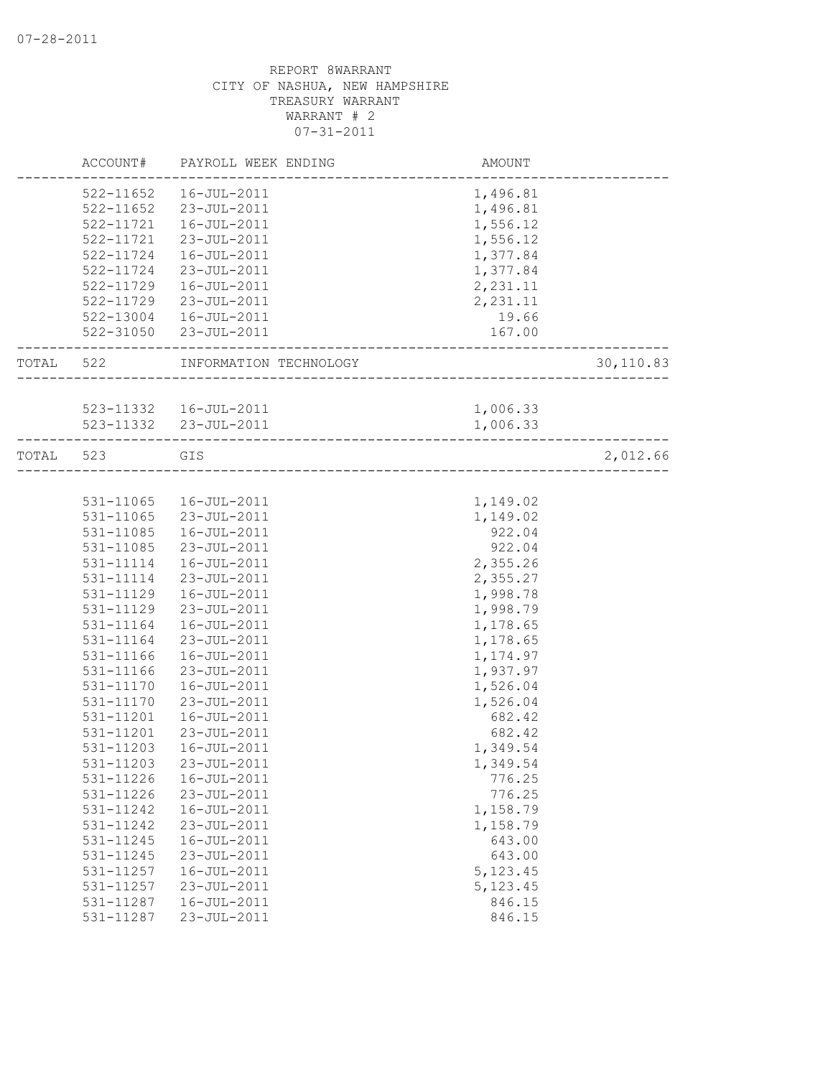|       | ACCOUNT#  | PAYROLL WEEK ENDING                        | AMOUNT                     |           |
|-------|-----------|--------------------------------------------|----------------------------|-----------|
|       | 522-11652 | 16-JUL-2011                                | 1,496.81                   |           |
|       | 522-11652 | 23-JUL-2011                                | 1,496.81                   |           |
|       | 522-11721 | 16-JUL-2011                                | 1,556.12                   |           |
|       | 522-11721 | 23-JUL-2011                                | 1,556.12                   |           |
|       | 522-11724 | 16-JUL-2011                                | 1,377.84                   |           |
|       | 522-11724 | 23-JUL-2011                                | 1,377.84                   |           |
|       | 522-11729 | 16-JUL-2011                                | 2,231.11                   |           |
|       | 522-11729 | 23-JUL-2011                                | 2,231.11                   |           |
|       | 522-13004 | 16-JUL-2011                                | 19.66                      |           |
|       | 522-31050 | 23-JUL-2011                                | 167.00<br>________________ |           |
| TOTAL | 522       | INFORMATION TECHNOLOGY                     |                            | 30,110.83 |
|       |           |                                            |                            |           |
|       |           | 523-11332  16-JUL-2011                     | 1,006.33                   |           |
|       | 523-11332 | 23-JUL-2011                                | 1,006.33                   |           |
| TOTAL | 523       | GIS<br>----------------------------------- |                            | 2,012.66  |
|       |           |                                            |                            |           |
|       | 531-11065 | 16-JUL-2011                                | 1,149.02                   |           |
|       | 531-11065 | 23-JUL-2011                                | 1,149.02                   |           |
|       | 531-11085 | 16-JUL-2011                                | 922.04                     |           |
|       | 531-11085 | 23-JUL-2011                                | 922.04                     |           |
|       | 531-11114 | 16-JUL-2011                                | 2,355.26                   |           |
|       | 531-11114 | 23-JUL-2011                                | 2,355.27                   |           |
|       | 531-11129 | 16-JUL-2011                                | 1,998.78                   |           |
|       | 531-11129 | 23-JUL-2011                                | 1,998.79                   |           |
|       | 531-11164 | 16-JUL-2011                                | 1,178.65                   |           |
|       | 531-11164 | 23-JUL-2011                                | 1,178.65                   |           |
|       | 531-11166 | 16-JUL-2011                                | 1,174.97                   |           |
|       | 531-11166 | 23-JUL-2011                                | 1,937.97                   |           |
|       | 531-11170 | 16-JUL-2011                                | 1,526.04                   |           |
|       | 531-11170 | 23-JUL-2011                                | 1,526.04                   |           |
|       | 531-11201 | 16-JUL-2011                                | 682.42                     |           |
|       | 531-11201 | 23-JUL-2011                                | 682.42                     |           |
|       | 531-11203 | 16-JUL-2011                                | 1,349.54                   |           |
|       | 531-11203 | 23-JUL-2011                                | 1,349.54                   |           |
|       | 531-11226 | 16-JUL-2011                                | 776.25                     |           |
|       | 531-11226 | 23-JUL-2011                                | 776.25                     |           |
|       | 531-11242 | 16-JUL-2011                                | 1,158.79                   |           |
|       | 531-11242 | 23-JUL-2011                                | 1,158.79                   |           |
|       | 531-11245 | 16-JUL-2011                                | 643.00                     |           |
|       | 531-11245 | 23-JUL-2011                                | 643.00                     |           |
|       | 531-11257 | 16-JUL-2011                                | 5, 123.45                  |           |
|       | 531-11257 | 23-JUL-2011                                | 5, 123.45                  |           |
|       | 531-11287 | 16-JUL-2011                                | 846.15                     |           |
|       | 531-11287 | 23-JUL-2011                                | 846.15                     |           |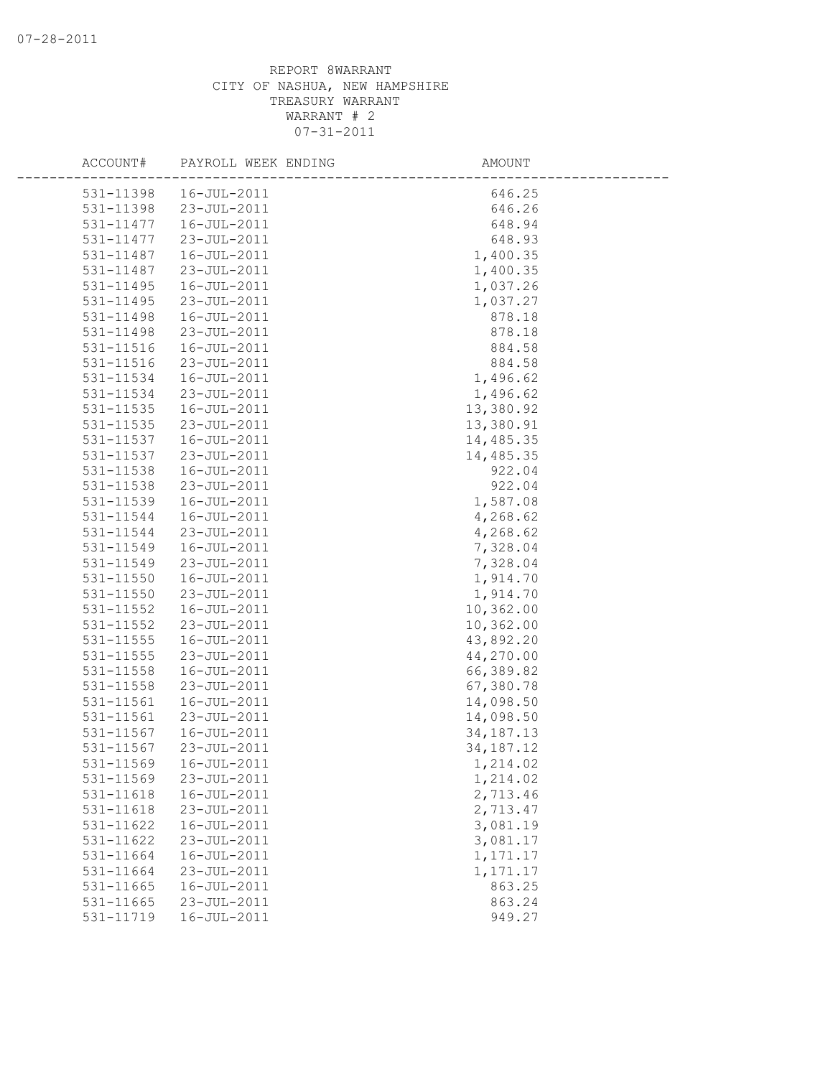| ACCOUNT#      | PAYROLL WEEK ENDING | AMOUNT      |
|---------------|---------------------|-------------|
| 531-11398     | 16-JUL-2011         | 646.25      |
| 531-11398     | 23-JUL-2011         | 646.26      |
| 531-11477     | 16-JUL-2011         | 648.94      |
| 531-11477     | 23-JUL-2011         | 648.93      |
| 531-11487     | 16-JUL-2011         | 1,400.35    |
| 531-11487     | 23-JUL-2011         | 1,400.35    |
| 531-11495     | 16-JUL-2011         | 1,037.26    |
| 531-11495     | 23-JUL-2011         | 1,037.27    |
| 531-11498     | 16-JUL-2011         | 878.18      |
| 531-11498     | 23-JUL-2011         | 878.18      |
| 531-11516     | 16-JUL-2011         | 884.58      |
| 531-11516     | 23-JUL-2011         | 884.58      |
| 531-11534     | 16-JUL-2011         | 1,496.62    |
| 531-11534     | 23-JUL-2011         | 1,496.62    |
| 531-11535     | 16-JUL-2011         | 13,380.92   |
| 531-11535     | 23-JUL-2011         | 13,380.91   |
| 531-11537     | 16-JUL-2011         | 14,485.35   |
| 531-11537     | 23-JUL-2011         | 14,485.35   |
| 531-11538     | 16-JUL-2011         | 922.04      |
| 531-11538     | 23-JUL-2011         | 922.04      |
| 531-11539     | 16-JUL-2011         | 1,587.08    |
| 531-11544     | 16-JUL-2011         | 4,268.62    |
| 531-11544     | 23-JUL-2011         | 4,268.62    |
| 531-11549     | 16-JUL-2011         | 7,328.04    |
| 531-11549     | 23-JUL-2011         | 7,328.04    |
| $531 - 11550$ | 16-JUL-2011         | 1,914.70    |
| 531-11550     | 23-JUL-2011         | 1,914.70    |
| 531-11552     | 16-JUL-2011         | 10,362.00   |
| 531-11552     | 23-JUL-2011         | 10,362.00   |
| 531-11555     | 16-JUL-2011         | 43,892.20   |
| 531-11555     | 23-JUL-2011         | 44,270.00   |
| 531-11558     | 16-JUL-2011         | 66,389.82   |
| 531-11558     | 23-JUL-2011         | 67,380.78   |
| 531-11561     | 16-JUL-2011         | 14,098.50   |
| 531-11561     | 23-JUL-2011         | 14,098.50   |
| 531-11567     | 16-JUL-2011         | 34, 187. 13 |
| 531-11567     | 23-JUL-2011         | 34, 187. 12 |
| 531-11569     | $16 - JUL - 2011$   | 1,214.02    |
| 531-11569     | 23-JUL-2011         | 1,214.02    |
| 531-11618     | 16-JUL-2011         | 2,713.46    |
| 531-11618     | 23-JUL-2011         | 2,713.47    |
| 531-11622     | 16-JUL-2011         | 3,081.19    |
| 531-11622     | 23-JUL-2011         | 3,081.17    |
| 531-11664     | 16-JUL-2011         | 1,171.17    |
| 531-11664     | 23-JUL-2011         | 1,171.17    |
| 531-11665     | 16-JUL-2011         | 863.25      |
| 531-11665     | 23-JUL-2011         | 863.24      |
| 531-11719     | 16-JUL-2011         | 949.27      |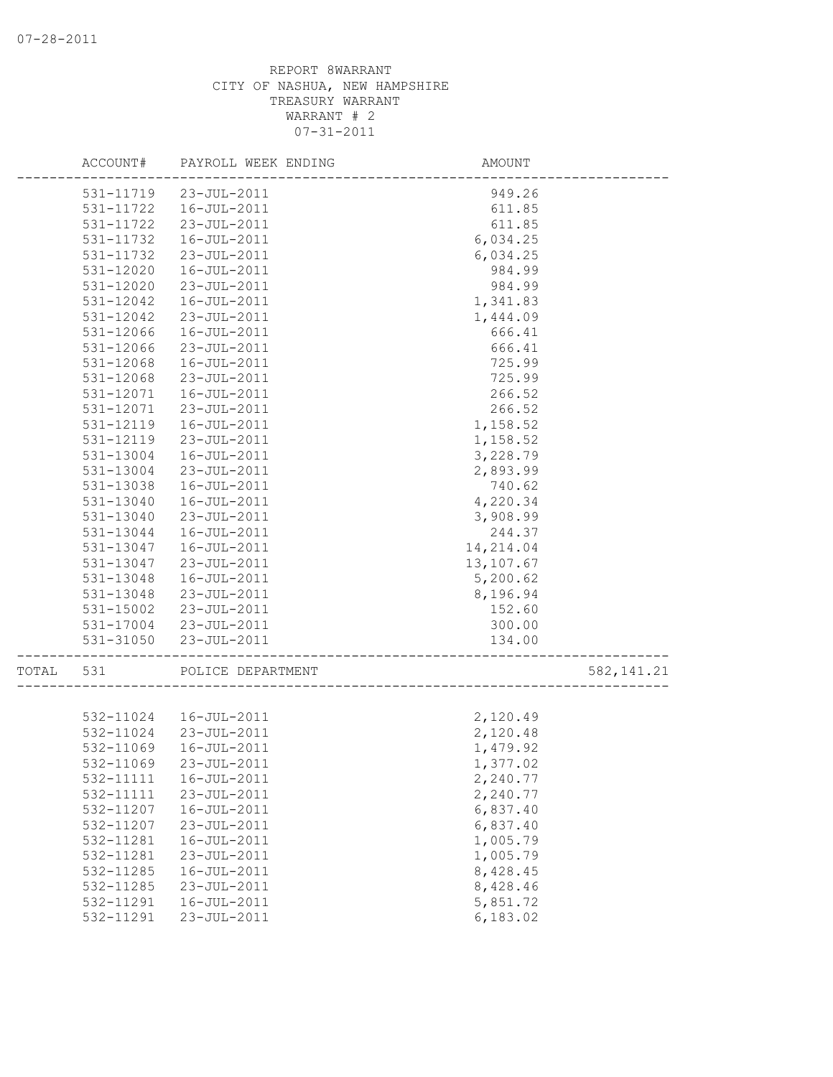|       | ACCOUNT#      | PAYROLL WEEK ENDING    | AMOUNT               |            |
|-------|---------------|------------------------|----------------------|------------|
|       | 531-11719     | 23-JUL-2011            | 949.26               |            |
|       | 531-11722     | 16-JUL-2011            | 611.85               |            |
|       | 531-11722     | 23-JUL-2011            | 611.85               |            |
|       | 531-11732     | 16-JUL-2011            | 6,034.25             |            |
|       | 531-11732     | 23-JUL-2011            | 6,034.25             |            |
|       | 531-12020     | 16-JUL-2011            | 984.99               |            |
|       | 531-12020     | 23-JUL-2011            | 984.99               |            |
|       | 531-12042     | 16-JUL-2011            | 1,341.83             |            |
|       | 531-12042     | 23-JUL-2011            | 1,444.09             |            |
|       | 531-12066     | 16-JUL-2011            | 666.41               |            |
|       | 531-12066     | 23-JUL-2011            | 666.41               |            |
|       | 531-12068     | 16-JUL-2011            | 725.99               |            |
|       | 531-12068     | 23-JUL-2011            | 725.99               |            |
|       | 531-12071     | 16-JUL-2011            | 266.52               |            |
|       | 531-12071     | 23-JUL-2011            | 266.52               |            |
|       | $531 - 12119$ | 16-JUL-2011            | 1,158.52             |            |
|       | 531-12119     | 23-JUL-2011            | 1,158.52             |            |
|       | 531-13004     | 16-JUL-2011            | 3,228.79             |            |
|       | 531-13004     | 23-JUL-2011            | 2,893.99             |            |
|       | 531-13038     | 16-JUL-2011            | 740.62               |            |
|       | 531-13040     | 16-JUL-2011            | 4,220.34             |            |
|       | 531-13040     | 23-JUL-2011            | 3,908.99             |            |
|       | 531-13044     | 16-JUL-2011            | 244.37               |            |
|       | 531-13047     | 16-JUL-2011            | 14, 214.04           |            |
|       | 531-13047     | 23-JUL-2011            | 13,107.67            |            |
|       | 531-13048     | 16-JUL-2011            | 5,200.62             |            |
|       | 531-13048     | 23-JUL-2011            | 8,196.94             |            |
|       | 531-15002     | 23-JUL-2011            | 152.60               |            |
|       |               | 531-17004 23-JUL-2011  | 300.00               |            |
|       | 531-31050     | 23-JUL-2011            | 134.00               |            |
| TOTAL | 531           | POLICE DEPARTMENT      | ____________________ | 582,141.21 |
|       |               |                        |                      |            |
|       |               | 532-11024  16-JUL-2011 | 2,120.49             |            |
|       | 532-11024     | 23-JUL-2011            | 2,120.48             |            |
|       | 532-11069     | 16-JUL-2011            | 1,479.92             |            |
|       | 532-11069     | 23-JUL-2011            | 1,377.02             |            |
|       | 532-11111     | 16-JUL-2011            | 2,240.77             |            |
|       | 532-11111     | 23-JUL-2011            | 2,240.77             |            |
|       | 532-11207     | 16-JUL-2011            | 6,837.40             |            |
|       | 532-11207     | 23-JUL-2011            | 6,837.40             |            |
|       | 532-11281     | 16-JUL-2011            | 1,005.79             |            |
|       | 532-11281     | 23-JUL-2011            | 1,005.79             |            |
|       | 532-11285     | 16-JUL-2011            | 8,428.45             |            |
|       | 532-11285     | 23-JUL-2011            | 8,428.46             |            |
|       | 532-11291     | 16-JUL-2011            | 5,851.72             |            |
|       | 532-11291     | 23-JUL-2011            | 6,183.02             |            |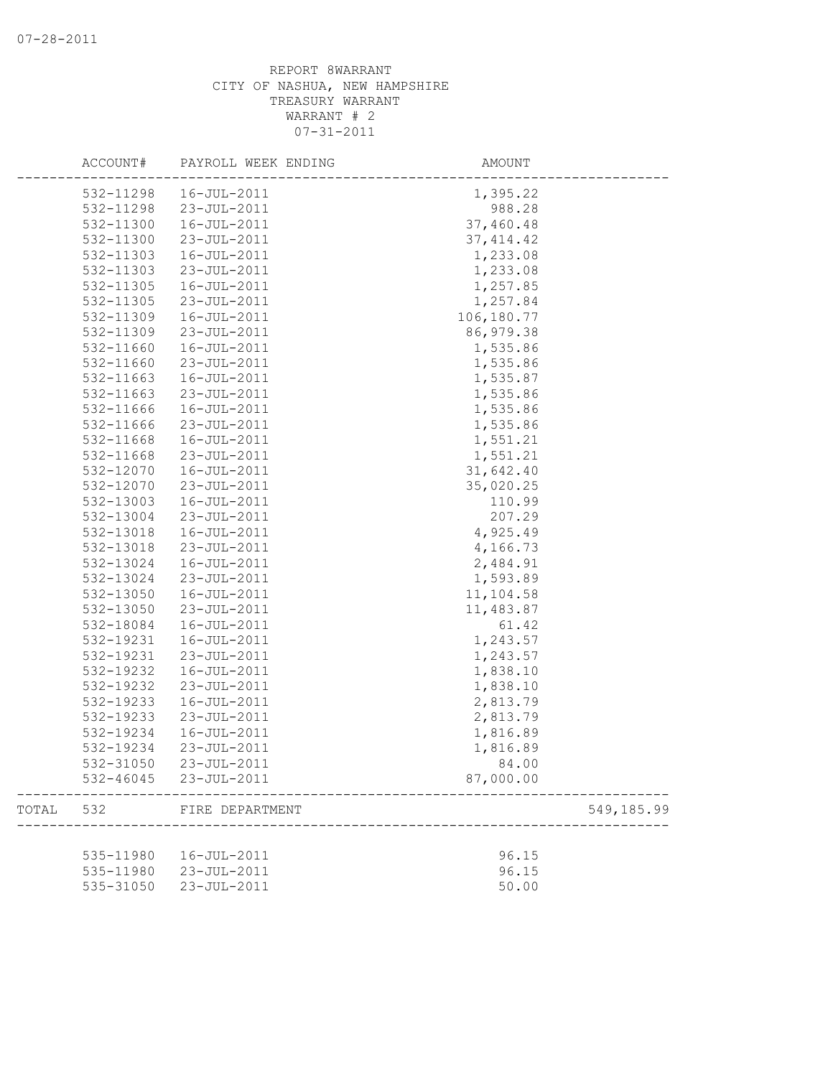|       | ACCOUNT#  | PAYROLL WEEK ENDING   | AMOUNT     |            |
|-------|-----------|-----------------------|------------|------------|
|       | 532-11298 | 16-JUL-2011           | 1,395.22   |            |
|       | 532-11298 | 23-JUL-2011           | 988.28     |            |
|       | 532-11300 | 16-JUL-2011           | 37,460.48  |            |
|       | 532-11300 | 23-JUL-2011           | 37, 414.42 |            |
|       | 532-11303 | 16-JUL-2011           | 1,233.08   |            |
|       | 532-11303 | 23-JUL-2011           | 1,233.08   |            |
|       | 532-11305 | 16-JUL-2011           | 1,257.85   |            |
|       | 532-11305 | 23-JUL-2011           | 1,257.84   |            |
|       | 532-11309 | 16-JUL-2011           | 106,180.77 |            |
|       | 532-11309 | 23-JUL-2011           | 86, 979.38 |            |
|       | 532-11660 | 16-JUL-2011           | 1,535.86   |            |
|       | 532-11660 | 23-JUL-2011           | 1,535.86   |            |
|       | 532-11663 | $16 - JUL - 2011$     | 1,535.87   |            |
|       | 532-11663 | 23-JUL-2011           | 1,535.86   |            |
|       | 532-11666 | 16-JUL-2011           | 1,535.86   |            |
|       | 532-11666 | 23-JUL-2011           | 1,535.86   |            |
|       | 532-11668 | 16-JUL-2011           | 1,551.21   |            |
|       | 532-11668 | 23-JUL-2011           | 1,551.21   |            |
|       | 532-12070 | 16-JUL-2011           | 31,642.40  |            |
|       | 532-12070 | 23-JUL-2011           | 35,020.25  |            |
|       | 532-13003 | 16-JUL-2011           | 110.99     |            |
|       | 532-13004 | 23-JUL-2011           | 207.29     |            |
|       | 532-13018 | 16-JUL-2011           | 4,925.49   |            |
|       | 532-13018 | 23-JUL-2011           | 4,166.73   |            |
|       | 532-13024 | 16-JUL-2011           | 2,484.91   |            |
|       | 532-13024 | 23-JUL-2011           | 1,593.89   |            |
|       | 532-13050 | 16-JUL-2011           | 11,104.58  |            |
|       | 532-13050 | 23-JUL-2011           | 11,483.87  |            |
|       | 532-18084 | 16-JUL-2011           | 61.42      |            |
|       |           |                       |            |            |
|       | 532-19231 | 16-JUL-2011           | 1,243.57   |            |
|       | 532-19231 | 23-JUL-2011           | 1,243.57   |            |
|       | 532-19232 | 16-JUL-2011           | 1,838.10   |            |
|       | 532-19232 | 23-JUL-2011           | 1,838.10   |            |
|       | 532-19233 | 16-JUL-2011           | 2,813.79   |            |
|       | 532-19233 | 23-JUL-2011           | 2,813.79   |            |
|       | 532-19234 | 16-JUL-2011           | 1,816.89   |            |
|       | 532-19234 | 23-JUL-2011           | 1,816.89   |            |
|       | 532-31050 | $23 - JUL - 2011$     | 84.00      |            |
|       |           | 532-46045 23-JUL-2011 | 87,000.00  |            |
| TOTAL | 532       | FIRE DEPARTMENT       |            | 549,185.99 |
|       |           |                       |            |            |
|       | 535-11980 | 16-JUL-2011           | 96.15      |            |
|       | 535-11980 | 23-JUL-2011           | 96.15      |            |
|       | 535-31050 | 23-JUL-2011           | 50.00      |            |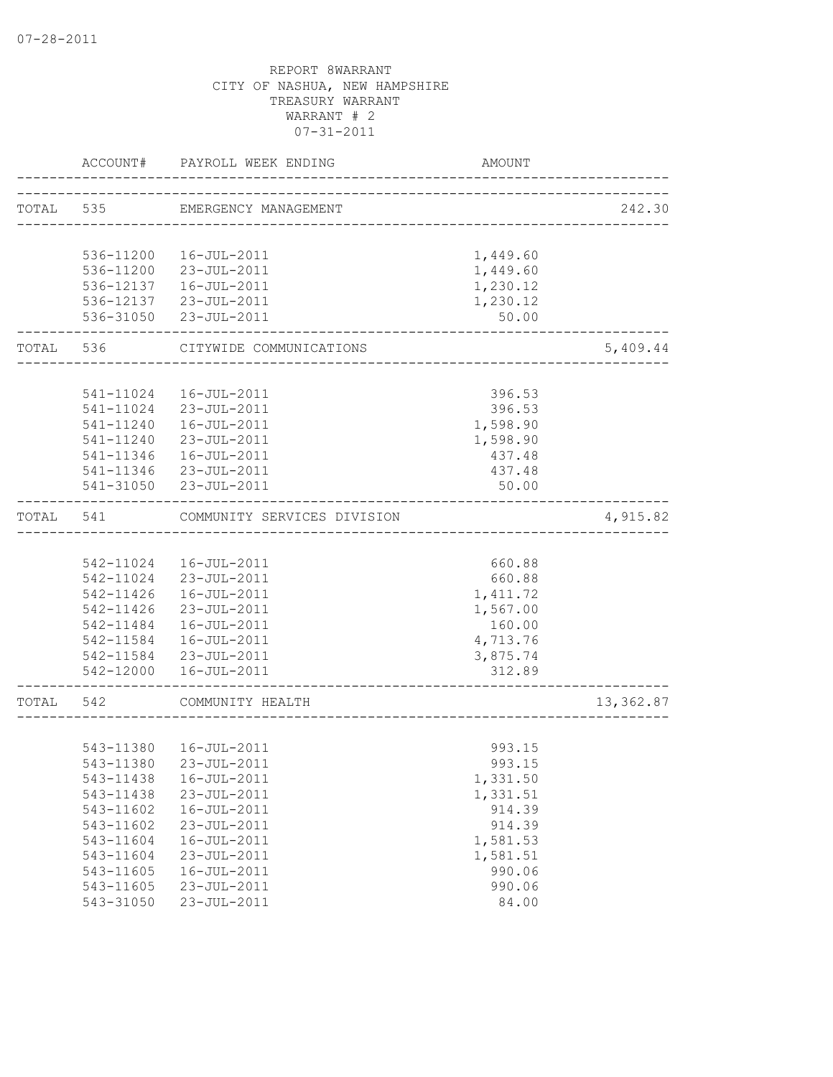|           | ACCOUNT#  | PAYROLL WEEK ENDING         | AMOUNT                                |           |
|-----------|-----------|-----------------------------|---------------------------------------|-----------|
| TOTAL 535 |           | EMERGENCY MANAGEMENT        |                                       | 242.30    |
|           |           |                             | _____________________________________ |           |
|           | 536-11200 | 16-JUL-2011                 | 1,449.60                              |           |
|           |           | 536-11200 23-JUL-2011       | 1,449.60                              |           |
|           | 536-12137 | 16-JUL-2011                 | 1,230.12                              |           |
|           |           | 536-12137 23-JUL-2011       | 1,230.12                              |           |
|           | 536-31050 | 23-JUL-2011                 | 50.00                                 |           |
| TOTAL 536 |           | CITYWIDE COMMUNICATIONS     |                                       | 5,409.44  |
|           |           |                             |                                       |           |
|           | 541-11024 | 16-JUL-2011                 | 396.53                                |           |
|           |           | 541-11024 23-JUL-2011       | 396.53                                |           |
|           | 541-11240 | 16-JUL-2011                 | 1,598.90                              |           |
|           | 541-11240 | 23-JUL-2011                 | 1,598.90                              |           |
|           | 541-11346 | 16-JUL-2011                 | 437.48                                |           |
|           | 541-11346 | 23-JUL-2011                 | 437.48                                |           |
|           |           | 541-31050 23-JUL-2011       | 50.00                                 |           |
| TOTAL     | 541       | COMMUNITY SERVICES DIVISION |                                       | 4,915.82  |
|           |           |                             |                                       |           |
|           |           | 542-11024  16-JUL-2011      | 660.88                                |           |
|           | 542-11024 | 23-JUL-2011                 | 660.88                                |           |
|           | 542-11426 | 16-JUL-2011                 | 1, 411.72                             |           |
|           | 542-11426 | 23-JUL-2011                 | 1,567.00                              |           |
|           | 542-11484 | 16-JUL-2011                 | 160.00                                |           |
|           |           | 542-11584  16-JUL-2011      | 4,713.76                              |           |
|           |           | 542-11584 23-JUL-2011       | 3,875.74                              |           |
|           |           | 542-12000  16-JUL-2011      | 312.89                                |           |
| TOTAL     | 542       | COMMUNITY HEALTH            |                                       | 13,362.87 |
|           |           |                             |                                       |           |
|           |           | 543-11380  16-JUL-2011      | 993.15                                |           |
|           |           | 543-11380 23-JUL-2011       | 993.15                                |           |
|           | 543-11438 | 16-JUL-2011                 | 1,331.50                              |           |
|           | 543-11438 | 23-JUL-2011                 | 1,331.51                              |           |
|           | 543-11602 | 16-JUL-2011                 | 914.39                                |           |
|           | 543-11602 | 23-JUL-2011                 | 914.39                                |           |
|           | 543-11604 | 16-JUL-2011                 | 1,581.53                              |           |
|           | 543-11604 | 23-JUL-2011                 | 1,581.51                              |           |
|           | 543-11605 | $16 - JUL - 2011$           | 990.06                                |           |
|           | 543-11605 | 23-JUL-2011                 | 990.06                                |           |
|           | 543-31050 | 23-JUL-2011                 | 84.00                                 |           |
|           |           |                             |                                       |           |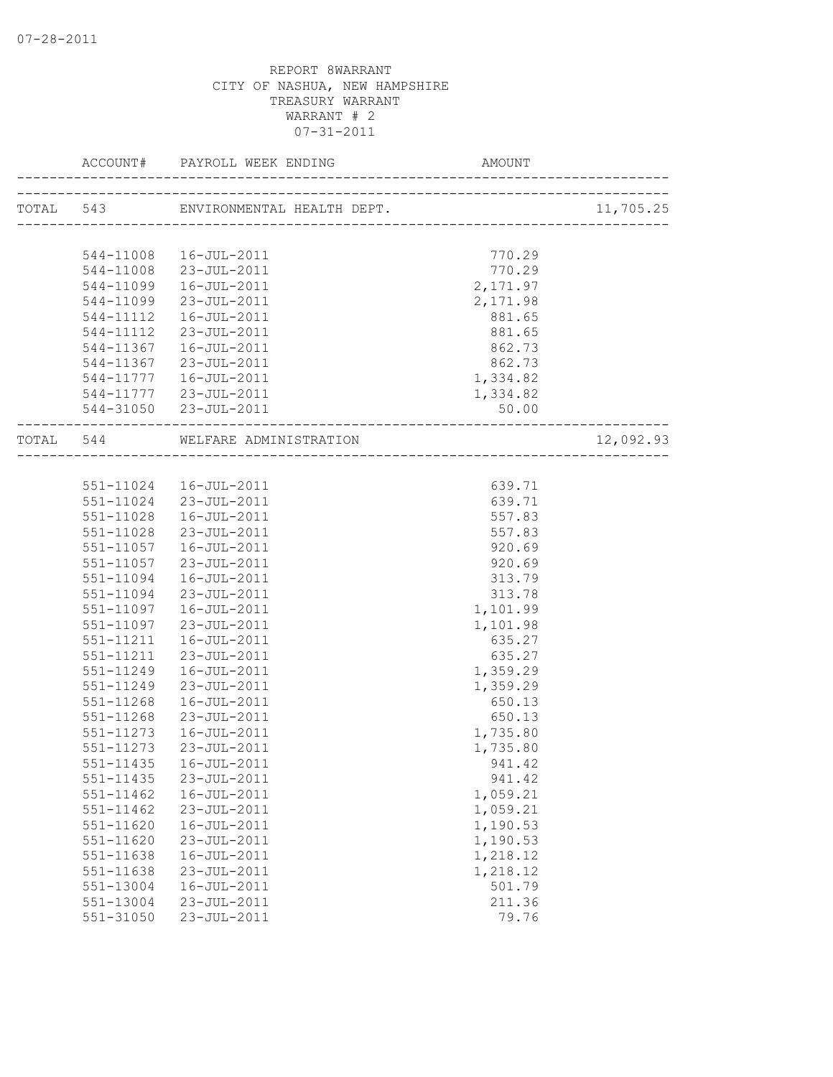|               |                                  |          | 11,705.25 |
|---------------|----------------------------------|----------|-----------|
|               |                                  |          |           |
|               | 544-11008  16-JUL-2011           | 770.29   |           |
|               | 544-11008 23-JUL-2011            | 770.29   |           |
| 544-11099     | 16-JUL-2011                      | 2,171.97 |           |
| 544-11099     | 23-JUL-2011                      | 2,171.98 |           |
|               | 544-11112  16-JUL-2011           | 881.65   |           |
|               | 544-11112 23-JUL-2011            | 881.65   |           |
|               | 544-11367  16-JUL-2011           | 862.73   |           |
|               | 544-11367 23-JUL-2011            | 862.73   |           |
|               | 544-11777   16-JUL-2011          | 1,334.82 |           |
|               | 544-11777 23-JUL-2011            | 1,334.82 |           |
|               | 544-31050 23-JUL-2011            | 50.00    |           |
|               | TOTAL 544 WELFARE ADMINISTRATION |          | 12,092.93 |
|               |                                  |          |           |
|               | 551-11024  16-JUL-2011           | 639.71   |           |
|               | 551-11024 23-JUL-2011            | 639.71   |           |
|               | 551-11028  16-JUL-2011           | 557.83   |           |
|               | 551-11028 23-JUL-2011            | 557.83   |           |
|               | 551-11057  16-JUL-2011           | 920.69   |           |
| 551-11057     | 23-JUL-2011                      | 920.69   |           |
| 551-11094     | 16-JUL-2011                      | 313.79   |           |
| 551-11094     | 23-JUL-2011                      | 313.78   |           |
| 551-11097     | 16-JUL-2011                      | 1,101.99 |           |
| 551-11097     | 23-JUL-2011                      | 1,101.98 |           |
| 551-11211     | 16-JUL-2011                      | 635.27   |           |
| 551-11211     | 23-JUL-2011                      | 635.27   |           |
| 551-11249     | 16-JUL-2011                      | 1,359.29 |           |
| 551-11249     | 23-JUL-2011                      | 1,359.29 |           |
| 551-11268     | 16-JUL-2011                      | 650.13   |           |
| 551-11268     | 23-JUL-2011                      | 650.13   |           |
| 551-11273     | 16-JUL-2011                      | 1,735.80 |           |
| 551-11273     | 23-JUL-2011                      | 1,735.80 |           |
|               | 551-11435  16-JUL-2011           | 941.42   |           |
| 551-11435     | 23-JUL-2011                      | 941.42   |           |
| 551-11462     | 16-JUL-2011                      | 1,059.21 |           |
| 551-11462     | 23-JUL-2011                      | 1,059.21 |           |
| 551-11620     | 16-JUL-2011                      | 1,190.53 |           |
| 551-11620     | 23-JUL-2011                      | 1,190.53 |           |
| 551-11638     | 16-JUL-2011                      | 1,218.12 |           |
| 551-11638     | 23-JUL-2011                      | 1,218.12 |           |
| 551-13004     | 16-JUL-2011                      | 501.79   |           |
| 551-13004     | 23-JUL-2011                      | 211.36   |           |
| $551 - 31050$ | 23-JUL-2011                      | 79.76    |           |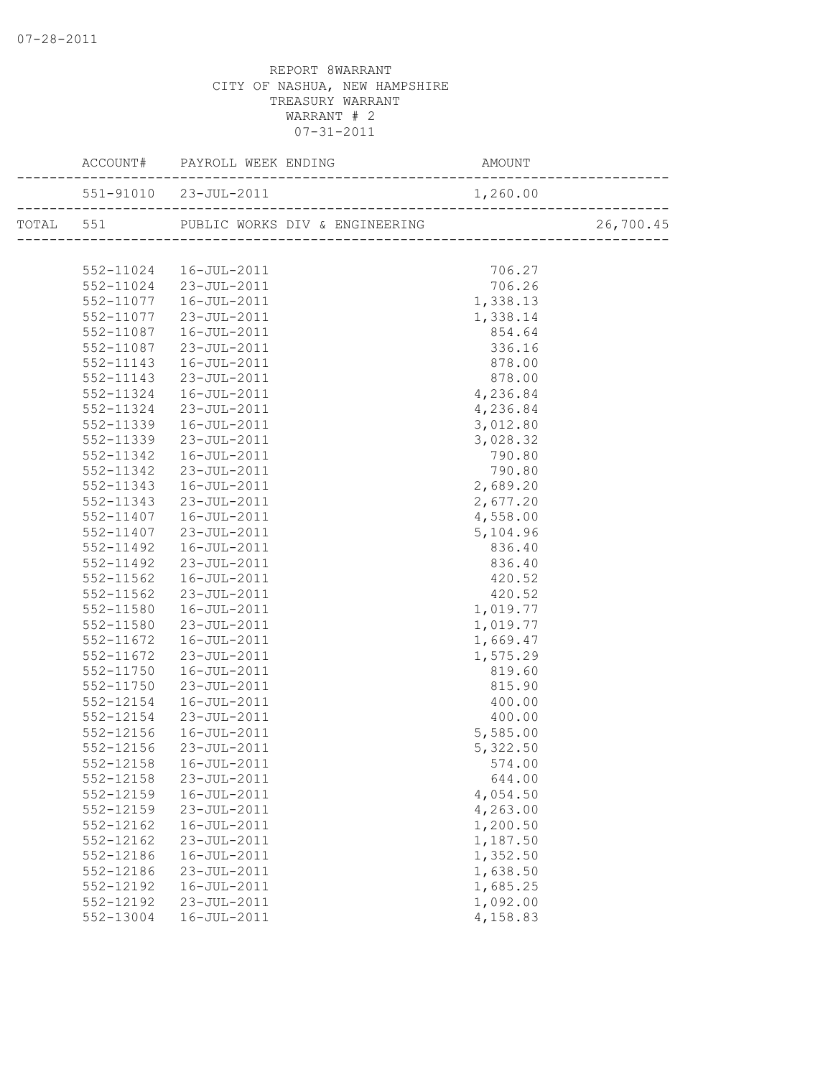|           | EK ENDING AMOUNT<br>ACCOUNT# PAYROLL WEEK ENDING   |          |  |
|-----------|----------------------------------------------------|----------|--|
|           | $551-91010$ $23-JUL-2011$ $1,260.00$               |          |  |
|           | TOTAL 551 PUBLIC WORKS DIV & ENGINEERING 26,700.45 |          |  |
|           |                                                    |          |  |
|           | 552-11024  16-JUL-2011                             | 706.27   |  |
|           | 552-11024 23-JUL-2011                              | 706.26   |  |
| 552-11077 | $16 - JUL - 2011$                                  | 1,338.13 |  |
| 552-11077 | $23 - JUL - 2011$                                  | 1,338.14 |  |
| 552-11087 | $16 - JUL - 2011$                                  | 854.64   |  |
| 552-11087 | 23-JUL-2011                                        | 336.16   |  |
| 552-11143 | 16-JUL-2011                                        | 878.00   |  |
| 552-11143 | 23-JUL-2011                                        | 878.00   |  |
| 552-11324 | 16-JUL-2011                                        | 4,236.84 |  |
| 552-11324 | 23-JUL-2011                                        | 4,236.84 |  |
| 552-11339 | 16-JUL-2011                                        | 3,012.80 |  |
| 552-11339 | 23-JUL-2011                                        | 3,028.32 |  |
| 552-11342 | 16-JUL-2011                                        | 790.80   |  |
| 552-11342 | 23-JUL-2011                                        | 790.80   |  |
| 552-11343 | 16-JUL-2011                                        | 2,689.20 |  |
| 552-11343 | 23-JUL-2011                                        | 2,677.20 |  |
| 552-11407 | 16-JUL-2011                                        | 4,558.00 |  |
| 552-11407 | 23-JUL-2011                                        | 5,104.96 |  |
| 552-11492 | 16-JUL-2011                                        | 836.40   |  |
| 552-11492 | 23-JUL-2011                                        | 836.40   |  |
| 552-11562 | 16-JUL-2011                                        | 420.52   |  |
| 552-11562 | 23-JUL-2011                                        | 420.52   |  |
| 552-11580 | 16-JUL-2011                                        | 1,019.77 |  |
| 552-11580 | 23-JUL-2011                                        | 1,019.77 |  |
| 552-11672 | 16-JUL-2011                                        | 1,669.47 |  |
| 552-11672 | 23-JUL-2011                                        | 1,575.29 |  |
| 552-11750 | 16-JUL-2011                                        | 819.60   |  |
| 552-11750 | 23-JUL-2011                                        | 815.90   |  |
| 552-12154 | 16-JUL-2011                                        | 400.00   |  |
| 552-12154 | 23-JUL-2011                                        | 400.00   |  |
| 552-12156 | 16-JUL-2011                                        | 5,585.00 |  |
| 552-12156 | 23-JUL-2011                                        | 5,322.50 |  |
|           | 552-12158  16-JUL-2011                             | 574.00   |  |
| 552-12158 | 23-JUL-2011                                        | 644.00   |  |
| 552-12159 | 16-JUL-2011                                        | 4,054.50 |  |
| 552-12159 | 23-JUL-2011                                        | 4,263.00 |  |
| 552-12162 | $16 - JUL - 2011$                                  | 1,200.50 |  |
| 552-12162 | 23-JUL-2011                                        | 1,187.50 |  |
| 552-12186 | 16-JUL-2011                                        | 1,352.50 |  |
| 552-12186 | 23-JUL-2011                                        | 1,638.50 |  |
| 552-12192 | 16-JUL-2011                                        | 1,685.25 |  |
| 552-12192 | 23-JUL-2011                                        | 1,092.00 |  |
| 552-13004 | 16-JUL-2011                                        | 4,158.83 |  |
|           |                                                    |          |  |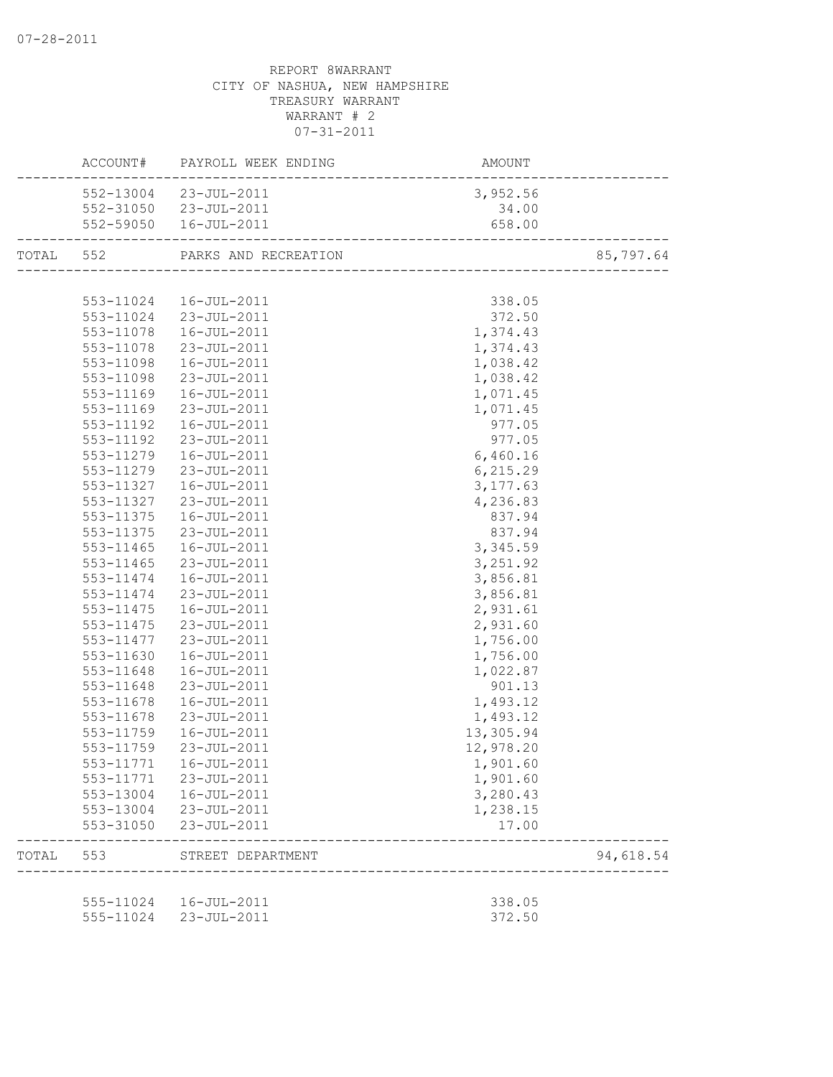|           |           | ACCOUNT# PAYROLL WEEK ENDING | AMOUNT<br>------------------------ |           |
|-----------|-----------|------------------------------|------------------------------------|-----------|
|           |           | 552-13004 23-JUL-2011        | 3,952.56                           |           |
|           |           | 552-31050 23-JUL-2011        | 34.00                              |           |
|           |           | 552-59050  16-JUL-2011       | 658.00                             |           |
| TOTAL 552 |           | PARKS AND RECREATION         |                                    | 85,797.64 |
|           |           |                              |                                    |           |
|           |           | 553-11024  16-JUL-2011       | 338.05                             |           |
|           |           | 553-11024 23-JUL-2011        | 372.50                             |           |
|           |           | 553-11078  16-JUL-2011       | 1,374.43                           |           |
|           |           | 553-11078 23-JUL-2011        | 1,374.43                           |           |
|           |           | 553-11098  16-JUL-2011       | 1,038.42                           |           |
|           |           | 553-11098 23-JUL-2011        | 1,038.42                           |           |
|           | 553-11169 | 16-JUL-2011                  | 1,071.45                           |           |
|           | 553-11169 | 23-JUL-2011                  | 1,071.45                           |           |
|           | 553-11192 | 16-JUL-2011                  | 977.05                             |           |
|           | 553-11192 | 23-JUL-2011                  | 977.05                             |           |
|           | 553-11279 | 16-JUL-2011                  | 6,460.16                           |           |
|           | 553-11279 | 23-JUL-2011                  | 6,215.29                           |           |
|           | 553-11327 | 16-JUL-2011                  | 3, 177.63                          |           |
|           | 553-11327 | 23-JUL-2011                  | 4,236.83                           |           |
|           | 553-11375 | 16-JUL-2011                  | 837.94                             |           |
|           | 553-11375 | 23-JUL-2011                  | 837.94                             |           |
|           | 553-11465 | 16-JUL-2011                  | 3,345.59                           |           |
|           | 553-11465 | 23-JUL-2011                  | 3,251.92                           |           |
|           | 553-11474 | 16-JUL-2011                  | 3,856.81                           |           |
|           | 553-11474 | 23-JUL-2011                  | 3,856.81                           |           |
|           | 553-11475 | 16-JUL-2011                  | 2,931.61                           |           |
|           | 553-11475 | 23-JUL-2011                  | 2,931.60                           |           |
|           | 553-11477 | 23-JUL-2011                  | 1,756.00                           |           |
|           | 553-11630 | 16-JUL-2011                  | 1,756.00                           |           |
|           | 553-11648 | 16-JUL-2011                  | 1,022.87                           |           |
|           | 553-11648 | 23-JUL-2011                  | 901.13                             |           |
|           | 553-11678 | 16-JUL-2011                  | 1,493.12                           |           |
|           | 553-11678 | 23-JUL-2011                  | 1,493.12                           |           |
|           | 553-11759 | 16-JUL-2011                  | 13,305.94                          |           |
|           | 553-11759 | 23-JUL-2011                  | 12,978.20                          |           |
|           |           | 553-11771  16-JUL-2011       | 1,901.60                           |           |
|           |           | 553-11771 23-JUL-2011        | 1,901.60                           |           |
|           |           | 553-13004  16-JUL-2011       | 3,280.43                           |           |
|           |           | 553-13004 23-JUL-2011        | 1,238.15                           |           |
|           |           | 553-31050 23-JUL-2011        | 17.00                              |           |
| TOTAL     | 553       | STREET DEPARTMENT            | ----------------------             | 94,618.54 |
|           |           |                              |                                    |           |
|           |           | 555-11024  16-JUL-2011       | 338.05                             |           |
|           |           | 555-11024 23-JUL-2011        | 372.50                             |           |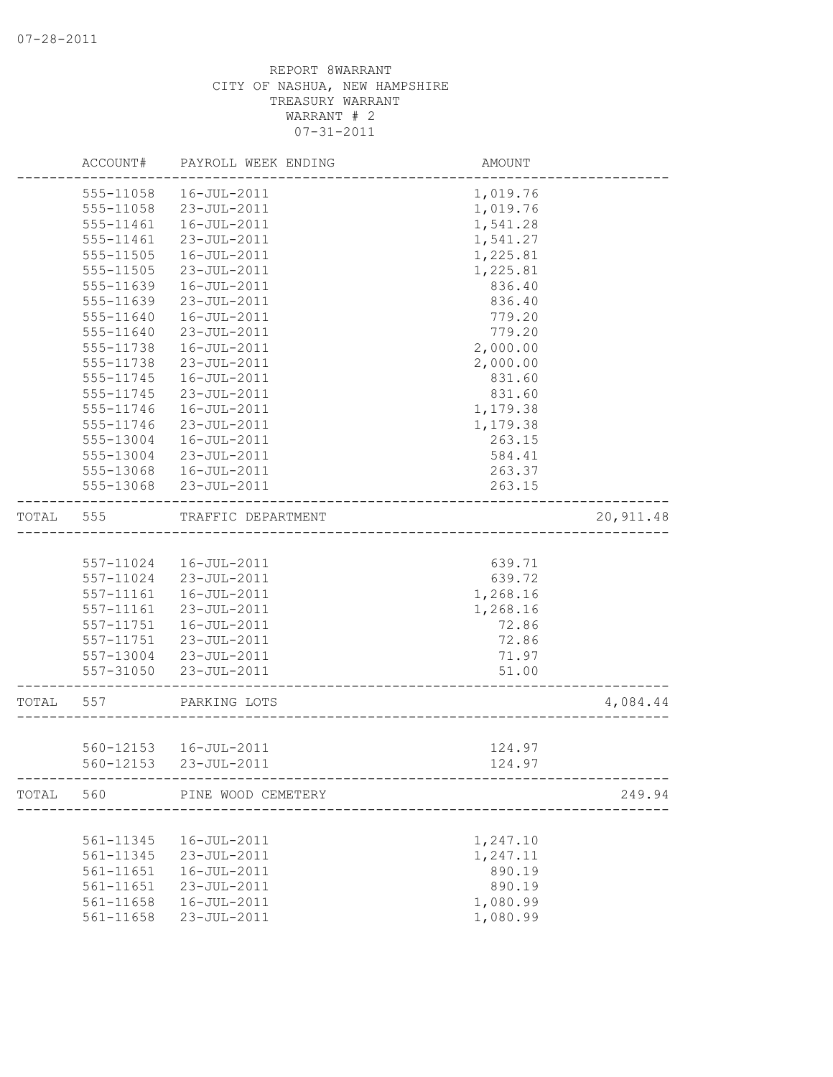|       | ACCOUNT#      | PAYROLL WEEK ENDING    | AMOUNT                                |            |
|-------|---------------|------------------------|---------------------------------------|------------|
|       | 555-11058     | 16-JUL-2011            | 1,019.76                              |            |
|       | 555-11058     | 23-JUL-2011            | 1,019.76                              |            |
|       | 555-11461     | 16-JUL-2011            | 1,541.28                              |            |
|       | 555-11461     | 23-JUL-2011            | 1,541.27                              |            |
|       | 555-11505     | 16-JUL-2011            | 1,225.81                              |            |
|       | 555-11505     | 23-JUL-2011            | 1,225.81                              |            |
|       | 555-11639     | 16-JUL-2011            | 836.40                                |            |
|       | 555-11639     | 23-JUL-2011            | 836.40                                |            |
|       | 555-11640     | $16 - JUL - 2011$      | 779.20                                |            |
|       | 555-11640     | 23-JUL-2011            | 779.20                                |            |
|       | 555-11738     | 16-JUL-2011            | 2,000.00                              |            |
|       | 555-11738     | 23-JUL-2011            | 2,000.00                              |            |
|       | 555-11745     | 16-JUL-2011            | 831.60                                |            |
|       | 555-11745     | 23-JUL-2011            | 831.60                                |            |
|       | 555-11746     | 16-JUL-2011            | 1,179.38                              |            |
|       | 555-11746     | 23-JUL-2011            | 1,179.38                              |            |
|       | 555-13004     | 16-JUL-2011            | 263.15                                |            |
|       | 555-13004     | 23-JUL-2011            | 584.41                                |            |
|       | 555-13068     | 16-JUL-2011            | 263.37                                |            |
|       | 555-13068     | 23-JUL-2011            | 263.15                                |            |
| TOTAL | 555           | TRAFFIC DEPARTMENT     |                                       | 20, 911.48 |
|       |               |                        |                                       |            |
|       | 557-11024     | 16-JUL-2011            | 639.71                                |            |
|       | 557-11024     | 23-JUL-2011            | 639.72                                |            |
|       | 557-11161     | 16-JUL-2011            | 1,268.16                              |            |
|       | 557-11161     | 23-JUL-2011            | 1,268.16                              |            |
|       | $557 - 11751$ | 16-JUL-2011            | 72.86                                 |            |
|       | 557-11751     | 23-JUL-2011            | 72.86                                 |            |
|       | 557-13004     | 23-JUL-2011            | 71.97                                 |            |
|       | 557-31050     | 23-JUL-2011            | 51.00<br>____________________________ |            |
| TOTAL | 557           | PARKING LOTS           |                                       | 4,084.44   |
|       |               |                        |                                       |            |
|       |               | 560-12153  16-JUL-2011 | 124.97                                |            |
|       |               | 560-12153 23-JUL-2011  | 124.97                                |            |
| TOTAL | 560           | PINE WOOD CEMETERY     |                                       | 249.94     |
|       |               |                        |                                       |            |
|       | 561-11345     | 16-JUL-2011            | 1,247.10                              |            |
|       | 561-11345     | 23-JUL-2011            | 1,247.11                              |            |
|       | 561-11651     | 16-JUL-2011            | 890.19                                |            |
|       | 561-11651     | 23-JUL-2011            | 890.19                                |            |
|       | 561-11658     | 16-JUL-2011            | 1,080.99                              |            |
|       | 561-11658     | 23-JUL-2011            | 1,080.99                              |            |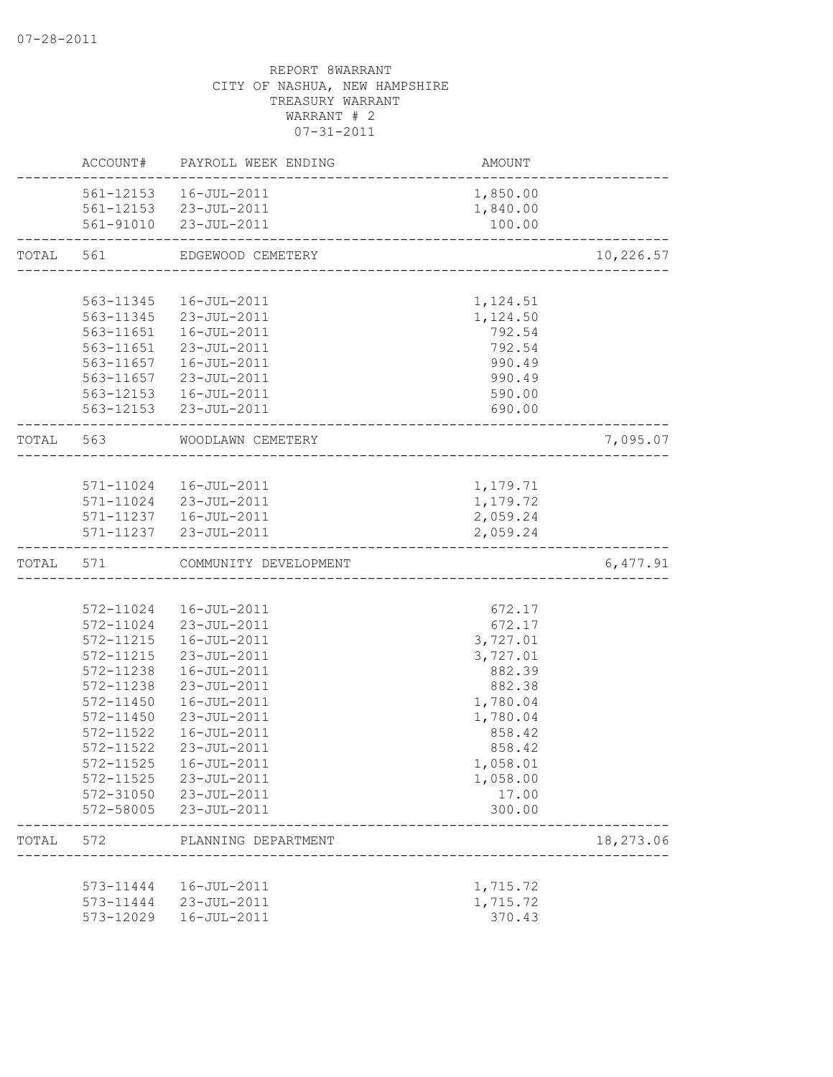|       | ACCOUNT#               | PAYROLL WEEK ENDING                             | AMOUNT           |           |
|-------|------------------------|-------------------------------------------------|------------------|-----------|
|       |                        | 561-12153  16-JUL-2011                          | 1,850.00         |           |
|       |                        | 561-12153 23-JUL-2011                           | 1,840.00         |           |
|       |                        | 561-91010 23-JUL-2011                           | 100.00           |           |
| TOTAL | 561                    | EDGEWOOD CEMETERY                               |                  | 10,226.57 |
|       |                        |                                                 |                  |           |
|       | 563-11345              | 16-JUL-2011                                     | 1,124.51         |           |
|       |                        | 563-11345 23-JUL-2011                           | 1,124.50         |           |
|       |                        | 563-11651  16-JUL-2011                          | 792.54           |           |
|       |                        | 563-11651 23-JUL-2011                           | 792.54           |           |
|       |                        | 563-11657  16-JUL-2011<br>563-11657 23-JUL-2011 | 990.49<br>990.49 |           |
|       |                        | 563-12153  16-JUL-2011                          | 590.00           |           |
|       |                        | 563-12153 23-JUL-2011                           | 690.00           |           |
|       | TOTAL 563              | WOODLAWN CEMETERY                               |                  | 7,095.07  |
|       |                        |                                                 |                  |           |
|       |                        | 571-11024  16-JUL-2011                          | 1,179.71         |           |
|       |                        | 571-11024 23-JUL-2011                           | 1,179.72         |           |
|       |                        | 571-11237  16-JUL-2011                          | 2,059.24         |           |
|       |                        | 571-11237 23-JUL-2011                           | 2,059.24         |           |
| TOTAL | 571                    | COMMUNITY DEVELOPMENT                           |                  | 6,477.91  |
|       |                        |                                                 |                  |           |
|       | 572-11024              | 16-JUL-2011                                     | 672.17           |           |
|       |                        | 572-11024 23-JUL-2011                           | 672.17           |           |
|       | 572-11215              | 16-JUL-2011                                     | 3,727.01         |           |
|       | 572-11215              | 23-JUL-2011                                     | 3,727.01         |           |
|       | 572-11238              | 16-JUL-2011                                     | 882.39<br>882.38 |           |
|       | 572-11238<br>572-11450 | 23-JUL-2011<br>16-JUL-2011                      | 1,780.04         |           |
|       | 572-11450              | 23-JUL-2011                                     | 1,780.04         |           |
|       | 572-11522              | 16-JUL-2011                                     | 858.42           |           |
|       | 572-11522              | 23-JUL-2011                                     | 858.42           |           |
|       | 572-11525              | 16-JUL-2011                                     | 1,058.01         |           |
|       | 572-11525              | 23-JUL-2011                                     | 1,058.00         |           |
|       | 572-31050              | 23-JUL-2011                                     | 17.00            |           |
|       | 572-58005              | 23-JUL-2011                                     | 300.00           |           |
| TOTAL | 572                    | PLANNING DEPARTMENT                             |                  | 18,273.06 |
|       |                        |                                                 |                  |           |
|       | 573-11444              | 16-JUL-2011                                     | 1,715.72         |           |
|       |                        | 573-11444 23-JUL-2011                           | 1,715.72         |           |
|       | 573-12029              | 16-JUL-2011                                     | 370.43           |           |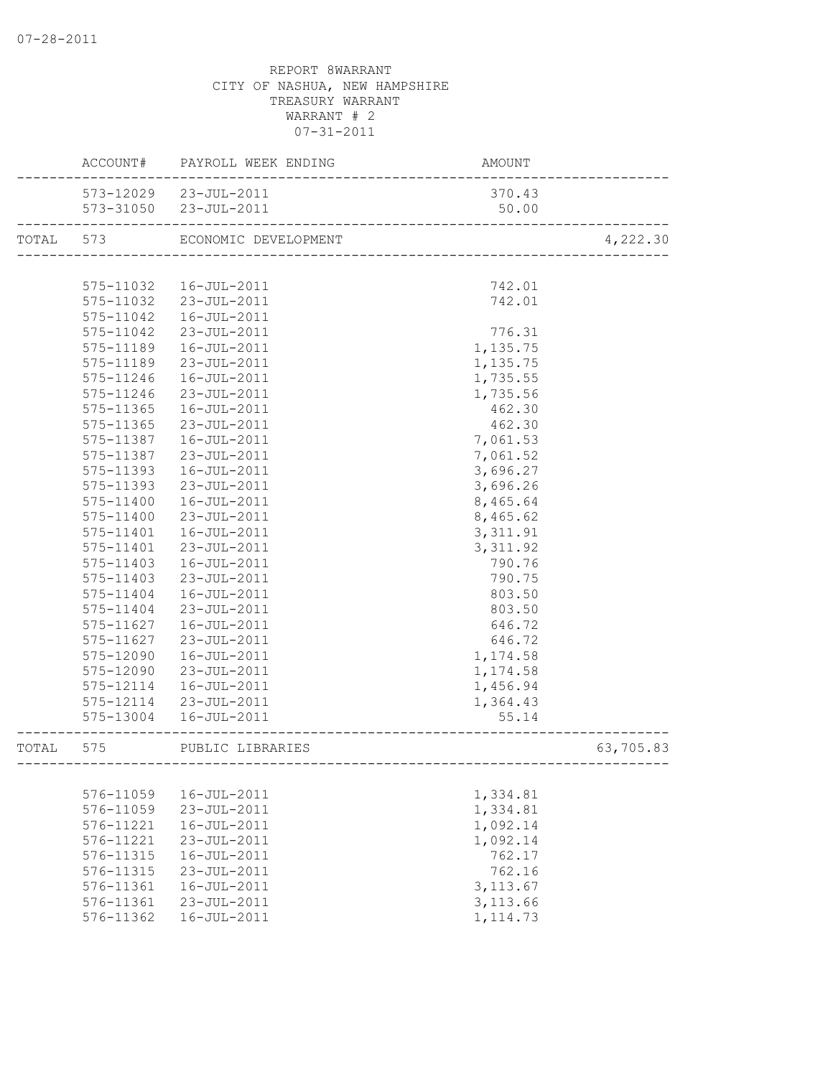|       |               | ACCOUNT# PAYROLL WEEK ENDING | AMOUNT                                   |           |
|-------|---------------|------------------------------|------------------------------------------|-----------|
|       |               | 573-12029 23-JUL-2011        | 370.43                                   |           |
|       |               | 573-31050 23-JUL-2011        | 50.00                                    |           |
| TOTAL | 573           | ECONOMIC DEVELOPMENT         | v⊥<br>---------------------------------- | 4,222.30  |
|       |               |                              |                                          |           |
|       | 575-11032     | 16-JUL-2011                  | 742.01                                   |           |
|       |               | 575-11032 23-JUL-2011        | 742.01                                   |           |
|       | 575-11042     | 16-JUL-2011                  |                                          |           |
|       | 575-11042     | 23-JUL-2011                  | 776.31                                   |           |
|       | 575-11189     | 16-JUL-2011                  | 1,135.75                                 |           |
|       | 575-11189     | 23-JUL-2011                  | 1,135.75                                 |           |
|       | 575-11246     | 16-JUL-2011                  | 1,735.55                                 |           |
|       | 575-11246     | 23-JUL-2011                  | 1,735.56                                 |           |
|       | 575-11365     | 16-JUL-2011                  | 462.30                                   |           |
|       | 575-11365     | 23-JUL-2011                  | 462.30                                   |           |
|       | 575-11387     | 16-JUL-2011                  | 7,061.53                                 |           |
|       | 575-11387     | 23-JUL-2011                  | 7,061.52                                 |           |
|       | 575-11393     | 16-JUL-2011                  | 3,696.27                                 |           |
|       | 575-11393     | 23-JUL-2011                  | 3,696.26                                 |           |
|       | 575-11400     | 16-JUL-2011                  | 8,465.64                                 |           |
|       | 575-11400     | 23-JUL-2011                  | 8,465.62                                 |           |
|       | 575-11401     | 16-JUL-2011                  | 3, 311.91                                |           |
|       | 575-11401     | 23-JUL-2011                  | 3, 311.92                                |           |
|       | 575-11403     | 16-JUL-2011                  | 790.76                                   |           |
|       | $575 - 11403$ | 23-JUL-2011                  | 790.75                                   |           |
|       | 575-11404     | 16-JUL-2011                  | 803.50                                   |           |
|       | 575-11404     | 23-JUL-2011                  | 803.50                                   |           |
|       | 575-11627     | 16-JUL-2011                  | 646.72                                   |           |
|       | 575-11627     | 23-JUL-2011                  | 646.72                                   |           |
|       | 575-12090     | 16-JUL-2011                  | 1,174.58                                 |           |
|       | 575-12090     | 23-JUL-2011                  | 1,174.58                                 |           |
|       | 575-12114     | 16-JUL-2011                  | 1,456.94                                 |           |
|       | 575-12114     | 23-JUL-2011                  | 1,364.43                                 |           |
|       |               | 575-13004  16-JUL-2011       | 55.14                                    |           |
| TOTAL | 575           | PUBLIC LIBRARIES             |                                          | 63,705.83 |
|       |               |                              |                                          |           |
|       | 576-11059     | 16-JUL-2011                  | 1,334.81                                 |           |
|       | 576-11059     | 23-JUL-2011                  | 1,334.81                                 |           |
|       | 576-11221     | 16-JUL-2011                  | 1,092.14                                 |           |
|       | 576-11221     | 23-JUL-2011                  | 1,092.14                                 |           |
|       | 576-11315     | 16-JUL-2011                  | 762.17                                   |           |
|       | 576-11315     | 23-JUL-2011                  | 762.16                                   |           |
|       | 576-11361     | 16-JUL-2011                  | 3, 113.67                                |           |
|       | 576-11361     | 23-JUL-2011                  | 3,113.66                                 |           |
|       | 576-11362     | 16-JUL-2011                  | 1, 114.73                                |           |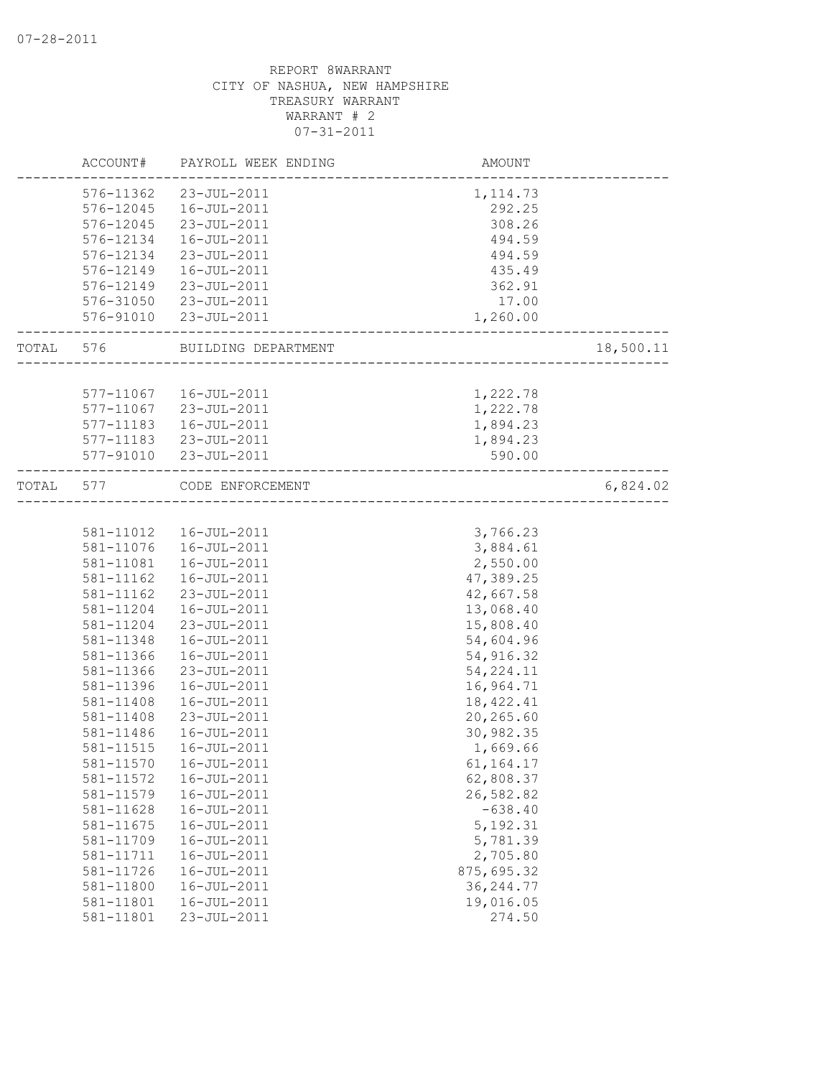|       | ACCOUNT#  | PAYROLL WEEK ENDING    | AMOUNT                        |           |
|-------|-----------|------------------------|-------------------------------|-----------|
|       | 576-11362 | 23-JUL-2011            | 1, 114.73                     |           |
|       | 576-12045 | 16-JUL-2011            | 292.25                        |           |
|       | 576-12045 | 23-JUL-2011            | 308.26                        |           |
|       | 576-12134 | 16-JUL-2011            | 494.59                        |           |
|       | 576-12134 | 23-JUL-2011            | 494.59                        |           |
|       | 576-12149 | 16-JUL-2011            | 435.49                        |           |
|       | 576-12149 | 23-JUL-2011            | 362.91                        |           |
|       | 576-31050 | 23-JUL-2011            | 17.00                         |           |
|       |           | 576-91010 23-JUL-2011  | 1,260.00                      |           |
| TOTAL | 576       | BUILDING DEPARTMENT    |                               | 18,500.11 |
|       |           |                        |                               |           |
|       |           | 577-11067  16-JUL-2011 | 1,222.78                      |           |
|       | 577-11067 | 23-JUL-2011            | 1,222.78                      |           |
|       | 577-11183 | 16-JUL-2011            | 1,894.23                      |           |
|       |           | 577-11183 23-JUL-2011  | 1,894.23                      |           |
|       |           | 577-91010 23-JUL-2011  | 590.00                        |           |
| TOTAL | 577       | CODE ENFORCEMENT       | ----------------------------- | 6,824.02  |
|       |           |                        |                               |           |
|       |           | 581-11012  16-JUL-2011 | 3,766.23                      |           |
|       | 581-11076 | 16-JUL-2011            | 3,884.61                      |           |
|       | 581-11081 | 16-JUL-2011            | 2,550.00                      |           |
|       | 581-11162 | 16-JUL-2011            | 47,389.25                     |           |
|       | 581-11162 | 23-JUL-2011            | 42,667.58                     |           |
|       | 581-11204 | 16-JUL-2011            | 13,068.40                     |           |
|       | 581-11204 | 23-JUL-2011            | 15,808.40                     |           |
|       | 581-11348 | 16-JUL-2011            | 54,604.96                     |           |
|       | 581-11366 | 16-JUL-2011            | 54,916.32                     |           |
|       | 581-11366 | 23-JUL-2011            | 54, 224.11                    |           |
|       | 581-11396 | 16-JUL-2011            | 16,964.71                     |           |
|       | 581-11408 | 16-JUL-2011            | 18, 422.41                    |           |
|       | 581-11408 | 23-JUL-2011            | 20,265.60                     |           |
|       | 581-11486 | 16-JUL-2011            | 30,982.35                     |           |
|       | 581-11515 | 16-JUL-2011            | 1,669.66                      |           |
|       | 581-11570 | $16 - JUL - 2011$      | 61,164.17                     |           |
|       | 581-11572 | 16-JUL-2011            | 62,808.37                     |           |
|       | 581-11579 | 16-JUL-2011            | 26,582.82                     |           |
|       | 581-11628 | 16-JUL-2011            | $-638.40$                     |           |
|       | 581-11675 | 16-JUL-2011            | 5, 192.31                     |           |
|       | 581-11709 | 16-JUL-2011            | 5,781.39                      |           |
|       | 581-11711 | 16-JUL-2011            | 2,705.80                      |           |
|       | 581-11726 | 16-JUL-2011            | 875,695.32                    |           |
|       | 581-11800 | 16-JUL-2011            | 36, 244.77                    |           |
|       | 581-11801 | $16 - JUL - 2011$      | 19,016.05                     |           |
|       | 581-11801 | 23-JUL-2011            | 274.50                        |           |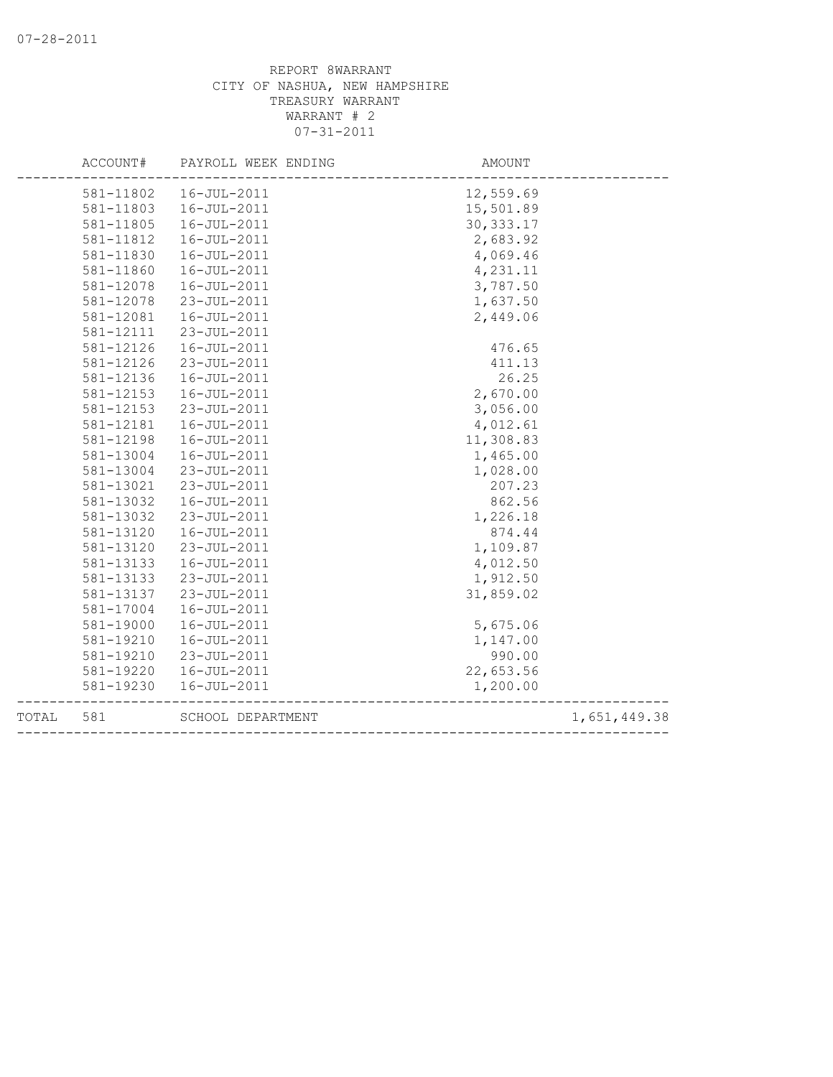|       | ACCOUNT#  | PAYROLL WEEK ENDING | AMOUNT                            |              |
|-------|-----------|---------------------|-----------------------------------|--------------|
|       | 581-11802 | 16-JUL-2011         | 12,559.69                         |              |
|       | 581-11803 | 16-JUL-2011         | 15,501.89                         |              |
|       | 581-11805 | 16-JUL-2011         | 30, 333.17                        |              |
|       | 581-11812 | 16-JUL-2011         | 2,683.92                          |              |
|       | 581-11830 | 16-JUL-2011         | 4,069.46                          |              |
|       | 581-11860 | 16-JUL-2011         | 4,231.11                          |              |
|       | 581-12078 | 16-JUL-2011         | 3,787.50                          |              |
|       | 581-12078 | 23-JUL-2011         | 1,637.50                          |              |
|       | 581-12081 | 16-JUL-2011         | 2,449.06                          |              |
|       | 581-12111 | 23-JUL-2011         |                                   |              |
|       | 581-12126 | 16-JUL-2011         | 476.65                            |              |
|       | 581-12126 | 23-JUL-2011         | 411.13                            |              |
|       | 581-12136 | 16-JUL-2011         | 26.25                             |              |
|       | 581-12153 | 16-JUL-2011         | 2,670.00                          |              |
|       | 581-12153 | 23-JUL-2011         | 3,056.00                          |              |
|       | 581-12181 | 16-JUL-2011         | 4,012.61                          |              |
|       | 581-12198 | 16-JUL-2011         | 11,308.83                         |              |
|       | 581-13004 | 16-JUL-2011         | 1,465.00                          |              |
|       | 581-13004 | 23-JUL-2011         | 1,028.00                          |              |
|       | 581-13021 | 23-JUL-2011         | 207.23                            |              |
|       | 581-13032 | 16-JUL-2011         | 862.56                            |              |
|       | 581-13032 | 23-JUL-2011         | 1,226.18                          |              |
|       | 581-13120 | 16-JUL-2011         | 874.44                            |              |
|       | 581-13120 | 23-JUL-2011         | 1,109.87                          |              |
|       | 581-13133 | 16-JUL-2011         | 4,012.50                          |              |
|       | 581-13133 | 23-JUL-2011         | 1,912.50                          |              |
|       | 581-13137 | 23-JUL-2011         | 31,859.02                         |              |
|       | 581-17004 | 16-JUL-2011         |                                   |              |
|       | 581-19000 | 16-JUL-2011         | 5,675.06                          |              |
|       | 581-19210 | 16-JUL-2011         | 1,147.00                          |              |
|       | 581-19210 | 23-JUL-2011         | 990.00                            |              |
|       | 581-19220 | 16-JUL-2011         | 22,653.56                         |              |
|       | 581-19230 | 16-JUL-2011         | 1,200.00                          |              |
| TOTAL | 581       | SCHOOL DEPARTMENT   | --------------------------------- | 1,651,449.38 |
|       |           |                     |                                   |              |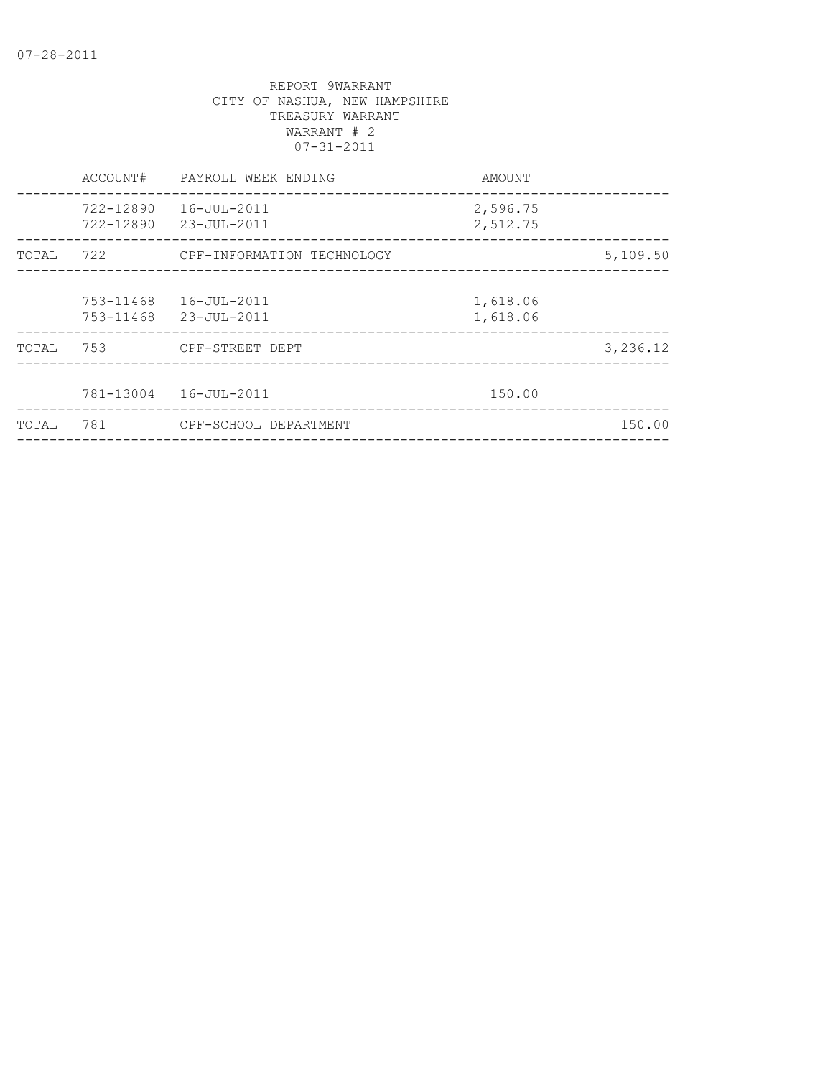|       | ACCOUNT#               | PAYROLL WEEK ENDING            | AMOUNT               |          |
|-------|------------------------|--------------------------------|----------------------|----------|
|       | 722-12890<br>722-12890 | 16-JUL-2011<br>23-JUL-2011     | 2,596.75<br>2,512.75 |          |
| TOTAL |                        | 722 CPF-INFORMATION TECHNOLOGY |                      | 5,109.50 |
|       | 753-11468<br>753-11468 | 16-JUL-2011<br>23-JUL-2011     | 1,618.06<br>1,618.06 |          |
| TOTAL | 753                    | CPF-STREET DEPT                |                      | 3,236.12 |
|       |                        | 781-13004  16-JUL-2011         | 150.00               |          |
| TOTAL | 781                    | CPF-SCHOOL DEPARTMENT          |                      | 150.00   |
|       |                        |                                |                      |          |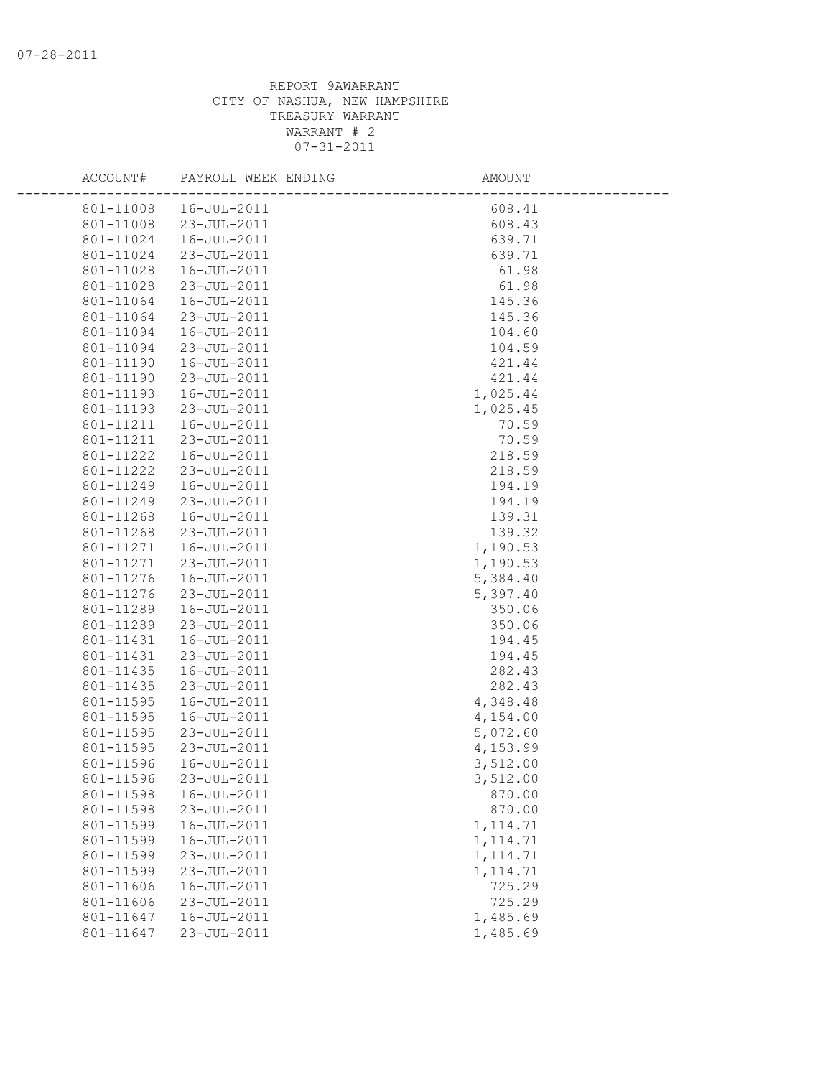| ACCOUNT#  | PAYROLL WEEK ENDING | <b>AMOUNT</b> |  |
|-----------|---------------------|---------------|--|
| 801-11008 | 16-JUL-2011         | 608.41        |  |
| 801-11008 | 23-JUL-2011         | 608.43        |  |
| 801-11024 | 16-JUL-2011         | 639.71        |  |
| 801-11024 | 23-JUL-2011         | 639.71        |  |
| 801-11028 | 16-JUL-2011         | 61.98         |  |
| 801-11028 | 23-JUL-2011         | 61.98         |  |
| 801-11064 | 16-JUL-2011         | 145.36        |  |
| 801-11064 | 23-JUL-2011         | 145.36        |  |
| 801-11094 | 16-JUL-2011         | 104.60        |  |
| 801-11094 | 23-JUL-2011         | 104.59        |  |
| 801-11190 | 16-JUL-2011         | 421.44        |  |
| 801-11190 | 23-JUL-2011         | 421.44        |  |
| 801-11193 | 16-JUL-2011         | 1,025.44      |  |
| 801-11193 | 23-JUL-2011         | 1,025.45      |  |
| 801-11211 | 16-JUL-2011         | 70.59         |  |
| 801-11211 | 23-JUL-2011         | 70.59         |  |
| 801-11222 | 16-JUL-2011         | 218.59        |  |
| 801-11222 | 23-JUL-2011         | 218.59        |  |
| 801-11249 | 16-JUL-2011         | 194.19        |  |
| 801-11249 | 23-JUL-2011         | 194.19        |  |
| 801-11268 | 16-JUL-2011         | 139.31        |  |
| 801-11268 | 23-JUL-2011         | 139.32        |  |
| 801-11271 | 16-JUL-2011         | 1,190.53      |  |
| 801-11271 | 23-JUL-2011         | 1,190.53      |  |
| 801-11276 | 16-JUL-2011         | 5,384.40      |  |
| 801-11276 | 23-JUL-2011         | 5,397.40      |  |
| 801-11289 | 16-JUL-2011         | 350.06        |  |
| 801-11289 | 23-JUL-2011         | 350.06        |  |
| 801-11431 | 16-JUL-2011         | 194.45        |  |
| 801-11431 | 23-JUL-2011         | 194.45        |  |
| 801-11435 | 16-JUL-2011         | 282.43        |  |
| 801-11435 | 23-JUL-2011         | 282.43        |  |
| 801-11595 | 16-JUL-2011         | 4,348.48      |  |
| 801-11595 | 16-JUL-2011         | 4,154.00      |  |
| 801-11595 | 23-JUL-2011         | 5,072.60      |  |
| 801-11595 | 23-JUL-2011         | 4,153.99      |  |
| 801-11596 | 16-JUL-2011         | 3,512.00      |  |
| 801-11596 | 23-JUL-2011         | 3,512.00      |  |
| 801-11598 | 16-JUL-2011         | 870.00        |  |
| 801-11598 | 23-JUL-2011         | 870.00        |  |
| 801-11599 | 16-JUL-2011         | 1, 114.71     |  |
| 801-11599 | $16 - JUL - 2011$   | 1, 114.71     |  |
| 801-11599 | 23-JUL-2011         | 1, 114.71     |  |
| 801-11599 | 23-JUL-2011         | 1, 114.71     |  |
| 801-11606 | $16 - JUL - 2011$   | 725.29        |  |
| 801-11606 | 23-JUL-2011         | 725.29        |  |
| 801-11647 | 16-JUL-2011         | 1,485.69      |  |
| 801-11647 | $23 - JUL - 2011$   | 1,485.69      |  |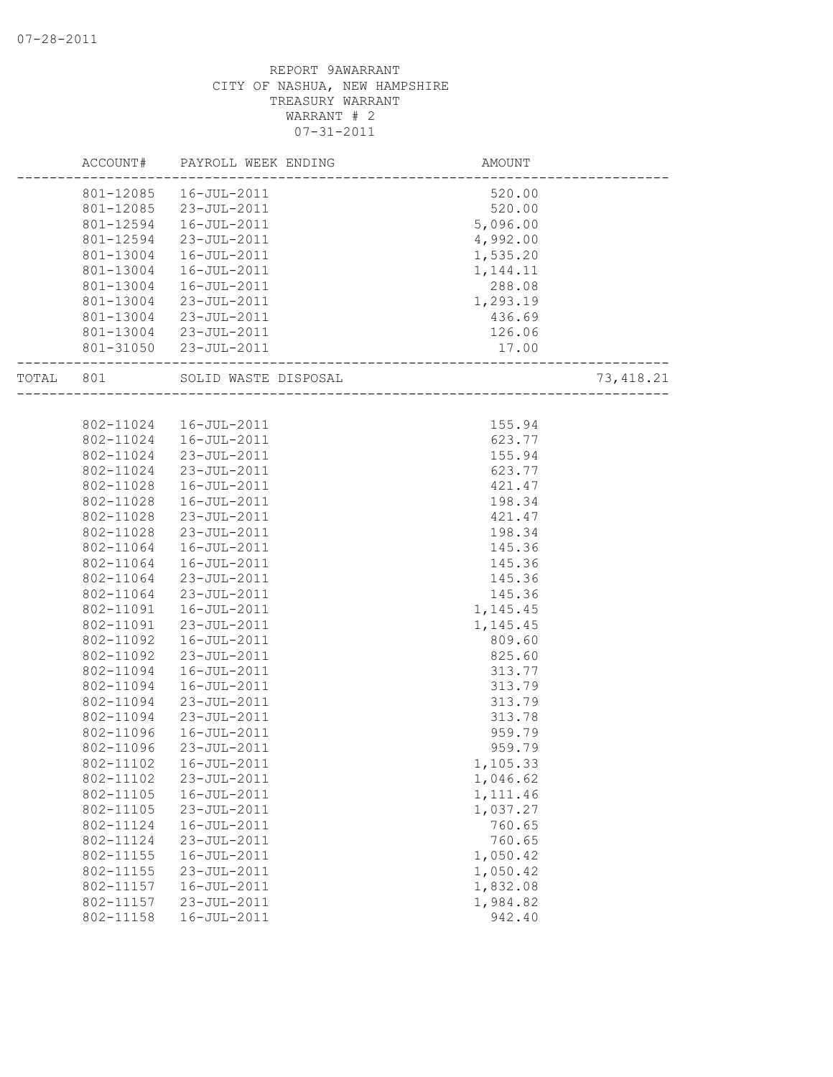|       | ACCOUNT#  | PAYROLL WEEK ENDING   | AMOUNT   |            |
|-------|-----------|-----------------------|----------|------------|
|       | 801-12085 | 16-JUL-2011           | 520.00   |            |
|       | 801-12085 | 23-JUL-2011           | 520.00   |            |
|       | 801-12594 | 16-JUL-2011           | 5,096.00 |            |
|       | 801-12594 | 23-JUL-2011           | 4,992.00 |            |
|       | 801-13004 | 16-JUL-2011           | 1,535.20 |            |
|       | 801-13004 | 16-JUL-2011           | 1,144.11 |            |
|       | 801-13004 | 16-JUL-2011           | 288.08   |            |
|       | 801-13004 | 23-JUL-2011           | 1,293.19 |            |
|       | 801-13004 | 23-JUL-2011           | 436.69   |            |
|       |           | 801-13004 23-JUL-2011 | 126.06   |            |
|       |           | 801-31050 23-JUL-2011 | 17.00    |            |
| TOTAL | 801       | SOLID WASTE DISPOSAL  |          | 73, 418.21 |
|       |           |                       |          |            |
|       | 802-11024 | 16-JUL-2011           | 155.94   |            |
|       | 802-11024 | 16-JUL-2011           | 623.77   |            |
|       | 802-11024 | 23-JUL-2011           | 155.94   |            |
|       | 802-11024 | 23-JUL-2011           | 623.77   |            |
|       | 802-11028 | 16-JUL-2011           | 421.47   |            |
|       | 802-11028 | 16-JUL-2011           | 198.34   |            |
|       | 802-11028 | 23-JUL-2011           | 421.47   |            |
|       | 802-11028 | 23-JUL-2011           | 198.34   |            |
|       | 802-11064 | 16-JUL-2011           | 145.36   |            |
|       | 802-11064 | 16-JUL-2011           | 145.36   |            |
|       | 802-11064 | 23-JUL-2011           | 145.36   |            |
|       | 802-11064 | 23-JUL-2011           | 145.36   |            |
|       | 802-11091 | 16-JUL-2011           | 1,145.45 |            |
|       | 802-11091 | 23-JUL-2011           | 1,145.45 |            |
|       | 802-11092 | 16-JUL-2011           | 809.60   |            |
|       | 802-11092 | 23-JUL-2011           | 825.60   |            |
|       | 802-11094 | 16-JUL-2011           | 313.77   |            |
|       | 802-11094 | $16 - JUL - 2011$     | 313.79   |            |
|       | 802-11094 | 23-JUL-2011           | 313.79   |            |
|       | 802-11094 | 23-JUL-2011           | 313.78   |            |
|       | 802-11096 | 16-JUL-2011           | 959.79   |            |
|       | 802-11096 | 23-JUL-2011           | 959.79   |            |
|       | 802-11102 | 16-JUL-2011           | 1,105.33 |            |
|       | 802-11102 | 23-JUL-2011           | 1,046.62 |            |
|       | 802-11105 | 16-JUL-2011           | 1,111.46 |            |
|       | 802-11105 | 23-JUL-2011           | 1,037.27 |            |
|       | 802-11124 | 16-JUL-2011           | 760.65   |            |
|       | 802-11124 | 23-JUL-2011           | 760.65   |            |
|       | 802-11155 | 16-JUL-2011           | 1,050.42 |            |
|       | 802-11155 | 23-JUL-2011           | 1,050.42 |            |
|       | 802-11157 | $16 - JUL - 2011$     | 1,832.08 |            |
|       | 802-11157 | 23-JUL-2011           | 1,984.82 |            |
|       | 802-11158 | 16-JUL-2011           | 942.40   |            |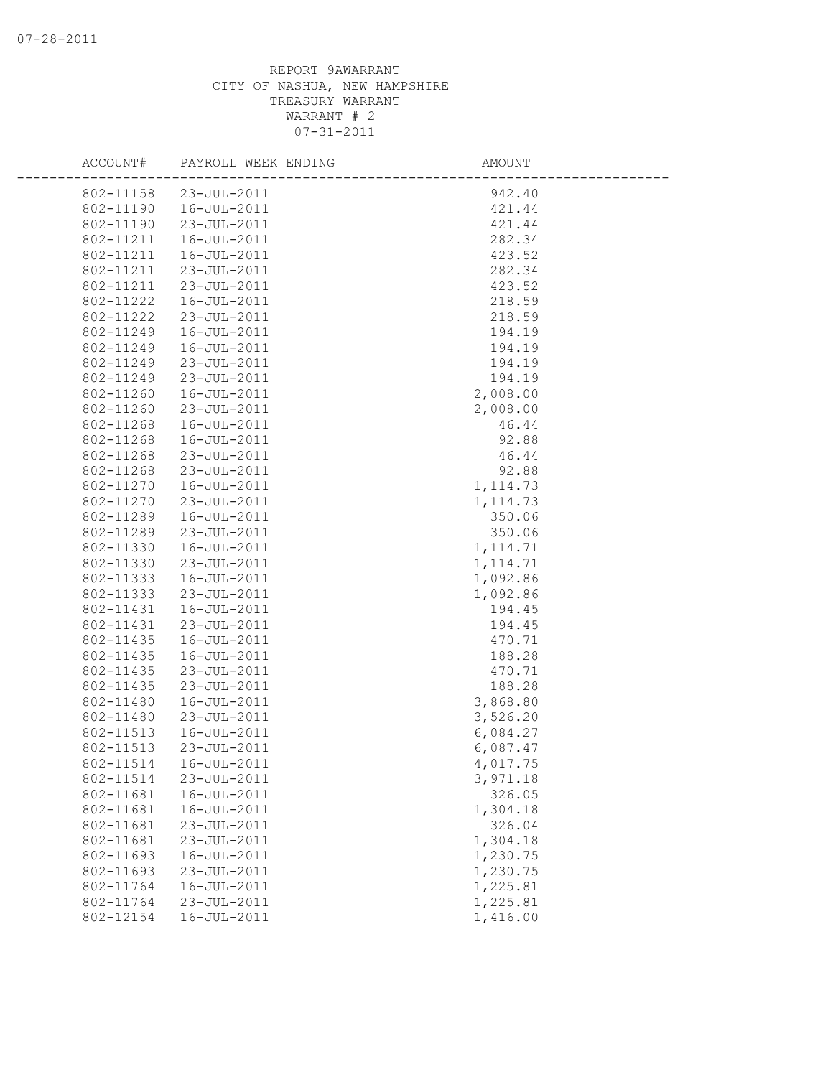| ACCOUNT#  | PAYROLL WEEK ENDING | AMOUNT    |
|-----------|---------------------|-----------|
| 802-11158 | 23-JUL-2011         | 942.40    |
| 802-11190 | 16-JUL-2011         | 421.44    |
| 802-11190 | 23-JUL-2011         | 421.44    |
| 802-11211 | 16-JUL-2011         | 282.34    |
| 802-11211 | 16-JUL-2011         | 423.52    |
| 802-11211 | 23-JUL-2011         | 282.34    |
| 802-11211 | 23-JUL-2011         | 423.52    |
| 802-11222 | 16-JUL-2011         | 218.59    |
| 802-11222 | 23-JUL-2011         | 218.59    |
| 802-11249 | $16 - JUL - 2011$   | 194.19    |
| 802-11249 | 16-JUL-2011         | 194.19    |
| 802-11249 | 23-JUL-2011         | 194.19    |
| 802-11249 | 23-JUL-2011         | 194.19    |
| 802-11260 | 16-JUL-2011         | 2,008.00  |
| 802-11260 | 23-JUL-2011         | 2,008.00  |
| 802-11268 | 16-JUL-2011         | 46.44     |
| 802-11268 | 16-JUL-2011         | 92.88     |
| 802-11268 | 23-JUL-2011         | 46.44     |
| 802-11268 | 23-JUL-2011         | 92.88     |
| 802-11270 | 16-JUL-2011         | 1, 114.73 |
| 802-11270 | 23-JUL-2011         | 1, 114.73 |
| 802-11289 | 16-JUL-2011         | 350.06    |
| 802-11289 | 23-JUL-2011         | 350.06    |
| 802-11330 | 16-JUL-2011         | 1, 114.71 |
| 802-11330 | 23-JUL-2011         | 1, 114.71 |
| 802-11333 | 16-JUL-2011         | 1,092.86  |
| 802-11333 | 23-JUL-2011         | 1,092.86  |
| 802-11431 | 16-JUL-2011         | 194.45    |
| 802-11431 | 23-JUL-2011         | 194.45    |
| 802-11435 | 16-JUL-2011         | 470.71    |
| 802-11435 | 16-JUL-2011         | 188.28    |
| 802-11435 | 23-JUL-2011         | 470.71    |
| 802-11435 | 23-JUL-2011         | 188.28    |
| 802-11480 | 16-JUL-2011         | 3,868.80  |
| 802-11480 | 23-JUL-2011         | 3,526.20  |
| 802-11513 | 16-JUL-2011         | 6,084.27  |
| 802-11513 | 23-JUL-2011         | 6,087.47  |
| 802-11514 | 16-JUL-2011         | 4,017.75  |
| 802-11514 | 23-JUL-2011         | 3,971.18  |
| 802-11681 | 16-JUL-2011         | 326.05    |
| 802-11681 | 16-JUL-2011         | 1,304.18  |
| 802-11681 | 23-JUL-2011         | 326.04    |
| 802-11681 | 23-JUL-2011         | 1,304.18  |
| 802-11693 | 16-JUL-2011         | 1,230.75  |
| 802-11693 | 23-JUL-2011         | 1,230.75  |
| 802-11764 | 16-JUL-2011         | 1,225.81  |
| 802-11764 | 23-JUL-2011         | 1,225.81  |
| 802-12154 | 16-JUL-2011         | 1,416.00  |